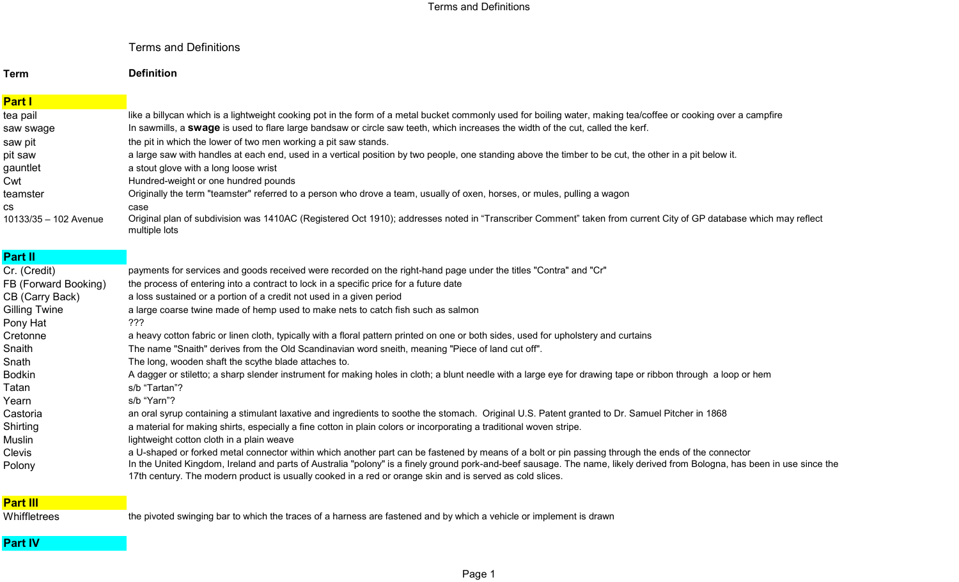# Terms and Definitions

# Terms and Definitions

## Definition

# Part I

| <u>ган н</u>          |                                                                                                                                                                  |
|-----------------------|------------------------------------------------------------------------------------------------------------------------------------------------------------------|
| tea pail              | like a billycan which is a lightweight cooking pot in the form of a metal bucket commonly used for boiling water, making tea/coffee or cooking over a campfire   |
| saw swage             | In sawmills, a swage is used to flare large bandsaw or circle saw teeth, which increases the width of the cut, called the kerf.                                  |
| saw pit               | the pit in which the lower of two men working a pit saw stands.                                                                                                  |
| pit saw               | a large saw with handles at each end, used in a vertical position by two people, one standing above the timber to be cut, the other in a pit below it.           |
| gauntlet              | a stout glove with a long loose wrist                                                                                                                            |
| Cwt                   | Hundred-weight or one hundred pounds                                                                                                                             |
| teamster              | Originally the term "teamster" referred to a person who drove a team, usually of oxen, horses, or mules, pulling a wagon                                         |
| CS.                   | case                                                                                                                                                             |
| 10133/35 - 102 Avenue | Original plan of subdivision was 1410AC (Registered Oct 1910); addresses noted in "Transcriber Comment" taken from current City of GP database which may reflect |
|                       | multiple lots                                                                                                                                                    |

# Part II

| ганн                 |                                                                                                                                                                                                                                                                                       |
|----------------------|---------------------------------------------------------------------------------------------------------------------------------------------------------------------------------------------------------------------------------------------------------------------------------------|
| Cr. (Credit)         | payments for services and goods received were recorded on the right-hand page under the titles "Contra" and "Cr"                                                                                                                                                                      |
| FB (Forward Booking) | the process of entering into a contract to lock in a specific price for a future date                                                                                                                                                                                                 |
| CB (Carry Back)      | a loss sustained or a portion of a credit not used in a given period                                                                                                                                                                                                                  |
| Gilling Twine        | a large coarse twine made of hemp used to make nets to catch fish such as salmon                                                                                                                                                                                                      |
| Pony Hat             | ???                                                                                                                                                                                                                                                                                   |
| Cretonne             | a heavy cotton fabric or linen cloth, typically with a floral pattern printed on one or both sides, used for upholstery and curtains                                                                                                                                                  |
| Snaith               | The name "Snaith" derives from the Old Scandinavian word sneith, meaning "Piece of land cut off".                                                                                                                                                                                     |
| Snath                | The long, wooden shaft the scythe blade attaches to.                                                                                                                                                                                                                                  |
| <b>Bodkin</b>        | A dagger or stiletto; a sharp slender instrument for making holes in cloth; a blunt needle with a large eye for drawing tape or ribbon through a loop or hem                                                                                                                          |
| Tatan                | s/b "Tartan"?                                                                                                                                                                                                                                                                         |
| Yearn                | s/b "Yarn"?                                                                                                                                                                                                                                                                           |
| Castoria             | an oral syrup containing a stimulant laxative and ingredients to soothe the stomach. Original U.S. Patent granted to Dr. Samuel Pitcher in 1868                                                                                                                                       |
| Shirting             | a material for making shirts, especially a fine cotton in plain colors or incorporating a traditional woven stripe.                                                                                                                                                                   |
| Muslin               | lightweight cotton cloth in a plain weave                                                                                                                                                                                                                                             |
| <b>Clevis</b>        | a U-shaped or forked metal connector within which another part can be fastened by means of a bolt or pin passing through the ends of the connector                                                                                                                                    |
| Polony               | In the United Kingdom, Ireland and parts of Australia "polony" is a finely ground pork-and-beef sausage. The name, likely derived from Bologna, has been in use since the<br>17th century. The modern product is usually cooked in a red or orange skin and is served as cold slices. |

**Part III**<br>Whiffletrees the pivoted swinging bar to which the traces of a harness are fastened and by which a vehicle or implement is drawn

# Part IV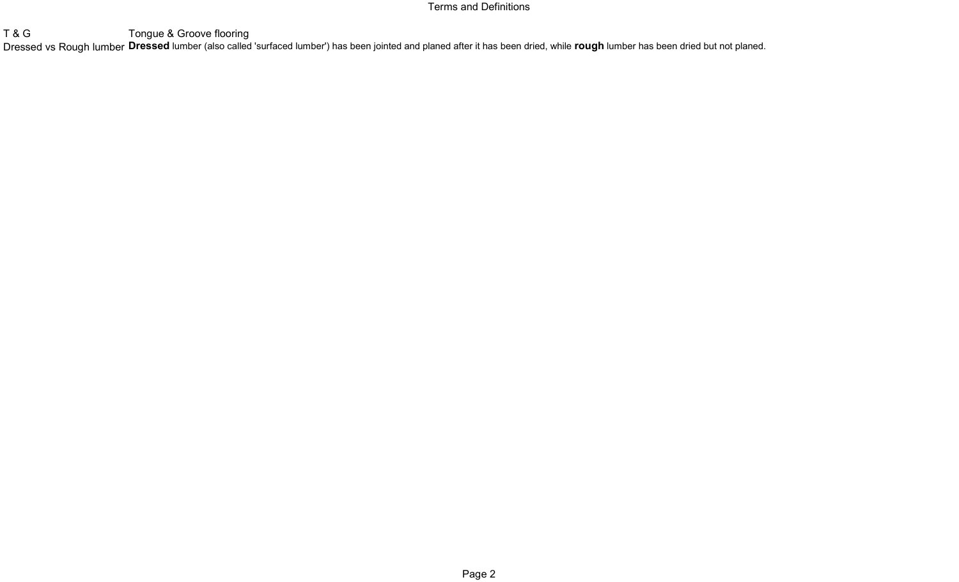### Terms and Definitions

T & G Tongue & Groove flooring

Dressed vs Rough lumber Dressed lumber (also called 'surfaced lumber') has been jointed and planed after it has been dried, while rough lumber has been dried but not planed.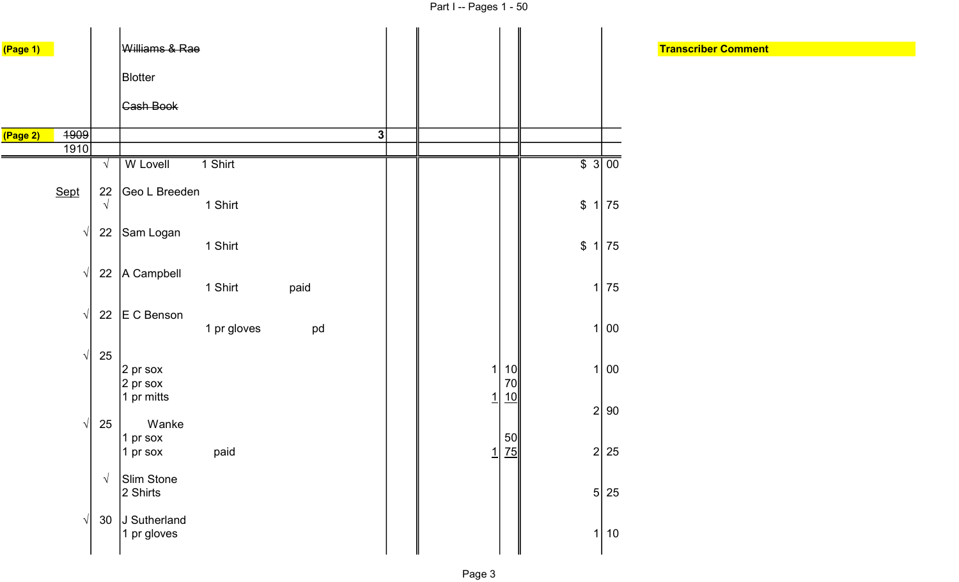| (Page 1)         |                  | Williams & Rae                               |                                   |                      | <b>Transcriber Comment</b> |
|------------------|------------------|----------------------------------------------|-----------------------------------|----------------------|----------------------------|
|                  |                  | Blotter                                      |                                   |                      |                            |
|                  |                  | <b>Cash Book</b>                             |                                   |                      |                            |
| 1909<br>(Page 2) |                  | $\mathbf{3}$                                 |                                   |                      |                            |
| 1910             |                  |                                              |                                   |                      |                            |
|                  | $\sqrt{ }$       | 1 Shirt<br>W Lovell                          |                                   | \$3 00               |                            |
| Sept             | 22<br>$\sqrt{ }$ | Geo L Breeden<br>1 Shirt                     |                                   | \$1<br>75            |                            |
|                  | 22<br>$\sqrt{ }$ | Sam Logan<br>1 Shirt                         |                                   | \$<br>75<br>1        |                            |
|                  | $\sqrt{ }$<br>22 | A Campbell<br>1 Shirt<br>paid                |                                   | 75<br>$\mathbf{1}$   |                            |
|                  | $\sqrt{ }$<br>22 | E C Benson<br>1 pr gloves<br>pd              |                                   | 00<br>1              |                            |
|                  | $\sqrt{}$<br>25  | $ 2 \text{ pr sox}$<br>$ 2 \text{ pr so} x $ | 1<br>10<br>70                     | 00<br>1              |                            |
|                  | $\sqrt{ }$<br>25 | 1 pr mitts<br>Wanke                          | 10<br>$\overline{1}$              | 90<br>$\mathbf{2}$   |                            |
|                  |                  | 1 pr sox<br>paid<br>1 pr sox                 | $\frac{50}{75}$<br>$\overline{1}$ | $2 \mid 25$          |                            |
|                  | $\sqrt{ }$       | Slim Stone<br>2 Shirts                       |                                   | 5 <sup>1</sup><br>25 |                            |
|                  | $\sqrt{ }$<br>30 | J Sutherland<br>1 pr gloves                  |                                   | $10$<br>$\mathbf 1$  |                            |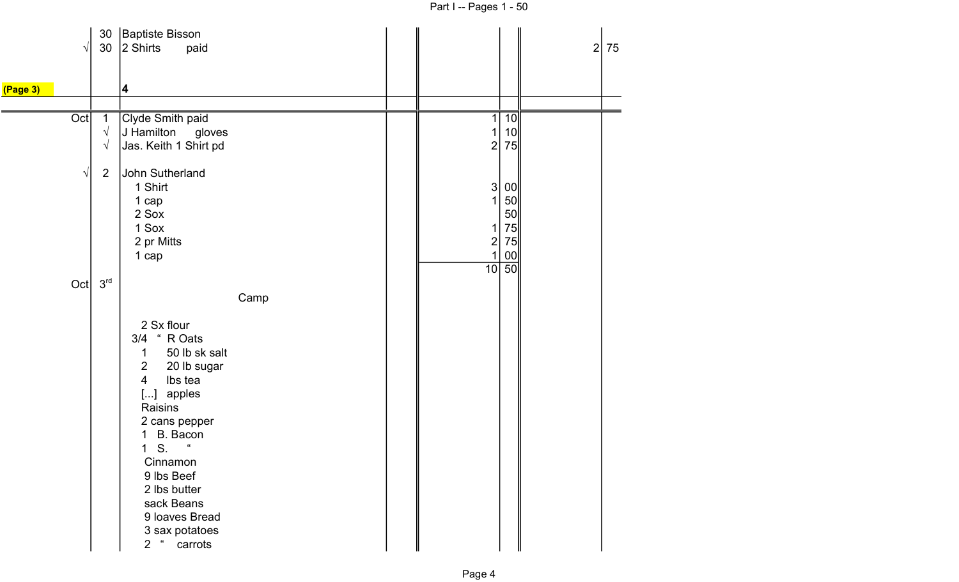| $\sqrt{ }$       | 30<br>30                    | <b>Baptiste Bisson</b><br>2 Shirts<br>paid                                                                                                                                                                                                                                                               |                                                            |                                           | $\overline{c}$ | 75 |
|------------------|-----------------------------|----------------------------------------------------------------------------------------------------------------------------------------------------------------------------------------------------------------------------------------------------------------------------------------------------------|------------------------------------------------------------|-------------------------------------------|----------------|----|
| (Page 3)         |                             | 4                                                                                                                                                                                                                                                                                                        |                                                            |                                           |                |    |
|                  |                             |                                                                                                                                                                                                                                                                                                          |                                                            |                                           |                |    |
| Oct              | 1<br>$\sqrt{}$<br>$\sqrt{}$ | <b>Clyde Smith paid</b><br>J Hamilton<br>gloves<br>Jas. Keith 1 Shirt pd                                                                                                                                                                                                                                 | $\overline{2}$                                             | 10<br>10 <sup>1</sup><br>75               |                |    |
| $\sqrt{ }$       | 2                           | John Sutherland<br>1 Shirt<br>$1$ cap<br>2 Sox<br>1 Sox<br>2 pr Mitts<br>$1$ cap                                                                                                                                                                                                                         | $\mathbf{3}$<br>$\overline{\mathbf{c}}$<br>$\overline{10}$ | 00 <br>50<br>50<br>75<br>75<br> 00 <br>50 |                |    |
| Oct <sub>l</sub> | 3 <sup>rd</sup>             | Camp                                                                                                                                                                                                                                                                                                     |                                                            |                                           |                |    |
|                  |                             | 2 Sx flour<br>3/4 " R Oats<br>50 lb sk salt<br>1<br>$\overline{2}$<br>20 lb sugar<br>Ibs tea<br>4<br>[] apples<br>Raisins<br>2 cans pepper<br>B. Bacon<br>1 S.<br>$\boldsymbol{\mathfrak{c}}$<br>Cinnamon<br>9 lbs Beef<br>2 lbs butter<br>sack Beans<br>9 loaves Bread<br>3 sax potatoes<br>2 " carrots |                                                            |                                           |                |    |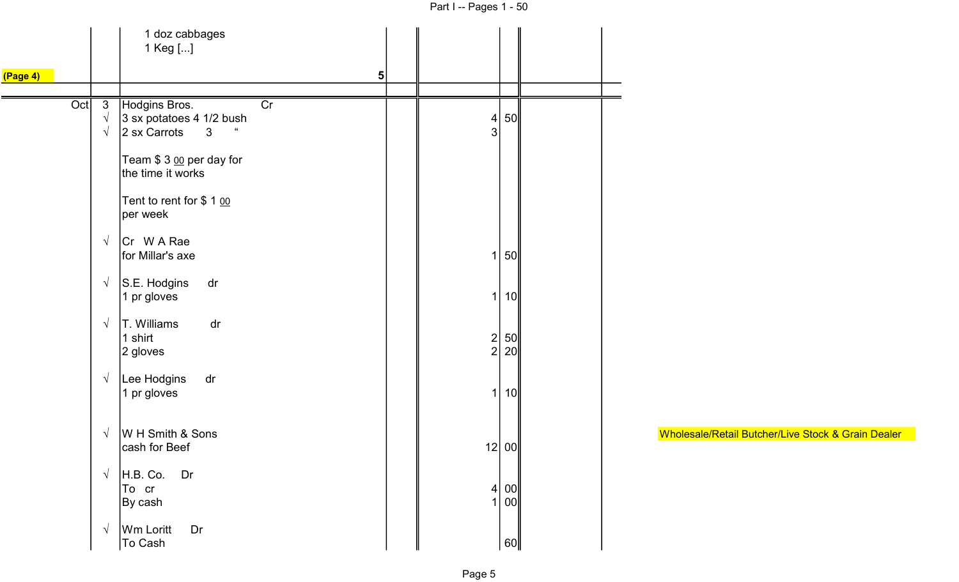|          |                                            | 1 doz cabbages<br>1 Keg []                                                                    |                                           |            |  |
|----------|--------------------------------------------|-----------------------------------------------------------------------------------------------|-------------------------------------------|------------|--|
|          |                                            |                                                                                               |                                           |            |  |
| (Page 4) |                                            | 5                                                                                             |                                           |            |  |
| Oct      | $\overline{3}$<br>$\sqrt{2}$<br>$\sqrt{ }$ | Hodgins Bros.<br>Cr<br>3 sx potatoes 4 1/2 bush<br>$\epsilon$<br>2 sx Carrots<br>$\mathbf{3}$ | $\overline{\mathcal{A}}$<br>3             | 50         |  |
|          |                                            | Team \$ 3 00 per day for<br>the time it works                                                 |                                           |            |  |
|          |                                            | Tent to rent for \$ 1 00<br>per week                                                          |                                           |            |  |
|          | $\sqrt{ }$                                 | Cr W A Rae<br>for Millar's axe                                                                | 1                                         | 50         |  |
|          | $\sqrt{ }$                                 | S.E. Hodgins<br>dr<br>1 pr gloves                                                             | 1                                         | 10         |  |
|          | $\sqrt{ }$                                 | T. Williams<br>dr<br>1 shirt<br>2 gloves                                                      | $\frac{2}{2}$                             | 50<br>20   |  |
|          | $\sqrt{ }$                                 | Lee Hodgins<br>dr<br>1 pr gloves                                                              | $\mathbf 1$                               | 10         |  |
|          | $\sqrt{ }$                                 | W H Smith & Sons<br>cash for Beef                                                             |                                           | 12 00      |  |
|          | $\sqrt{ }$                                 | H.B. Co.<br>Dr<br>To cr<br>By cash                                                            | $\overline{\mathbf{4}}$<br>$\overline{1}$ | 00 <br> 00 |  |
|          | $\sqrt{ }$                                 | Wm Loritt<br>Dr<br>To Cash                                                                    |                                           | 60         |  |

**Wholesale/Retail Butcher/Live Stock & Grain Dealer**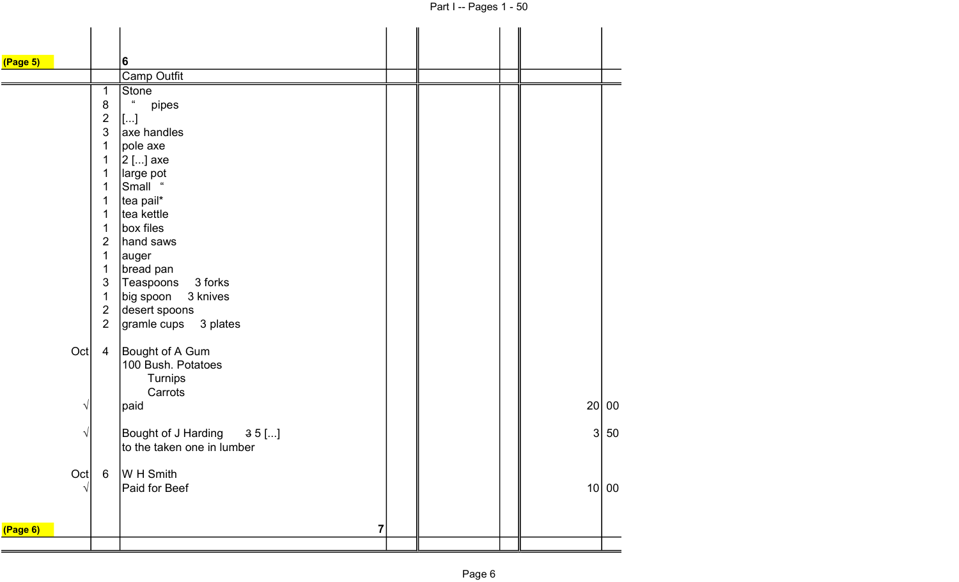| (Page 5) |                           | 6                              |                |  |   |       |
|----------|---------------------------|--------------------------------|----------------|--|---|-------|
|          |                           | Camp Outfit                    |                |  |   |       |
|          | 1                         | Stone                          |                |  |   |       |
|          | 8                         | $\epsilon$<br>pipes            |                |  |   |       |
|          |                           | $\left[\left[\right]\right]$   |                |  |   |       |
|          | $\frac{2}{3}$             | axe handles                    |                |  |   |       |
|          | $\mathbf 1$               | pole axe                       |                |  |   |       |
|          | 1                         | 2 [] axe                       |                |  |   |       |
|          | 1                         | large pot                      |                |  |   |       |
|          | 1                         | Small "                        |                |  |   |       |
|          | 1                         | tea pail*                      |                |  |   |       |
|          | $\mathbf 1$               | tea kettle                     |                |  |   |       |
|          | $\mathbf 1$               | box files                      |                |  |   |       |
|          | $\overline{2}$            | hand saws                      |                |  |   |       |
|          | 1                         | auger                          |                |  |   |       |
|          | $\mathbf 1$               | bread pan                      |                |  |   |       |
|          | $\ensuremath{\mathsf{3}}$ | Teaspoons<br>3 forks           |                |  |   |       |
|          | $\mathbf 1$               | big spoon<br>3 knives          |                |  |   |       |
|          | $\overline{2}$            | desert spoons                  |                |  |   |       |
|          | $\overline{2}$            | gramle cups 3 plates           |                |  |   |       |
|          |                           |                                |                |  |   |       |
| Oct      | $\overline{4}$            | Bought of A Gum                |                |  |   |       |
|          |                           | 100 Bush. Potatoes             |                |  |   |       |
|          |                           | Turnips                        |                |  |   |       |
|          |                           | Carrots                        |                |  |   |       |
|          |                           | paid                           |                |  |   | 20 00 |
|          |                           |                                |                |  |   |       |
|          |                           | Bought of J Harding<br>$35$ [] |                |  | 3 | 50    |
|          |                           | to the taken one in lumber     |                |  |   |       |
|          |                           |                                |                |  |   |       |
| Oct      | $6\phantom{1}$            | W H Smith                      |                |  |   |       |
|          |                           | Paid for Beef                  |                |  |   | 10 00 |
|          |                           |                                |                |  |   |       |
|          |                           |                                |                |  |   |       |
| (Page 6) |                           |                                | $\overline{7}$ |  |   |       |
|          |                           |                                |                |  |   |       |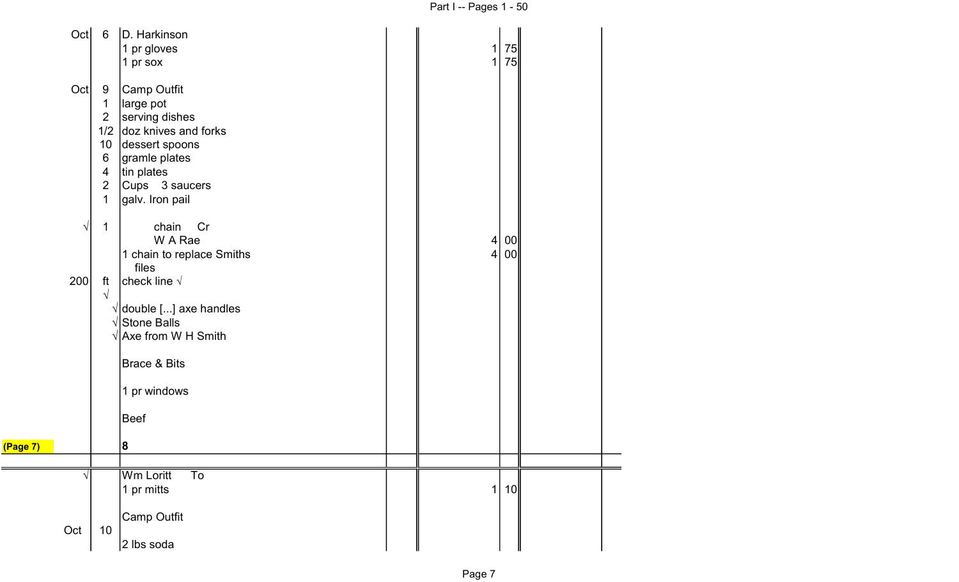|          | Oct       | 6                              | D. Harkinson                               |        |          |  |
|----------|-----------|--------------------------------|--------------------------------------------|--------|----------|--|
|          |           |                                | 1 pr gloves<br>1 pr sox                    | 1<br>1 | 75<br>75 |  |
|          |           |                                |                                            |        |          |  |
|          | Oct       | 9                              | Camp Outfit                                |        |          |  |
|          |           | $\mathbf 1$                    | large pot                                  |        |          |  |
|          |           | $\overline{2}$                 | serving dishes                             |        |          |  |
|          |           | 1/2                            | doz knives and forks                       |        |          |  |
|          |           | 10 <sup>°</sup>                | dessert spoons                             |        |          |  |
|          |           | 6                              | gramle plates                              |        |          |  |
|          |           | $\overline{4}$                 | tin plates                                 |        |          |  |
|          |           | $\overline{2}$<br>$\mathbf{1}$ | Cups 3 saucers                             |        |          |  |
|          |           |                                | galv. Iron pail                            |        |          |  |
|          | $\sqrt{}$ | $\mathbf 1$                    | chain<br>Cr                                |        |          |  |
|          |           |                                | W A Rae                                    |        | 4 00     |  |
|          |           |                                | 1 chain to replace Smiths                  |        | 4 00     |  |
|          |           |                                | files                                      |        |          |  |
|          | 200       | ft                             | check line $\sqrt{ }$                      |        |          |  |
|          |           | $\sqrt{ }$                     |                                            |        |          |  |
|          |           |                                | $\sqrt{\frac{1}{1}}$ double [] axe handles |        |          |  |
|          |           |                                | $\sqrt{\text{Stone Balls}}$                |        |          |  |
|          |           |                                | $\sqrt{\mathsf{A}}$ Axe from W H Smith     |        |          |  |
|          |           |                                | Brace & Bits                               |        |          |  |
|          |           |                                |                                            |        |          |  |
|          |           |                                | 1 pr windows                               |        |          |  |
|          |           |                                | Beef                                       |        |          |  |
|          |           |                                |                                            |        |          |  |
| (Page 7) |           |                                | 8                                          |        |          |  |
|          |           |                                | Wm Loritt<br>To                            |        |          |  |
|          |           |                                | 1 pr mitts                                 | 1      | 10       |  |
|          |           |                                |                                            |        |          |  |
|          |           |                                | Camp Outfit                                |        |          |  |
|          | Oct       | 10 <sup>°</sup>                |                                            |        |          |  |
|          |           |                                | 2 lbs soda                                 |        |          |  |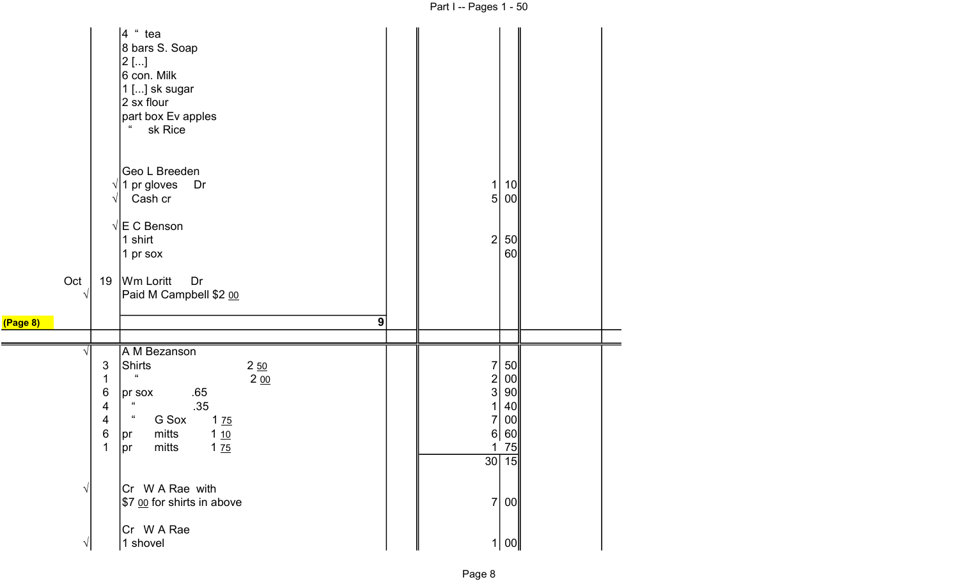|          |           |                                         | 4 " tea<br>8 bars S. Soap<br>$2$ []<br>6 con. Milk<br>1 [] sk sugar<br>2 sx flour<br>part box Ev apples<br>$\boldsymbol{\mathfrak{c}}$<br>sk Rice                                                            |                                                                                 |                                                            |  |
|----------|-----------|-----------------------------------------|--------------------------------------------------------------------------------------------------------------------------------------------------------------------------------------------------------------|---------------------------------------------------------------------------------|------------------------------------------------------------|--|
|          |           | $\sqrt{}$                               | Geo L Breeden<br>$\sqrt{1}$ pr gloves<br>Dr<br>Cash cr                                                                                                                                                       | 1                                                                               | 10 <sup>1</sup><br>5 00                                    |  |
|          |           |                                         | $\sqrt{\mathsf{E}}$ C Benson<br>1 shirt<br>1 pr sox                                                                                                                                                          | $\overline{2}$                                                                  | 50<br>60                                                   |  |
|          | Oct<br>V  | 19                                      | Wm Loritt<br>Dr<br>Paid M Campbell \$2 00                                                                                                                                                                    |                                                                                 |                                                            |  |
| (Page 8) |           |                                         | 9                                                                                                                                                                                                            |                                                                                 |                                                            |  |
|          |           | 3<br>1<br>$\,6$<br>4<br>4<br>$\,6$<br>1 | A M Bezanson<br><b>Shirts</b><br>250<br>$\epsilon$<br>200<br>.65<br>$ pr$ sox<br>$\mathbf{f}$<br>.35<br>$\mathfrak{c}\mathfrak{c}$<br>G Sox<br>175<br>mitts<br>110<br> pr<br>mitts<br>$1\frac{75}{2}$<br> pr | $\overline{7}$<br>$\overline{\mathbf{c}}$<br>3<br>$\mathbf 1$<br>$\overline{7}$ | 50<br> 00 <br>90<br>40<br> 00 <br>6 60 <br>$1$ 75<br>30 15 |  |
|          | $\sqrt{}$ |                                         | Cr W A Rae with<br>\$7 00 for shirts in above                                                                                                                                                                | 7 <sup>1</sup>                                                                  | 00                                                         |  |
|          | $\sqrt{}$ |                                         | Cr W A Rae<br>1 shovel                                                                                                                                                                                       |                                                                                 | 1 00                                                       |  |

\_\_\_\_\_\_\_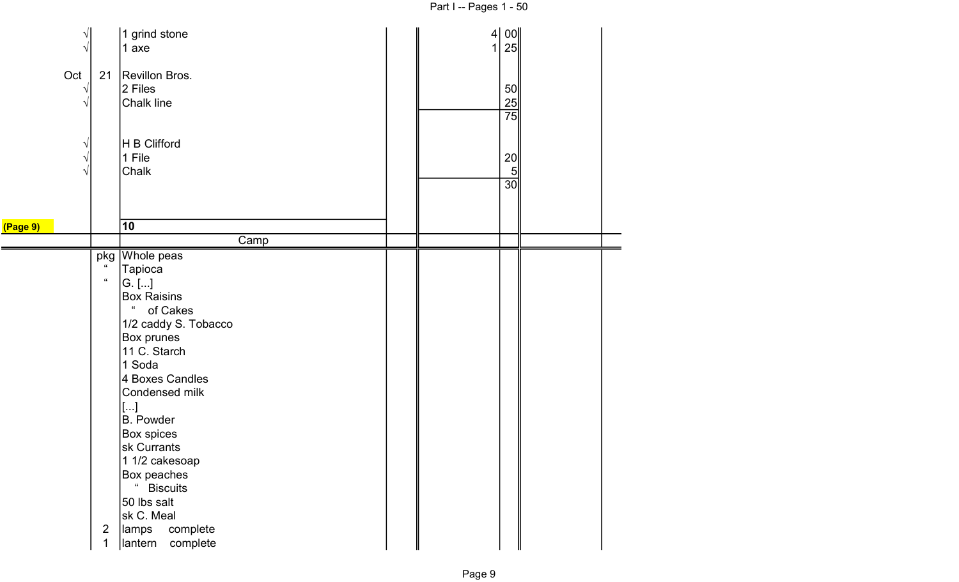| Oct      | 21                                                                              | 1 grind stone<br>1 axe<br>Revillon Bros.<br>2 Files<br>Chalk line                                                                                                                                                                                                                                                                                                                                        |  | 4 00 <br>1 25 <br>50<br>25<br>$\overline{75}$ |  |
|----------|---------------------------------------------------------------------------------|----------------------------------------------------------------------------------------------------------------------------------------------------------------------------------------------------------------------------------------------------------------------------------------------------------------------------------------------------------------------------------------------------------|--|-----------------------------------------------|--|
|          |                                                                                 | <b>H B Clifford</b><br>1 File<br>Chalk                                                                                                                                                                                                                                                                                                                                                                   |  | 20<br>5<br>$\overline{30}$                    |  |
| (Page 9) |                                                                                 | 10<br>$\overline{Camp}$                                                                                                                                                                                                                                                                                                                                                                                  |  |                                               |  |
|          | $\mathfrak{c}\mathfrak{c}$<br>$\mathfrak{c}\mathfrak{c}$<br>$\overline{2}$<br>1 | pkg Whole peas<br>Tapioca<br>G. []<br><b>Box Raisins</b><br>$\boldsymbol{\mu}$<br>of Cakes<br>1/2 caddy S. Tobacco<br>Box prunes<br>11 C. Starch<br>1 Soda<br>4 Boxes Candles<br>Condensed milk<br>$\left[\ldots\right]$<br><b>B.</b> Powder<br><b>Box spices</b><br>sk Currants<br>1 1/2 cakesoap<br>Box peaches<br>" Biscuits<br>50 lbs salt<br>sk C. Meal<br>complete<br>lamps<br>complete<br>lantern |  |                                               |  |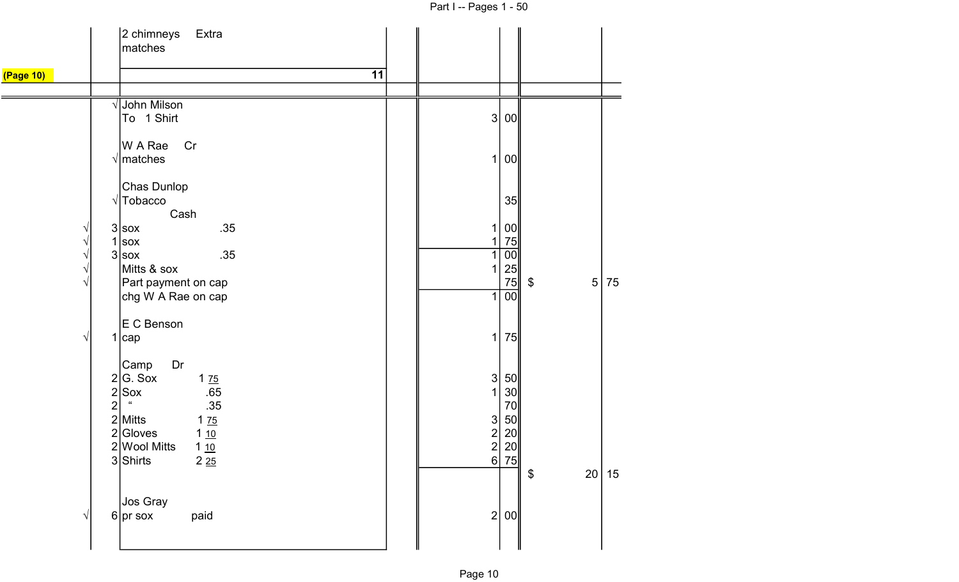|           |                                                             | 2 chimneys<br>Extra<br>matches                                      |                                                    |                        |              |    |
|-----------|-------------------------------------------------------------|---------------------------------------------------------------------|----------------------------------------------------|------------------------|--------------|----|
| (Page 10) |                                                             | 11                                                                  |                                                    |                        |              |    |
|           | $\sqrt{}$                                                   | John Milson<br>To 1 Shirt                                           | 3                                                  | 00                     |              |    |
|           | $\sqrt{ }$                                                  | W A Rae<br>Cr<br>matches                                            | $\mathbf 1$                                        | 00                     |              |    |
|           | $\sqrt{ }$                                                  | Chas Dunlop<br>Tobacco<br>Cash                                      |                                                    | 35                     |              |    |
|           |                                                             | $3 $ sox<br>.35<br>$1$ sox                                          | 1<br>$\mathbf{1}$                                  | 00 <br>$\frac{75}{00}$ |              |    |
| V         |                                                             | .35<br>$3 $ sox<br>Mitts & sox<br>Part payment on cap               | 1<br>1                                             | 25                     | $75$ \$<br>5 | 75 |
|           |                                                             | chg W A Rae on cap<br>E C Benson                                    | 1                                                  | 00                     |              |    |
| $\sqrt{}$ |                                                             | 1 cap                                                               | 1                                                  | 75                     |              |    |
|           | $\overline{2}$<br>$\overline{\mathbf{c}}$<br>$\overline{2}$ | Dr<br>Camp<br>G. Sox<br>$\frac{75}{65}$<br>Sox<br>$\epsilon$<br>.35 | $3\vert$<br>1                                      | 50<br>30<br>70         |              |    |
|           |                                                             | $2$ Mitts<br>175<br>2 Gloves<br>110<br>2 Wool Mitts<br>110          | $3\vert$<br>$\begin{bmatrix} 2 \\ 2 \end{bmatrix}$ | 50<br>20<br>20         |              |    |
|           |                                                             | 3Shirts<br>225                                                      |                                                    | $6\overline{25}$       | 20<br>\$     | 15 |
| V         |                                                             | Jos Gray<br>$6$ pr sox<br>paid                                      | $\vert 2 \vert$                                    | 00                     |              |    |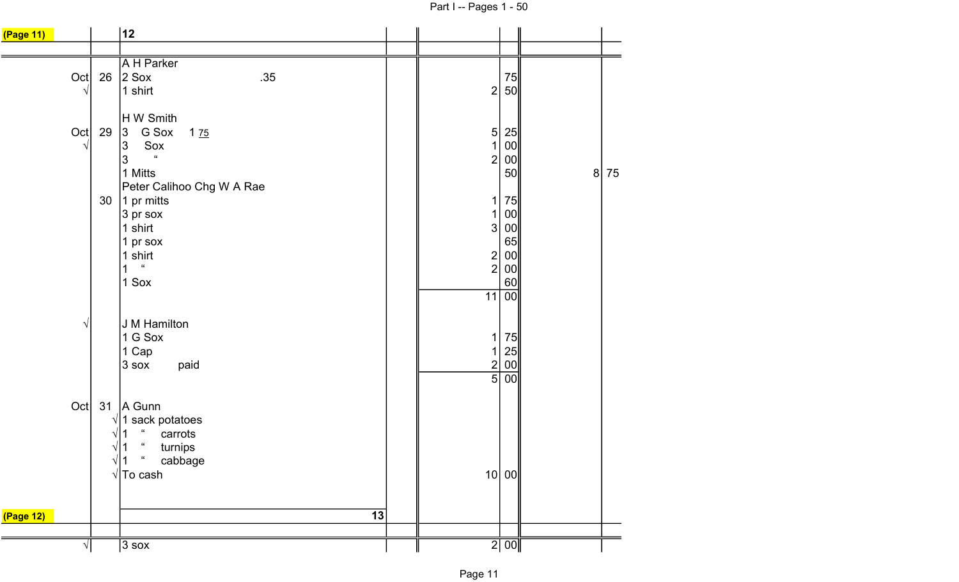Part I -- Pages 1 - 50

| (Page 11) |    | 12                                          |                     |           |                |    |
|-----------|----|---------------------------------------------|---------------------|-----------|----------------|----|
|           |    |                                             |                     |           |                |    |
|           |    | <b>A</b> H Parker                           |                     |           |                |    |
| Oct       | 26 | $ 2$ Sox<br>.35                             |                     | 75        |                |    |
|           |    | 1 shirt                                     | $\overline{2}$      | 50        |                |    |
|           |    |                                             |                     |           |                |    |
|           |    | H W Smith                                   |                     |           |                |    |
| Oct       | 29 | G Sox<br>$ 3\rangle$<br>$1\,25$<br>Sox<br>3 | 5 <sub>l</sub><br>1 | 25<br> 00 |                |    |
|           |    | $\alpha$<br>3                               | $\overline{2}$      | 00        |                |    |
|           |    | 1 Mitts                                     |                     | 50        | 8 <sup>1</sup> | 75 |
|           |    | Peter Calihoo Chg W A Rae                   |                     |           |                |    |
|           | 30 | $ 1$ pr mitts                               | 1                   | 75        |                |    |
|           |    | $3 \text{ pr}$ sox                          | 1                   | 00        |                |    |
|           |    | 1 shirt                                     | 3 <sup>1</sup>      | 00        |                |    |
|           |    | 1 pr sox                                    |                     | 65        |                |    |
|           |    | 1 shirt                                     | $\frac{2}{2}$       | 00        |                |    |
|           |    | $\mathfrak{c}\mathfrak{c}$                  |                     | 00        |                |    |
|           |    | 1 Sox                                       |                     | 60        |                |    |
|           |    |                                             | 11                  | 00        |                |    |
|           |    | J M Hamilton                                |                     |           |                |    |
|           |    | 1 G Sox                                     | 1                   | 75        |                |    |
|           |    | 1 Cap                                       | 1                   | 25        |                |    |
|           |    | paid<br>$3$ sox                             | $\overline{2}$      | 00        |                |    |
|           |    |                                             | $\overline{5}$      | 00        |                |    |
|           |    |                                             |                     |           |                |    |
| Oct       |    | 31 $A$ Gunn                                 |                     |           |                |    |
|           |    | $\sqrt{1}$ sack potatoes                    |                     |           |                |    |
|           |    | carrots                                     |                     |           |                |    |
|           | ٦I | $\boldsymbol{\mathfrak{c}}$<br>turnips      |                     |           |                |    |
|           |    | $\sqrt{1}$ " cabbage                        |                     |           |                |    |
|           |    | $\sqrt{\mathsf{T}}$ o cash                  |                     | 10 00     |                |    |
|           |    |                                             |                     |           |                |    |
| (Page 12) |    | 13                                          |                     |           |                |    |
|           |    |                                             |                     |           |                |    |
| $\sqrt{}$ |    | $3$ sox                                     |                     | 2 00      |                |    |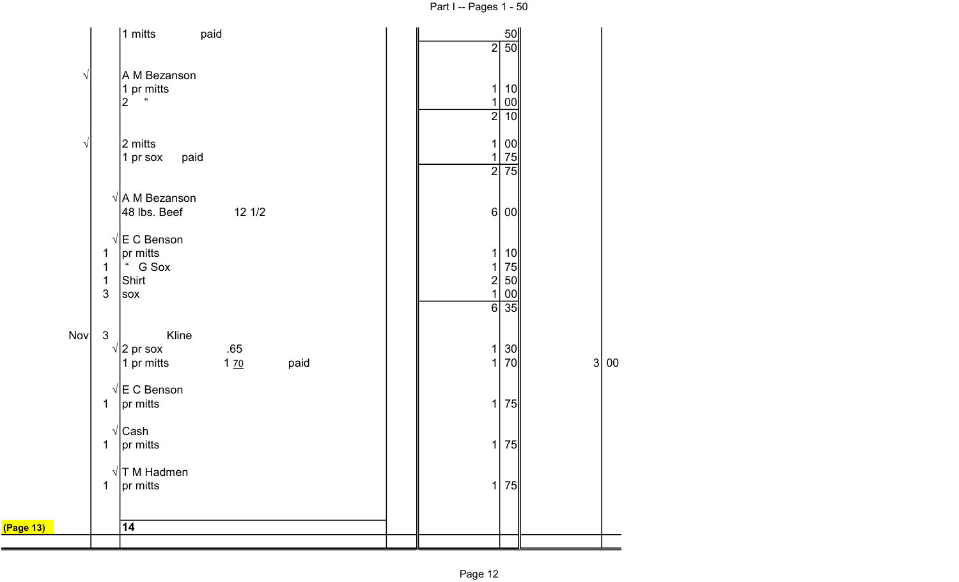| $\overline{2}$<br>50<br>A M Bezanson<br>$\sqrt{}$<br>1 pr mitts<br>1<br>10<br>$\boldsymbol{\mathfrak{c}}$<br>$\overline{2}$<br>1<br>$00\,$<br>$\overline{2}$<br>10<br>$00\,$<br>2 mitts<br>1<br>$\sqrt{}$<br>75<br>1<br>paid<br>1 pr sox<br>$\overline{2}$<br>75<br>$\sqrt{A}$ M Bezanson<br>6 <sup>1</sup><br>48 lbs. Beef<br>121/2<br>00<br>$\sqrt{\mathsf{E} \cdot \mathsf{C}}$ Benson<br>pr mitts<br>1<br>10<br>1<br>" G Sox<br>75<br>$\mathbf{1}$<br>1<br>$\begin{bmatrix} 2 \\ 1 \end{bmatrix}$<br>50<br>Shirt<br>$\mathbf 1$<br>3<br>00<br>sox<br>$\overline{6}$<br>35<br>Nov<br>$\mathbf{3}$<br>Kline<br>1<br>30<br>$\sqrt{2}$ pr sox<br>.65<br>3<br>1 pr mitts<br>1<br>70<br>$00\,$<br>170<br>paid<br>$\sqrt{\mathsf{E} \mathsf{C}}$ Benson<br>1<br>75<br>$\mathbf{1}$<br>pr mitts<br>√∣Cash<br>1 75<br>pr mitts<br>1<br>$\sqrt{$ T M Hadmen<br>1<br>1 |           | 1 mitts<br>paid |  | 50 |  |
|-----------------------------------------------------------------------------------------------------------------------------------------------------------------------------------------------------------------------------------------------------------------------------------------------------------------------------------------------------------------------------------------------------------------------------------------------------------------------------------------------------------------------------------------------------------------------------------------------------------------------------------------------------------------------------------------------------------------------------------------------------------------------------------------------------------------------------------------------------------------|-----------|-----------------|--|----|--|
|                                                                                                                                                                                                                                                                                                                                                                                                                                                                                                                                                                                                                                                                                                                                                                                                                                                                 |           |                 |  |    |  |
|                                                                                                                                                                                                                                                                                                                                                                                                                                                                                                                                                                                                                                                                                                                                                                                                                                                                 |           |                 |  |    |  |
|                                                                                                                                                                                                                                                                                                                                                                                                                                                                                                                                                                                                                                                                                                                                                                                                                                                                 |           |                 |  |    |  |
|                                                                                                                                                                                                                                                                                                                                                                                                                                                                                                                                                                                                                                                                                                                                                                                                                                                                 |           |                 |  |    |  |
|                                                                                                                                                                                                                                                                                                                                                                                                                                                                                                                                                                                                                                                                                                                                                                                                                                                                 |           |                 |  |    |  |
|                                                                                                                                                                                                                                                                                                                                                                                                                                                                                                                                                                                                                                                                                                                                                                                                                                                                 |           |                 |  |    |  |
|                                                                                                                                                                                                                                                                                                                                                                                                                                                                                                                                                                                                                                                                                                                                                                                                                                                                 |           |                 |  |    |  |
|                                                                                                                                                                                                                                                                                                                                                                                                                                                                                                                                                                                                                                                                                                                                                                                                                                                                 |           |                 |  |    |  |
|                                                                                                                                                                                                                                                                                                                                                                                                                                                                                                                                                                                                                                                                                                                                                                                                                                                                 |           |                 |  |    |  |
|                                                                                                                                                                                                                                                                                                                                                                                                                                                                                                                                                                                                                                                                                                                                                                                                                                                                 |           |                 |  |    |  |
|                                                                                                                                                                                                                                                                                                                                                                                                                                                                                                                                                                                                                                                                                                                                                                                                                                                                 |           |                 |  |    |  |
|                                                                                                                                                                                                                                                                                                                                                                                                                                                                                                                                                                                                                                                                                                                                                                                                                                                                 |           |                 |  |    |  |
|                                                                                                                                                                                                                                                                                                                                                                                                                                                                                                                                                                                                                                                                                                                                                                                                                                                                 |           |                 |  |    |  |
|                                                                                                                                                                                                                                                                                                                                                                                                                                                                                                                                                                                                                                                                                                                                                                                                                                                                 |           |                 |  |    |  |
|                                                                                                                                                                                                                                                                                                                                                                                                                                                                                                                                                                                                                                                                                                                                                                                                                                                                 |           |                 |  |    |  |
|                                                                                                                                                                                                                                                                                                                                                                                                                                                                                                                                                                                                                                                                                                                                                                                                                                                                 |           |                 |  |    |  |
|                                                                                                                                                                                                                                                                                                                                                                                                                                                                                                                                                                                                                                                                                                                                                                                                                                                                 |           |                 |  |    |  |
|                                                                                                                                                                                                                                                                                                                                                                                                                                                                                                                                                                                                                                                                                                                                                                                                                                                                 |           |                 |  |    |  |
|                                                                                                                                                                                                                                                                                                                                                                                                                                                                                                                                                                                                                                                                                                                                                                                                                                                                 |           |                 |  |    |  |
|                                                                                                                                                                                                                                                                                                                                                                                                                                                                                                                                                                                                                                                                                                                                                                                                                                                                 |           |                 |  |    |  |
|                                                                                                                                                                                                                                                                                                                                                                                                                                                                                                                                                                                                                                                                                                                                                                                                                                                                 |           |                 |  |    |  |
|                                                                                                                                                                                                                                                                                                                                                                                                                                                                                                                                                                                                                                                                                                                                                                                                                                                                 |           |                 |  |    |  |
|                                                                                                                                                                                                                                                                                                                                                                                                                                                                                                                                                                                                                                                                                                                                                                                                                                                                 |           |                 |  |    |  |
|                                                                                                                                                                                                                                                                                                                                                                                                                                                                                                                                                                                                                                                                                                                                                                                                                                                                 |           |                 |  |    |  |
|                                                                                                                                                                                                                                                                                                                                                                                                                                                                                                                                                                                                                                                                                                                                                                                                                                                                 |           |                 |  |    |  |
|                                                                                                                                                                                                                                                                                                                                                                                                                                                                                                                                                                                                                                                                                                                                                                                                                                                                 |           |                 |  |    |  |
|                                                                                                                                                                                                                                                                                                                                                                                                                                                                                                                                                                                                                                                                                                                                                                                                                                                                 |           |                 |  |    |  |
|                                                                                                                                                                                                                                                                                                                                                                                                                                                                                                                                                                                                                                                                                                                                                                                                                                                                 |           |                 |  |    |  |
|                                                                                                                                                                                                                                                                                                                                                                                                                                                                                                                                                                                                                                                                                                                                                                                                                                                                 |           |                 |  |    |  |
|                                                                                                                                                                                                                                                                                                                                                                                                                                                                                                                                                                                                                                                                                                                                                                                                                                                                 |           | pr mitts        |  | 75 |  |
|                                                                                                                                                                                                                                                                                                                                                                                                                                                                                                                                                                                                                                                                                                                                                                                                                                                                 |           |                 |  |    |  |
| 14                                                                                                                                                                                                                                                                                                                                                                                                                                                                                                                                                                                                                                                                                                                                                                                                                                                              |           |                 |  |    |  |
|                                                                                                                                                                                                                                                                                                                                                                                                                                                                                                                                                                                                                                                                                                                                                                                                                                                                 | (Page 13) |                 |  |    |  |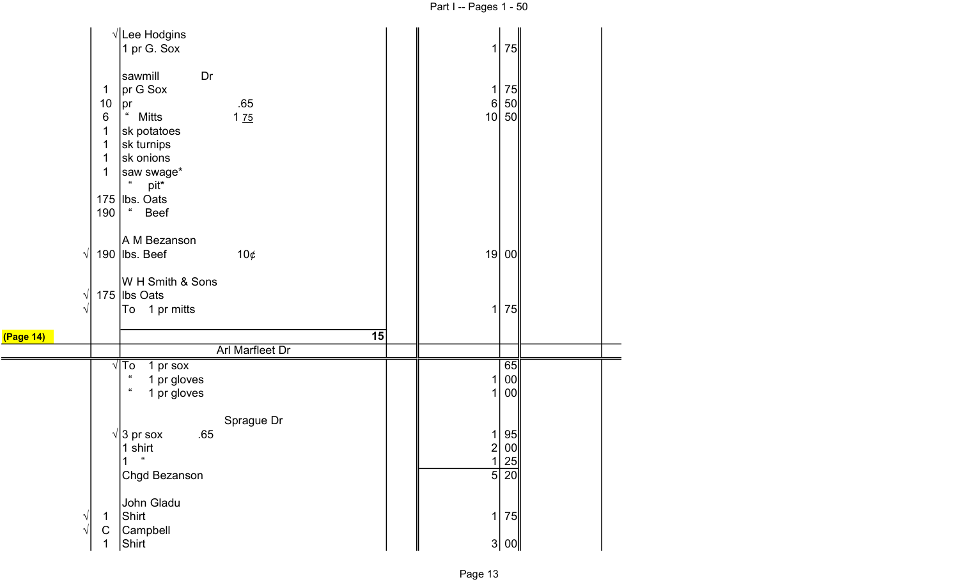|                 |                                                             | $\sqrt{\text{Lee} \text{Hodgins}}$<br>1 pr G. Sox                                                                                              | $\mathbf{1}$                                          | 75                     |
|-----------------|-------------------------------------------------------------|------------------------------------------------------------------------------------------------------------------------------------------------|-------------------------------------------------------|------------------------|
|                 | 1<br>10<br>$\,6\,$<br>$\mathbf{1}$<br>1<br>$\mathbf 1$<br>1 | sawmill<br>Dr<br>pr G Sox<br>.65<br> pr<br>$\epsilon\epsilon$<br><b>Mitts</b><br>$175$<br>sk potatoes<br>sk turnips<br>sk onions<br>saw swage* | 1<br>$\,6\,$<br>10                                    | 75<br>50<br>50         |
|                 | 190                                                         | $\boldsymbol{\mu}$<br>pit*<br>175   Ibs. Oats<br>$\boldsymbol{\mu}$<br><b>Beef</b>                                                             |                                                       |                        |
| $\sqrt{}$       | 190                                                         | A M Bezanson<br>Ibs. Beef<br>10 $\phi$                                                                                                         | 19                                                    | 00                     |
|                 |                                                             | W H Smith & Sons                                                                                                                               |                                                       |                        |
| $\sqrt{ }$<br>V |                                                             | 175   Ibs Oats<br>To 1 pr mitts                                                                                                                | $\mathbf 1$                                           | 75                     |
| (Page 14)       |                                                             | 15                                                                                                                                             |                                                       |                        |
|                 |                                                             | Arl Marfleet Dr                                                                                                                                |                                                       |                        |
|                 |                                                             | √∣To<br>1 pr sox<br>$\epsilon\epsilon$<br>1 pr gloves<br>$\boldsymbol{\mathfrak{c}}$<br>1 pr gloves                                            | 1<br>1 <sub>1</sub>                                   | 65<br> 00 <br> 00      |
|                 |                                                             | Sprague Dr<br>$\sqrt{3}$ pr sox<br>.65<br>1 shirt<br>$\epsilon$<br>Chgd Bezanson                                                               | 1<br>$\overline{2}$<br>$\mathbf{1}$<br>5 <sup>1</sup> | 95<br> 00 <br>25<br>20 |
|                 | 1<br>$\mathsf C$                                            | John Gladu<br>Shirt<br>Campbell                                                                                                                | 1                                                     | 75                     |
|                 |                                                             | Shirt                                                                                                                                          |                                                       | 3 00                   |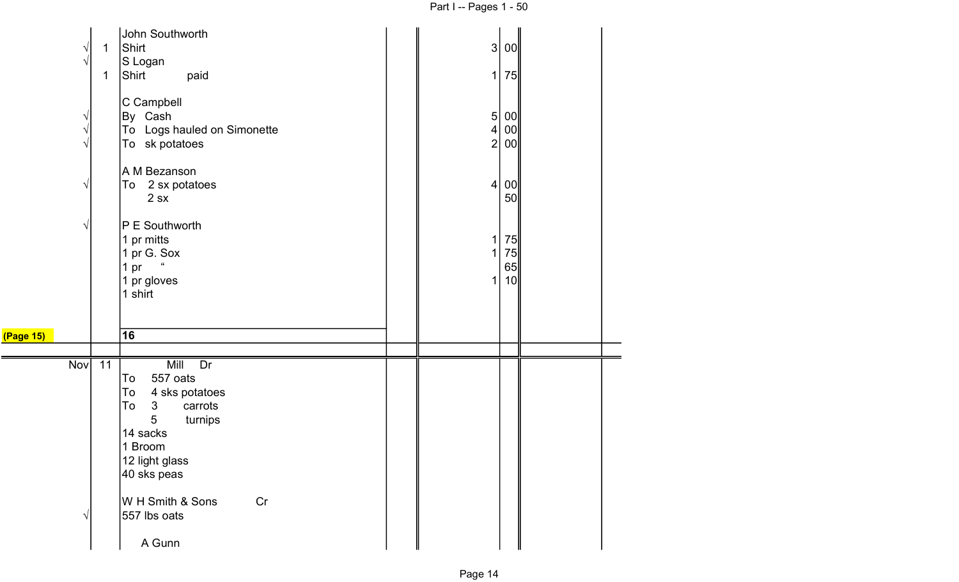| V<br>$\sqrt{}$ | $\mathbf 1$<br>$\mathbf 1$ | John Southworth<br>Shirt<br>S Logan<br>Shirt<br>paid                                                                                                                                                                            | 3<br>1                           | 00<br>75             |  |
|----------------|----------------------------|---------------------------------------------------------------------------------------------------------------------------------------------------------------------------------------------------------------------------------|----------------------------------|----------------------|--|
|                |                            | C Campbell<br>By Cash<br>To Logs hauled on Simonette<br>To sk potatoes                                                                                                                                                          | $5\vert$<br>$4\vert$<br>$2\vert$ | 00 <br> 00 <br> 00   |  |
| V              |                            | A M Bezanson<br>To 2 sx potatoes<br>$2$ sx                                                                                                                                                                                      | $4\vert$                         | 00 <br>50            |  |
| V              |                            | P E Southworth<br>1 pr mitts<br>1 pr G. Sox<br>1 pr<br>1 pr gloves<br>1 shirt                                                                                                                                                   | 1<br>1<br>1                      | 75<br>75<br>65<br>10 |  |
| (Page 15)      |                            | 16                                                                                                                                                                                                                              |                                  |                      |  |
| Nov            | 11                         | Mill<br>Dr<br>557 oats<br>To<br>4 sks potatoes<br>To<br>To<br>$\mathbf{3}$<br>carrots<br>$5\phantom{.0}$<br>turnips<br>14 sacks<br>1 Broom<br>12 light glass<br>40 sks peas<br>W H Smith & Sons<br>Cr<br>557 lbs oats<br>A Gunn |                                  |                      |  |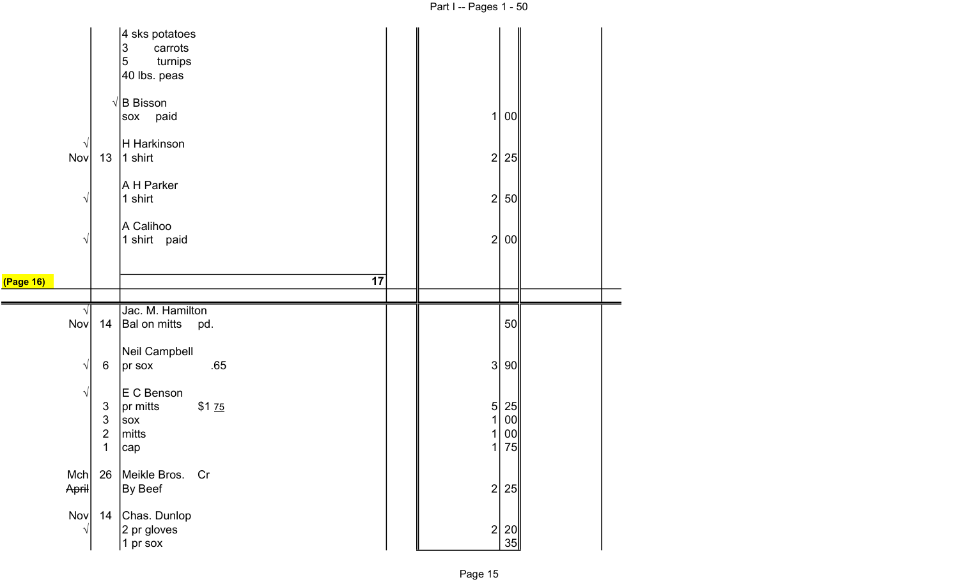|                  |                               | 4 sks potatoes<br>carrots<br>3<br>$\overline{5}$<br>turnips<br>40 lbs. peas |               |                                                                |  |
|------------------|-------------------------------|-----------------------------------------------------------------------------|---------------|----------------------------------------------------------------|--|
|                  |                               | $\sqrt{B}$ Bisson<br>sox paid                                               | 1             | 00                                                             |  |
| Nov              | 13                            | H Harkinson<br>1 shirt                                                      | $2\vert$      | 25                                                             |  |
|                  |                               | A H Parker<br>1 shirt                                                       | $2\vert$      | 50                                                             |  |
| V                |                               | A Calihoo<br>1 shirt paid                                                   | $2\vert$      | 00                                                             |  |
| (Page 16)        |                               | 17                                                                          |               |                                                                |  |
|                  |                               |                                                                             |               |                                                                |  |
| $\sqrt{}$<br>Nov | 14                            | Jac. M. Hamilton<br>Bal on mitts<br>pd.                                     |               | 50                                                             |  |
|                  |                               |                                                                             |               |                                                                |  |
| V                | $6\phantom{1}6$               | Neil Campbell<br>.65<br>$ pr$ sox                                           | 3             | 90                                                             |  |
| $\sqrt{}$        | 3<br>3<br>$\overline{2}$<br>1 | E C Benson<br>\$175<br>pr mitts<br>sox<br>mitts<br>cap                      | $5\vert$<br>1 | 25<br> 00 <br>$\begin{bmatrix} 1 & 00 \\ 1 & 75 \end{bmatrix}$ |  |
| Mch<br>April     | 26                            | Meikle Bros.<br>Cr<br>By Beef                                               | $2\vert$      | 25                                                             |  |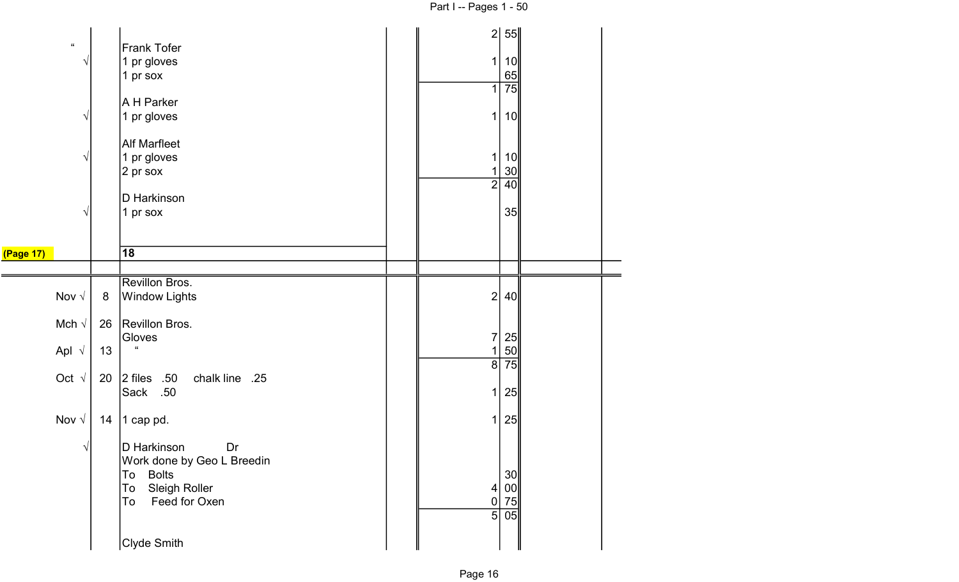|  |  |  | Part I -- Pages 1 - 50 |  |  |  |
|--|--|--|------------------------|--|--|--|
|--|--|--|------------------------|--|--|--|

| $\epsilon\epsilon$ |    | <b>Frank Tofer</b><br>1 pr gloves                                                                                          | $2\vert$<br>1                    | 55<br>10                       |  |
|--------------------|----|----------------------------------------------------------------------------------------------------------------------------|----------------------------------|--------------------------------|--|
|                    |    | 1 pr sox                                                                                                                   | 1                                | 65<br>$\overline{75}$          |  |
|                    | V  | A H Parker<br>1 pr gloves                                                                                                  | 1                                | 10 <sup>1</sup>                |  |
|                    | V  | <b>Alf Marfleet</b><br>1 pr gloves<br>$ 2 \text{ pr so} x $                                                                | 1<br>1<br>$\overline{2}$         | 10<br>$\frac{30}{40}$          |  |
|                    | V  | D Harkinson<br>1 pr sox                                                                                                    |                                  | 35                             |  |
| (Page 17)          |    | 18                                                                                                                         |                                  |                                |  |
|                    |    |                                                                                                                            |                                  |                                |  |
| Nov $\sqrt{ }$     | 8  | Revillon Bros.<br><b>Window Lights</b>                                                                                     | $2\vert$                         | 40                             |  |
| Mch $\sqrt$        | 26 | Revillon Bros.<br>Gloves                                                                                                   | 7                                | 25                             |  |
| Apl $\sqrt{ }$     | 13 | $\mathfrak{c}$                                                                                                             | 1                                | $\overline{50}$                |  |
|                    |    |                                                                                                                            | $\overline{8}$                   | $\overline{75}$                |  |
| Oct $\sqrt{ }$     | 20 | $\vert$ 2 files .50<br>chalk line .25<br>Sack .50                                                                          | 1                                | 25                             |  |
| Nov $\sqrt{ }$     | 14 | $ 1$ cap pd.                                                                                                               | 1                                | 25                             |  |
|                    | V  | D Harkinson<br>Dr<br>Work done by Geo L Breedin<br><b>Bolts</b><br>To<br><b>Sleigh Roller</b><br>To<br>Feed for Oxen<br>To | $\overline{0}$<br>$\overline{5}$ | 30<br>4 00 <br>$\frac{75}{05}$ |  |
|                    |    | <b>Clyde Smith</b>                                                                                                         |                                  |                                |  |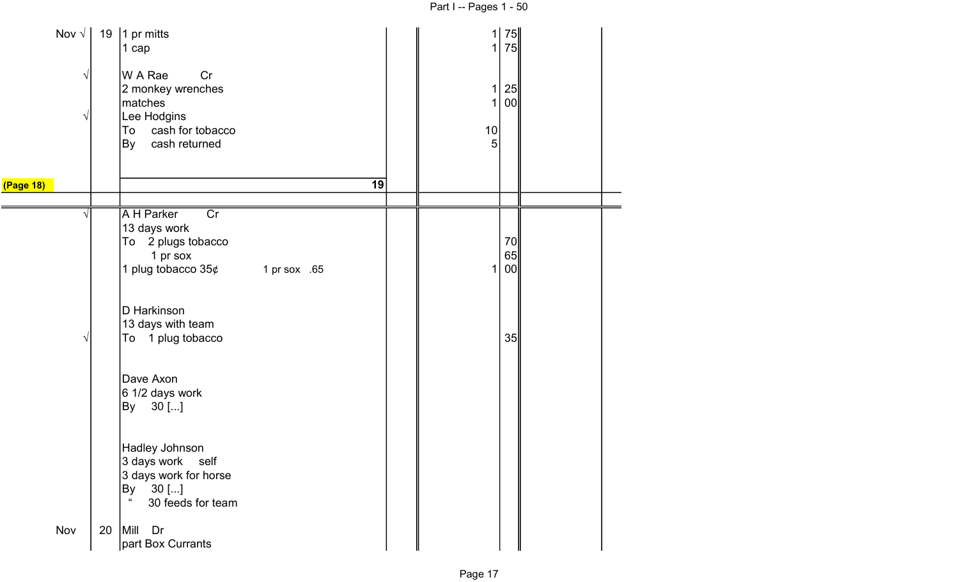| Nov $\sqrt{}$<br>V<br>(Page 18) |    | 19   1 pr mitts<br>1 cap<br>W A Rae<br>Cr<br>2 monkey wrenches<br>matches<br>Lee Hodgins<br>cash for tobacco<br>To<br>By<br>cash returned<br>19 | 1<br>1 <sup>1</sup><br>$\mathbf{1}$<br>1<br>$10$<br>5 | 75<br>75<br>25<br> 00 |  |
|---------------------------------|----|-------------------------------------------------------------------------------------------------------------------------------------------------|-------------------------------------------------------|-----------------------|--|
|                                 |    |                                                                                                                                                 |                                                       |                       |  |
|                                 |    | A H Parker<br>Cr<br>13 days work<br>To 2 plugs tobacco<br>1 pr sox<br>1 plug tobacco $35¢$<br>1 pr sox .65                                      | $\mathbf 1$                                           | 70<br>65<br> 00       |  |
| V                               |    | D Harkinson<br>13 days with team<br>To 1 plug tobacco                                                                                           |                                                       | 35                    |  |
|                                 |    | Dave Axon<br>$6$ 1/2 days work<br>By 30 []                                                                                                      |                                                       |                       |  |
|                                 |    | Hadley Johnson<br>3 days work self<br>3 days work for horse<br>By 30 []<br>$\boldsymbol{\mathfrak{c}}$<br>30 feeds for team                     |                                                       |                       |  |
| Nov                             | 20 | Mill Dr<br>part Box Currants                                                                                                                    |                                                       |                       |  |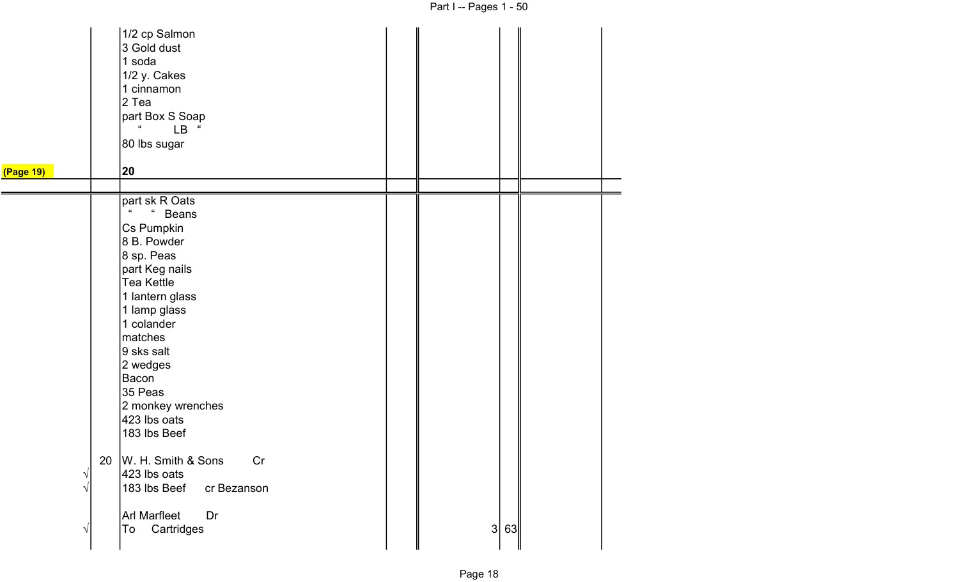| (Page 19) | 1/2 cp Salmon<br>3 Gold dust<br>1 soda<br>1/2 y. Cakes<br>1 cinnamon<br>2 Tea<br>part Box S Soap<br>$\boldsymbol{\mathfrak{c}}$<br>LB "<br>80 lbs sugar<br>20                                                                                                                                                                                                                                                                                |  |      |  |
|-----------|----------------------------------------------------------------------------------------------------------------------------------------------------------------------------------------------------------------------------------------------------------------------------------------------------------------------------------------------------------------------------------------------------------------------------------------------|--|------|--|
|           |                                                                                                                                                                                                                                                                                                                                                                                                                                              |  |      |  |
|           | part sk R Oats<br>$\epsilon$<br>$\boldsymbol{\mu}$<br><b>Beans</b><br>Cs Pumpkin<br>8 B. Powder<br>8 sp. Peas<br>part Keg nails<br><b>Tea Kettle</b><br>1 lantern glass<br>1 lamp glass<br>1 colander<br>matches<br>9 sks salt<br>2 wedges<br>Bacon<br>35 Peas<br>2 monkey wrenches<br>423 lbs oats<br>183 lbs Beef<br>20  W. H. Smith & Sons<br>Cr<br>423 lbs oats<br>183 lbs Beef<br>cr Bezanson<br>Arl Marfleet<br>Dr<br>Cartridges<br>To |  | 3 63 |  |
|           |                                                                                                                                                                                                                                                                                                                                                                                                                                              |  |      |  |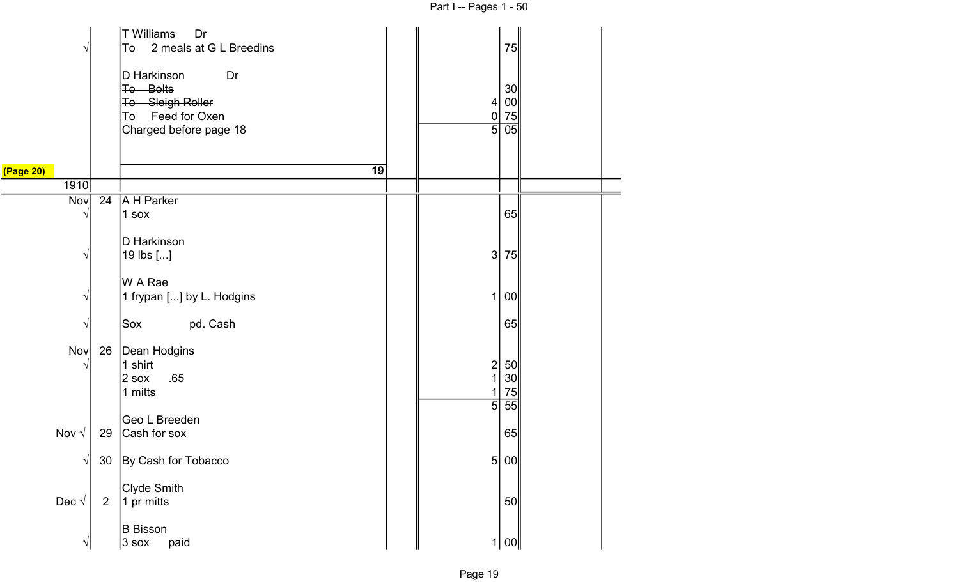|                |                 | <b>T</b> Williams<br>Dr<br>To 2 meals at G L Breedins<br>Dr<br>D Harkinson<br>To Bolts<br><b>To</b> Sleigh Roller<br>To Feed for Oxen | 4 <sup>1</sup><br> 0 | 75<br>30<br> 00 <br>$\overline{75}$ |  |
|----------------|-----------------|---------------------------------------------------------------------------------------------------------------------------------------|----------------------|-------------------------------------|--|
| (Page 20)      |                 | Charged before page 18<br>19                                                                                                          | $\overline{5}$       | $\overline{05}$                     |  |
| 1910           |                 |                                                                                                                                       |                      |                                     |  |
| Nov            | $\overline{24}$ | A H Parker                                                                                                                            |                      |                                     |  |
|                |                 | 1 sox                                                                                                                                 |                      | 65                                  |  |
|                |                 | D Harkinson<br>19 lbs []                                                                                                              | 3 <sup>1</sup>       | 75                                  |  |
|                |                 | W A Rae<br>1 frypan [] by L. Hodgins                                                                                                  | 1 <sup>1</sup>       | 00                                  |  |
|                |                 | Sox<br>pd. Cash                                                                                                                       |                      | 65                                  |  |
| <b>Nov</b>     | 26              | Dean Hodgins<br>1 shirt                                                                                                               | $\mathbf{2}$         | 50                                  |  |
|                |                 | .65<br>2 sox                                                                                                                          | $\mathbf{1}$         | 30                                  |  |
|                |                 | 1 mitts                                                                                                                               |                      | 75                                  |  |
|                |                 | Geo L Breeden                                                                                                                         | $\overline{5}$       | 55                                  |  |
| Nov $\sqrt{ }$ | 29              | Cash for sox                                                                                                                          |                      | 65                                  |  |
|                | 30              | By Cash for Tobacco                                                                                                                   | 5 <sup>1</sup>       | 00                                  |  |
| Dec $\sqrt$    | $\overline{2}$  | Clyde Smith<br>1 pr mitts                                                                                                             |                      | 50                                  |  |
| V              |                 | <b>B</b> Bisson<br>$3$ sox<br>paid                                                                                                    |                      | 1 00                                |  |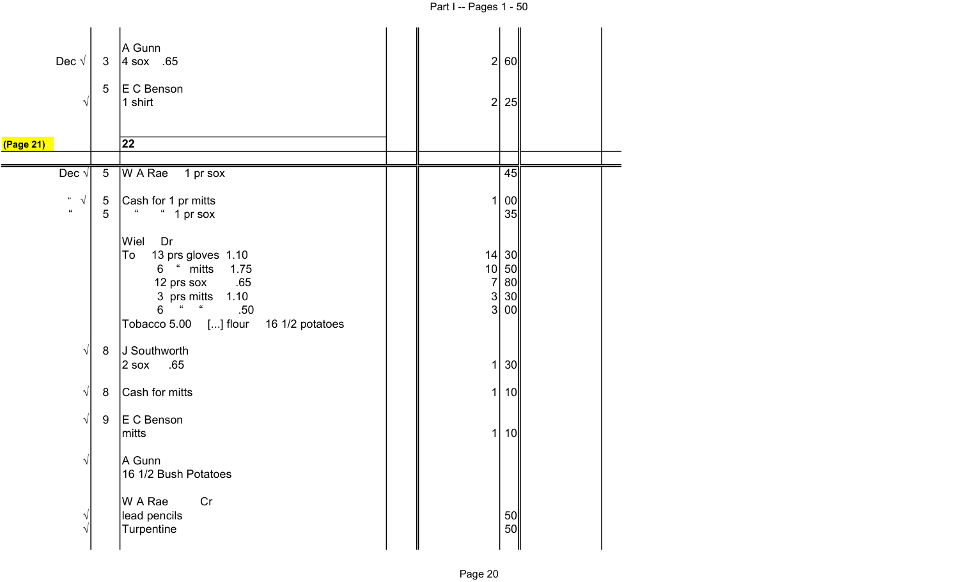| Dec $\sqrt$<br>V<br>(Page 21)                                  | 3<br>$5\phantom{.0}$ | A Gunn<br>$\begin{vmatrix} 4 & s & 65 \end{vmatrix}$<br>E C Benson<br>1 shirt<br>22                                                                                                                                       | $2\vert$<br>$2\vert$                              | 60<br>25                         |  |
|----------------------------------------------------------------|----------------------|---------------------------------------------------------------------------------------------------------------------------------------------------------------------------------------------------------------------------|---------------------------------------------------|----------------------------------|--|
|                                                                |                      |                                                                                                                                                                                                                           |                                                   |                                  |  |
| Dec $\sqrt{ }$                                                 | $5\phantom{.0}$      | $W \wedge R$ ae 1 pr sox                                                                                                                                                                                                  |                                                   | 45                               |  |
| $\sqrt{ }$<br>$\epsilon\epsilon$<br>$\mathfrak{c}\mathfrak{c}$ | $\sqrt{5}$<br>5      | Cash for 1 pr mitts<br>$\epsilon$<br>" 1 pr sox                                                                                                                                                                           | 1                                                 | 00 <br>35                        |  |
|                                                                |                      | Dr<br>Wiel<br>13 prs gloves 1.10<br>To<br>6 " mitts 1.75<br>12 prs sox .65<br>3 prs mitts 1.10<br>$\mathbf{u}^{\prime} = \mathbf{u}^{\prime} \mathbf{u}^{\prime}$<br>6<br>.50<br>Tobacco 5.00 [] flour<br>16 1/2 potatoes | 10<br>7<br>$\begin{vmatrix} 3 \\ 3 \end{vmatrix}$ | $14$ 30<br>50<br>80<br>30<br> 00 |  |
| $\sqrt{}$                                                      | 8                    | J Southworth<br>$\vert 2 \text{ sox} \vert$ .65                                                                                                                                                                           | 1                                                 | 30                               |  |
| V                                                              | 8                    | Cash for mitts                                                                                                                                                                                                            | 1                                                 | 10 <sup>1</sup>                  |  |
| V                                                              | 9                    | E C Benson<br>mitts                                                                                                                                                                                                       | 1                                                 | 10 <sup>1</sup>                  |  |
| $\sqrt{}$                                                      |                      | A Gunn<br>16 1/2 Bush Potatoes<br>W A Rae<br>Cr<br>lead pencils                                                                                                                                                           |                                                   | 50                               |  |
|                                                                |                      | Turpentine                                                                                                                                                                                                                |                                                   | 50                               |  |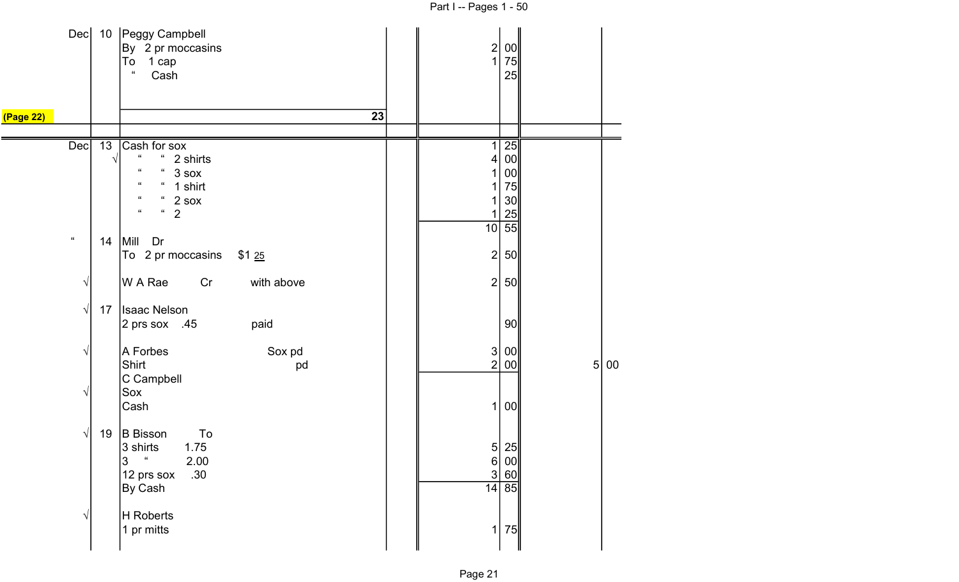| Dec                               | 10                                               | Peggy Campbell<br>By 2 pr moccasins<br>To<br>$1$ cap<br>$\mathbf{G}$<br>Cash                                                                                                                                                                                                                                                                                                                                                | $\mathbf{2}$<br>$\overline{1}$                                          | 00 <br>75<br>25                                                                               |          |        |
|-----------------------------------|--------------------------------------------------|-----------------------------------------------------------------------------------------------------------------------------------------------------------------------------------------------------------------------------------------------------------------------------------------------------------------------------------------------------------------------------------------------------------------------------|-------------------------------------------------------------------------|-----------------------------------------------------------------------------------------------|----------|--------|
| (Page 22)                         |                                                  | 23                                                                                                                                                                                                                                                                                                                                                                                                                          |                                                                         |                                                                                               |          |        |
| Dec<br>$\mathfrak{c}\mathfrak{c}$ | 13<br>14<br>17<br>$\sqrt{ }$<br>19<br>$\sqrt{ }$ | Cash for sox<br>$\boldsymbol{\mu}$<br>2 shirts<br>"<br>"<br>3 sox<br>"<br>1 shirt<br>$\alpha$<br>$\epsilon$<br>"<br>2 sox<br>$\boldsymbol{\mathfrak{c}}$<br>$\overline{2}$<br>"<br>Mill<br>Dr<br>To 2 pr moccasins<br>\$125<br>W A Rae<br>Cr<br>with above<br><b>Isaac Nelson</b><br>2 prs sox $.45$<br>paid<br>A Forbes<br>Sox pd<br>Shirt<br>pd<br>C Campbell<br>Sox<br>Cash<br><b>B</b> Bisson<br>To<br>1.75<br>3 shirts | $\vert 4 \vert$<br>1<br>10<br>2 <br>2 <br>$\overline{2}$<br>$\mathbf 1$ | 25<br> 00 <br> 00 <br>75<br>30<br>25<br>55<br>50<br>50<br>90<br>3 00 <br> 00 <br> 00 <br>5 25 | $5\vert$ | $00\,$ |
|                                   |                                                  | 3<br>$\mathfrak{c}\mathfrak{c}$<br>2.00<br>$12$ prs sox<br>.30<br>By Cash<br><b>H</b> Roberts<br>1 pr mitts                                                                                                                                                                                                                                                                                                                 | 6 <sup>1</sup><br>$\mathbf{1}$                                          | 00 <br>3 60 <br>$\overline{14}$ 85<br>75                                                      |          |        |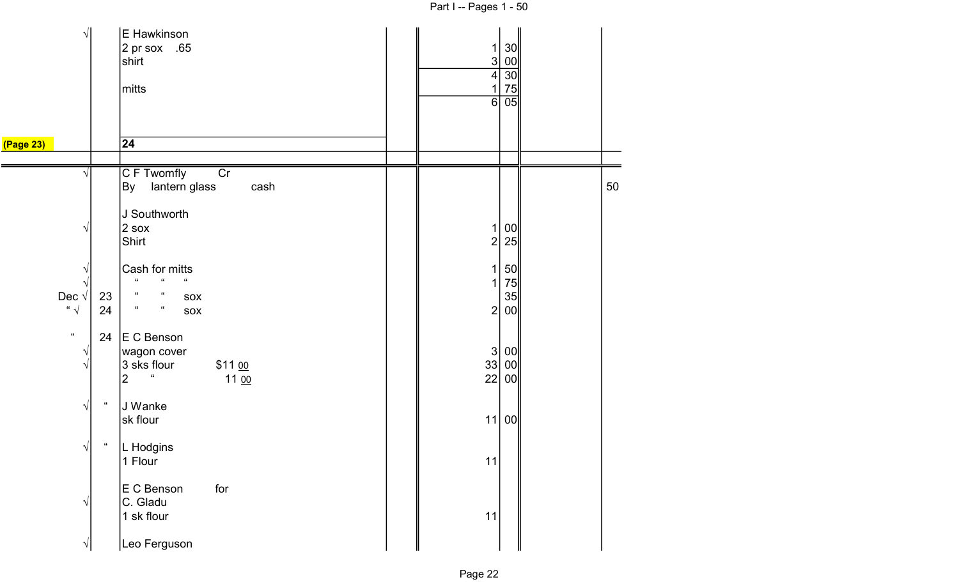|                          |            | E Hawkinson<br>$ 2 \text{ pr sox } .65$<br>shirt<br>mitts                                                     | 1<br>$\overline{3}$<br>4<br>1<br>$\overline{6}$ | 30<br> 00 <br>30<br>75<br>$\overline{05}$ |    |
|--------------------------|------------|---------------------------------------------------------------------------------------------------------------|-------------------------------------------------|-------------------------------------------|----|
| (Page 23)                |            | $\sqrt{24}$                                                                                                   |                                                 |                                           |    |
|                          |            | C F Twomfly<br>Cr<br>By lantern glass<br>cash                                                                 |                                                 |                                           | 50 |
|                          |            | J Southworth<br>$2$ sox<br>Shirt                                                                              | $\mathbf{1}$<br>$2\vert$                        | 00 <br>25                                 |    |
|                          |            | Cash for mitts<br>$\boldsymbol{\mu}$<br>$\boldsymbol{\mu}$<br>$\boldsymbol{\mu}$<br>$\epsilon$                | $\mathbf{1}$<br>1                               | 50<br>75                                  |    |
| Dec $\sqrt$<br>" $\sqrt$ | 23<br>24   | $\epsilon$<br>SOX<br>$\epsilon\epsilon$<br>$\epsilon$<br>sox                                                  | $2\vert$                                        | 35<br> 00                                 |    |
| $\alpha$                 | 24         | E C Benson<br>wagon cover<br>3 sks flour<br>\$1100<br>$\mathfrak{c}\mathfrak{c}$<br>11 $00$<br>$\overline{2}$ | $\begin{array}{c} 3 \\ 33 \\ 22 \end{array}$    | 00 <br> 00 <br> 00                        |    |
| $\sqrt{ }$               | $\epsilon$ | J Wanke<br>sk flour                                                                                           | 11                                              | 00                                        |    |
| $\sqrt{ }$               |            | " L Hodgins<br>1 Flour                                                                                        | 11                                              |                                           |    |
|                          |            | E C Benson<br>for<br>C. Gladu<br>1 sk flour                                                                   | 11                                              |                                           |    |
| $\sqrt{}$                |            | Leo Ferguson                                                                                                  |                                                 |                                           |    |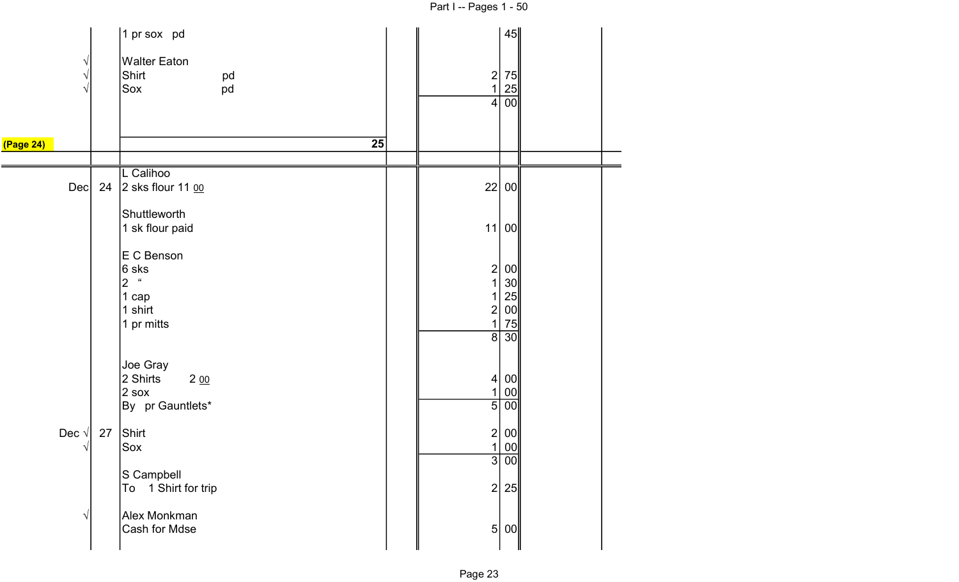| (Page 24)   | V         | 1 pr sox pd<br><b>Walter Eaton</b><br>Shirt<br>pd<br>Sox<br>pd<br>25 | $2\vert$<br>1<br>$4\vert$        | 45<br>75<br>25<br>$\overline{00}$ |  |
|-------------|-----------|----------------------------------------------------------------------|----------------------------------|-----------------------------------|--|
| Dec         | 24        | L Calihoo<br>2 sks flour 11 00                                       | 22                               | 00                                |  |
|             |           | Shuttleworth<br>1 sk flour paid                                      | 11                               | 00                                |  |
|             |           | E C Benson                                                           |                                  |                                   |  |
|             |           | $6$ sks<br>$\overline{2}$<br>$\mathfrak{c}\mathfrak{c}$              | $2\vert$<br>1                    | 00 <br>30                         |  |
|             |           | 1 cap                                                                | 11                               | 25                                |  |
|             |           | 1 shirt                                                              | $\mathbf{2}$                     | 00                                |  |
|             |           | 1 pr mitts                                                           | 1                                | 75                                |  |
|             |           | Joe Gray                                                             | $\overline{8}$                   | $\overline{30}$                   |  |
|             |           | 2 Shirts<br>200                                                      | $4\vert$                         | 00                                |  |
|             |           | $2$ sox<br>By pr Gauntlets*                                          | 1 <sup>1</sup><br>$\overline{5}$ | 00<br>$\overline{00}$             |  |
|             |           |                                                                      |                                  |                                   |  |
| Dec $\sqrt$ | 27        | Shirt                                                                | $2\vert$                         | 00                                |  |
|             | V         | Sox                                                                  |                                  | 1 00                              |  |
|             |           |                                                                      | $\overline{3}$                   | 00                                |  |
|             |           | S Campbell<br>1 Shirt for trip<br>To                                 | 2                                | 25                                |  |
|             | $\sqrt{}$ | Alex Monkman<br>Cash for Mdse                                        | $5\vert$                         | 00                                |  |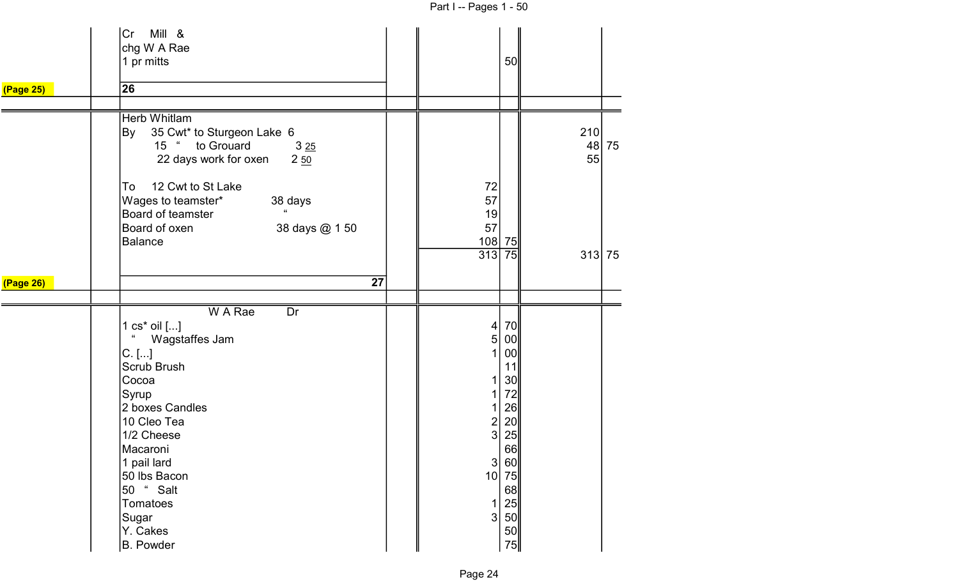| (Page 25) | Cr<br>Mill &<br>chg W A Rae<br>1 pr mitts<br>26                                                                                              |                                       | 50 <sub>l</sub>                   |    |
|-----------|----------------------------------------------------------------------------------------------------------------------------------------------|---------------------------------------|-----------------------------------|----|
|           | <b>Herb Whitlam</b><br>35 Cwt* to Sturgeon Lake 6<br>By<br>15 " to Grouard<br>325<br>22 days work for oxen<br>250<br>12 Cwt to St Lake<br>To | 72                                    | 210<br>48<br>55                   | 75 |
|           | Wages to teamster*<br>38 days<br>Board of teamster<br>Board of oxen<br>38 days @ 1 50<br><b>Balance</b>                                      | 57<br>19<br>57<br>108<br>313          | 75<br>$\overline{75}$<br>$313$ 75 |    |
| (Page 26) | 27                                                                                                                                           |                                       |                                   |    |
|           | W A Rae<br>Dr                                                                                                                                |                                       |                                   |    |
|           | 1 $cs^*$ oil $[]$<br>"<br>Wagstaffes Jam<br>C. […]                                                                                           | $4\vert$<br>5 <sup>2</sup><br>1       | 70<br>00<br> 00                   |    |
|           | Scrub Brush<br>Cocoa                                                                                                                         | 1                                     | 11<br>30                          |    |
|           | Syrup                                                                                                                                        | 1                                     | 72                                |    |
|           | 2 boxes Candles<br>10 Cleo Tea<br>1/2 Cheese                                                                                                 | 1<br>$\overline{c}$<br>$\overline{3}$ | 26<br>20<br>25                    |    |
|           | Macaroni<br>1 pail lard<br>50 lbs Bacon<br>50 " Salt                                                                                         | 3<br>10 75                            | 66<br>60<br>68                    |    |
|           | Tomatoes<br>Sugar                                                                                                                            | 1<br>3 <sup>1</sup>                   | 25<br>50                          |    |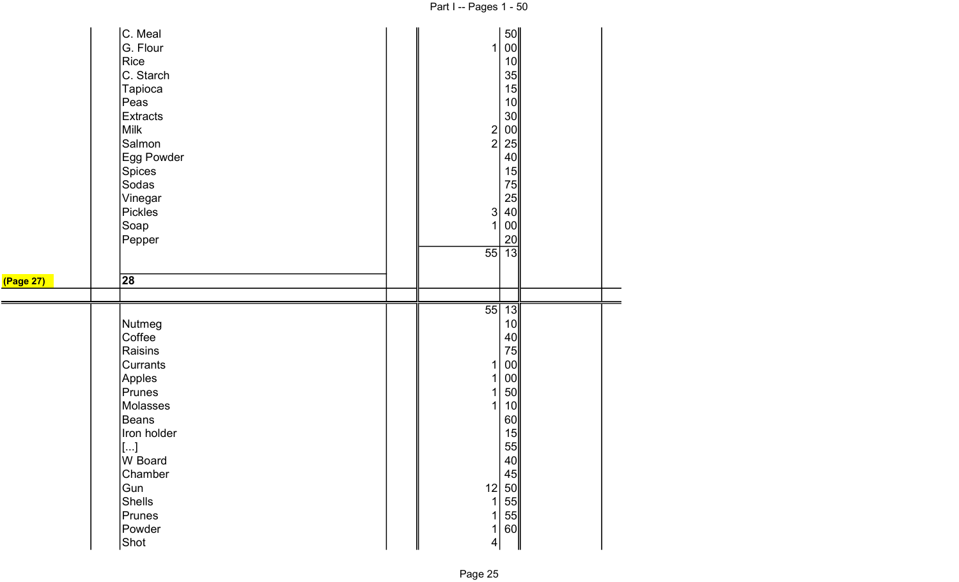| (Page 27) | C. Meal<br>G. Flour<br>Rice<br>C. Starch<br>Tapioca<br>Peas<br><b>Extracts</b><br>Milk<br>Salmon<br>Egg Powder<br>Spices<br>Sodas<br>Vinegar<br>Pickles<br>Soap<br>Pepper<br>$\overline{28}$ | 1<br>$\begin{bmatrix} 2 \\ 2 \end{bmatrix}$<br>3<br>1<br>55 | 50<br> 00 <br>10<br>35<br>15<br>10<br>30<br> 00 <br>25<br>40<br>15<br>75<br>$\begin{array}{c} 25 \parallel \\ 40 \parallel \end{array}$<br> 00 <br>20<br>$\overline{13}$ |  |
|-----------|----------------------------------------------------------------------------------------------------------------------------------------------------------------------------------------------|-------------------------------------------------------------|--------------------------------------------------------------------------------------------------------------------------------------------------------------------------|--|
|           | Nutmeg<br>Coffee<br>Raisins<br>Currants<br>Apples<br>Prunes                                                                                                                                  | 55<br>1<br>1<br>1                                           | 13<br>10<br>40<br>75<br> 00 <br> 00 <br>50                                                                                                                               |  |
|           | Molasses<br>Beans<br>Iron holder<br>$\left[\ldots\right]$<br>W Board<br>Chamber<br>Gun<br>Shells<br>Prunes<br>Powder<br>Shot                                                                 | 1<br>12<br>1<br>1<br>$4\vert$                               | 10<br>60<br>15<br>55<br>40<br>45<br>50<br>$1$ 55<br>$\begin{array}{c} 55 \\ 60 \end{array}$                                                                              |  |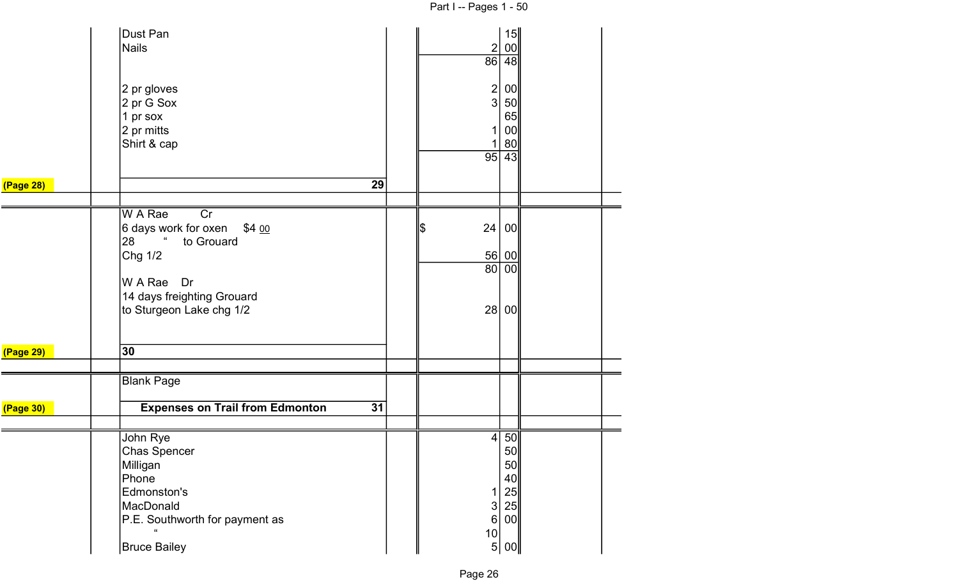|           | Dust Pan<br>Nails                                                                                                                                  |    | $\overline{2}$<br>86                             | 15<br> 00 <br>48                                 |  |
|-----------|----------------------------------------------------------------------------------------------------------------------------------------------------|----|--------------------------------------------------|--------------------------------------------------|--|
|           | 2 pr gloves<br>2 pr G Sox<br>1 pr sox<br>2 pr mitts<br>Shirt & cap                                                                                 |    | $\overline{c}$<br>$\overline{3}$<br>95           | 00 <br>50<br>65<br> 00 <br>80<br>43              |  |
| (Page 28) |                                                                                                                                                    | 29 |                                                  |                                                  |  |
|           | W A Rae<br>Cr                                                                                                                                      |    |                                                  |                                                  |  |
|           | 6 days work for oxen<br>$$4\;\underline{00}$<br>$\boldsymbol{\mu}$<br>28<br>to Grouard                                                             |    | 24<br>\$                                         | 00                                               |  |
|           | Chg $1/2$                                                                                                                                          |    |                                                  | 56 00                                            |  |
|           | W A Rae Dr                                                                                                                                         |    |                                                  | 80 00                                            |  |
|           | 14 days freighting Grouard<br>to Sturgeon Lake chg 1/2                                                                                             |    |                                                  | 28 00                                            |  |
| (Page 29) | 30                                                                                                                                                 |    |                                                  |                                                  |  |
|           |                                                                                                                                                    |    |                                                  |                                                  |  |
| (Page 30) | <b>Blank Page</b><br><b>Expenses on Trail from Edmonton</b>                                                                                        | 31 |                                                  |                                                  |  |
|           |                                                                                                                                                    |    |                                                  |                                                  |  |
|           | John Rye<br>Chas Spencer<br>Milligan<br>Phone<br>Edmonston's<br>MacDonald<br>P.E. Southworth for payment as<br>$\mathbf{u}$<br><b>Bruce Bailey</b> |    | 4<br>1<br>$\overline{3}$<br>6 <sup>1</sup><br>10 | 50<br>50<br>50<br>40<br>25<br>25<br> 00 <br>5 00 |  |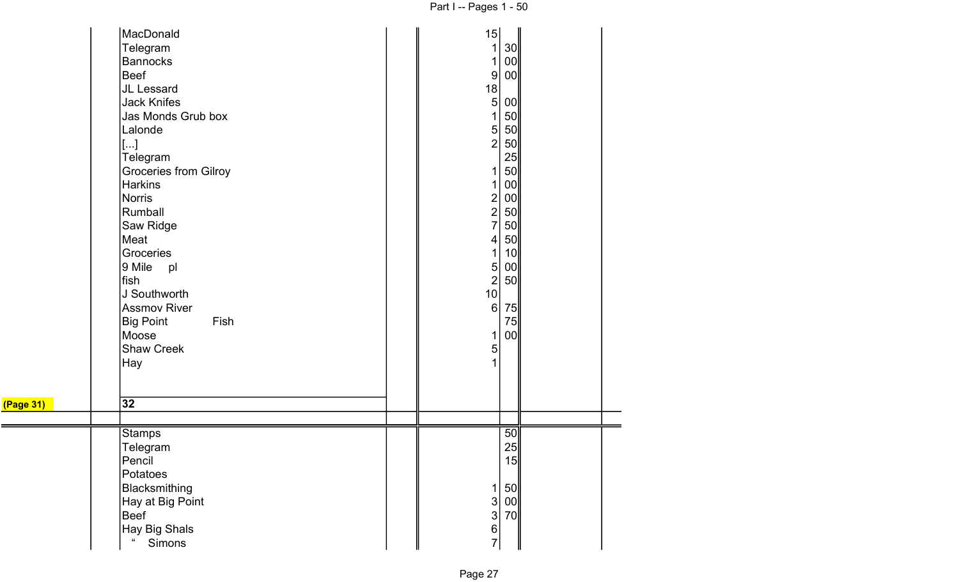|           | MacDonald                    | 15                      |     |  |
|-----------|------------------------------|-------------------------|-----|--|
|           | Telegram                     | 1                       | 30  |  |
|           | <b>Bannocks</b>              | $\mathbf{1}$            | 00  |  |
|           | <b>Beef</b>                  | 9                       | 00  |  |
|           | JL Lessard                   | 18                      |     |  |
|           | <b>Jack Knifes</b>           | $\sqrt{5}$              | 00  |  |
|           | Jas Monds Grub box           | $\mathbf 1$             | 50  |  |
|           | Lalonde                      | 5                       | 50  |  |
|           | $[\ldots]$                   | $\overline{2}$          | 50  |  |
|           | Telegram                     |                         | 25  |  |
|           | <b>Groceries from Gilroy</b> | 1                       | 50  |  |
|           | <b>Harkins</b>               | 1                       | 00  |  |
|           | <b>Norris</b>                | $\overline{c}$          | 00  |  |
|           | Rumball                      | $\overline{c}$          | 50  |  |
|           | Saw Ridge                    | $\overline{7}$          | 50  |  |
|           | Meat                         | 4                       | 50  |  |
|           | Groceries                    | $\mathbf 1$             | 10  |  |
|           | 9 Mile<br><sub>pl</sub>      | 5                       | 00  |  |
|           | fish                         | $\overline{c}$          | 50  |  |
|           | J Southworth                 | 10                      |     |  |
|           | <b>Assmov River</b>          | $\,6\,$                 | 75∥ |  |
|           | <b>Big Point</b><br>Fish     |                         | 75  |  |
|           | Moose                        | $\mathbf{1}$            | 00  |  |
|           | <b>Shaw Creek</b>            | 5                       |     |  |
|           | Hay                          |                         |     |  |
|           |                              |                         |     |  |
|           |                              |                         |     |  |
| (Page 31) | 32                           |                         |     |  |
|           |                              |                         |     |  |
|           | <b>Stamps</b>                |                         | 50  |  |
|           | Telegram                     |                         | 25  |  |
|           | Pencil                       |                         | 15  |  |
|           | Potatoes                     |                         |     |  |
|           | Blacksmithing                | 1                       | 50  |  |
|           | Hay at Big Point             | $\mathfrak{S}% _{k}(G)$ | 00  |  |
|           | Beef                         | $\sqrt{3}$              | 70  |  |
|           | Hay Big Shals                | $\,6$                   |     |  |
|           | Simons                       | $\overline{7}$          |     |  |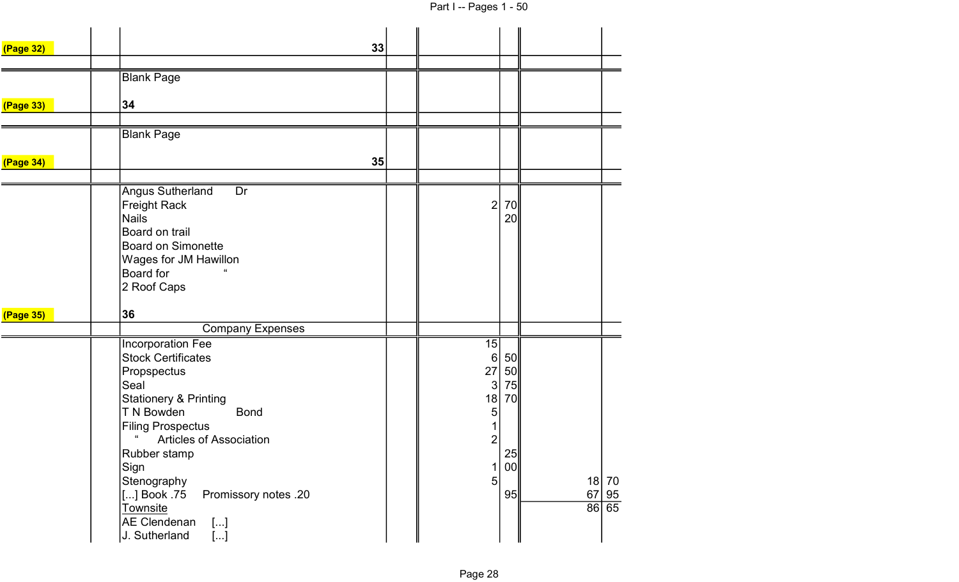| (Page 32) |                                                | 33 |                |     |         |
|-----------|------------------------------------------------|----|----------------|-----|---------|
|           |                                                |    |                |     |         |
|           | <b>Blank Page</b>                              |    |                |     |         |
|           |                                                |    |                |     |         |
| (Page 33) | 34                                             |    |                |     |         |
|           |                                                |    |                |     |         |
|           | <b>Blank Page</b>                              |    |                |     |         |
| (Page 34) |                                                | 35 |                |     |         |
|           |                                                |    |                |     |         |
|           | <b>Angus Sutherland</b><br>Dr                  |    |                |     |         |
|           | <b>Freight Rack</b>                            |    | $\overline{2}$ | 70  |         |
|           | <b>Nails</b>                                   |    |                | 20  |         |
|           | Board on trail                                 |    |                |     |         |
|           | <b>Board on Simonette</b>                      |    |                |     |         |
|           | Wages for JM Hawillon                          |    |                |     |         |
|           | <b>Board</b> for                               |    |                |     |         |
|           | 2 Roof Caps                                    |    |                |     |         |
| (Page 35) | 36                                             |    |                |     |         |
|           | <b>Company Expenses</b>                        |    |                |     |         |
|           | <b>Incorporation Fee</b>                       |    | 15             |     |         |
|           | <b>Stock Certificates</b>                      |    | 6              | 50  |         |
|           | Propspectus                                    |    | 27             | 50  |         |
|           | Seal                                           |    | $\mathbf{3}$   | 75  |         |
|           | Stationery & Printing                          |    | 18             | 70I |         |
|           | T N Bowden<br><b>Bond</b>                      |    | 5              |     |         |
|           | <b>Filing Prospectus</b>                       |    |                |     |         |
|           | $\mathbf{G}$<br><b>Articles of Association</b> |    | 2              |     |         |
|           | Rubber stamp                                   |    |                | 25  |         |
|           | Sign                                           |    | 1              | 00  |         |
|           | Stenography                                    |    | $\overline{5}$ |     | $18$ 70 |
|           | Promissory notes .20<br>[] Book .75            |    |                | 95  | 67 95   |
|           | <b>Townsite</b>                                |    |                |     | 86 65   |
|           | AE Clendenan<br>$[]$                           |    |                |     |         |
|           | J. Sutherland<br>$[]$                          |    |                |     |         |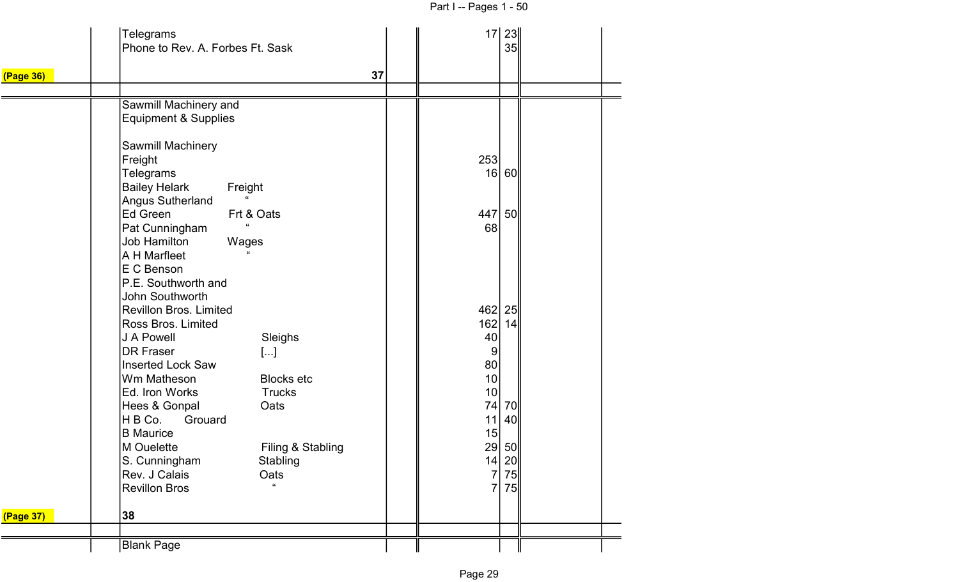|           | Telegrams<br>Phone to Rev. A. Forbes Ft. Sask                                                                                                                                     | 17<br>23<br>35                          |  |
|-----------|-----------------------------------------------------------------------------------------------------------------------------------------------------------------------------------|-----------------------------------------|--|
| (Page 36) | 37                                                                                                                                                                                |                                         |  |
|           | Sawmill Machinery and<br><b>Equipment &amp; Supplies</b><br>Sawmill Machinery<br>Freight                                                                                          | 253<br>16                               |  |
|           | Telegrams<br><b>Bailey Helark</b><br>Freight<br><b>Angus Sutherland</b><br>Ed Green<br>Frt & Oats<br>Pat Cunningham<br><b>Job Hamilton</b><br>Wages<br>A H Marfleet<br>E C Benson | 60<br>50<br>447<br>68                   |  |
|           | P.E. Southworth and<br>John Southworth<br><b>Revillon Bros. Limited</b><br>Ross Bros. Limited<br>J A Powell<br>Sleighs<br><b>DR Fraser</b><br>[]<br><b>Inserted Lock Saw</b>      | 462<br>25<br>162<br>14<br>40<br>9<br>80 |  |
|           | Wm Matheson<br><b>Blocks</b> etc<br>Ed. Iron Works<br><b>Trucks</b><br>Hees & Gonpal<br>Oats<br>H B Co.<br>Grouard<br><b>B</b> Maurice                                            | 10<br>10<br>74<br>7이<br>11<br>40<br>15  |  |
|           | M Ouelette<br>Filing & Stabling<br>Stabling<br>S. Cunningham<br>Rev. J Calais<br>Oats<br>$\mathbf{u}$<br><b>Revillon Bros</b>                                                     | 29 50<br>20<br>14<br>75<br>75           |  |
| (Page 37) | 38                                                                                                                                                                                |                                         |  |
|           | <b>Blank Page</b>                                                                                                                                                                 |                                         |  |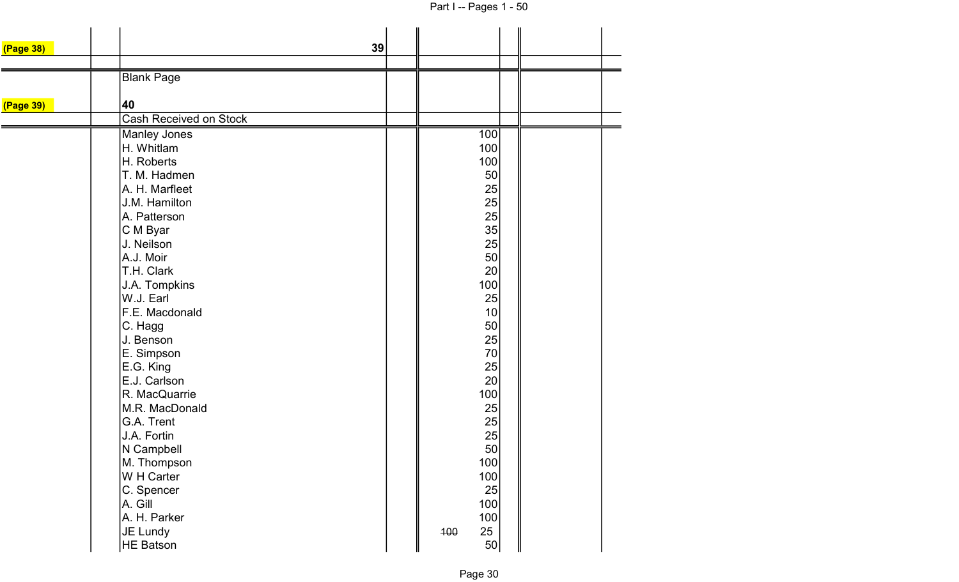| (Page 38) |                               | 39 |           |  |  |
|-----------|-------------------------------|----|-----------|--|--|
|           |                               |    |           |  |  |
|           | <b>Blank Page</b>             |    |           |  |  |
|           |                               |    |           |  |  |
| (Page 39) | 40                            |    |           |  |  |
|           | <b>Cash Received on Stock</b> |    |           |  |  |
|           | <b>Manley Jones</b>           |    | 100       |  |  |
|           | H. Whitlam                    |    | 100       |  |  |
|           | H. Roberts                    |    | 100       |  |  |
|           | T. M. Hadmen                  |    | 50        |  |  |
|           | A. H. Marfleet                |    | 25        |  |  |
|           | J.M. Hamilton                 |    | 25        |  |  |
|           | A. Patterson                  |    | 25        |  |  |
|           | C M Byar                      |    | 35        |  |  |
|           | J. Neilson                    |    | 25        |  |  |
|           | A.J. Moir                     |    | $50\,$    |  |  |
|           | T.H. Clark                    |    | 20        |  |  |
|           | J.A. Tompkins                 |    | 100       |  |  |
|           | W.J. Earl                     |    | 25        |  |  |
|           | F.E. Macdonald                |    | 10        |  |  |
|           | C. Hagg                       |    | 50        |  |  |
|           | J. Benson                     |    | 25        |  |  |
|           | E. Simpson                    |    | 70        |  |  |
|           | E.G. King                     |    | 25        |  |  |
|           | E.J. Carlson                  |    | 20        |  |  |
|           | R. MacQuarrie                 |    | 100       |  |  |
|           | M.R. MacDonald                |    | 25        |  |  |
|           | G.A. Trent                    |    | 25        |  |  |
|           | J.A. Fortin                   |    | 25        |  |  |
|           | N Campbell                    |    | 50        |  |  |
|           | M. Thompson                   |    | 100       |  |  |
|           | W H Carter                    |    | 100       |  |  |
|           | C. Spencer                    |    | 25        |  |  |
|           | A. Gill                       |    | 100       |  |  |
|           | A. H. Parker                  |    | 100       |  |  |
|           | JE Lundy                      |    | 25<br>400 |  |  |
|           | <b>HE Batson</b>              |    | 50        |  |  |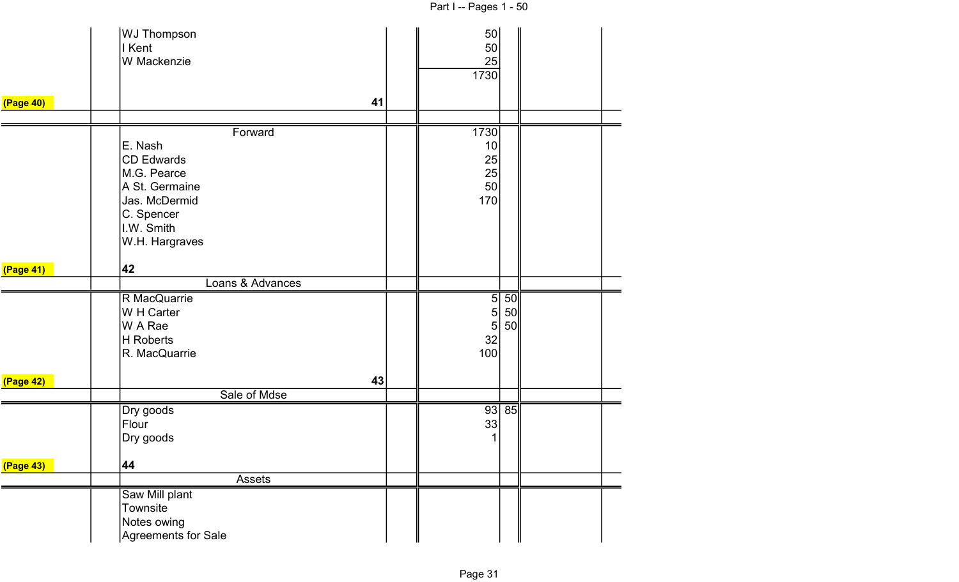| (Page 40) | WJ Thompson<br>I Kent<br>W Mackenzie                                                                                                    | 41 | 50<br>50<br>25<br>1730                             |                |  |
|-----------|-----------------------------------------------------------------------------------------------------------------------------------------|----|----------------------------------------------------|----------------|--|
|           |                                                                                                                                         |    |                                                    |                |  |
|           | Forward<br>E. Nash<br><b>CD Edwards</b><br>M.G. Pearce<br>A St. Germaine<br>Jas. McDermid<br>C. Spencer<br>I.W. Smith<br>W.H. Hargraves |    | 1730<br>10<br>25<br>25<br>50<br>170                |                |  |
| (Page 41) | 42<br>Loans & Advances                                                                                                                  |    |                                                    |                |  |
| (Page 42) | R MacQuarrie<br>W H Carter<br>W A Rae<br><b>H</b> Roberts<br>R. MacQuarrie                                                              | 43 | $\overline{5}$<br>$\overline{5}$<br>5<br>32<br>100 | 50<br>50<br>50 |  |
|           | Sale of Mdse                                                                                                                            |    |                                                    |                |  |
|           | Dry goods<br>Flour<br>Dry goods                                                                                                         |    | 33                                                 | 93 85          |  |
| (Page 43) | 44                                                                                                                                      |    |                                                    |                |  |
|           | Assets<br>Saw Mill plant<br>Townsite<br>Notes owing<br>Agreements for Sale                                                              |    |                                                    |                |  |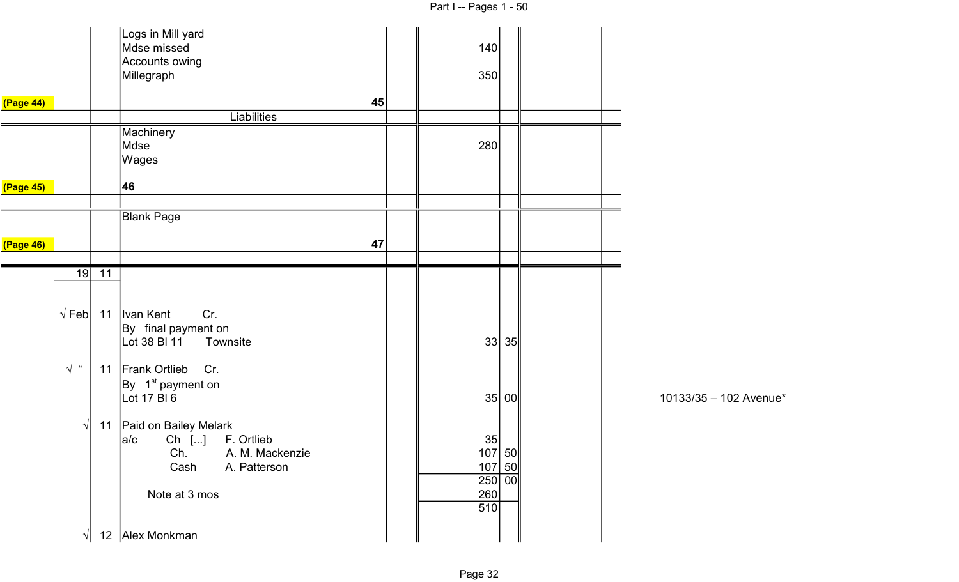|           |              |    | Logs in Mill yard<br>Mdse missed<br>Accounts owing<br>Millegraph                                                         | 140<br>350                                          |       |  |          |
|-----------|--------------|----|--------------------------------------------------------------------------------------------------------------------------|-----------------------------------------------------|-------|--|----------|
| (Page 44) |              |    | 45                                                                                                                       |                                                     |       |  |          |
|           |              |    | <b>Liabilities</b>                                                                                                       |                                                     |       |  |          |
|           |              |    | Machinery<br>Mdse<br>Wages                                                                                               | 280                                                 |       |  |          |
| (Page 45) |              |    | 46                                                                                                                       |                                                     |       |  |          |
|           |              |    |                                                                                                                          |                                                     |       |  |          |
|           |              |    | <b>Blank Page</b>                                                                                                        |                                                     |       |  |          |
| (Page 46) |              |    | 47                                                                                                                       |                                                     |       |  |          |
|           |              |    |                                                                                                                          |                                                     |       |  |          |
|           | 19           | 11 |                                                                                                                          |                                                     |       |  |          |
|           | $\sqrt{Feb}$ |    | 11   Ivan Kent<br>Cr.<br>By final payment on<br>Lot 38 BI 11<br>Townsite                                                 |                                                     | 33 35 |  |          |
|           | $\sqrt{-a}$  |    | 11 Frank Ortlieb<br>Cr.<br>By 1 <sup>st</sup> payment on<br>Lot 17 BI 6                                                  |                                                     | 35 00 |  | 10133/35 |
|           | $\sqrt{}$    |    | 11   Paid on Bailey Melark<br>Ch []<br>F. Ortlieb<br>a/c<br>Ch. A. M. Mackenzie<br>Cash<br>A. Patterson<br>Note at 3 mos | 35<br>$107$ 50<br>$107$ 50<br>250 00 <br>260<br>510 |       |  |          |
|           | $\sqrt{ }$   |    | 12   Alex Monkman                                                                                                        |                                                     |       |  |          |

 $10133/35 - 102$  Avenue\*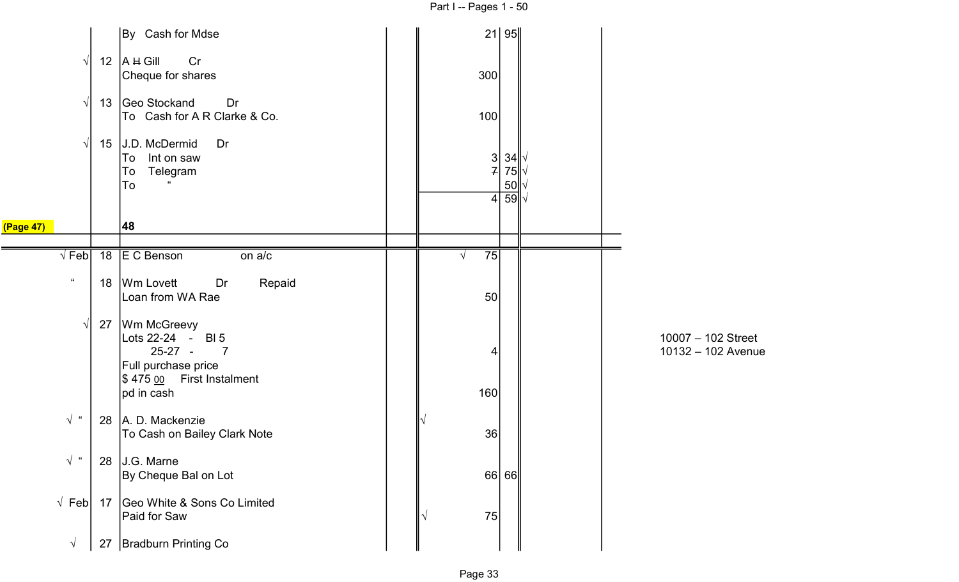|           |                             |    | By Cash for Mdse                                                                                                                  |                                    | $21$   95              |  |
|-----------|-----------------------------|----|-----------------------------------------------------------------------------------------------------------------------------------|------------------------------------|------------------------|--|
|           | $\sqrt{}$                   | 12 | $A \text{ H}$ Gill<br>Cr<br>Cheque for shares                                                                                     | 300                                |                        |  |
|           | V                           | 13 | <b>Geo Stockand</b><br>Dr<br>To Cash for A R Clarke & Co.                                                                         | 100                                |                        |  |
|           | $\sqrt{}$                   | 15 | J.D. McDermid<br>Dr<br>Int on saw<br>To<br>To<br>Telegram<br>To                                                                   | $\mathbf{3}$<br>$\mathcal{I}$<br>4 | 34<br>75∥√<br>50<br>59 |  |
| (Page 47) |                             |    | 48                                                                                                                                |                                    |                        |  |
|           |                             |    |                                                                                                                                   |                                    |                        |  |
|           | $\sqrt{\mathsf{Feb}}$       | 18 | E C Benson<br>on a/c                                                                                                              | 75                                 |                        |  |
|           | $\boldsymbol{\mathfrak{c}}$ | 18 | Wm Lovett<br>Dr<br>Repaid<br>Loan from WA Rae                                                                                     | 50                                 |                        |  |
|           | V                           | 27 | Wm McGreevy<br>Lots 22-24 - BI 5<br>$25-27 -$<br>$\overline{7}$<br>Full purchase price<br>\$475 00 First Instalment<br>pd in cash | 4<br>160                           |                        |  |
|           | $\sqrt{u}$                  | 28 | A. D. Mackenzie<br>To Cash on Bailey Clark Note                                                                                   | 36                                 |                        |  |
|           | $\sqrt{u}$                  | 28 | J.G. Marne<br>By Cheque Bal on Lot                                                                                                |                                    | 66 66                  |  |
|           | $\sqrt{Feb}$                | 17 | Geo White & Sons Co Limited<br>Paid for Saw                                                                                       | 75                                 |                        |  |
|           | $\sqrt{ }$                  | 27 | Bradburn Printing Co                                                                                                              |                                    |                        |  |

 $10007 - 102$  Street 10132 – 102 Avenue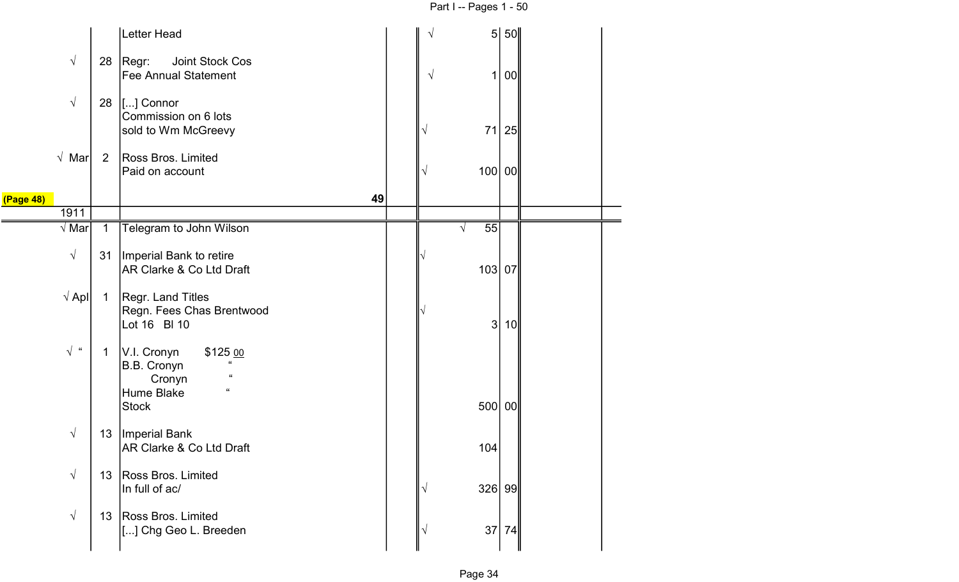|              |                | Letter Head                                                                                                                         | $\sqrt{ }$ |              | 5 50            |  |
|--------------|----------------|-------------------------------------------------------------------------------------------------------------------------------------|------------|--------------|-----------------|--|
| $\sqrt{2}$   | 28             | Joint Stock Cos<br>Regr:<br><b>Fee Annual Statement</b>                                                                             | $\sqrt{ }$ | $\mathbf{1}$ | 00              |  |
| $\sqrt{ }$   | 28             | $\left[\left[\right]$ Connor<br>Commission on 6 lots<br>sold to Wm McGreevy                                                         |            | 71           | 25              |  |
| $\sqrt{Mar}$ | $\overline{2}$ | <b>Ross Bros. Limited</b><br>Paid on account                                                                                        |            | 100          | 00              |  |
| (Page 48)    |                | 49                                                                                                                                  |            |              |                 |  |
| 1911         |                |                                                                                                                                     |            |              |                 |  |
| √ Mar        | $\mathbf{1}$   | Telegram to John Wilson                                                                                                             |            | 55           |                 |  |
| $\sqrt{ }$   | 31             | Imperial Bank to retire<br><b>AR Clarke &amp; Co Ltd Draft</b>                                                                      |            | 103 07       |                 |  |
| $\sqrt{ApI}$ | $\mathbf{1}$   | Regr. Land Titles<br>Regn. Fees Chas Brentwood<br>Lot 16 BI 10                                                                      |            | 3            | 10 <sup>1</sup> |  |
| $\sqrt{-a}$  | 1              | V.I. Cronyn<br>\$125 00<br>$\mathbf{a}$<br><b>B.B. Cronyn</b><br>Cronyn<br>$\mathfrak{c}\mathfrak{c}$<br>Hume Blake<br><b>Stock</b> |            | 500 00       |                 |  |
| $\sqrt{ }$   | 13             | Imperial Bank<br>AR Clarke & Co Ltd Draft                                                                                           |            | 104          |                 |  |
| $\sqrt{ }$   | 13             | <b>Ross Bros. Limited</b><br>In full of ac/                                                                                         |            | 326 99       |                 |  |
| $\sqrt{ }$   | 13             | <b>Ross Bros. Limited</b><br>[] Chg Geo L. Breeden                                                                                  | ٦          | 37           | 74              |  |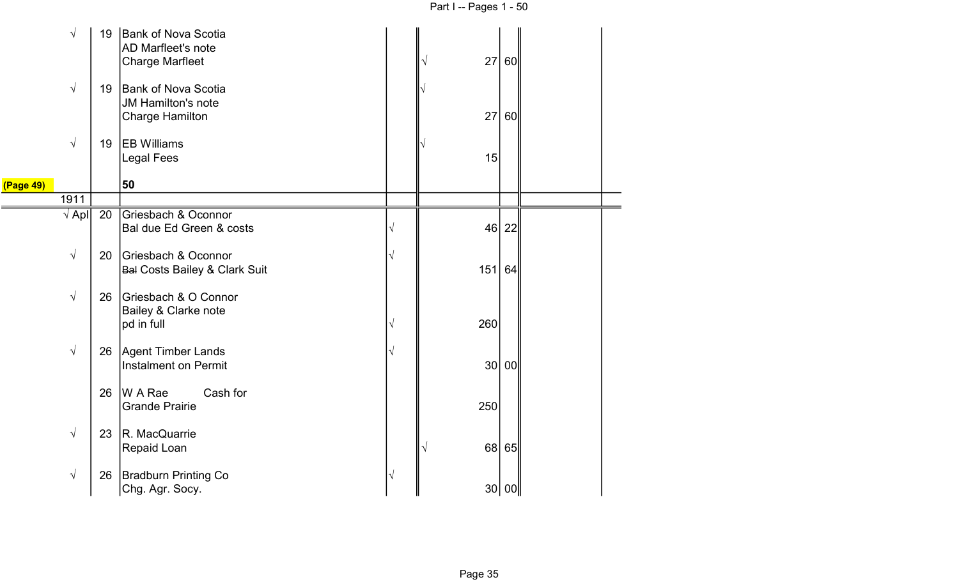|           | $\sqrt{ }$   | 19              | <b>Bank of Nova Scotia</b><br><b>AD Marfleet's note</b><br><b>Charge Marfleet</b> | 27<br>$\sqrt{}$ | 60    |  |
|-----------|--------------|-----------------|-----------------------------------------------------------------------------------|-----------------|-------|--|
|           | $\sqrt{ }$   | 19              | <b>Bank of Nova Scotia</b><br><b>JM Hamilton's note</b><br><b>Charge Hamilton</b> | 27              | 60    |  |
|           | $\sqrt{ }$   | 19              | <b>EB Williams</b><br><b>Legal Fees</b>                                           | 15              |       |  |
| (Page 49) |              |                 | 50                                                                                |                 |       |  |
|           | 1911         |                 |                                                                                   |                 |       |  |
|           | $\sqrt{ApI}$ | $\overline{20}$ | Griesbach & Oconnor<br>Bal due Ed Green & costs                                   | 46              | 22    |  |
|           | $\sqrt{ }$   | 20              | <b>Griesbach &amp; Oconnor</b><br><b>Bal Costs Bailey &amp; Clark Suit</b>        | 151             | 64    |  |
|           | $\sqrt{ }$   | 26              | Griesbach & O Connor<br><b>Bailey &amp; Clarke note</b><br>pd in full             | 260             |       |  |
|           | $\sqrt{ }$   | 26              | Agent Timber Lands<br><b>Instalment on Permit</b>                                 |                 | 30 00 |  |
|           |              | 26              | W A Rae<br>Cash for<br><b>Grande Prairie</b>                                      | 250             |       |  |
|           | $\sqrt{ }$   | 23              | R. MacQuarrie<br>Repaid Loan                                                      | $\sqrt{}$<br>68 | 65    |  |
|           | $\sqrt{ }$   | 26              | <b>Bradburn Printing Co</b><br>Chg. Agr. Socy.                                    |                 | 30 00 |  |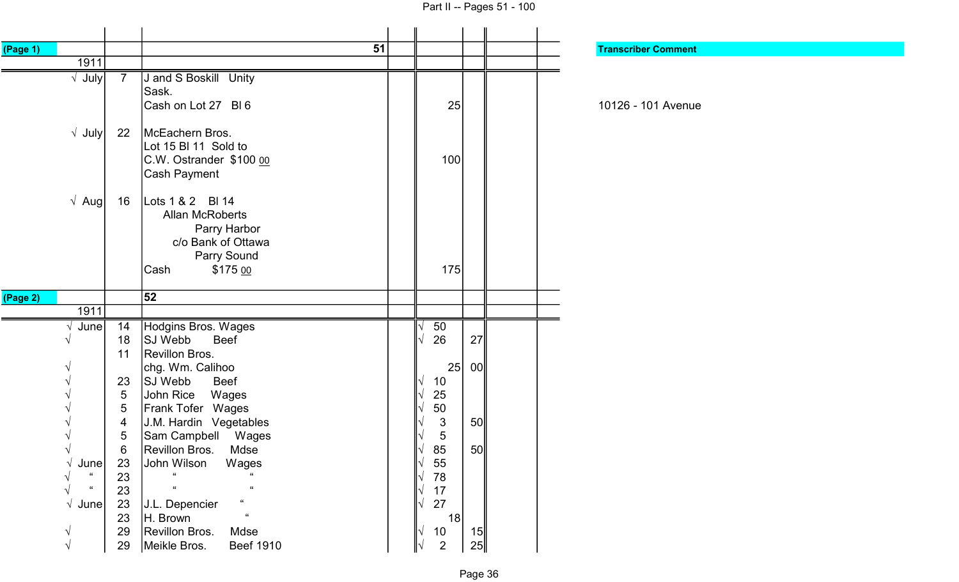| (Page 1) |                    |                | 51                                                                                                                         |                 |    |  |
|----------|--------------------|----------------|----------------------------------------------------------------------------------------------------------------------------|-----------------|----|--|
|          | 1911               |                |                                                                                                                            |                 |    |  |
|          | $\sqrt{2}$ July    | $\overline{7}$ | J and S Boskill Unity<br>Sask.<br>Cash on Lot 27 BI6                                                                       | 25              |    |  |
|          | $\sqrt{}$ July     | 22             | McEachern Bros.<br>Lot 15 BI 11 Sold to<br>C.W. Ostrander \$100 00<br><b>Cash Payment</b>                                  | 100             |    |  |
|          | $\sqrt{4}$ Aug     | 16             | Lots 1 & 2 BI 14<br><b>Allan McRoberts</b><br>Parry Harbor<br>c/o Bank of Ottawa<br><b>Parry Sound</b><br>Cash<br>\$175 00 | 175             |    |  |
| (Page 2) |                    |                | 52                                                                                                                         |                 |    |  |
|          | 1911               |                |                                                                                                                            |                 |    |  |
|          | June<br>$\sqrt{}$  | 14             | Hodgins Bros. Wages                                                                                                        | 50              |    |  |
|          |                    | 18<br>11       | <b>SJ Webb</b><br><b>Beef</b><br>Revillon Bros.                                                                            | 26              | 27 |  |
|          |                    |                | chg. Wm. Calihoo                                                                                                           | 25              | 00 |  |
|          |                    | 23             | SJ Webb<br><b>Beef</b>                                                                                                     | 10              |    |  |
|          |                    | $\sqrt{5}$     | John Rice<br>Wages                                                                                                         | 25              |    |  |
|          |                    | 5              | Frank Tofer Wages                                                                                                          | 50              |    |  |
|          |                    | 4              | J.M. Hardin Vegetables                                                                                                     |                 | 50 |  |
|          |                    | 5              | Sam Campbell Wages                                                                                                         | $\frac{3}{5}$   |    |  |
|          |                    | 6              | Revillon Bros.<br>Mdse                                                                                                     | 85              | 50 |  |
|          | June               | 23             | John Wilson<br>Wages                                                                                                       | 55              |    |  |
|          | $\epsilon\epsilon$ | 23             |                                                                                                                            | 78              |    |  |
|          | $\mathbf{G}$       | 23             | $\epsilon$                                                                                                                 | 17              |    |  |
|          | June<br>$\sqrt{}$  | 23             | $\epsilon$<br>J.L. Depencier                                                                                               | 27              |    |  |
|          |                    | 23             | $\mathbf{G}$<br>H. Brown                                                                                                   | 18              |    |  |
|          | $\sqrt{}$          | 29             | Revillon Bros.<br>Mdse                                                                                                     | 10 <sub>1</sub> | 15 |  |
|          | $\sqrt{}$          | 29             | Meikle Bros.<br><b>Beef 1910</b>                                                                                           | $\overline{2}$  | 25 |  |

**Transcriber Comment** 

10126 - 101 Avenue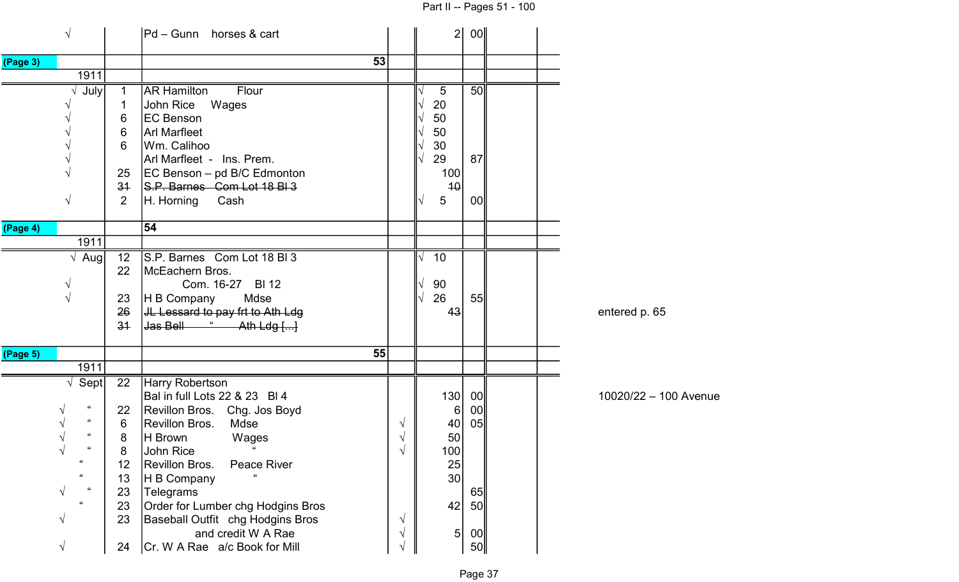|          |                |              | Pd - Gunn horses & cart                 |   | $\overline{2}$ | 00              |    |
|----------|----------------|--------------|-----------------------------------------|---|----------------|-----------------|----|
| (Page 3) |                |              | 53                                      |   |                |                 |    |
|          | 1911           |              |                                         |   |                |                 |    |
|          | July           | $\mathbf{1}$ | <b>AR Hamilton</b><br>Flour             |   | 5              | 50 <sub>l</sub> |    |
|          |                | 1            | Wages<br>John Rice                      |   | 20             |                 |    |
|          |                | 6            | <b>EC Benson</b>                        |   | 50             |                 |    |
|          |                | 6            | Arl Marfleet                            |   | 50             |                 |    |
|          |                | 6            | Wm. Calihoo                             |   | 30             |                 |    |
|          |                |              | Arl Marfleet - Ins. Prem.               |   | 29             | 87              |    |
|          |                | 25           | EC Benson - pd B/C Edmonton             |   | 100            |                 |    |
|          |                | 34           | S.P. Barnes Com Lot 18 BI 3             |   | 40             |                 |    |
|          |                | 2            | H. Horning<br>Cash                      |   | 5              | 00 <sup>1</sup> |    |
| (Page 4) |                |              | 54                                      |   |                |                 |    |
|          | 1911           |              |                                         |   |                |                 |    |
|          | $\sqrt{4}$ Aug | 12           | S.P. Barnes Com Lot 18 BI 3             |   | 10             |                 |    |
|          |                | 22           | McEachern Bros.                         |   |                |                 |    |
|          |                |              | Com. 16-27 BI 12                        |   | 90             |                 |    |
|          |                | 23           | H B Company<br>Mdse                     |   | 26             | 55              |    |
|          |                | 26           | JL Lessard to pay frt to Ath Ldg        |   | 43             |                 | en |
|          |                | 34           | Jas Bell "Ath Ldg []                    |   |                |                 |    |
| (Page 5) |                |              | 55                                      |   |                |                 |    |
|          | 1911           |              |                                         |   |                |                 |    |
|          | Sept<br>V      | 22           | <b>Harry Robertson</b>                  |   |                |                 |    |
|          |                |              | Bal in full Lots 22 & 23 BI 4           |   | 130            | 00              | 10 |
|          | "              | 22           | Revillon Bros. Chg. Jos Boyd            |   | 6              | 00              |    |
|          | $\mathbf{G}$   | 6            | <b>Revillon Bros.</b><br>Mdse           | V | 40             | 05              |    |
|          | $\epsilon$     | 8            | H Brown<br>Wages                        |   | 50             |                 |    |
|          | "              | 8            | $\mathbf{G}$<br>John Rice               |   | 100            |                 |    |
|          | "              | 12           | Revillon Bros.<br>Peace River           |   | 25             |                 |    |
|          | "              | 13           | H B Company                             |   | 30             |                 |    |
|          | $\epsilon$     | 23           | Telegrams                               |   |                | 65              |    |
|          | "              | 23           | Order for Lumber chg Hodgins Bros       |   | 42             | 50              |    |
|          | V              | 23           | <b>Baseball Outfit chg Hodgins Bros</b> | V |                |                 |    |
|          |                |              | and credit W A Rae                      |   | $5\vert$       | 00              |    |
|          | V              | 24           | Cr. W A Rae a/c Book for Mill           |   |                | 50              |    |

ntered p. 65

90 100 Avenue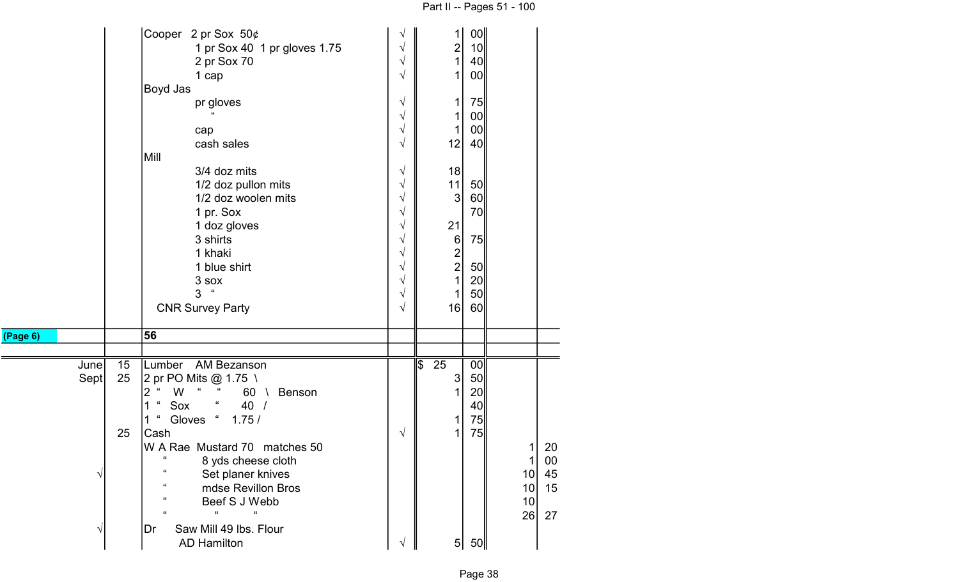|          |      |    | Cooper 2 pr Sox $50¢$<br>1 pr Sox 40 1 pr gloves 1.75<br>2 pr Sox 70<br>1 cap                   | V<br>V<br>V | 1<br>$\begin{array}{c} 2 \\ 1 \end{array}$<br>1 | 00 <br>10<br>40<br> 00 |    |    |
|----------|------|----|-------------------------------------------------------------------------------------------------|-------------|-------------------------------------------------|------------------------|----|----|
|          |      |    | Boyd Jas                                                                                        |             |                                                 |                        |    |    |
|          |      |    | pr gloves                                                                                       | V<br>V      | $\mathbf{1}$<br>1                               | 75<br> 00              |    |    |
|          |      |    | cap                                                                                             | V           | 1                                               | 00                     |    |    |
|          |      |    | cash sales                                                                                      | V           | 12                                              | 40                     |    |    |
|          |      |    | Mill                                                                                            |             |                                                 |                        |    |    |
|          |      |    | 3/4 doz mits                                                                                    |             | 18                                              |                        |    |    |
|          |      |    | 1/2 doz pullon mits                                                                             |             | 11                                              | 50                     |    |    |
|          |      |    | 1/2 doz woolen mits                                                                             |             | 3 <sup>l</sup>                                  | 60                     |    |    |
|          |      |    | 1 pr. Sox                                                                                       |             |                                                 | 70                     |    |    |
|          |      |    | 1 doz gloves                                                                                    |             | 21                                              |                        |    |    |
|          |      |    | 3 shirts                                                                                        |             | $6\phantom{.}6$                                 | 75                     |    |    |
|          |      |    | 1 khaki                                                                                         |             |                                                 |                        |    |    |
|          |      |    | 1 blue shirt                                                                                    |             | $\frac{2}{2}$                                   | 50                     |    |    |
|          |      |    | 3 sox                                                                                           |             | $\overline{1}$                                  | 20                     |    |    |
|          |      |    | 3                                                                                               | V           | 1                                               | 50                     |    |    |
|          |      |    | <b>CNR Survey Party</b>                                                                         | V           | 16                                              | 60                     |    |    |
| (Page 6) |      |    | 56                                                                                              |             |                                                 |                        |    |    |
|          |      |    |                                                                                                 |             |                                                 |                        |    |    |
|          | June | 15 | Lumber AM Bezanson                                                                              |             | 1\$<br>25                                       | 00                     |    |    |
|          | Sept | 25 | 2 pr PO Mits @ 1.75 \                                                                           |             | 3 <sup>1</sup>                                  | 50                     |    |    |
|          |      |    | $\mathfrak{c}\mathfrak{c}$<br>$\epsilon$<br>"<br>$\overline{c}$<br>W<br>$60$ \<br><b>Benson</b> |             | 1                                               | 20                     |    |    |
|          |      |    | $\epsilon$<br>$\epsilon$<br>40/<br>Sox                                                          |             |                                                 | 40                     |    |    |
|          |      |    | Gloves "<br>1.75/                                                                               |             | 1                                               | 75                     |    |    |
|          |      | 25 | Cash                                                                                            | $\sqrt{}$   | 1                                               | 75                     |    |    |
|          |      |    | W A Rae Mustard 70 matches 50                                                                   |             |                                                 |                        | 1  | 20 |
|          |      |    | 8 yds cheese cloth                                                                              |             |                                                 |                        |    | 00 |
|          |      |    | Set planer knives                                                                               |             |                                                 |                        | 10 | 45 |
|          |      |    | mdse Revillon Bros                                                                              |             |                                                 |                        | 10 | 15 |
|          |      |    | Beef S J Webb                                                                                   |             |                                                 |                        | 10 |    |
|          |      |    | $\alpha$<br>$\pmb{\mathfrak{c}}$                                                                |             |                                                 |                        | 26 | 27 |
|          |      |    | Saw Mill 49 lbs. Flour<br>Dr                                                                    |             |                                                 |                        |    |    |
|          |      |    | <b>AD Hamilton</b>                                                                              | V           | $5\vert$                                        | 50∥                    |    |    |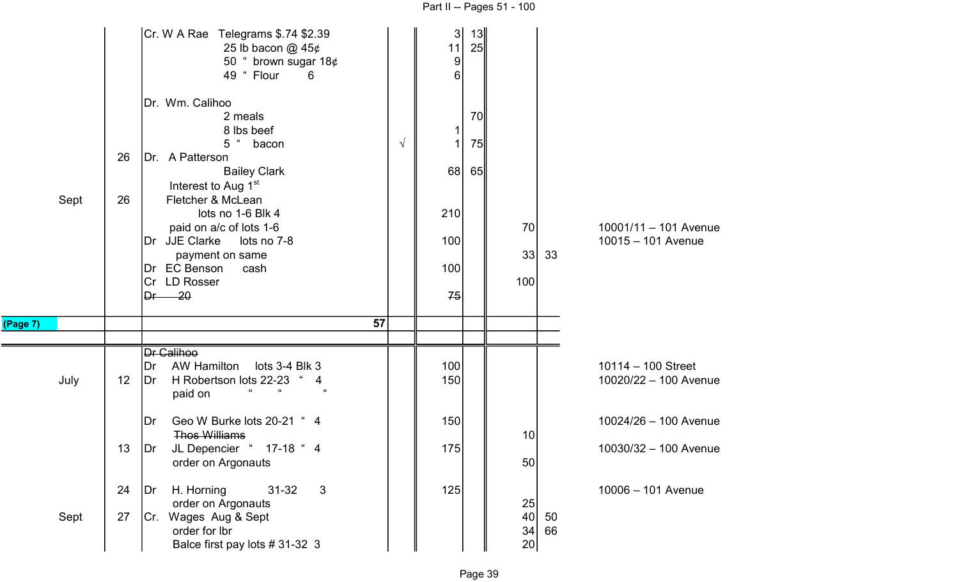| Sept     | 26<br>26 | Cr. W A Rae Telegrams \$.74 \$2.39<br>25 lb bacon $@$ 45¢<br>50 " brown sugar $18¢$<br>49 " Flour<br>6<br>Dr. Wm. Calihoo<br>2 meals<br>8 lbs beef<br>5 " bacon<br>Dr. A Patterson<br><b>Bailey Clark</b><br>Interest to Aug 1 <sup>st</sup><br>Fletcher & McLean<br>lots no 1-6 Blk 4<br>paid on a/c of lots 1-6<br>Dr JJE Clarke<br>lots no 7-8<br>payment on same<br>Dr EC Benson<br>cash<br>Cr LD Rosser<br>$Dr - 20$ | $\sqrt{ }$ | $\mathbf{3}$<br>11<br>$\boldsymbol{9}$<br>6<br>1<br>$\mathbf{1}$<br>68<br>210<br>100<br>100<br>75 | 13<br>25<br>70<br>75<br>65 | 70<br>33<br>100            | 33       | 10001/11 - 101 Avenue<br>10015 - 101 Avenue                                                     |
|----------|----------|---------------------------------------------------------------------------------------------------------------------------------------------------------------------------------------------------------------------------------------------------------------------------------------------------------------------------------------------------------------------------------------------------------------------------|------------|---------------------------------------------------------------------------------------------------|----------------------------|----------------------------|----------|-------------------------------------------------------------------------------------------------|
| (Page 7) |          | 57                                                                                                                                                                                                                                                                                                                                                                                                                        |            |                                                                                                   |                            |                            |          |                                                                                                 |
| July     | 12<br>13 | <b>Dr</b> Calihoo<br><b>AW Hamilton</b><br>lots 3-4 Blk 3<br>Dr<br>H Robertson lots 22-23 "<br>IDr<br>$\overline{4}$<br>$\epsilon$<br>$\epsilon$<br>paid on<br>Geo W Burke lots 20-21 " 4<br>Dr<br><b>Thos Williams</b><br> Dr <br>JL Depencier " 17-18 " 4                                                                                                                                                               |            | 100<br>150<br>150<br>175                                                                          |                            | 10                         |          | $10114 - 100$ Street<br>10020/22 - 100 Avenue<br>10024/26 - 100 Avenue<br>10030/32 - 100 Avenue |
| Sept     | 24<br>27 | order on Argonauts<br>3<br>$31 - 32$<br>Dr<br>H. Horning<br>order on Argonauts<br>Cr. Wages Aug & Sept<br>order for Ibr<br>Balce first pay lots # 31-32 3                                                                                                                                                                                                                                                                 |            | 125                                                                                               |                            | 50<br>25<br>40<br>34<br>20 | 50<br>66 | $10006 - 101$ Avenue                                                                            |

Part II -- Pages 51 - 100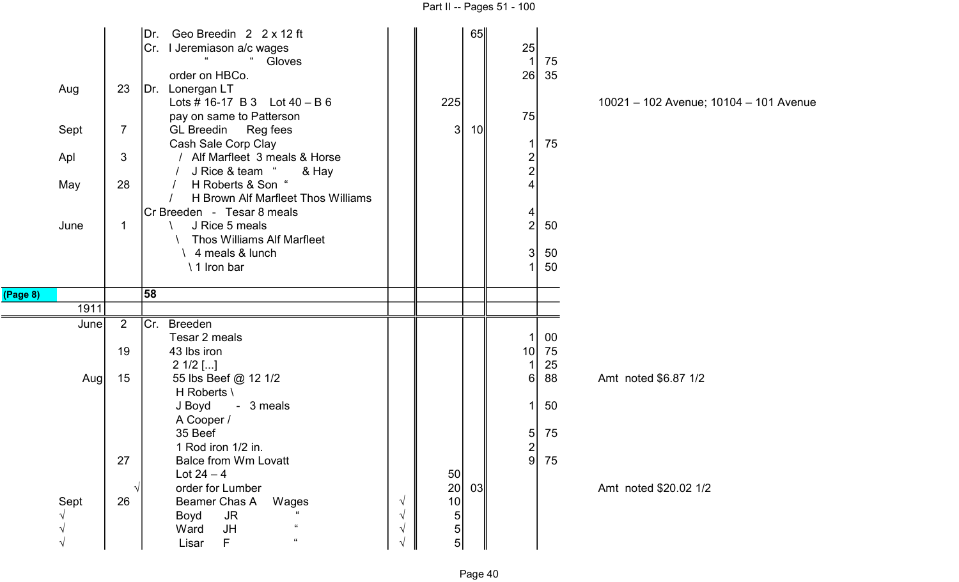|          | Aug<br>Sept<br>Apl | 23<br>$\overline{7}$<br>3 | Dr.<br>∣Dr. | Geo Breedin 2 2 x 12 ft<br>Cr. I Jeremiason a/c wages<br>Gloves<br>order on HBCo.<br>Lonergan LT<br>Lots #16-17 B 3 Lot $40 - B6$<br>pay on same to Patterson<br><b>GL</b> Breedin<br>Reg fees<br>Cash Sale Corp Clay<br>/ Alf Marfleet 3 meals & Horse<br>J Rice & team "<br>& Hay<br>H Roberts & Son " |                     | 225<br>3                             | 65<br>10 <sup>1</sup> | 25<br>1<br>26<br>75<br>$\mathbf 1$<br>$\overline{2}$<br>$\overline{2}$<br>Δ | 75<br>35<br>75       | 10021 - 102 Avenue;   |
|----------|--------------------|---------------------------|-------------|----------------------------------------------------------------------------------------------------------------------------------------------------------------------------------------------------------------------------------------------------------------------------------------------------------|---------------------|--------------------------------------|-----------------------|-----------------------------------------------------------------------------|----------------------|-----------------------|
|          | May<br>June        | 28<br>1                   |             | H Brown Alf Marfleet Thos Williams<br>Cr Breeden - Tesar 8 meals<br>J Rice 5 meals<br><b>Thos Williams Alf Marfleet</b><br>4 meals & lunch<br>\ 1 Iron bar                                                                                                                                               |                     |                                      |                       | 4<br>$\overline{2}$<br>$\mathfrak{S}$<br>$\mathbf{1}$                       | 50<br>50<br>50       |                       |
| (Page 8) |                    |                           | 58          |                                                                                                                                                                                                                                                                                                          |                     |                                      |                       |                                                                             |                      |                       |
|          | 1911               |                           |             |                                                                                                                                                                                                                                                                                                          |                     |                                      |                       |                                                                             |                      |                       |
|          | June               | $\overline{2}$<br>19      | ∣Cr.        | <b>Breeden</b><br>Tesar 2 meals<br>43 lbs iron<br>$2 \frac{1}{2}$ []                                                                                                                                                                                                                                     |                     |                                      |                       | 10<br>1                                                                     | 00<br>75<br>25       |                       |
|          | Aug                | 15<br>27                  |             | 55 lbs Beef @ 12 1/2<br>H Roberts \<br>J Boyd<br>- 3 meals<br>A Cooper /<br>35 Beef<br>1 Rod iron 1/2 in.<br><b>Balce from Wm Lovatt</b><br>Lot $24 - 4$                                                                                                                                                 |                     | 50                                   |                       | 6<br>$\mathbf 1$<br>5<br>$\overline{2}$<br> 9                               | 88<br>50<br>75<br>75 | Amt noted \$6.87 1/2  |
|          | Sept<br>$\sqrt{}$  | 26                        |             | order for Lumber<br>Beamer Chas A<br>Wages<br><b>JR</b><br>Boyd<br>$\mathbf{G}$<br>JH<br>Ward<br>$\mathfrak{c}\mathfrak{c}$<br>F<br>Lisar                                                                                                                                                                | V<br>V<br>$\sqrt{}$ | 20<br>10<br>5<br>5<br>$\overline{5}$ | 03                    |                                                                             |                      | Amt noted \$20.02 1/2 |

e; 10104 – 101 Avenue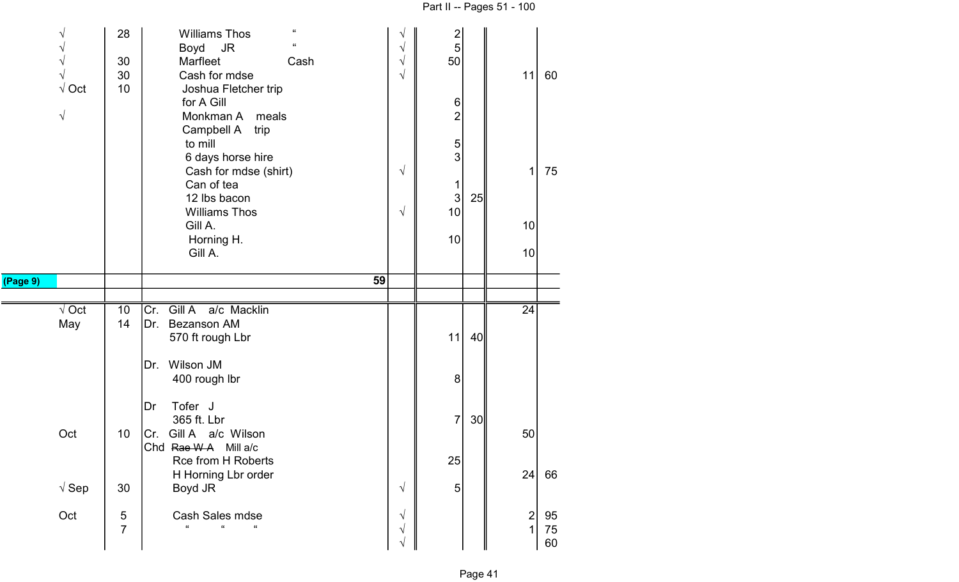| Part II -- Pages 51 - 100 |  |
|---------------------------|--|
|---------------------------|--|

|          | V<br>$\sqrt{$ Oct<br>$\sqrt{}$ | 28<br>30<br>30<br>10          | $\mathbf{G}$<br><b>Williams Thos</b><br>$\epsilon$<br><b>JR</b><br>Boyd<br>Marfleet<br>Cash<br>Cash for mdse<br>Joshua Fletcher trip<br>for A Gill<br>Monkman A<br>meals<br>Campbell A<br>trip | V<br>$\sqrt{}$<br>$\sqrt{}$<br>$\sqrt{}$ | $\frac{2}{5}$<br>50<br>$6\phantom{1}6$<br>$\overline{2}$ |    | 11                            | 60             |
|----------|--------------------------------|-------------------------------|------------------------------------------------------------------------------------------------------------------------------------------------------------------------------------------------|------------------------------------------|----------------------------------------------------------|----|-------------------------------|----------------|
|          |                                |                               | to mill<br>6 days horse hire<br>Cash for mdse (shirt)<br>Can of tea<br>12 lbs bacon<br><b>Williams Thos</b><br>Gill A.<br>Horning H.                                                           | $\sqrt{}$<br>$\sqrt{}$                   | 5<br>3<br>1<br>$\mathfrak{S}$<br>10<br>10                | 25 | $\mathbf{1}$<br>10            | 75             |
|          |                                |                               | Gill A.                                                                                                                                                                                        |                                          |                                                          |    | 10                            |                |
| (Page 9) |                                |                               | 59                                                                                                                                                                                             |                                          |                                                          |    |                               |                |
|          | $\sqrt{$ Oct<br>May            | 10<br>14                      | Gill A<br>a/c Macklin<br>Cr.<br><b>Bezanson AM</b><br>Dr.<br>570 ft rough Lbr<br>Wilson JM<br>Dr.                                                                                              |                                          | 11                                                       | 40 | 24                            |                |
|          | Oct                            | 10                            | 400 rough lbr<br>Tofer J<br>Dr<br>365 ft. Lbr<br>Gill A a/c Wilson<br>Cr.<br>Chd Rae W A Mill a/c                                                                                              |                                          | 8<br>$\overline{7}$                                      | 30 | 50                            |                |
|          | $\sqrt{Sep}$                   | 30                            | <b>Rce from H Roberts</b><br>H Horning Lbr order<br>Boyd JR                                                                                                                                    | $\sqrt{}$                                | 25<br>5                                                  |    | 24                            | 66             |
|          | Oct                            | $\mathbf 5$<br>$\overline{7}$ | Cash Sales mdse<br>$\pmb{\mathfrak{u}}$<br>$\mathbf{G}$                                                                                                                                        | V<br>$\sqrt{}$<br>$\overline{\sqrt{2}}$  |                                                          |    | $\overline{2}$<br>$\mathbf 1$ | 95<br>75<br>60 |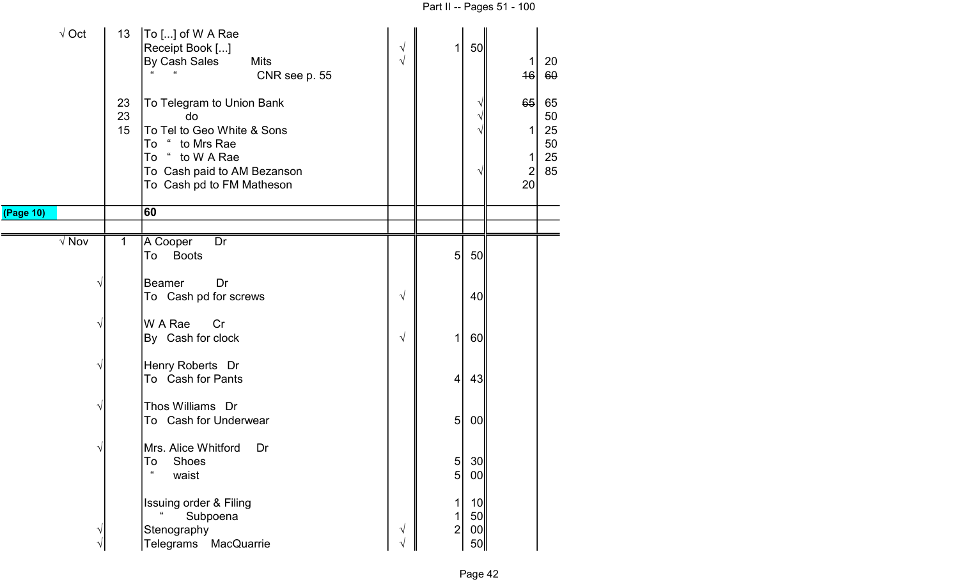| $\sqrt{$ Oct<br>(Page 10) |           | 13<br>23<br>23<br>15 | $\overline{C}$ [] of W A Rae<br>Receipt Book []<br>By Cash Sales<br><b>Mits</b><br>$\mathbf{G}$<br>CNR see p. 55<br>To Telegram to Union Bank<br>do<br>To Tel to Geo White & Sons<br>To " to Mrs Rae<br>To " to W A Rae<br>To Cash paid to AM Bezanson<br>To Cash pd to FM Matheson<br>60 | $\sqrt{}$<br>$\sqrt{ }$ | 1                    | 50<br>Ⅵ<br>Ⅵ           | 46 <br>65<br>1.<br>$\overline{2}$<br>20 <sup>°</sup> | 20<br>60<br>65<br>50<br>25<br>50<br>25<br>85 |  |
|---------------------------|-----------|----------------------|-------------------------------------------------------------------------------------------------------------------------------------------------------------------------------------------------------------------------------------------------------------------------------------------|-------------------------|----------------------|------------------------|------------------------------------------------------|----------------------------------------------|--|
|                           |           |                      |                                                                                                                                                                                                                                                                                           |                         |                      |                        |                                                      |                                              |  |
| $\sqrt{N}$ ov             |           | $\mathbf{1}$         | A Cooper<br>Dr<br><b>Boots</b><br>To                                                                                                                                                                                                                                                      |                         | $5\overline{)}$      | 50                     |                                                      |                                              |  |
|                           |           |                      | Dr<br><b>Beamer</b><br>To Cash pd for screws                                                                                                                                                                                                                                              | $\sqrt{}$               |                      | 40                     |                                                      |                                              |  |
|                           |           |                      | Cr<br>W A Rae<br>By Cash for clock                                                                                                                                                                                                                                                        | $\sqrt{}$               | 1                    | 60                     |                                                      |                                              |  |
|                           |           |                      | Henry Roberts Dr<br>To Cash for Pants                                                                                                                                                                                                                                                     |                         | $\overline{4}$       | 43                     |                                                      |                                              |  |
|                           |           |                      | Thos Williams Dr<br>To Cash for Underwear                                                                                                                                                                                                                                                 |                         | $5\overline{)}$      | 00                     |                                                      |                                              |  |
|                           | V         |                      | Mrs. Alice Whitford<br>Dr<br>Shoes<br>To<br>$\pmb{\mathfrak{c}}$<br>waist                                                                                                                                                                                                                 |                         | 5<br>$5\overline{)}$ | 30 <sup>1</sup><br> 00 |                                                      |                                              |  |
|                           | $\sqrt{}$ |                      | Issuing order & Filing<br>$\epsilon$<br>Subpoena<br>Stenography<br>MacQuarrie<br>Telegrams                                                                                                                                                                                                | V                       | 1<br>$\overline{2}$  | 10<br>50<br> 00 <br>50 |                                                      |                                              |  |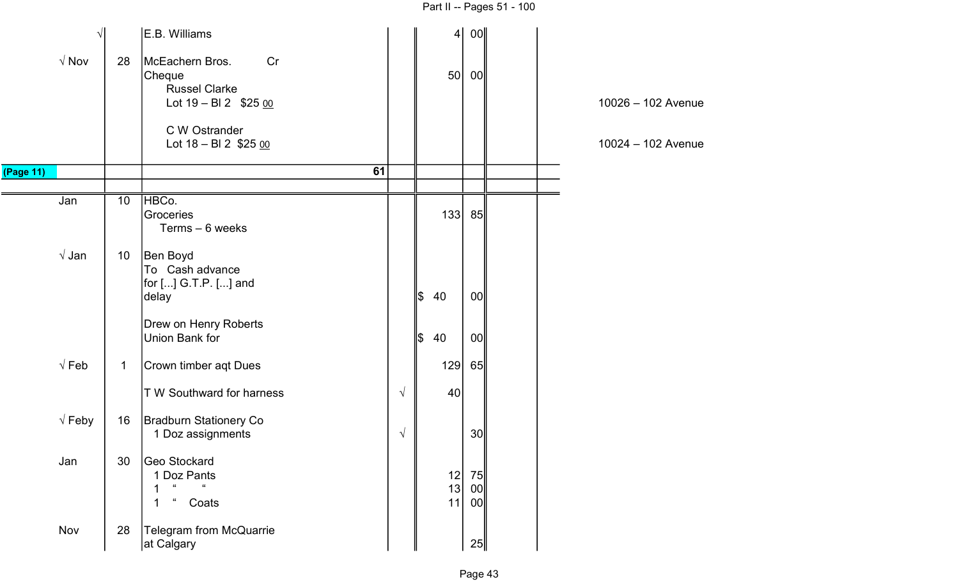|           | V                       |                 | E.B. Williams                                                                     |           | 4              | 00                |  |
|-----------|-------------------------|-----------------|-----------------------------------------------------------------------------------|-----------|----------------|-------------------|--|
|           | $\sqrt{N}$ ov           | 28              | McEachern Bros.<br>Cr<br>Cheque<br><b>Russel Clarke</b><br>Lot $19 - B12$ \$25 00 |           | 50             | 00                |  |
|           |                         |                 | C W Ostrander<br>Lot $18 - B12$ \$25 00                                           |           |                |                   |  |
| (Page 11) |                         |                 | 61                                                                                |           |                |                   |  |
|           |                         |                 |                                                                                   |           |                |                   |  |
|           | Jan                     | 10 <sup>1</sup> | HBCo.<br>Groceries<br>Terms - 6 weeks                                             |           | 133            | 85                |  |
|           | $\sqrt{3}$ Jan          | 10              | <b>Ben Boyd</b><br>To Cash advance<br>for [] G.T.P. [] and<br>delay               |           | 1\$<br>40      | 00                |  |
|           |                         |                 | Drew on Henry Roberts<br>Union Bank for                                           |           | ∥\$<br>40      | 00                |  |
|           | $\sqrt{Feb}$            | 1               | Crown timber aqt Dues                                                             |           | 129            | 65                |  |
|           |                         |                 | T W Southward for harness                                                         | $\sqrt{}$ | 40             |                   |  |
|           | $\sqrt{\mathsf{F}}$ eby | 16              | <b>Bradburn Stationery Co</b><br>1 Doz assignments                                | V         |                | 30                |  |
|           | Jan                     | 30              | Geo Stockard<br>1 Doz Pants<br>"<br>"<br>"<br>1<br>Coats                          |           | 12<br>13<br>11 | 75<br> 00 <br> 00 |  |
|           | Nov                     | 28              | Telegram from McQuarrie<br>at Calgary                                             |           |                | 25                |  |

Part II -- Pages 51 - 100

 $10026 - 102$  Avenue

10024 – 102 Avenue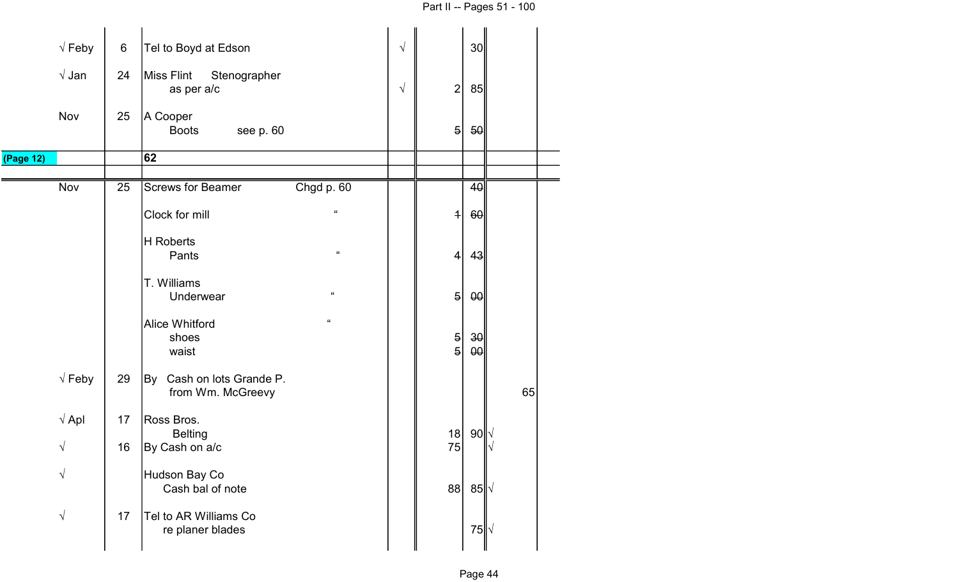|           | $\sqrt{\mathsf{F}}$ eby | $\,6\,$         | Tel to Boyd at Edson                              |                            | $\sqrt{ }$ |                  | 30                      |    |  |
|-----------|-------------------------|-----------------|---------------------------------------------------|----------------------------|------------|------------------|-------------------------|----|--|
|           | $\sqrt{3}$ Jan          | 24              | Miss Flint<br>Stenographer<br>as per a/c          |                            | $\sqrt{ }$ | $\left 2\right $ | 85                      |    |  |
|           | Nov                     | 25              | A Cooper<br><b>Boots</b><br>see p. 60             |                            |            | 5                | 50                      |    |  |
| (Page 12) |                         |                 | 62                                                |                            |            |                  |                         |    |  |
|           | Nov                     | $\overline{25}$ | <b>Screws for Beamer</b>                          | Chgd p. 60                 |            |                  | $\overline{\textbf{6}}$ |    |  |
|           |                         |                 |                                                   |                            |            |                  |                         |    |  |
|           |                         |                 | Clock for mill                                    | $\mathfrak{c}\mathfrak{c}$ |            | $\left 4\right $ | 60                      |    |  |
|           |                         |                 | <b>H</b> Roberts<br>Pants                         | $\mathfrak{c}\mathfrak{c}$ |            | $4\vert$         | 43                      |    |  |
|           |                         |                 | T. Williams<br>Underwear                          | $\epsilon$                 |            | $\overline{5}$   | $\theta$ <sup>o</sup>   |    |  |
|           |                         |                 | <b>Alice Whitford</b><br>shoes<br>waist           | $\mathfrak{c}\mathfrak{c}$ |            | $rac{5}{5}$      | 30<br>$\theta$          |    |  |
|           | $\sqrt{\mathsf{F}}$ eby | 29              | Cash on lots Grande P.<br>By<br>from Wm. McGreevy |                            |            |                  |                         | 65 |  |
|           | $\sqrt{ApI}$            | 17              | Ross Bros.<br><b>Belting</b>                      |                            |            | 18               | 90∥√                    |    |  |
|           | $\sqrt{ }$              | 16              | By Cash on a/c                                    |                            |            | 75               |                         |    |  |
|           | $\sqrt{}$               |                 | Hudson Bay Co<br>Cash bal of note                 |                            |            | 88               | 85∥√                    |    |  |
|           | $\sqrt{}$               | 17              | Tel to AR Williams Co<br>re planer blades         |                            |            |                  | 75∥√                    |    |  |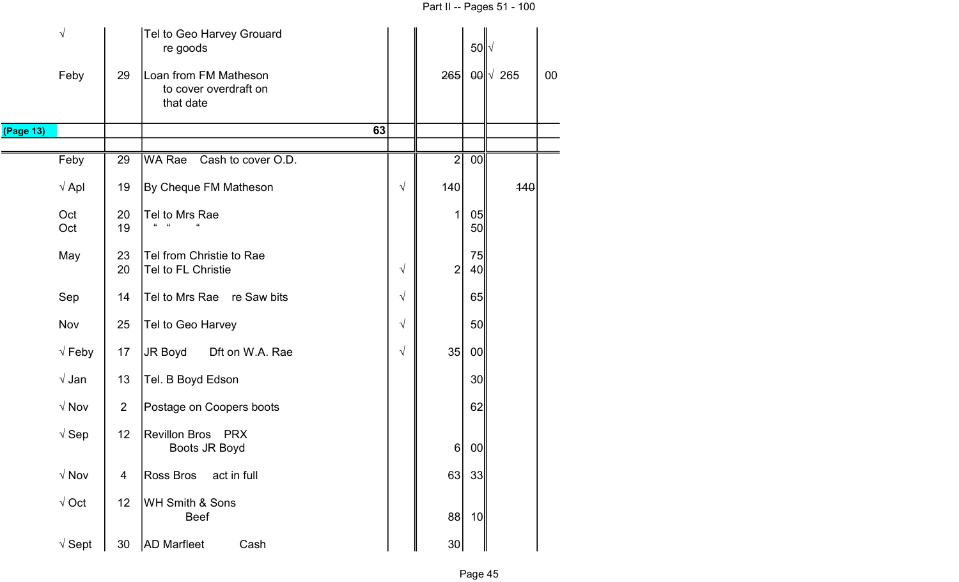|           | $\sqrt{}$               |                | Tel to Geo Harvey Grouard<br>re goods                       |           |                 | $50\ \sqrt{ }$  |                     |        |
|-----------|-------------------------|----------------|-------------------------------------------------------------|-----------|-----------------|-----------------|---------------------|--------|
|           | Feby                    | 29             | Loan from FM Matheson<br>to cover overdraft on<br>that date |           | 265             |                 | $\theta \theta$ 265 | $00\,$ |
| (Page 13) |                         |                | 63                                                          |           |                 |                 |                     |        |
|           |                         |                |                                                             |           |                 |                 |                     |        |
|           | Feby                    | 29             | WA Rae<br>Cash to cover O.D.                                |           | $\overline{2}$  | 00              |                     |        |
|           | $\sqrt{ApI}$            | 19             | By Cheque FM Matheson                                       | $\sqrt{}$ | 140             |                 | 140                 |        |
|           | Oct<br>Oct              | 20<br>19       | Tel to Mrs Rae<br>$\alpha = \alpha$<br>$\pmb{\mathfrak{c}}$ |           | $\mathbf{1}$    | 05<br>50        |                     |        |
|           | May                     | 23<br>20       | Tel from Christie to Rae<br>Tel to FL Christie              | $\sqrt{}$ | $\overline{2}$  | 75<br>40        |                     |        |
|           | Sep                     | 14             | Tel to Mrs Rae re Saw bits                                  | $\sqrt{}$ |                 | 65              |                     |        |
|           | Nov                     | 25             | Tel to Geo Harvey                                           | V         |                 | 50              |                     |        |
|           | $\sqrt{\mathsf{F}}$ eby | 17             | JR Boyd<br>Dft on W.A. Rae                                  | $\sqrt{}$ | 35              | 00              |                     |        |
|           | $\sqrt{3}$ Jan          | 13             | Tel. B Boyd Edson                                           |           |                 | 30 <sup>1</sup> |                     |        |
|           | $\sqrt{N}$ ov           | $\overline{2}$ | Postage on Coopers boots                                    |           |                 | 62              |                     |        |
|           | $\sqrt{Sep}$            | 12             | <b>Revillon Bros</b><br><b>PRX</b><br>Boots JR Boyd         |           | $6\vert$        | 00              |                     |        |
|           | $\sqrt{N}$ ov           | 4              | Ross Bros<br>act in full                                    |           | 63              | 33              |                     |        |
|           | $\sqrt{$ Oct            | 12             | <b>WH Smith &amp; Sons</b><br><b>Beef</b>                   |           | 88              | 10 <sup>1</sup> |                     |        |
|           | $\sqrt{\mathsf{Sept}}$  | 30             | AD Marfleet<br>Cash                                         |           | 30 <sup>°</sup> |                 |                     |        |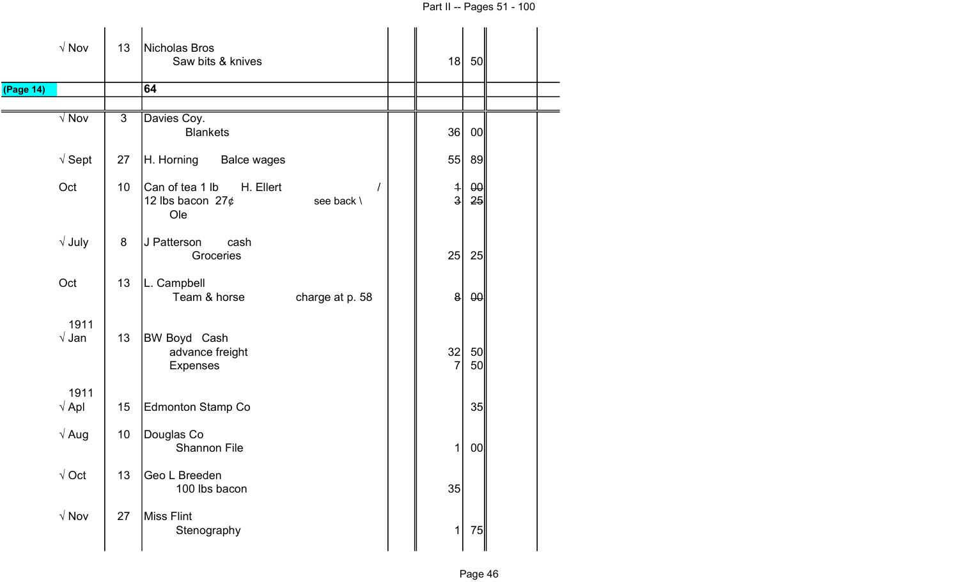|           | $\sqrt{N}$ ov          | 13             | Nicholas Bros<br>Saw bits & knives                                      | 18                   | 50        |  |
|-----------|------------------------|----------------|-------------------------------------------------------------------------|----------------------|-----------|--|
| (Page 14) |                        |                | 64                                                                      |                      |           |  |
|           | $\sqrt{\text{Nov}}$    | $\overline{3}$ | Davies Coy.<br><b>Blankets</b>                                          | 36                   | 00        |  |
|           | $\sqrt{\mathsf{Sept}}$ | 27             | H. Horning<br><b>Balce wages</b>                                        | 55                   | 89        |  |
|           | Oct                    | 10             | Can of tea 1 lb<br>H. Ellert<br>12 lbs bacon $27¢$<br>see back \<br>Ole | $\frac{1}{3}$        | 00 <br>25 |  |
|           | $\sqrt{}$ July         | $\bf 8$        | cash<br>J Patterson<br>Groceries                                        | 25                   | 25        |  |
|           | Oct                    | 13             | L. Campbell<br>Team & horse<br>charge at p. 58                          | $\boldsymbol{8}$     | $\theta$  |  |
|           | 1911<br>$\sqrt{3}$ Jan | 13             | BW Boyd Cash<br>advance freight<br><b>Expenses</b>                      | 32<br>$\overline{7}$ | 50<br>50  |  |
|           | 1911<br>$\sqrt{ApI}$   | 15             | Edmonton Stamp Co                                                       |                      | 35        |  |
|           | $\sqrt{$ Aug           | 10             | Douglas Co<br><b>Shannon File</b>                                       | $\mathbf 1$          | 00        |  |
|           | $\sqrt{$ Oct           | 13             | Geo L Breeden<br>100 lbs bacon                                          | 35                   |           |  |
|           | $\sqrt{}$ Nov          | 27             | <b>Miss Flint</b><br>Stenography                                        | $\mathbf{1}$         | 75        |  |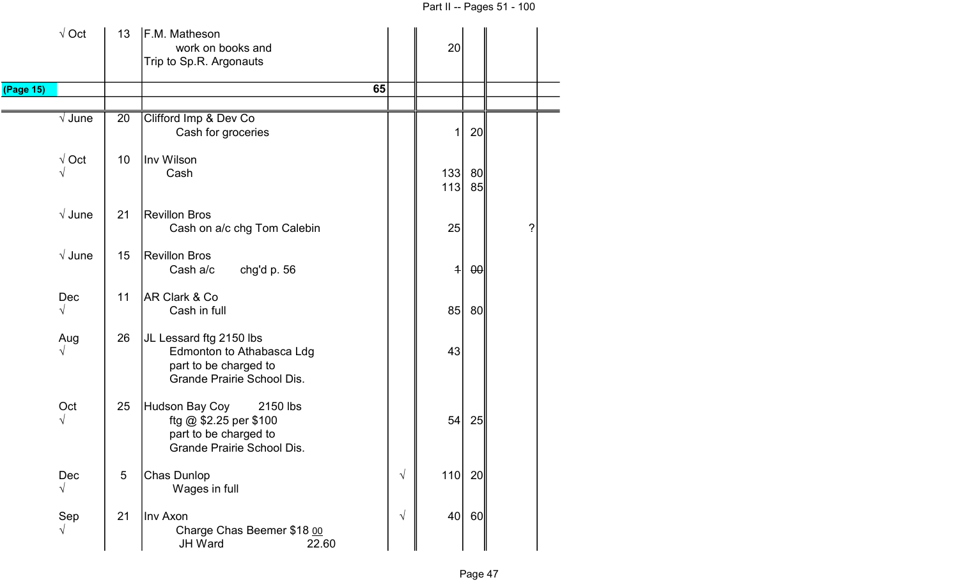|           | $\sqrt{$ Oct               | 13             | F.M. Matheson<br>work on books and<br>Trip to Sp.R. Argonauts                                                      |            | 20             |                       |   |  |
|-----------|----------------------------|----------------|--------------------------------------------------------------------------------------------------------------------|------------|----------------|-----------------------|---|--|
| (Page 15) |                            |                | 65                                                                                                                 |            |                |                       |   |  |
|           | $\sqrt{}$ June             | 20             | Clifford Imp & Dev Co<br>Cash for groceries                                                                        |            |                | 20                    |   |  |
|           | $\sqrt{$ Oct<br>$\sqrt{ }$ | 10             | Inv Wilson<br>Cash                                                                                                 |            | 133<br>113     | 80 <sup>1</sup><br>85 |   |  |
|           | $\sqrt{}$ June             | 21             | <b>Revillon Bros</b><br>Cash on a/c chg Tom Calebin                                                                |            | 25             |                       | ? |  |
|           | $\sqrt{}$ June             | 15             | <b>Revillon Bros</b><br>chg'd p. 56<br>Cash a/c                                                                    |            | $\overline{1}$ | $\Theta$              |   |  |
|           | Dec<br>V                   | 11             | AR Clark & Co<br>Cash in full                                                                                      |            | 85             | 80 <sup>1</sup>       |   |  |
|           | Aug<br>$\sqrt{}$           | 26             | JL Lessard ftg 2150 lbs<br>Edmonton to Athabasca Ldg<br>part to be charged to<br><b>Grande Prairie School Dis.</b> |            | 43             |                       |   |  |
|           | Oct<br>$\sqrt{}$           | 25             | Hudson Bay Coy<br>2150 lbs<br>ftg @ \$2.25 per \$100<br>part to be charged to<br>Grande Prairie School Dis.        |            | 54             | 25                    |   |  |
|           | Dec<br>V                   | $\overline{5}$ | Chas Dunlop<br>Wages in full                                                                                       | $\sqrt{ }$ | 110            | 20                    |   |  |
|           | Sep<br>$\sqrt{}$           | 21             | Inv Axon<br>Charge Chas Beemer \$18 00<br>JH Ward<br>22.60                                                         | $\sqrt{ }$ | 40             | <b>60</b>             |   |  |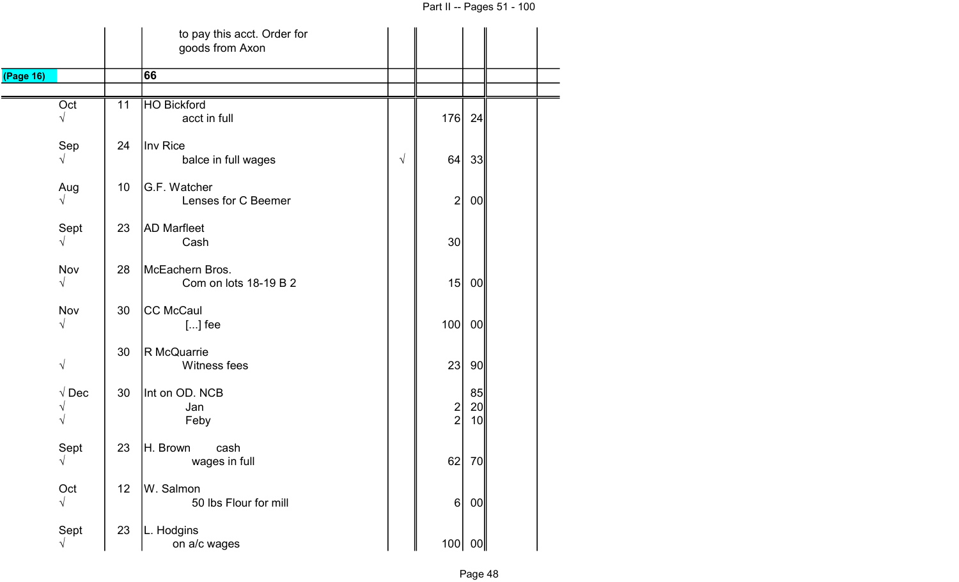|           |                   |    | to pay this acct. Order for<br>goods from Axon |           |                |                             |  |
|-----------|-------------------|----|------------------------------------------------|-----------|----------------|-----------------------------|--|
| (Page 16) |                   |    | 66                                             |           |                |                             |  |
|           | Oct               | 11 | <b>HO Bickford</b>                             |           |                |                             |  |
|           |                   |    | acct in full                                   |           | 176            | 24                          |  |
|           | Sep<br>$\sqrt{}$  | 24 | Inv Rice<br>balce in full wages                | $\sqrt{}$ | 64             | 33                          |  |
|           | Aug<br>$\sqrt{ }$ | 10 | G.F. Watcher<br>Lenses for C Beemer            |           | $\overline{2}$ | $00\,$                      |  |
|           | Sept              | 23 | <b>AD Marfleet</b><br>Cash                     |           | 30             |                             |  |
|           | Nov<br>$\sqrt{}$  | 28 | McEachern Bros.<br>Com on lots 18-19 B 2       |           | 15             | 00                          |  |
|           | Nov<br>V          | 30 | <b>CC McCaul</b><br>$[]$ fee                   |           | 100            | 00                          |  |
|           | $\sqrt{}$         | 30 | R McQuarrie<br><b>Witness fees</b>             |           | 23             | 90                          |  |
|           | $\sqrt{D}$ ec     | 30 | Int on OD. NCB<br>Jan<br>Feby                  |           | $\frac{2}{2}$  | 85<br>20<br>10 <sub>l</sub> |  |
|           | Sept<br>$\sqrt{}$ | 23 | H. Brown cash<br>wages in full                 |           | 62             | 70                          |  |
|           | Oct<br>$\sqrt{}$  | 12 | W. Salmon<br>50 lbs Flour for mill             |           | $\,6\,$        | 00                          |  |
|           | Sept              | 23 | L. Hodgins<br>on a/c wages                     |           | 100            | 00                          |  |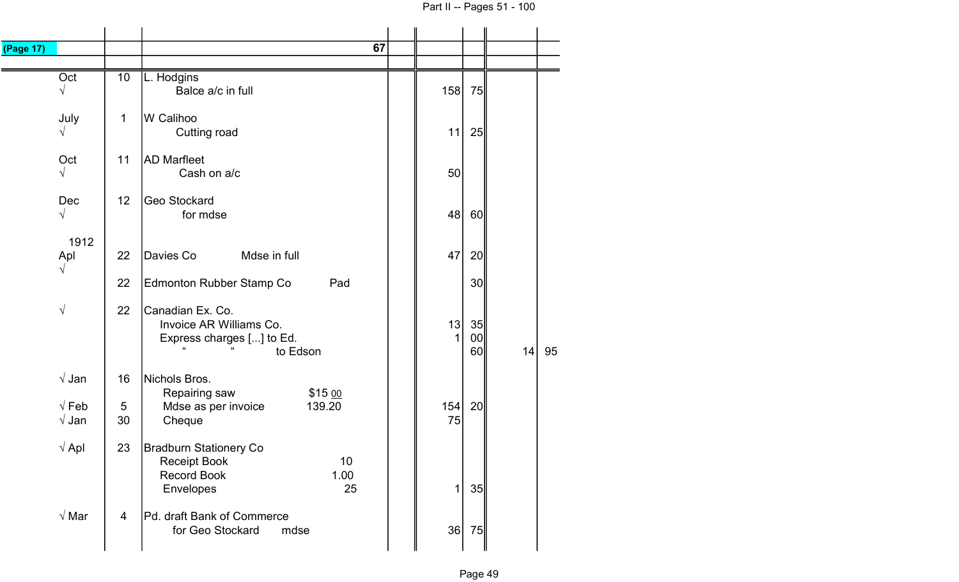| (Page 17) |                                |                | 67                                                                                                          |                   |                  |    |    |
|-----------|--------------------------------|----------------|-------------------------------------------------------------------------------------------------------------|-------------------|------------------|----|----|
|           | Oct<br>$\sqrt{}$               | 10             | L. Hodgins<br>Balce a/c in full                                                                             | 158               | 75               |    |    |
|           | July<br>$\sqrt{}$              | $\mathbf{1}$   | W Calihoo<br><b>Cutting road</b>                                                                            | 11                | 25               |    |    |
|           | Oct<br>$\sqrt{}$               | 11             | <b>AD Marfleet</b><br>Cash on a/c                                                                           | 50                |                  |    |    |
|           | Dec<br>$\sqrt{}$               | 12             | Geo Stockard<br>for mdse                                                                                    | 48                | 60               |    |    |
|           | 1912<br>Apl<br>$\sqrt{}$       | 22             | Davies Co<br>Mdse in full                                                                                   | 47                | 20               |    |    |
|           |                                | 22             | Edmonton Rubber Stamp Co<br>Pad                                                                             |                   | 30               |    |    |
|           | $\sqrt{}$                      | 22             | Canadian Ex. Co.<br>Invoice AR Williams Co.<br>Express charges [] to Ed.<br>to Edson                        | 13<br>$\mathbf 1$ | 35<br> 00 <br>60 | 14 | 95 |
|           | $\sqrt{3}$ Jan<br>$\sqrt{Feb}$ | 16<br>5        | Nichols Bros.<br>Repairing saw<br>\$1500<br>139.20<br>Mdse as per invoice                                   | 154               | 20               |    |    |
|           | $\sqrt{3}$ Jan                 | 30             | Cheque                                                                                                      | 75                |                  |    |    |
|           | $\sqrt{ApI}$                   | 23             | <b>Bradburn Stationery Co</b><br>10<br><b>Receipt Book</b><br><b>Record Book</b><br>1.00<br>25<br>Envelopes | $\mathbf{1}$      | 35               |    |    |
|           | $\sqrt{Mar}$                   | $\overline{4}$ | Pd. draft Bank of Commerce<br>mdse<br>for Geo Stockard                                                      | 36                | 75               |    |    |

=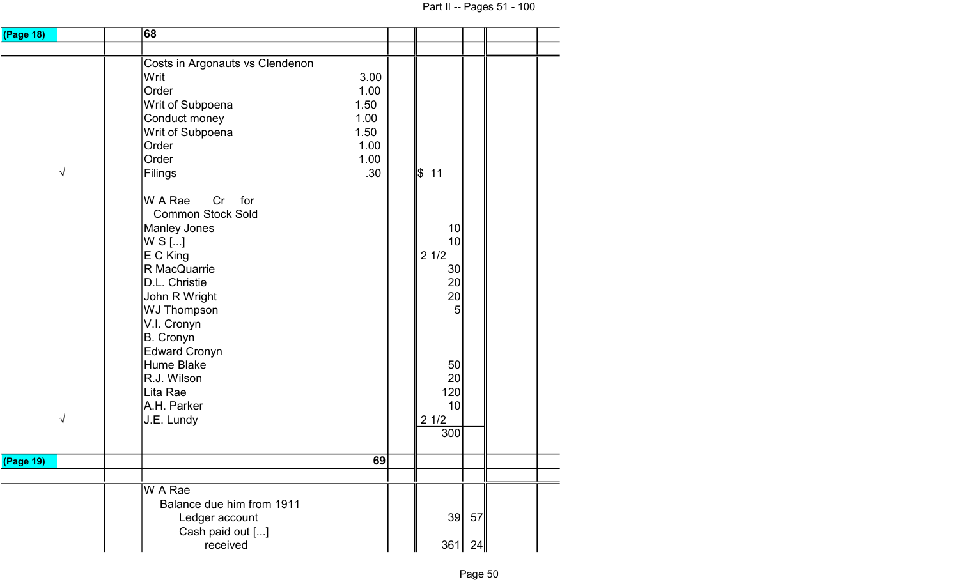| (Page 18) |           | 68                                 |      |           |    |  |
|-----------|-----------|------------------------------------|------|-----------|----|--|
|           |           |                                    |      |           |    |  |
|           |           | Costs in Argonauts vs Clendenon    |      |           |    |  |
|           |           | Writ                               | 3.00 |           |    |  |
|           |           | Order                              | 1.00 |           |    |  |
|           |           | Writ of Subpoena                   | 1.50 |           |    |  |
|           |           | Conduct money                      | 1.00 |           |    |  |
|           |           | Writ of Subpoena                   | 1.50 |           |    |  |
|           |           | Order                              | 1.00 |           |    |  |
|           |           | Order                              | 1.00 |           |    |  |
|           | $\sqrt{}$ | Filings                            | .30  | 1\$<br>11 |    |  |
|           |           | W A Rae<br>Cr<br>for               |      |           |    |  |
|           |           | <b>Common Stock Sold</b>           |      |           |    |  |
|           |           | <b>Manley Jones</b>                |      | 10        |    |  |
|           |           | W S []                             |      | 10        |    |  |
|           |           | E C King                           |      | 21/2      |    |  |
|           |           | R MacQuarrie                       |      | 30        |    |  |
|           |           | D.L. Christie                      |      | 20        |    |  |
|           |           | John R Wright                      |      | 20        |    |  |
|           |           | <b>WJ Thompson</b>                 |      | 5         |    |  |
|           |           | V.I. Cronyn                        |      |           |    |  |
|           |           | <b>B.</b> Cronyn                   |      |           |    |  |
|           |           |                                    |      |           |    |  |
|           |           | <b>Edward Cronyn</b><br>Hume Blake |      |           |    |  |
|           |           | R.J. Wilson                        |      | 50        |    |  |
|           |           |                                    |      | 20        |    |  |
|           |           | Lita Rae                           |      | 120       |    |  |
|           |           | A.H. Parker                        |      | 10        |    |  |
|           | $\sqrt{}$ | J.E. Lundy                         |      | 21/2      |    |  |
|           |           |                                    |      | 300       |    |  |
| (Page 19) |           |                                    | 69   |           |    |  |
|           |           |                                    |      |           |    |  |
|           |           | W A Rae                            |      |           |    |  |
|           |           | Balance due him from 1911          |      |           |    |  |
|           |           | Ledger account                     |      | 39        | 57 |  |
|           |           | Cash paid out []                   |      |           |    |  |
|           |           | received                           |      | 361       | 24 |  |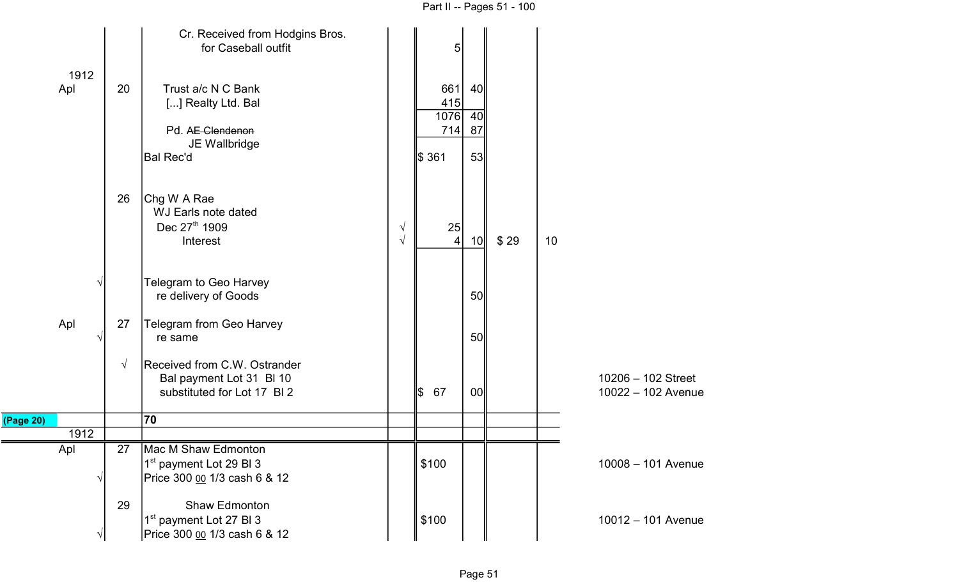|           |            |            | Cr. Received from Hodgins Bros.<br>for Caseball outfit                                     |                | 5                         |                |      |    |                                            |
|-----------|------------|------------|--------------------------------------------------------------------------------------------|----------------|---------------------------|----------------|------|----|--------------------------------------------|
|           | 1912       |            |                                                                                            |                |                           |                |      |    |                                            |
|           | Apl        | 20         | Trust a/c N C Bank<br>[] Realty Ltd. Bal<br>Pd. AE Clendenon<br>JE Wallbridge              |                | 661<br>415<br>1076<br>714 | 40<br>40<br>87 |      |    |                                            |
|           |            |            | <b>Bal Rec'd</b>                                                                           |                | \$ 361                    | 53             |      |    |                                            |
|           |            | 26         | Chg W A Rae<br><b>WJ Earls note dated</b><br>Dec 27 <sup>th</sup> 1909<br>Interest         | V<br>$\sqrt{}$ | 25<br>$\overline{4}$      | 10             | \$29 | 10 |                                            |
|           | V          |            | Telegram to Geo Harvey<br>re delivery of Goods                                             |                |                           | 50             |      |    |                                            |
|           | Apl<br>V   | 27         | Telegram from Geo Harvey<br>re same                                                        |                |                           | 50             |      |    |                                            |
|           |            | $\sqrt{ }$ | Received from C.W. Ostrander<br>Bal payment Lot 31 BI 10<br>substituted for Lot 17 BI 2    |                | 67                        | 00             |      |    | $10206 - 102$ Street<br>10022 - 102 Avenue |
| (Page 20) |            |            | 70                                                                                         |                |                           |                |      |    |                                            |
|           | 1912       |            |                                                                                            |                |                           |                |      |    |                                            |
|           | Apl<br>V   | 27         | Mac M Shaw Edmonton<br>1 <sup>st</sup> payment Lot 29 BI 3<br>Price 300 00 1/3 cash 6 & 12 |                | \$100                     |                |      |    | $10008 - 101$ Avenue                       |
|           | $\sqrt{ }$ | 29         | Shaw Edmonton<br>1 <sup>st</sup> payment Lot 27 BI 3<br>Price 300 00 1/3 cash 6 & 12       |                | \$100                     |                |      |    | 10012 - 101 Avenue                         |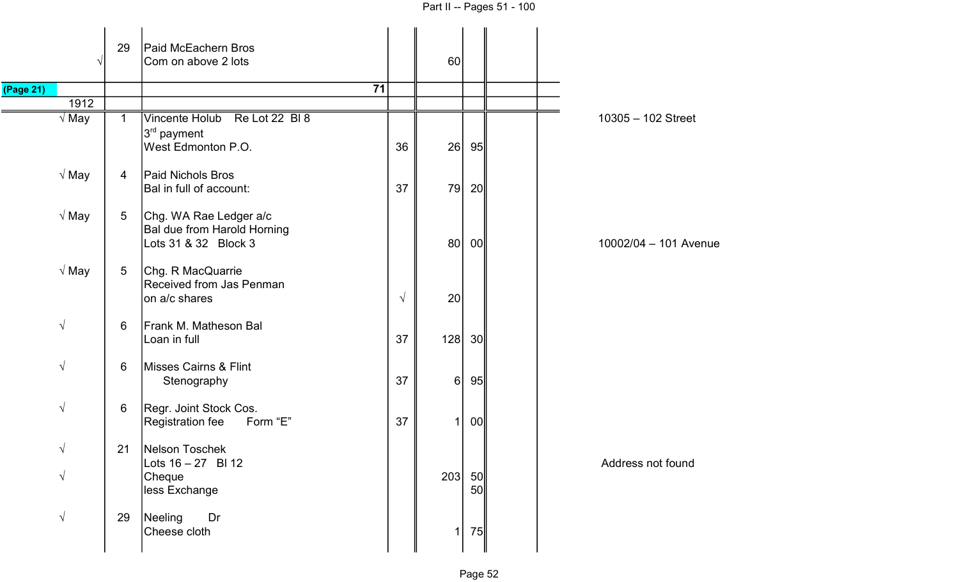Part II -- Pages 51 - 100

| V          | 29              | Paid McEachern Bros<br>Com on above 2 lots                                               |            | 60           |          |                       |
|------------|-----------------|------------------------------------------------------------------------------------------|------------|--------------|----------|-----------------------|
| (Page 21)  |                 | 71                                                                                       |            |              |          |                       |
| 1912       |                 |                                                                                          |            |              |          |                       |
| √ May      | $\mathbf{1}$    | Re Lot 22 BI 8<br><b>Vincente Holub</b><br>3 <sup>rd</sup> payment<br>West Edmonton P.O. | 36         | 26           | 95       | $10305 - 102$ Street  |
| √ May      | $\overline{4}$  | <b>Paid Nichols Bros</b><br>Bal in full of account:                                      | 37         | 79           | 20       |                       |
| √ May      | $5\overline{)}$ | Chg. WA Rae Ledger a/c<br>Bal due from Harold Horning<br>Lots 31 & 32 Block 3            |            | 80           | 00       | 10002/04 - 101 Avenue |
| √ May      | $5\phantom{.0}$ | Chg. R MacQuarrie<br>Received from Jas Penman<br>on a/c shares                           | $\sqrt{ }$ | 20           |          |                       |
| $\sqrt{ }$ | 6               | Frank M. Matheson Bal<br>Loan in full                                                    | 37         | 128          | 30       |                       |
| $\sqrt{ }$ | 6               | Misses Cairns & Flint<br>Stenography                                                     | 37         | $6 \,$       | 95       |                       |
| $\sqrt{}$  | 6               | Regr. Joint Stock Cos.<br><b>Registration fee</b><br>Form "E"                            | 37         | $\mathbf{1}$ | 00       |                       |
| $\sqrt{}$  | 21              | Nelson Toschek<br>Lots 16 - 27 BI 12                                                     |            |              |          | Address not found     |
| $\sqrt{2}$ |                 | Cheque<br>less Exchange                                                                  |            | 203          | 50<br>50 |                       |
| $\sqrt{ }$ | 29              | Neeling<br>Dr<br>Cheese cloth                                                            |            | $\mathbf{1}$ | 75       |                       |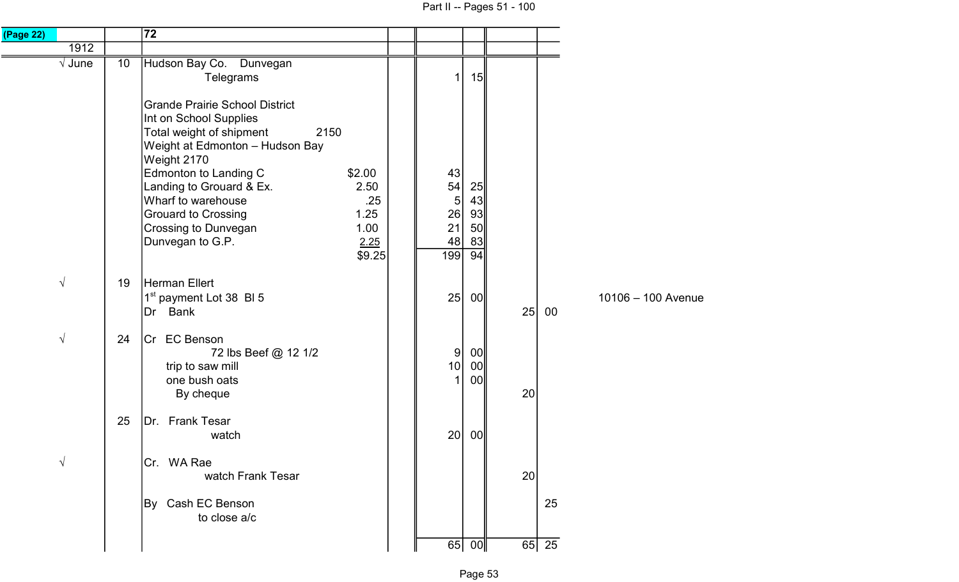| (Page 22) |                |    | 72                                                                                                                                                                                                                                                                                                                   |                                               |                                                     |                                                 |    |                               |                    |
|-----------|----------------|----|----------------------------------------------------------------------------------------------------------------------------------------------------------------------------------------------------------------------------------------------------------------------------------------------------------------------|-----------------------------------------------|-----------------------------------------------------|-------------------------------------------------|----|-------------------------------|--------------------|
|           | 1912           |    |                                                                                                                                                                                                                                                                                                                      |                                               |                                                     |                                                 |    |                               |                    |
|           | $\sqrt{}$ June | 10 | Hudson Bay Co. Dunvegan<br>Telegrams                                                                                                                                                                                                                                                                                 |                                               | 1                                                   | 15                                              |    |                               |                    |
|           |                |    | <b>Grande Prairie School District</b><br>Int on School Supplies<br>Total weight of shipment<br>2150<br>Weight at Edmonton - Hudson Bay<br>Weight 2170<br>Edmonton to Landing C<br>\$2.00<br>Landing to Grouard & Ex.<br>Wharf to warehouse<br><b>Grouard to Crossing</b><br>Crossing to Dunvegan<br>Dunvegan to G.P. | 2.50<br>.25<br>1.25<br>1.00<br>2.25<br>\$9.25 | 43<br>54<br>$\overline{5}$<br>26<br>21<br>48<br>199 | 25<br>43<br>93<br>50 <sub>l</sub><br> 83 <br>94 |    |                               |                    |
|           | $\sqrt{ }$     | 19 | <b>Herman Ellert</b><br>1 <sup>st</sup> payment Lot 38 BI 5<br>Dr Bank                                                                                                                                                                                                                                               |                                               | 25                                                  | 00                                              | 25 | $00\,$                        | 10106 - 100 Avenue |
|           | $\sqrt{ }$     | 24 | Cr EC Benson<br>72 lbs Beef @ 12 1/2<br>trip to saw mill<br>one bush oats<br>By cheque                                                                                                                                                                                                                               |                                               | $9\,$<br>10                                         | 00 <br> 00 <br> 00                              | 20 |                               |                    |
|           |                | 25 | Dr. Frank Tesar<br>watch                                                                                                                                                                                                                                                                                             |                                               | 20                                                  | 00                                              |    |                               |                    |
|           | V              |    | Cr. WA Rae<br>watch Frank Tesar                                                                                                                                                                                                                                                                                      |                                               |                                                     |                                                 | 20 |                               |                    |
|           |                |    | By Cash EC Benson<br>to close a/c                                                                                                                                                                                                                                                                                    |                                               |                                                     |                                                 |    | 25                            |                    |
|           |                |    |                                                                                                                                                                                                                                                                                                                      |                                               | 65                                                  | 00                                              |    | $65 \overline{\smash{)}\ 25}$ |                    |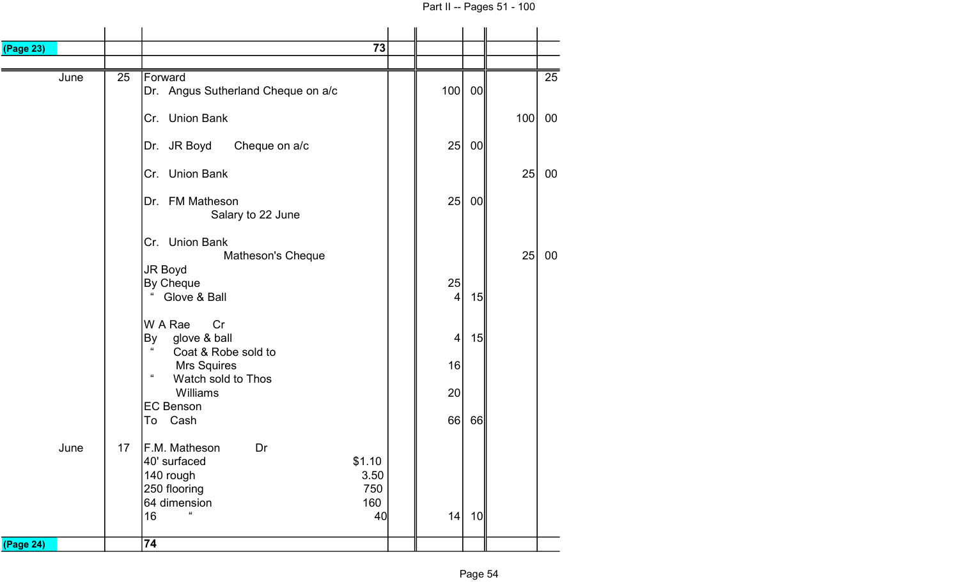Part II -- Pages 51 - 100

| (Page 23) |                 |                                                                                                                                        | 73 |         |    |     |                 |
|-----------|-----------------|----------------------------------------------------------------------------------------------------------------------------------------|----|---------|----|-----|-----------------|
| June      | 25              | Forward<br>Dr. Angus Sutherland Cheque on a/c                                                                                          |    | 100     | 00 |     | $\overline{25}$ |
|           |                 | Cr. Union Bank                                                                                                                         |    |         |    | 100 | $00\,$          |
|           |                 | Dr. JR Boyd<br>Cheque on a/c                                                                                                           |    | 25      | 00 |     |                 |
|           |                 | Cr. Union Bank                                                                                                                         |    |         |    | 25  | $00\,$          |
|           |                 | Dr. FM Matheson<br>Salary to 22 June                                                                                                   |    | 25      | 00 |     |                 |
|           |                 | Cr. Union Bank<br>Matheson's Cheque<br><b>JR Boyd</b>                                                                                  |    |         |    | 25  | $00\,$          |
|           |                 | <b>By Cheque</b><br>$\epsilon$<br>Glove & Ball                                                                                         |    | 25<br>4 | 15 |     |                 |
|           |                 | W A Rae<br>Cr<br>glove & ball<br>By<br>$\epsilon$<br>Coat & Robe sold to                                                               |    | 4       | 15 |     |                 |
|           |                 | <b>Mrs Squires</b><br>$\boldsymbol{\mathfrak{c}}$<br>Watch sold to Thos                                                                |    | 16      |    |     |                 |
|           |                 | Williams<br><b>EC Benson</b>                                                                                                           |    | 20      |    |     |                 |
|           |                 | Cash<br>To                                                                                                                             |    | 66      | 66 |     |                 |
| June      | 17 <sup>1</sup> | F.M. Matheson<br>Dr<br>\$1.10<br>40' surfaced<br>140 rough<br>3.50<br>750<br>250 flooring<br>160<br>64 dimension<br>$\mathbf{G}$<br>16 | 40 | 14      | 10 |     |                 |
| (Page 24) |                 | 74                                                                                                                                     |    |         |    |     |                 |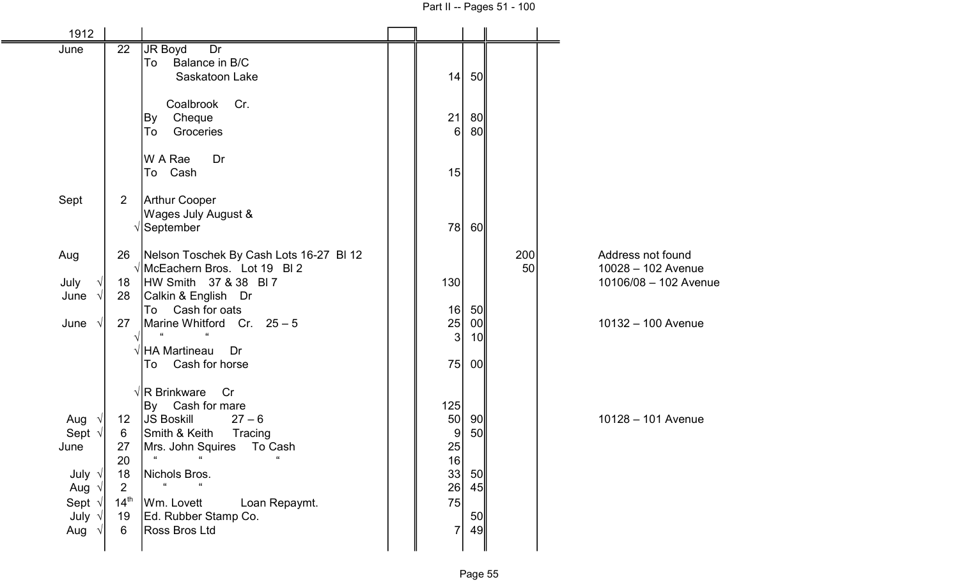| 1912                               |                                    |                                              |                  |                  |     |                       |
|------------------------------------|------------------------------------|----------------------------------------------|------------------|------------------|-----|-----------------------|
| June                               | 22                                 | JR Boyd<br>Dr                                |                  |                  |     |                       |
|                                    |                                    | Balance in B/C<br>To                         |                  |                  |     |                       |
|                                    |                                    | Saskatoon Lake                               | 14               | 50               |     |                       |
|                                    |                                    | Cr.<br>Coalbrook                             |                  |                  |     |                       |
|                                    |                                    | Cheque<br>By                                 | 21               | 80 <sub>1</sub>  |     |                       |
|                                    |                                    | Groceries<br>To                              | 6                | 80 <sub>l</sub>  |     |                       |
|                                    |                                    |                                              |                  |                  |     |                       |
|                                    |                                    | Dr<br>W A Rae                                |                  |                  |     |                       |
|                                    |                                    | Cash<br>To                                   | 15               |                  |     |                       |
| Sept                               | $\overline{2}$                     | Arthur Cooper                                |                  |                  |     |                       |
|                                    |                                    | Wages July August &                          |                  |                  |     |                       |
|                                    |                                    | September                                    | 78               | 60II             |     |                       |
|                                    |                                    |                                              |                  |                  |     |                       |
| Aug                                | 26                                 | Nelson Toschek By Cash Lots 16-27 BI 12      |                  |                  | 200 | Address not found     |
|                                    |                                    | McEachern Bros. Lot 19 BI 2                  |                  |                  | 50  | 10028 - 102 Avenue    |
| July<br>June                       | 18<br>28                           | HW Smith 37 & 38 BI 7<br>Calkin & English Dr | 130              |                  |     | 10106/08 - 102 Avenue |
|                                    |                                    | Cash for oats<br>To                          | 16               | 50               |     |                       |
| June                               | 27                                 | Marine Whitford $Cr. 25-5$                   | 25               | 00               |     | 10132 - 100 Avenue    |
|                                    |                                    | $\epsilon$<br>$\epsilon$                     | 3                | 10 <sub>II</sub> |     |                       |
|                                    |                                    | HA Martineau<br>Dr                           |                  |                  |     |                       |
|                                    |                                    | Cash for horse<br>To                         | 75               | 00               |     |                       |
|                                    |                                    | Cr<br>$\sqrt{R}$ Brinkware                   |                  |                  |     |                       |
|                                    |                                    | By Cash for mare                             | 125              |                  |     |                       |
| Aug                                | 12                                 | <b>JS Boskill</b><br>$27 - 6$                | 50               | 90               |     | 10128 - 101 Avenue    |
| Sept $\sqrt{ }$                    | 6                                  | Smith & Keith<br>Tracing                     | $\boldsymbol{9}$ | 50               |     |                       |
| June                               | 27                                 | Mrs. John Squires<br>To Cash                 | 25               |                  |     |                       |
|                                    | 20                                 | $\pmb{\mathfrak{c}}$<br>$\epsilon$           | 16               |                  |     |                       |
| July $\sqrt{ }$                    | 18                                 | Nichols Bros.<br>$\epsilon$                  | 33               | 50               |     |                       |
| Aug v                              | $\overline{2}$<br>$14^{\text{th}}$ | Wm. Lovett                                   | 26<br>75         | 45               |     |                       |
| Sept $\sqrt{ }$<br>July $\sqrt{ }$ | 19                                 | Loan Repaymt.<br>Ed. Rubber Stamp Co.        |                  | 50               |     |                       |
| Aug                                | 6                                  | Ross Bros Ltd                                | $\overline{7}$   | 49               |     |                       |
|                                    |                                    |                                              |                  |                  |     |                       |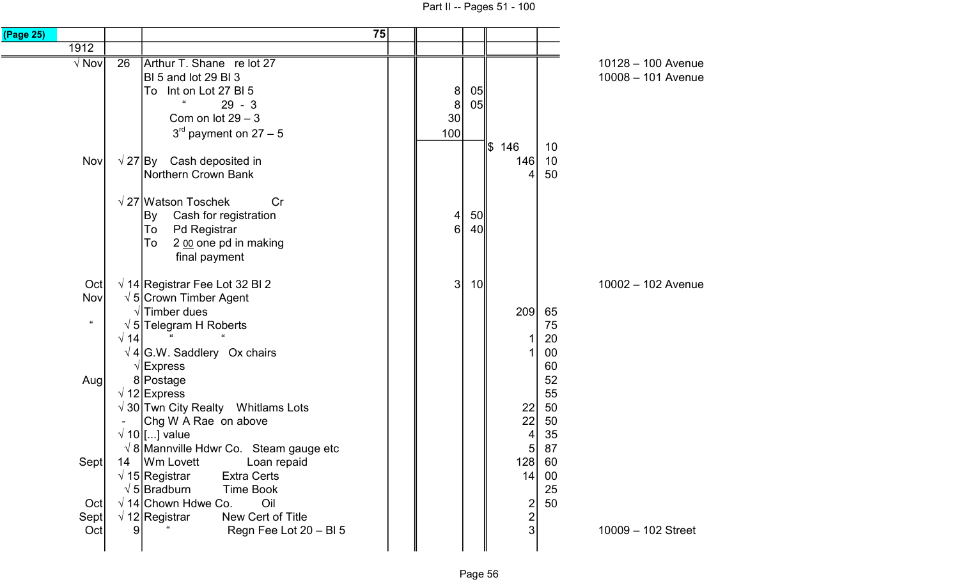Part II -- Pages 51 - 100

| (Page 25) |              |             | 75                                            |                |                 |                 |    |                      |
|-----------|--------------|-------------|-----------------------------------------------|----------------|-----------------|-----------------|----|----------------------|
|           | 1912         |             |                                               |                |                 |                 |    |                      |
|           | $\sqrt{Nov}$ | 26          | Arthur T. Shane re lot 27                     |                |                 |                 |    | 10128 - 100 Avenue   |
|           |              |             | BI 5 and lot 29 BI 3                          |                |                 |                 |    | 10008 - 101 Avenue   |
|           |              |             | Int on Lot 27 BI 5<br>To                      | $\bf 8$        | 05              |                 |    |                      |
|           |              |             | $29 - 3$                                      | $\bf 8$        | 05              |                 |    |                      |
|           |              |             | Com on lot $29 - 3$                           | 30             |                 |                 |    |                      |
|           |              |             | $3rd$ payment on 27 – 5                       | 100            |                 |                 |    |                      |
|           |              |             |                                               |                |                 | 1\$<br>146      | 10 |                      |
|           | <b>Nov</b>   |             | $\sqrt{27}$ By Cash deposited in              |                |                 | 146             | 10 |                      |
|           |              |             | Northern Crown Bank                           |                |                 | 4               | 50 |                      |
|           |              |             |                                               |                |                 |                 |    |                      |
|           |              |             | $\sqrt{27}$ Watson Toschek<br>Cr              |                |                 |                 |    |                      |
|           |              |             | Cash for registration<br>By                   | 4              | 50              |                 |    |                      |
|           |              |             | Pd Registrar<br>To                            | $6\phantom{a}$ | 40              |                 |    |                      |
|           |              |             | 2 00 one pd in making<br>To                   |                |                 |                 |    |                      |
|           |              |             | final payment                                 |                |                 |                 |    |                      |
|           | Oct          |             | $\sqrt{14}$ Registrar Fee Lot 32 BI 2         | 3 <sup>1</sup> | 10 <sup>1</sup> |                 |    | 10002 - 102 Avenue   |
|           | Nov          |             | $\sqrt{5}$ Crown Timber Agent                 |                |                 |                 |    |                      |
|           |              |             | Timber dues                                   |                |                 | 209             | 65 |                      |
|           | $\mathbf{G}$ |             | $\sqrt{5}$ Telegram H Roberts                 |                |                 |                 | 75 |                      |
|           |              | $\sqrt{14}$ | $\epsilon$<br>$\mathbf{G}$                    |                |                 |                 | 20 |                      |
|           |              |             | $\sqrt{4}$ G.W. Saddlery Ox chairs            |                |                 |                 | 00 |                      |
|           |              |             | $\sqrt{\mathsf{Express}}$                     |                |                 |                 | 60 |                      |
|           | Aug          |             | 8 Postage                                     |                |                 |                 | 52 |                      |
|           |              |             | $\sqrt{12}$ Express                           |                |                 |                 | 55 |                      |
|           |              |             | $\sqrt{30}$ Twn City Realty Whitlams Lots     |                |                 | 22              | 50 |                      |
|           |              |             | Chg W A Rae on above                          |                |                 | 22              | 50 |                      |
|           |              |             | $\sqrt{10}$ [] value                          |                |                 | $\vert 4 \vert$ | 35 |                      |
|           |              |             | $\sqrt{8}$ Mannville Hdwr Co. Steam gauge etc |                |                 | 5 <sup>1</sup>  | 87 |                      |
|           | Sept         | 14          | Wm Lovett<br>Loan repaid                      |                |                 | 128             | 60 |                      |
|           |              |             | $\sqrt{15}$ Registrar<br><b>Extra Certs</b>   |                |                 | 14              | 00 |                      |
|           |              |             | $\sqrt{5}$ Bradburn<br><b>Time Book</b>       |                |                 |                 | 25 |                      |
|           | Oct          |             | $\sqrt{14}$ Chown Hdwe Co.<br>Oil             |                |                 | $\mathbf{2}$    | 50 |                      |
|           | Sept         |             | $\sqrt{12}$ Registrar<br>New Cert of Title    |                |                 | $\overline{2}$  |    |                      |
|           | Oct          | 9           | Regn Fee Lot 20 - BI 5                        |                |                 | 3               |    | $10009 - 102$ Street |
|           |              |             |                                               |                |                 |                 |    |                      |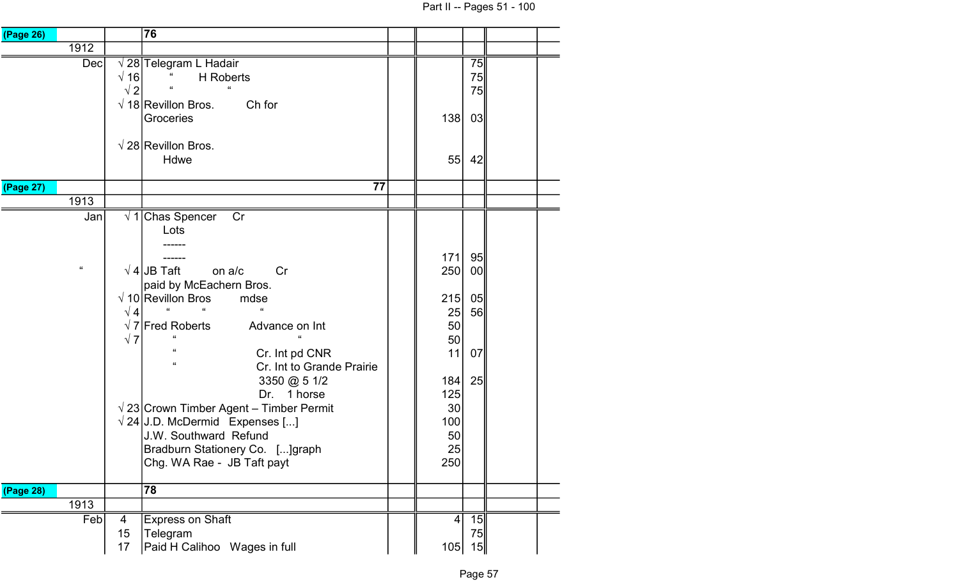| (Page 26) |              |                           | 76                                                                                                                                                                                               |                                     |                |  |
|-----------|--------------|---------------------------|--------------------------------------------------------------------------------------------------------------------------------------------------------------------------------------------------|-------------------------------------|----------------|--|
|           | 1912         |                           |                                                                                                                                                                                                  |                                     |                |  |
|           | Dec          | $\sqrt{16}$<br>$\sqrt{2}$ | $\sqrt{28}$ Telegram L Hadair<br><b>H</b> Roberts<br>$\pmb{\mathfrak{c}}$<br>$\mathfrak{c}\mathfrak{c}$<br>$\sqrt{18}$ Revillon Bros.<br>Ch for                                                  |                                     | 75<br>75<br>75 |  |
|           |              |                           | Groceries<br>$\sqrt{28}$ Revillon Bros.                                                                                                                                                          | 138                                 | 03             |  |
|           |              |                           | Hdwe                                                                                                                                                                                             | 55                                  | 42             |  |
| (Page 27) |              |                           | 77                                                                                                                                                                                               |                                     |                |  |
|           | 1913         |                           |                                                                                                                                                                                                  |                                     |                |  |
|           | Jan          |                           | $\sqrt{1}$ Chas Spencer<br>Cr<br>Lots                                                                                                                                                            |                                     |                |  |
|           | $\mathbf{G}$ |                           | $\sqrt{4}$ JB Taft on a/c<br><b>Cr</b><br>paid by McEachern Bros.                                                                                                                                | 171<br>250                          | 95<br> 00      |  |
|           |              | $\sqrt{4}$<br>$\sqrt{7}$  | $\sqrt{10}$ Revillon Bros<br>mdse<br>$\epsilon$<br>$\sqrt{7}$ Fred Roberts Advance on Int<br>$\epsilon$                                                                                          | 215<br>25<br>50<br>50               | 05 <br>56      |  |
|           |              |                           | $\epsilon$<br>Cr. Int pd CNR<br>$\epsilon$<br>Cr. Int to Grande Prairie<br>3350 @ 5 1/2                                                                                                          | 11<br>184                           | 07<br>25       |  |
|           |              |                           | Dr. 1 horse<br>$\sqrt{23}$ Crown Timber Agent – Timber Permit<br>$\sqrt{24}$ J.D. McDermid Expenses []<br>J.W. Southward Refund<br>Bradburn Stationery Co. []graph<br>Chg. WA Rae - JB Taft payt | 125<br>30<br>100<br>50<br>25<br>250 |                |  |
| (Page 28) |              |                           | 78                                                                                                                                                                                               |                                     |                |  |
|           | 1913         |                           |                                                                                                                                                                                                  |                                     |                |  |
|           | Feb          | 4<br>15<br>17             | <b>Express on Shaft</b><br>Telegram<br>Paid H Calihoo Wages in full                                                                                                                              | 4<br>105                            | 15<br>75<br>15 |  |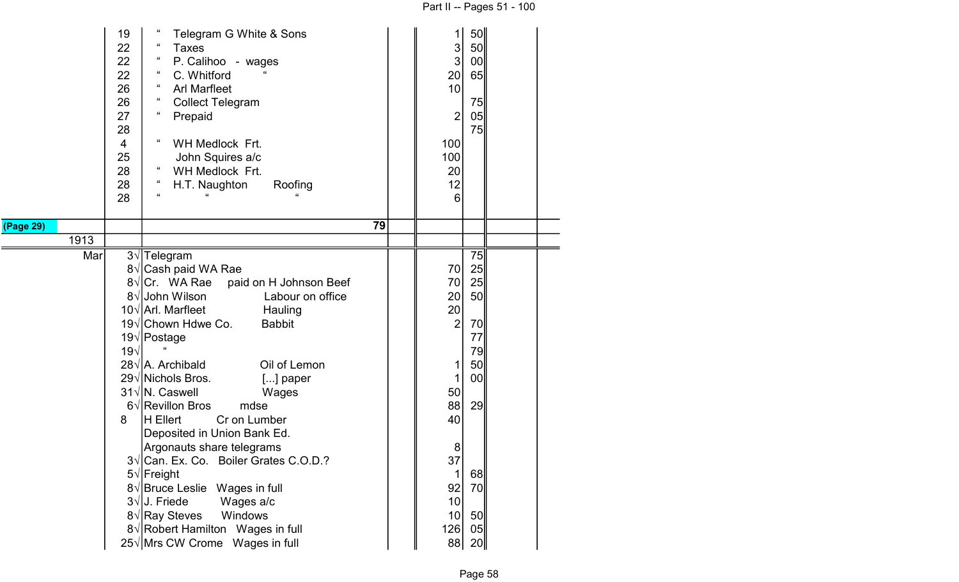|           | 19<br>22<br>22<br>22<br>26<br>26<br>27<br>28<br>4<br>25<br>28<br>28<br>28 | Telegram G White & Sons<br><b>Taxes</b><br>"<br>P. Calihoo - wages<br>"<br>C. Whitford<br>"<br><b>Arl Marfleet</b><br>"<br><b>Collect Telegram</b><br>"<br>Prepaid<br>"<br>WH Medlock Frt.<br>John Squires a/c<br>"<br>WH Medlock Frt.<br>"<br>H.T. Naughton<br>Roofing<br>$\mathbf{G}$                                                                                                                                                                                                                                                                                                                                                                                                                                |    | 1<br>$\ensuremath{\mathsf{3}}$<br>$\sqrt{3}$<br>20<br>10<br>$\overline{2}$<br>100<br>100<br>20<br>12<br>6   | 50<br>50<br>00<br>65<br>75<br>05<br>75∥                                                       |  |
|-----------|---------------------------------------------------------------------------|------------------------------------------------------------------------------------------------------------------------------------------------------------------------------------------------------------------------------------------------------------------------------------------------------------------------------------------------------------------------------------------------------------------------------------------------------------------------------------------------------------------------------------------------------------------------------------------------------------------------------------------------------------------------------------------------------------------------|----|-------------------------------------------------------------------------------------------------------------|-----------------------------------------------------------------------------------------------|--|
| (Page 29) |                                                                           |                                                                                                                                                                                                                                                                                                                                                                                                                                                                                                                                                                                                                                                                                                                        | 79 |                                                                                                             |                                                                                               |  |
| 1913      |                                                                           |                                                                                                                                                                                                                                                                                                                                                                                                                                                                                                                                                                                                                                                                                                                        |    |                                                                                                             |                                                                                               |  |
| Mar       | 19√<br>8                                                                  | 3 $\sqrt{7}$ Telegram<br>8√ Cash paid WA Rae<br>8 V Cr. WA Rae paid on H Johnson Beef<br>8√ John Wilson<br>Labour on office<br>$10\sqrt{ Ar }$ . Marfleet<br>Hauling<br>19√ Chown Hdwe Co.<br><b>Babbit</b><br>19√ Postage<br>28√ A. Archibald<br>Oil of Lemon<br>29√ Nichols Bros.<br>$[]$ paper<br>$31\sqrt{N}$ . Caswell<br>Wages<br>$6\sqrt{R}$ Revillon Bros<br>mdse<br><b>H</b> Ellert<br>Cr on Lumber<br>Deposited in Union Bank Ed.<br>Argonauts share telegrams<br>3V Can. Ex. Co. Boiler Grates C.O.D.?<br>$5\sqrt{$ Freight<br>$8\sqrt{\text{Bruce Leslie}}$ Wages in full<br>$3\sqrt{J}$ . Friede<br>Wages a/c<br>8√Ray Steves Windows<br>8√Robert Hamilton Wages in full<br>25√Mrs CW Crome Wages in full |    | 70<br>70<br>20<br>20<br>$\overline{2}$<br>1<br>1<br>50<br>88<br>40<br>8<br>37<br>1<br>92<br>10<br>10<br>126 | 75<br>25<br>25<br>50<br>70<br>77<br>79<br>50<br> 00 <br>29<br>68<br>70<br>50<br> 05 <br>88 20 |  |

Part II -- Pages 51 - 100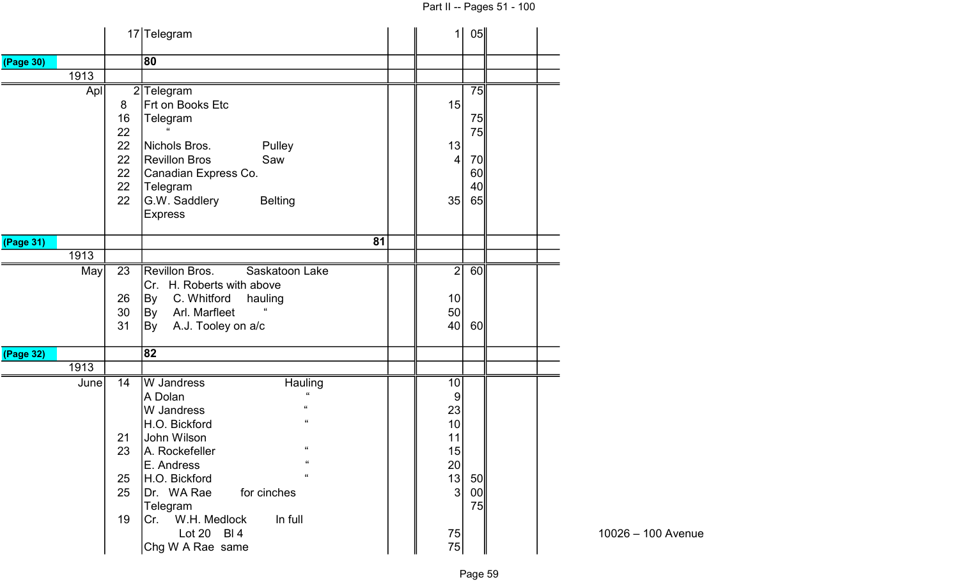| 80<br>1913<br>75<br>Apl<br>$2$ <sup>Telegram</sup><br>15<br>Frt on Books Etc<br>8<br>16<br>75<br>Telegram<br>22<br>75<br>22<br>13<br>Nichols Bros.<br>Pulley<br>22<br><b>Revillon Bros</b><br>Saw<br>$\overline{4}$<br>70<br>22<br>60<br>Canadian Express Co.<br>22<br>40<br>Telegram<br>22<br>35<br>65<br>G.W. Saddlery<br><b>Belting</b><br><b>Express</b><br>81<br>1913<br>$\overline{2}$<br>Revillon Bros.<br>60<br>23<br>Saskatoon Lake<br>May<br>Cr. H. Roberts with above<br>C. Whitford<br>10<br>By<br>hauling<br>26<br>50<br>30<br>Arl. Marfleet<br>By<br>31<br>40<br>A.J. Tooley on a/c<br>60<br>By<br>82<br>(Page 32)<br>1913<br><b>W</b> Jandress<br>14<br>10<br>Hauling<br>June<br>A Dolan<br>9<br>$\mathbf{G}$<br>23<br><b>W</b> Jandress<br>$\epsilon$<br>H.O. Bickford<br>10<br>John Wilson<br>11<br>21<br>$\epsilon$<br>15<br>23<br>A. Rockefeller<br>$\epsilon$<br>20<br>E. Andress<br>13<br>$\mathbf{G}$<br>H.O. Bickford<br>50<br>25<br>3<br>25<br>Dr. WA Rae<br>for cinches<br> 00 <br>75<br>Telegram<br>Cr. W.H. Medlock<br>In full<br>19<br>Lot 20 BI 4<br>75 |           |  | 17 Telegram      | 1  | 05 |  |
|--------------------------------------------------------------------------------------------------------------------------------------------------------------------------------------------------------------------------------------------------------------------------------------------------------------------------------------------------------------------------------------------------------------------------------------------------------------------------------------------------------------------------------------------------------------------------------------------------------------------------------------------------------------------------------------------------------------------------------------------------------------------------------------------------------------------------------------------------------------------------------------------------------------------------------------------------------------------------------------------------------------------------------------------------------------------------------------|-----------|--|------------------|----|----|--|
|                                                                                                                                                                                                                                                                                                                                                                                                                                                                                                                                                                                                                                                                                                                                                                                                                                                                                                                                                                                                                                                                                      | (Page 30) |  |                  |    |    |  |
|                                                                                                                                                                                                                                                                                                                                                                                                                                                                                                                                                                                                                                                                                                                                                                                                                                                                                                                                                                                                                                                                                      |           |  |                  |    |    |  |
|                                                                                                                                                                                                                                                                                                                                                                                                                                                                                                                                                                                                                                                                                                                                                                                                                                                                                                                                                                                                                                                                                      |           |  |                  |    |    |  |
|                                                                                                                                                                                                                                                                                                                                                                                                                                                                                                                                                                                                                                                                                                                                                                                                                                                                                                                                                                                                                                                                                      |           |  |                  |    |    |  |
|                                                                                                                                                                                                                                                                                                                                                                                                                                                                                                                                                                                                                                                                                                                                                                                                                                                                                                                                                                                                                                                                                      |           |  |                  |    |    |  |
|                                                                                                                                                                                                                                                                                                                                                                                                                                                                                                                                                                                                                                                                                                                                                                                                                                                                                                                                                                                                                                                                                      |           |  |                  |    |    |  |
|                                                                                                                                                                                                                                                                                                                                                                                                                                                                                                                                                                                                                                                                                                                                                                                                                                                                                                                                                                                                                                                                                      |           |  |                  |    |    |  |
|                                                                                                                                                                                                                                                                                                                                                                                                                                                                                                                                                                                                                                                                                                                                                                                                                                                                                                                                                                                                                                                                                      |           |  |                  |    |    |  |
|                                                                                                                                                                                                                                                                                                                                                                                                                                                                                                                                                                                                                                                                                                                                                                                                                                                                                                                                                                                                                                                                                      |           |  |                  |    |    |  |
|                                                                                                                                                                                                                                                                                                                                                                                                                                                                                                                                                                                                                                                                                                                                                                                                                                                                                                                                                                                                                                                                                      |           |  |                  |    |    |  |
|                                                                                                                                                                                                                                                                                                                                                                                                                                                                                                                                                                                                                                                                                                                                                                                                                                                                                                                                                                                                                                                                                      |           |  |                  |    |    |  |
|                                                                                                                                                                                                                                                                                                                                                                                                                                                                                                                                                                                                                                                                                                                                                                                                                                                                                                                                                                                                                                                                                      |           |  |                  |    |    |  |
|                                                                                                                                                                                                                                                                                                                                                                                                                                                                                                                                                                                                                                                                                                                                                                                                                                                                                                                                                                                                                                                                                      | (Page 31) |  |                  |    |    |  |
|                                                                                                                                                                                                                                                                                                                                                                                                                                                                                                                                                                                                                                                                                                                                                                                                                                                                                                                                                                                                                                                                                      |           |  |                  |    |    |  |
|                                                                                                                                                                                                                                                                                                                                                                                                                                                                                                                                                                                                                                                                                                                                                                                                                                                                                                                                                                                                                                                                                      |           |  |                  |    |    |  |
|                                                                                                                                                                                                                                                                                                                                                                                                                                                                                                                                                                                                                                                                                                                                                                                                                                                                                                                                                                                                                                                                                      |           |  |                  |    |    |  |
|                                                                                                                                                                                                                                                                                                                                                                                                                                                                                                                                                                                                                                                                                                                                                                                                                                                                                                                                                                                                                                                                                      |           |  |                  |    |    |  |
|                                                                                                                                                                                                                                                                                                                                                                                                                                                                                                                                                                                                                                                                                                                                                                                                                                                                                                                                                                                                                                                                                      |           |  |                  |    |    |  |
|                                                                                                                                                                                                                                                                                                                                                                                                                                                                                                                                                                                                                                                                                                                                                                                                                                                                                                                                                                                                                                                                                      |           |  |                  |    |    |  |
|                                                                                                                                                                                                                                                                                                                                                                                                                                                                                                                                                                                                                                                                                                                                                                                                                                                                                                                                                                                                                                                                                      |           |  |                  |    |    |  |
|                                                                                                                                                                                                                                                                                                                                                                                                                                                                                                                                                                                                                                                                                                                                                                                                                                                                                                                                                                                                                                                                                      |           |  |                  |    |    |  |
|                                                                                                                                                                                                                                                                                                                                                                                                                                                                                                                                                                                                                                                                                                                                                                                                                                                                                                                                                                                                                                                                                      |           |  |                  |    |    |  |
|                                                                                                                                                                                                                                                                                                                                                                                                                                                                                                                                                                                                                                                                                                                                                                                                                                                                                                                                                                                                                                                                                      |           |  |                  |    |    |  |
|                                                                                                                                                                                                                                                                                                                                                                                                                                                                                                                                                                                                                                                                                                                                                                                                                                                                                                                                                                                                                                                                                      |           |  |                  |    |    |  |
|                                                                                                                                                                                                                                                                                                                                                                                                                                                                                                                                                                                                                                                                                                                                                                                                                                                                                                                                                                                                                                                                                      |           |  |                  |    |    |  |
|                                                                                                                                                                                                                                                                                                                                                                                                                                                                                                                                                                                                                                                                                                                                                                                                                                                                                                                                                                                                                                                                                      |           |  |                  |    |    |  |
|                                                                                                                                                                                                                                                                                                                                                                                                                                                                                                                                                                                                                                                                                                                                                                                                                                                                                                                                                                                                                                                                                      |           |  |                  |    |    |  |
|                                                                                                                                                                                                                                                                                                                                                                                                                                                                                                                                                                                                                                                                                                                                                                                                                                                                                                                                                                                                                                                                                      |           |  |                  |    |    |  |
|                                                                                                                                                                                                                                                                                                                                                                                                                                                                                                                                                                                                                                                                                                                                                                                                                                                                                                                                                                                                                                                                                      |           |  |                  |    |    |  |
|                                                                                                                                                                                                                                                                                                                                                                                                                                                                                                                                                                                                                                                                                                                                                                                                                                                                                                                                                                                                                                                                                      |           |  |                  |    |    |  |
|                                                                                                                                                                                                                                                                                                                                                                                                                                                                                                                                                                                                                                                                                                                                                                                                                                                                                                                                                                                                                                                                                      |           |  |                  |    |    |  |
|                                                                                                                                                                                                                                                                                                                                                                                                                                                                                                                                                                                                                                                                                                                                                                                                                                                                                                                                                                                                                                                                                      |           |  |                  |    |    |  |
|                                                                                                                                                                                                                                                                                                                                                                                                                                                                                                                                                                                                                                                                                                                                                                                                                                                                                                                                                                                                                                                                                      |           |  |                  |    |    |  |
|                                                                                                                                                                                                                                                                                                                                                                                                                                                                                                                                                                                                                                                                                                                                                                                                                                                                                                                                                                                                                                                                                      |           |  | Chg W A Rae same | 75 |    |  |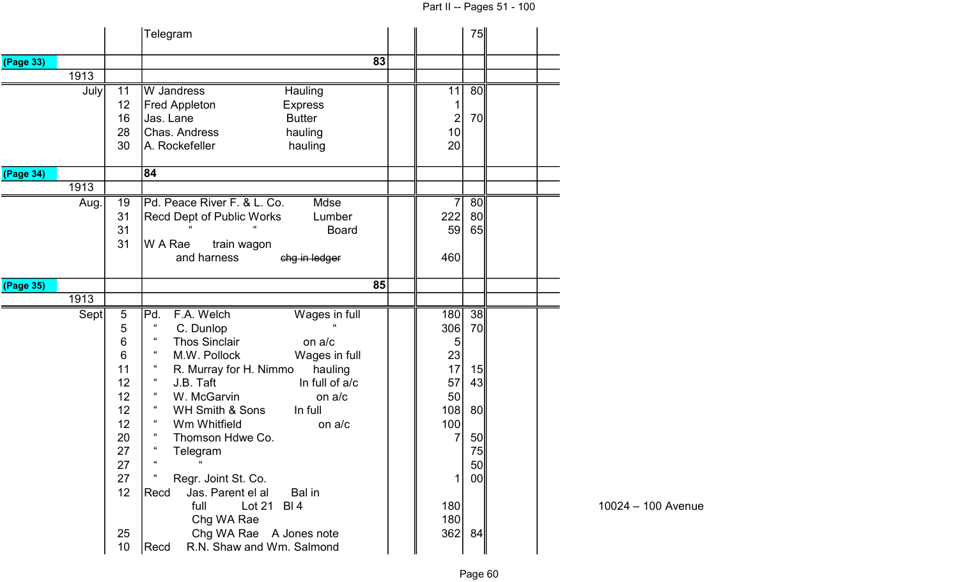|           |      |                                                                                       | Telegram                                                                                                                                                                                                                                                                                                                                                                                                                                                                                                                                                                                                                           |                                                                          | 75                                                              |  |
|-----------|------|---------------------------------------------------------------------------------------|------------------------------------------------------------------------------------------------------------------------------------------------------------------------------------------------------------------------------------------------------------------------------------------------------------------------------------------------------------------------------------------------------------------------------------------------------------------------------------------------------------------------------------------------------------------------------------------------------------------------------------|--------------------------------------------------------------------------|-----------------------------------------------------------------|--|
| (Page 33) |      |                                                                                       | 83                                                                                                                                                                                                                                                                                                                                                                                                                                                                                                                                                                                                                                 |                                                                          |                                                                 |  |
|           | 1913 |                                                                                       |                                                                                                                                                                                                                                                                                                                                                                                                                                                                                                                                                                                                                                    |                                                                          |                                                                 |  |
|           | July | 11<br>12                                                                              | <b>W</b> Jandress<br>Hauling<br><b>Fred Appleton</b><br><b>Express</b>                                                                                                                                                                                                                                                                                                                                                                                                                                                                                                                                                             | 11<br>1                                                                  | 80 <sup>°</sup>                                                 |  |
|           |      | 16<br>28<br>30                                                                        | Jas. Lane<br><b>Butter</b><br>Chas. Andress<br>hauling<br>A. Rockefeller<br>hauling                                                                                                                                                                                                                                                                                                                                                                                                                                                                                                                                                | $\overline{c}$<br>10<br>20                                               | 70                                                              |  |
| (Page 34) |      |                                                                                       | 84                                                                                                                                                                                                                                                                                                                                                                                                                                                                                                                                                                                                                                 |                                                                          |                                                                 |  |
|           | 1913 |                                                                                       |                                                                                                                                                                                                                                                                                                                                                                                                                                                                                                                                                                                                                                    |                                                                          |                                                                 |  |
|           | Aug. | 19<br>31<br>31<br>31                                                                  | Pd. Peace River F. & L. Co.<br>Mdse<br><b>Recd Dept of Public Works</b><br>Lumber<br><b>Board</b><br>W A Rae<br>train wagon<br>and harness<br>chg in ledger                                                                                                                                                                                                                                                                                                                                                                                                                                                                        | 7<br>222<br>59<br>460                                                    | 80<br>80 <sup>2</sup><br>65                                     |  |
| (Page 35) |      |                                                                                       | 85                                                                                                                                                                                                                                                                                                                                                                                                                                                                                                                                                                                                                                 |                                                                          |                                                                 |  |
|           | 1913 |                                                                                       |                                                                                                                                                                                                                                                                                                                                                                                                                                                                                                                                                                                                                                    |                                                                          |                                                                 |  |
|           | Sept | $\sqrt{5}$<br>5<br>6<br>6<br>11<br>12<br>12<br>12<br>12<br>20<br>27<br>27<br>27<br>12 | F.A. Welch<br>Pd.<br>Wages in full<br>$\mathfrak{c}\mathfrak{c}$<br>C. Dunlop<br>$\epsilon$<br><b>Thos Sinclair</b><br>on $a/c$<br>$\mathfrak{c}\mathfrak{c}$<br>M.W. Pollock<br>Wages in full<br>$\epsilon$<br>R. Murray for H. Nimmo<br>hauling<br>$\mathfrak{c}\mathfrak{c}$<br>In full of a/c<br>J.B. Taft<br>$\epsilon$<br>W. McGarvin<br>on a/c<br>$\epsilon$<br>WH Smith & Sons<br>In full<br>$\epsilon$<br>Wm Whitfield<br>on $a/c$<br>Thomson Hdwe Co.<br>Telegram<br>$\mathbf{f}$<br>$\epsilon\epsilon$<br>Regr. Joint St. Co.<br>Jas. Parent el al<br>Bal in<br>Recd<br>full<br>Lot 21<br>BI <sub>4</sub><br>Chg WA Rae | 180<br>306<br>5<br>23<br>17<br>57<br>50<br>108<br>100<br>1<br>180<br>180 | 38<br>70<br>15<br>43<br>80 <sup>°</sup><br>50<br>75<br>50<br>00 |  |
|           |      | 25<br>10                                                                              | Chg WA Rae A Jones note<br>R.N. Shaw and Wm. Salmond<br>Recd                                                                                                                                                                                                                                                                                                                                                                                                                                                                                                                                                                       | 362                                                                      | 84                                                              |  |

10024 – 100 Avenue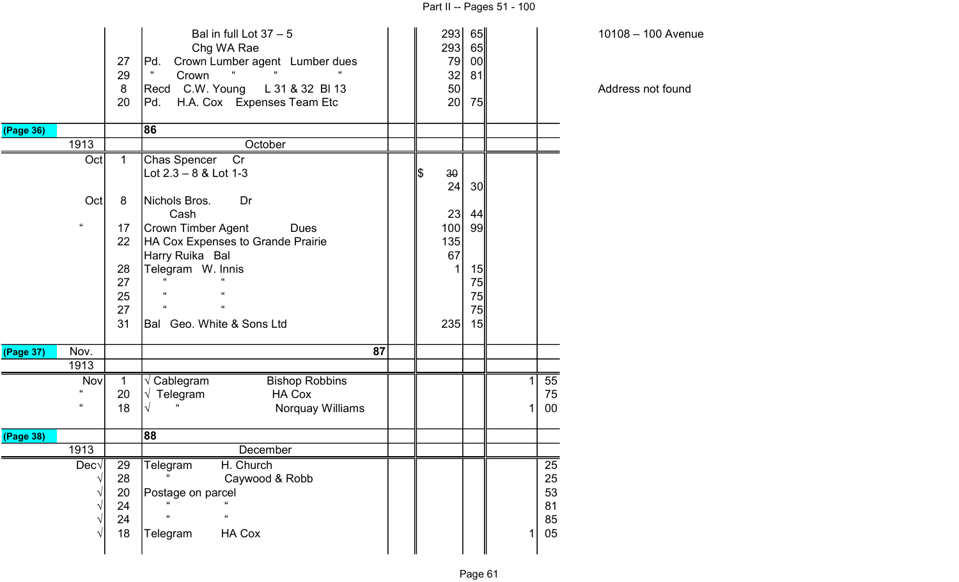|           |                                        | 27<br>29<br>8<br>20                         | Bal in full Lot $37 - 5$<br>Chg WA Rae<br>Crown Lumber agent Lumber dues<br>Pd.<br>$\mathfrak{c}\mathfrak{c}$<br>$\epsilon$<br>$\epsilon$<br>Crown<br>Recd C.W. Young L 31 & 32 BI 13<br>H.A. Cox Expenses Team Etc<br>Pd. |  | 293<br>293<br>79<br>32<br>50<br>20 | 65<br>65<br>00 <sup>1</sup><br>81<br>75 |                                  | $10108 - 100$ Avenue<br>Address not found |
|-----------|----------------------------------------|---------------------------------------------|----------------------------------------------------------------------------------------------------------------------------------------------------------------------------------------------------------------------------|--|------------------------------------|-----------------------------------------|----------------------------------|-------------------------------------------|
| (Page 36) |                                        |                                             | 86                                                                                                                                                                                                                         |  |                                    |                                         |                                  |                                           |
|           | 1913                                   |                                             | October                                                                                                                                                                                                                    |  |                                    |                                         |                                  |                                           |
|           | Oct                                    | 1.                                          | Chas Spencer Cr<br>Lot $2.3 - 8$ & Lot 1-3                                                                                                                                                                                 |  | 30 <sub>o</sub><br>24              | 30 <sup>2</sup>                         |                                  |                                           |
|           | Oct<br>$\mathfrak{c}\mathfrak{c}$      | 8<br>17<br>22<br>28<br>27<br>25<br>27<br>31 | Nichols Bros.<br>Dr<br>Cash<br>Crown Timber Agent<br><b>Dues</b><br>HA Cox Expenses to Grande Prairie<br>Harry Ruika Bal<br>Telegram W. Innis<br>$\mathbf{G}$<br>$\mathbf{G}$<br>$\mathbf{G}$<br>Bal Geo. White & Sons Ltd |  | 23<br>100<br>135<br>67<br>235      | 44<br>99<br>15<br>75<br>75<br>75<br>15  |                                  |                                           |
| (Page 37) | Nov.                                   |                                             | $\overline{87}$                                                                                                                                                                                                            |  |                                    |                                         |                                  |                                           |
|           | 1913                                   |                                             |                                                                                                                                                                                                                            |  |                                    |                                         |                                  |                                           |
|           | Nov<br>"<br>$\mathfrak{c}\mathfrak{c}$ | 1<br>20<br>18                               | $\sqrt{C}$ ablegram<br><b>Bishop Robbins</b><br><b>HA Cox</b><br>Telegram<br>$\sqrt{}$<br>Norquay Williams                                                                                                                 |  |                                    |                                         | $\overline{55}$<br>75<br>$00\,$  |                                           |
| (Page 38) |                                        |                                             | 88                                                                                                                                                                                                                         |  |                                    |                                         |                                  |                                           |
|           | 1913                                   |                                             | December                                                                                                                                                                                                                   |  |                                    |                                         |                                  |                                           |
|           | $Dec\sqrt$                             | 29<br>28<br>20<br>24<br>24<br>18            | H. Church<br>Telegram<br>Caywood & Robb<br>Postage on parcel<br>HA Cox<br>Telegram                                                                                                                                         |  |                                    |                                         | 25<br>25<br>53<br>81<br>85<br>05 |                                           |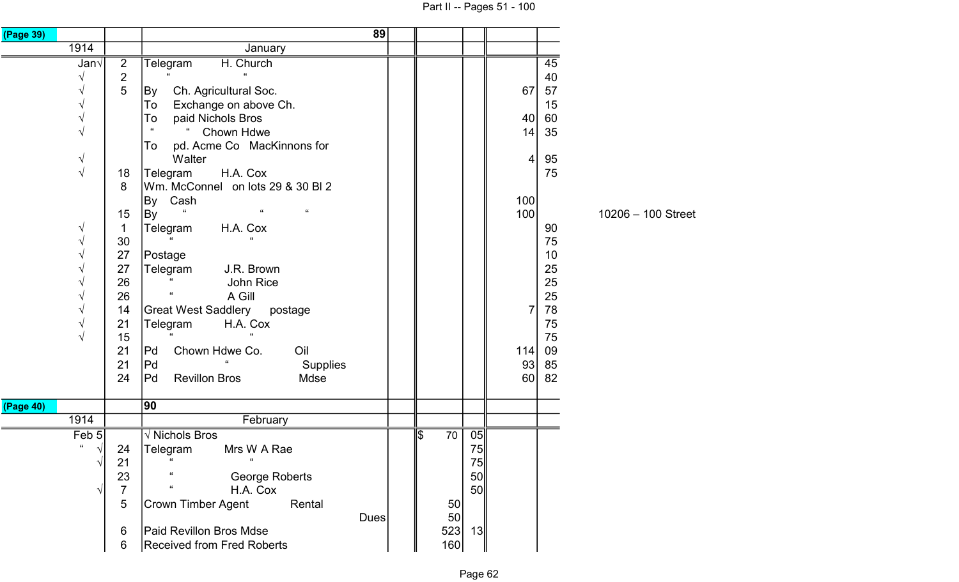| (Page 39) |                                                                                      |                                                                                                     |                                                                                                                                                                                                                                                                                                                                                                                                                                                                     |  |                              |                                  |                                    |                                                                                  |                      |
|-----------|--------------------------------------------------------------------------------------|-----------------------------------------------------------------------------------------------------|---------------------------------------------------------------------------------------------------------------------------------------------------------------------------------------------------------------------------------------------------------------------------------------------------------------------------------------------------------------------------------------------------------------------------------------------------------------------|--|------------------------------|----------------------------------|------------------------------------|----------------------------------------------------------------------------------|----------------------|
|           | 1914                                                                                 |                                                                                                     | January                                                                                                                                                                                                                                                                                                                                                                                                                                                             |  |                              |                                  |                                    |                                                                                  |                      |
|           | Jan $\sqrt{ }$<br>V<br>V<br>V<br>$\sqrt{}$<br>$\sqrt{}$<br>$\sqrt{ }$<br>V<br>V<br>V | $\overline{2}$<br>$\overline{2}$<br>5<br>18<br>8<br>15<br>$\mathbf 1$<br>30<br>27<br>27<br>26<br>26 | 89<br>H. Church<br>Telegram<br>Ch. Agricultural Soc.<br>By<br>Exchange on above Ch.<br>To<br>To<br>paid Nichols Bros<br>$\epsilon$<br>Chown Hdwe<br>pd. Acme Co MacKinnons for<br>To<br>Walter<br>H.A. Cox<br>Telegram<br>Wm. McConnel on lots 29 & 30 Bl 2<br>Cash<br><b>By</b><br>$\mathfrak{c}\mathfrak{c}$<br>$\mathfrak{c}\mathfrak{c}$<br><b>By</b><br>H.A. Cox<br>Telegram<br>Postage<br>J.R. Brown<br>Telegram<br>John Rice<br>$\epsilon\epsilon$<br>A Gill |  |                              |                                  | 67<br>40<br>14<br>4 <br>100<br>100 | 45<br>40<br>57<br>15<br>60<br>35<br>95<br>75<br>90<br>75<br>10<br>25<br>25<br>25 | $10206 - 100$ Street |
|           | V<br>V<br>$\sqrt{}$                                                                  | 14<br>21<br>15<br>21<br>21<br>24                                                                    | <b>Great West Saddlery</b><br>postage<br>H.A. Cox<br>Telegram<br>Pd<br>Chown Hdwe Co.<br>Oil<br>$\alpha$<br>Pd<br><b>Supplies</b><br><b>Revillon Bros</b><br>Pd<br>Mdse                                                                                                                                                                                                                                                                                             |  |                              |                                  | $\overline{7}$<br>114<br>93<br>60  | 78<br>75<br>75<br>09<br>85<br>82                                                 |                      |
| (Page 40) |                                                                                      |                                                                                                     | 90                                                                                                                                                                                                                                                                                                                                                                                                                                                                  |  |                              |                                  |                                    |                                                                                  |                      |
|           | 1914                                                                                 |                                                                                                     | February                                                                                                                                                                                                                                                                                                                                                                                                                                                            |  |                              |                                  |                                    |                                                                                  |                      |
|           | Feb 5<br>$\boldsymbol{\mathfrak{c}}$<br>V                                            | 24<br>21<br>23<br>$\overline{7}$<br>5<br>6<br>6                                                     | $\sqrt{}$ Nichols Bros<br>Telegram<br>Mrs W A Rae<br>"<br>"<br>George Roberts<br>H.A. Cox<br><b>Crown Timber Agent</b><br>Rental<br><b>Dues</b><br>Paid Revillon Bros Mdse<br><b>Received from Fred Roberts</b>                                                                                                                                                                                                                                                     |  | 70<br>50<br>50<br>523<br>160 | 05<br>75<br>75<br>50<br>50<br>13 |                                    |                                                                                  |                      |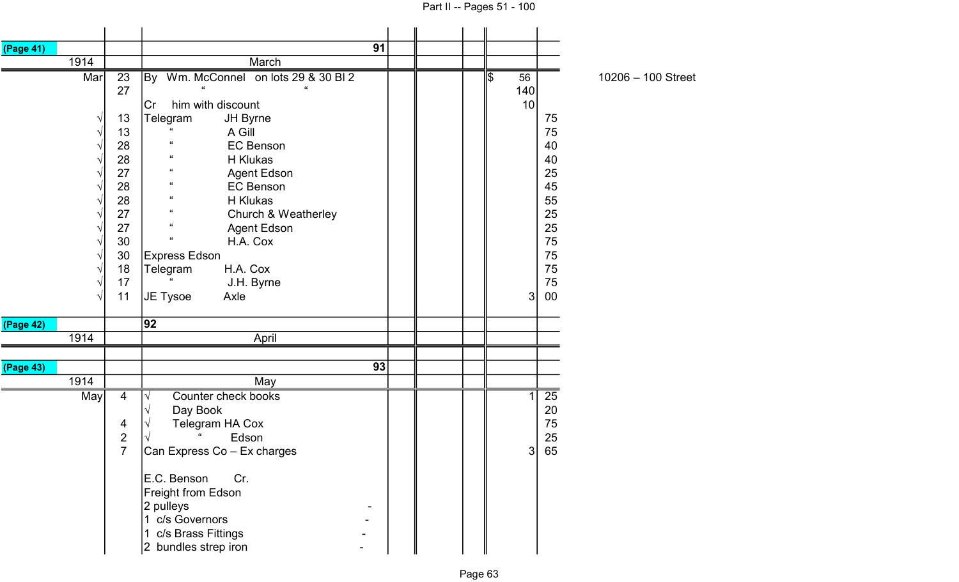| (Page 41) |      |                | 91                                             |                |                 |                      |
|-----------|------|----------------|------------------------------------------------|----------------|-----------------|----------------------|
|           | 1914 |                | March                                          |                |                 |                      |
|           | Mar  | 23             | By Wm. McConnel on lots 29 & 30 BI 2           | 1\$<br>56      |                 | $10206 - 100$ Street |
|           |      | 27             |                                                | 140            |                 |                      |
|           |      |                | him with discount<br>Cr                        | 10             |                 |                      |
|           |      | 13             | Telegram<br>JH Byrne                           |                | 75              |                      |
|           |      | 13             | $\epsilon$<br>A Gill                           |                | 75              |                      |
|           |      | 28             | $\mathfrak{c}\mathfrak{c}$<br><b>EC Benson</b> |                | 40              |                      |
|           |      | 28             | $\mathfrak{c}\mathfrak{c}$<br>H Klukas         |                | 40              |                      |
|           |      | 27             | "<br><b>Agent Edson</b>                        |                | 25              |                      |
|           |      | 28             | "<br><b>EC Benson</b>                          |                | 45              |                      |
|           |      | 28             | "<br>H Klukas                                  |                | 55              |                      |
|           |      | 27             | "<br>Church & Weatherley                       |                | 25              |                      |
|           |      | 27             | "<br><b>Agent Edson</b>                        |                | 25              |                      |
|           |      | 30             | $\epsilon$<br>H.A. Cox                         |                | 75              |                      |
|           |      | 30             | <b>Express Edson</b>                           |                | 75              |                      |
|           |      | 18             | H.A. Cox<br>Telegram                           |                | 75              |                      |
|           |      | 17             | J.H. Byrne                                     |                | 75              |                      |
|           |      | 11             | Axle<br>JE Tysoe                               | 3 <sup>1</sup> | 00              |                      |
| (Page 42) |      |                | 92                                             |                |                 |                      |
|           | 1914 |                | April                                          |                |                 |                      |
|           |      |                |                                                |                |                 |                      |
| (Page 43) |      |                | 93                                             |                |                 |                      |
|           | 1914 |                | May                                            |                |                 |                      |
|           | May  | $\overline{4}$ | Counter check books                            | 1              | $\overline{25}$ |                      |
|           |      |                | Day Book                                       |                | 20              |                      |
|           |      | 4              | Telegram HA Cox                                |                | 75              |                      |
|           |      | 2              | $\mathbf{G}$<br>Edson                          |                | 25              |                      |
|           |      | $\overline{7}$ | Can Express Co - Ex charges                    | 3 <sup>1</sup> | 65              |                      |
|           |      |                | Cr.<br>E.C. Benson                             |                |                 |                      |
|           |      |                | Freight from Edson                             |                |                 |                      |
|           |      |                | 2 pulleys                                      |                |                 |                      |
|           |      |                | 1 c/s Governors                                |                |                 |                      |
|           |      |                | c/s Brass Fittings<br>1                        |                |                 |                      |
|           |      |                | 2 bundles strep iron                           |                |                 |                      |
|           |      |                |                                                |                |                 |                      |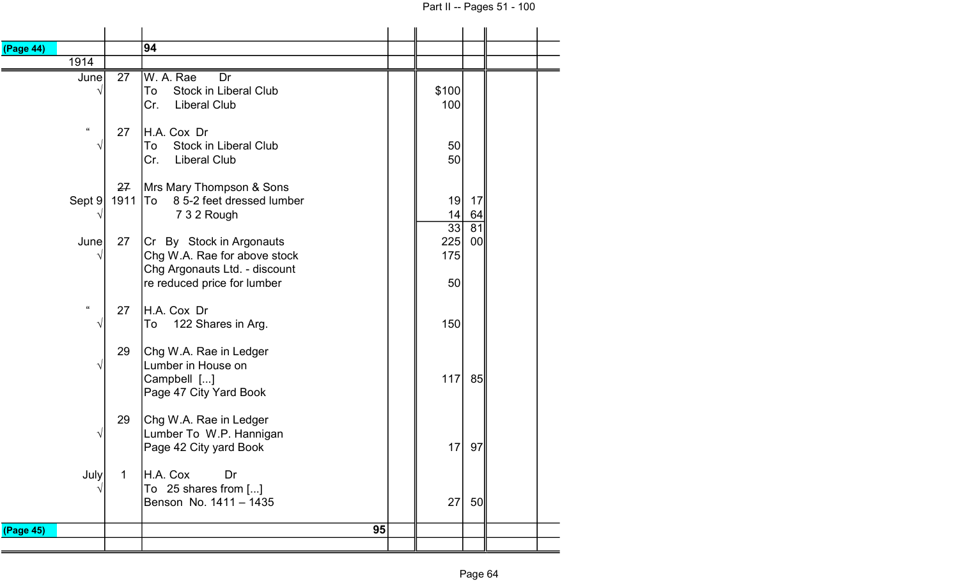| (Page 44)                       |                 | 94                                                                                                                       |                  |                |  |
|---------------------------------|-----------------|--------------------------------------------------------------------------------------------------------------------------|------------------|----------------|--|
| 1914                            |                 |                                                                                                                          |                  |                |  |
| June                            | $\overline{27}$ | W. A. Rae<br>Dr<br><b>Stock in Liberal Club</b><br>To<br><b>Liberal Club</b><br>Cr.                                      | \$100<br>100     |                |  |
| $\mathfrak{c}\mathfrak{c}$      | 27              | H.A. Cox Dr<br><b>Stock in Liberal Club</b><br>To<br><b>Liberal Club</b><br>Cr.                                          | 50<br>50         |                |  |
| Sept 9                          | 27<br>1911      | Mrs Mary Thompson & Sons<br>To<br>8 5-2 feet dressed lumber<br>7 3 2 Rough                                               | 19<br>14<br>33   | 17<br>64<br>81 |  |
| June                            | 27              | Cr By Stock in Argonauts<br>Chg W.A. Rae for above stock<br>Chg Argonauts Ltd. - discount<br>re reduced price for lumber | 225<br>175<br>50 | 00             |  |
| $\mathfrak{c}\mathfrak{c}$<br>V | 27              | H.A. Cox Dr<br>122 Shares in Arg.<br>To                                                                                  | 150              |                |  |
| V                               | 29              | Chg W.A. Rae in Ledger<br>Lumber in House on<br>Campbell []<br>Page 47 City Yard Book                                    | 117              | 85             |  |
| V                               | 29              | Chg W.A. Rae in Ledger<br>Lumber To W.P. Hannigan<br>Page 42 City yard Book                                              |                  | 17 97          |  |
| July                            | $\mathbf{1}$    | H.A. Cox<br>Dr<br>To $25$ shares from $[]$<br>Benson No. 1411 - 1435                                                     | 27               | 50             |  |
| (Page 45)                       |                 | 95                                                                                                                       |                  |                |  |
|                                 |                 |                                                                                                                          |                  |                |  |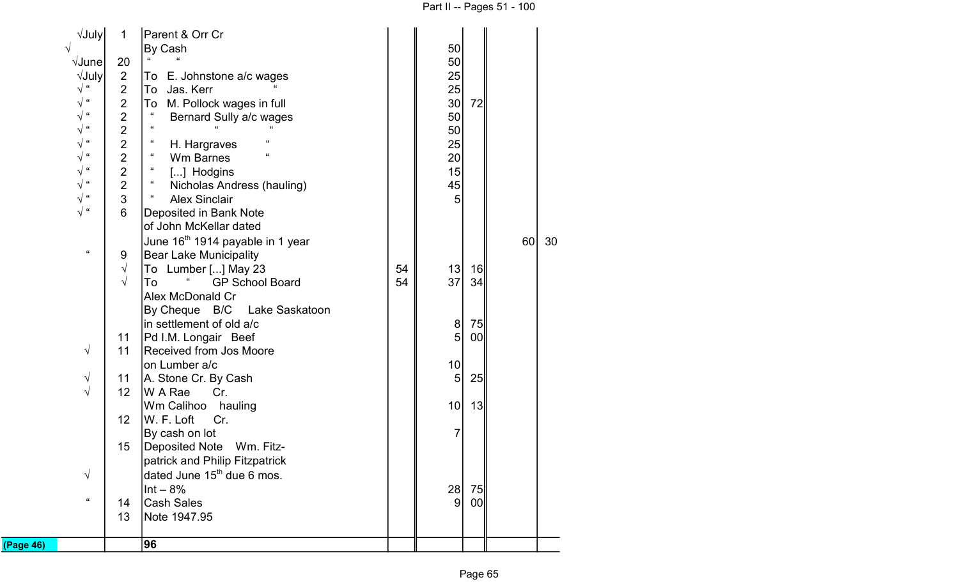| $\sqrt{$ July                  | 1               | Parent & Orr Cr                              |    |          |    |    |    |
|--------------------------------|-----------------|----------------------------------------------|----|----------|----|----|----|
|                                |                 | By Cash                                      |    | 50       |    |    |    |
| $\sqrt{\text{June}}$           | 20              |                                              |    | 50       |    |    |    |
| √July                          | $\overline{2}$  | To E. Johnstone a/c wages                    |    | 25       |    |    |    |
| $\sqrt{~}^{\mu}$<br>$\sqrt{u}$ | $\overline{2}$  | To<br>Jas. Kerr                              |    | 25       |    |    |    |
| $\epsilon$                     | $\overline{2}$  | M. Pollock wages in full<br>To<br>$\epsilon$ |    | 30       | 72 |    |    |
| "                              | $\overline{2}$  | Bernard Sully a/c wages<br>"                 |    | 50       |    |    |    |
| "                              | $\frac{2}{2}$   | "                                            |    | 50       |    |    |    |
| $\sqrt{~}^{\mu}$               |                 | H. Hargraves<br>"<br>Wm Barnes               |    | 25<br>20 |    |    |    |
| "                              | $\frac{2}{2}$   | $\pmb{\mathfrak{c}}$<br>[] Hodgins           |    | 15       |    |    |    |
| $\epsilon$                     | $\overline{c}$  | $\epsilon$<br>Nicholas Andress (hauling)     |    | 45       |    |    |    |
| $\epsilon$                     | $\overline{3}$  | $\mathbf{G}$<br><b>Alex Sinclair</b>         |    | 5        |    |    |    |
| $\sqrt{~}$ "                   | $6\phantom{1}$  | Deposited in Bank Note                       |    |          |    |    |    |
|                                |                 | of John McKellar dated                       |    |          |    |    |    |
|                                |                 | June 16 <sup>th</sup> 1914 payable in 1 year |    |          |    | 60 | 30 |
| $\mathbf{G}$                   | 9               | <b>Bear Lake Municipality</b>                |    |          |    |    |    |
|                                | $\sqrt{}$       | To Lumber [] May 23                          | 54 | 13       | 16 |    |    |
|                                | $\sqrt{}$       | <b>GP School Board</b><br>To                 | 54 | 37       | 34 |    |    |
|                                |                 | <b>Alex McDonald Cr</b>                      |    |          |    |    |    |
|                                |                 | By Cheque B/C Lake Saskatoon                 |    |          |    |    |    |
|                                |                 | in settlement of old a/c                     |    | 8        | 75 |    |    |
|                                | 11              | Pd I.M. Longair Beef                         |    | 5        | 00 |    |    |
| V                              | 11              | Received from Jos Moore                      |    |          |    |    |    |
|                                |                 | on Lumber a/c                                |    | 10       |    |    |    |
| V                              | 11              | A. Stone Cr. By Cash                         |    | 5        | 25 |    |    |
| $\sqrt{}$                      | 12              | W A Rae<br>Cr.                               |    |          |    |    |    |
|                                |                 | Wm Calihoo hauling                           |    | 10       | 13 |    |    |
|                                | 12 <sub>2</sub> | W. F. Loft<br>Cr.                            |    |          |    |    |    |
|                                |                 | By cash on lot                               |    |          |    |    |    |
|                                | 15              | Deposited Note Wm. Fitz-                     |    |          |    |    |    |
|                                |                 | patrick and Philip Fitzpatrick               |    |          |    |    |    |
| $\sqrt{}$                      |                 | dated June 15 <sup>th</sup> due 6 mos.       |    |          |    |    |    |
| $\mathbf{G}$                   |                 | $Int - 8%$                                   |    | 28       | 75 |    |    |
|                                | 14              | <b>Cash Sales</b>                            |    | 9        | 00 |    |    |
|                                | 13              | Note 1947.95                                 |    |          |    |    |    |
|                                |                 | 96                                           |    |          |    |    |    |
|                                |                 |                                              |    |          |    |    |    |

(Page 46)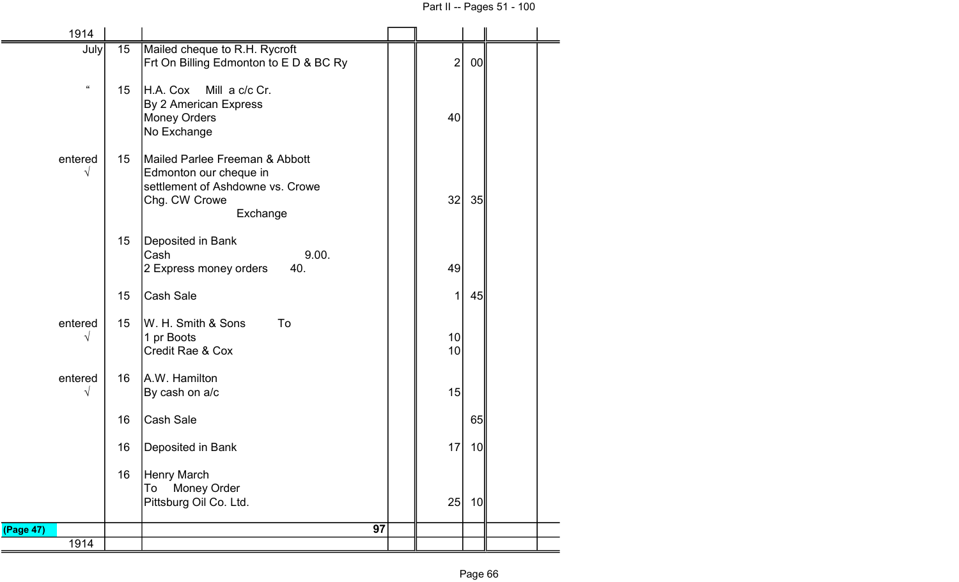| 1914                       |    |                                                                                                                           |                |     |  |
|----------------------------|----|---------------------------------------------------------------------------------------------------------------------------|----------------|-----|--|
| July                       | 15 | Mailed cheque to R.H. Rycroft<br>Frt On Billing Edmonton to E D & BC Ry                                                   | $\overline{2}$ | 00  |  |
| $\mathfrak{c}\mathfrak{c}$ | 15 | Mill a c/c Cr.<br>H.A. Cox<br>By 2 American Express<br><b>Money Orders</b><br>No Exchange                                 | 40             |     |  |
| entered<br>$\sqrt{}$       | 15 | Mailed Parlee Freeman & Abbott<br>Edmonton our cheque in<br>settlement of Ashdowne vs. Crowe<br>Chg. CW Crowe<br>Exchange | 32             | 35  |  |
|                            | 15 | Deposited in Bank<br>9.00.<br>Cash<br>40.<br>2 Express money orders                                                       | 49             |     |  |
|                            | 15 | <b>Cash Sale</b>                                                                                                          | 1              | 45  |  |
| entered<br>$\sqrt{}$       | 15 | W. H. Smith & Sons<br>To<br>1 pr Boots<br>Credit Rae & Cox                                                                | 10<br>10       |     |  |
| entered<br>$\sqrt{}$       | 16 | A.W. Hamilton<br>By cash on a/c                                                                                           | 15             |     |  |
|                            | 16 | <b>Cash Sale</b>                                                                                                          |                | 65  |  |
|                            | 16 | Deposited in Bank                                                                                                         | 17             | 10∥ |  |
|                            | 16 | <b>Henry March</b><br><b>Money Order</b><br>To<br>Pittsburg Oil Co. Ltd.                                                  | 25             | 10  |  |
| (Page 47)                  |    | 97                                                                                                                        |                |     |  |
| 1914                       |    |                                                                                                                           |                |     |  |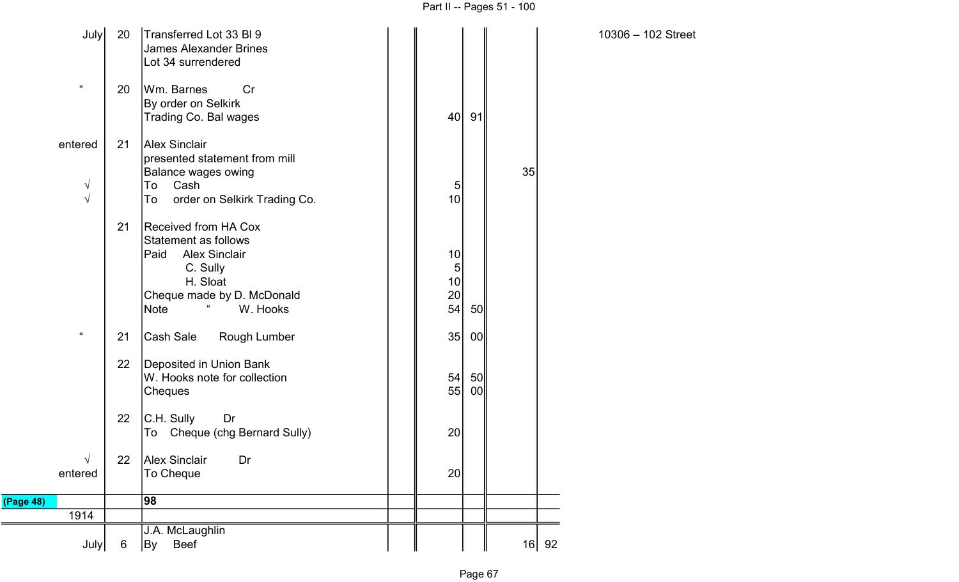|           | <b>July</b>                | 20 | Transferred Lot 33 BI 9<br><b>James Alexander Brines</b><br>Lot 34 surrendered                                                                                       |                           |          |    |    |
|-----------|----------------------------|----|----------------------------------------------------------------------------------------------------------------------------------------------------------------------|---------------------------|----------|----|----|
|           | $\mathfrak{c}\mathfrak{c}$ | 20 | Wm. Barnes<br>Cr<br>By order on Selkirk<br>Trading Co. Bal wages                                                                                                     | 40                        | 91       |    |    |
|           | entered<br>$\sqrt{}$       | 21 | <b>Alex Sinclair</b><br>presented statement from mill<br><b>Balance wages owing</b><br>Cash<br>To                                                                    | 5                         |          | 35 |    |
|           | $\sqrt{ }$                 |    | order on Selkirk Trading Co.<br>To                                                                                                                                   | 10                        |          |    |    |
|           |                            | 21 | Received from HA Cox<br><b>Statement as follows</b><br><b>Alex Sinclair</b><br>Paid<br>C. Sully<br>H. Sloat<br>Cheque made by D. McDonald<br><b>Note</b><br>W. Hooks | 10<br>5<br>10<br>20<br>54 | 50       |    |    |
|           | $\mathfrak{c}\mathfrak{c}$ | 21 | Cash Sale<br>Rough Lumber                                                                                                                                            | 35                        | 00       |    |    |
|           |                            | 22 | Deposited in Union Bank<br>W. Hooks note for collection<br>Cheques                                                                                                   | 54<br>55                  | 50<br>00 |    |    |
|           |                            | 22 | C.H. Sully<br>Dr<br>Cheque (chg Bernard Sully)<br>To                                                                                                                 | 20                        |          |    |    |
|           | $\sqrt{}$<br>entered       | 22 | <b>Alex Sinclair</b><br>Dr<br>To Cheque                                                                                                                              | 20                        |          |    |    |
| (Page 48) |                            |    | 98                                                                                                                                                                   |                           |          |    |    |
|           | 1914                       |    |                                                                                                                                                                      |                           |          |    |    |
|           | July                       | 6  | J.A. McLaughlin<br><b>Beef</b><br> By                                                                                                                                |                           |          | 16 | 92 |

 $10306 - 102$  Street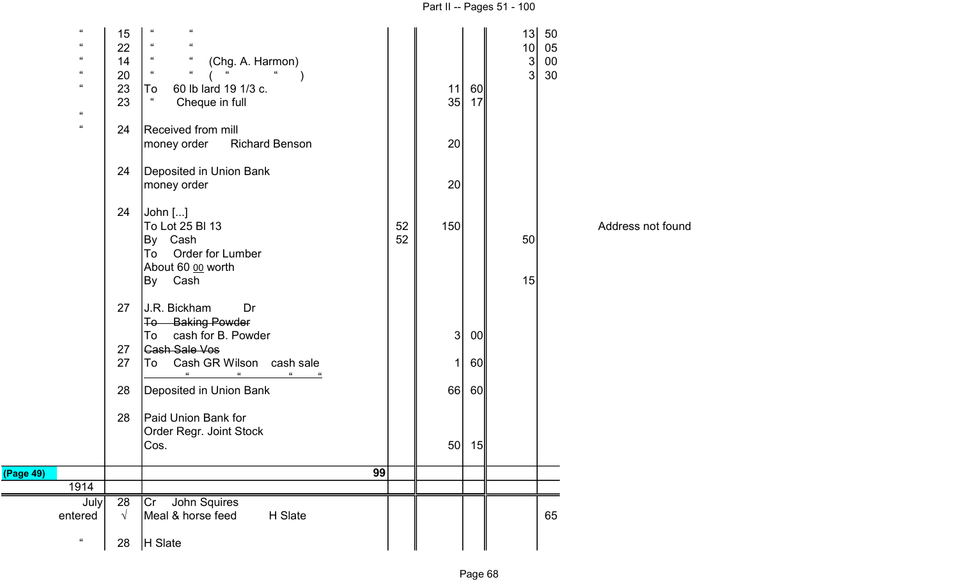| $\mathfrak{c}\mathfrak{c}$<br>$\epsilon$<br>"<br>$\mathfrak{c}\mathfrak{c}$<br>$\mathfrak{c}\mathfrak{c}$<br>$\mathfrak{c}\mathfrak{c}$<br>$\epsilon$ | 15<br>22<br>14<br>20<br>23<br>23<br>24<br>24<br>24<br>27<br>27<br>27<br>28<br>28 | $\mathfrak{c}\mathfrak{c}$<br>$\mathbf{G}$<br>$\mathfrak{c}\mathfrak{c}$<br>$\mathbf{G}$<br>$\mathfrak{c}\mathfrak{c}$<br>"<br>(Chg. A. Harmon)<br>$\epsilon$<br>$\epsilon$<br>"<br>"<br>60 lb lard 19 1/3 c.<br>To<br>$\mathbf{G}$<br>Cheque in full<br><b>Received from mill</b><br><b>Richard Benson</b><br>money order<br>Deposited in Union Bank<br>money order<br>$\mathsf{John}\left[ \right]$<br>To Lot 25 BI 13<br>By Cash<br>Order for Lumber<br>To<br>About 60 00 worth<br>By Cash<br><b>J.R. Bickham</b><br>Dr<br><b>To</b> Baking Powder<br>cash for B. Powder<br>To<br><b>Cash Sale Vos</b><br>Cash GR Wilson cash sale<br>To<br>$\epsilon$<br>"<br>$\epsilon$<br>Deposited in Union Bank<br>Paid Union Bank for<br>Order Regr. Joint Stock<br>Cos.<br>99 | 52<br>52 | 11<br>35<br>20<br>20<br>150<br>$\mathfrak{S}$<br>$\mathbf{1}$<br>66<br>50 | 60<br>17<br> 00 <br><b>60</b><br>60<br>15 | 13<br>10<br>$\frac{3}{3}$<br>50<br>15 | 50<br>05<br>$00\,$<br>30 | Ad |
|-------------------------------------------------------------------------------------------------------------------------------------------------------|----------------------------------------------------------------------------------|-------------------------------------------------------------------------------------------------------------------------------------------------------------------------------------------------------------------------------------------------------------------------------------------------------------------------------------------------------------------------------------------------------------------------------------------------------------------------------------------------------------------------------------------------------------------------------------------------------------------------------------------------------------------------------------------------------------------------------------------------------------------------|----------|---------------------------------------------------------------------------|-------------------------------------------|---------------------------------------|--------------------------|----|
| (Page 49)<br>1914                                                                                                                                     |                                                                                  |                                                                                                                                                                                                                                                                                                                                                                                                                                                                                                                                                                                                                                                                                                                                                                         |          |                                                                           |                                           |                                       |                          |    |
| July                                                                                                                                                  | 28                                                                               | Cr<br>John Squires                                                                                                                                                                                                                                                                                                                                                                                                                                                                                                                                                                                                                                                                                                                                                      |          |                                                                           |                                           |                                       |                          |    |
| entered                                                                                                                                               | $\sqrt{ }$                                                                       | Meal & horse feed<br>H Slate                                                                                                                                                                                                                                                                                                                                                                                                                                                                                                                                                                                                                                                                                                                                            |          |                                                                           |                                           |                                       | 65                       |    |
| $\boldsymbol{\mu}$                                                                                                                                    | 28                                                                               | H Slate                                                                                                                                                                                                                                                                                                                                                                                                                                                                                                                                                                                                                                                                                                                                                                 |          |                                                                           |                                           |                                       |                          |    |

Idress not found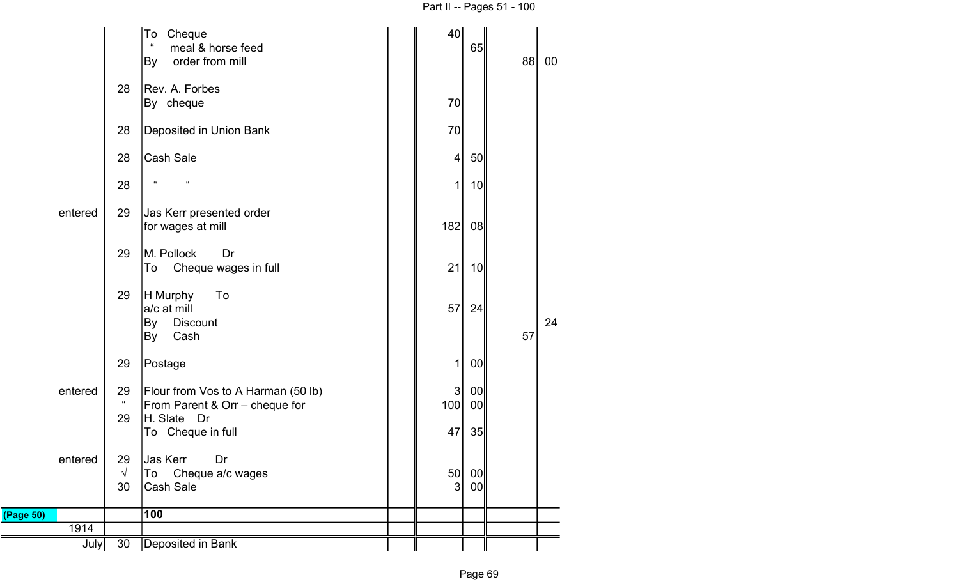|           |         |                        | Cheque<br>To<br>$\mathfrak{c}\mathfrak{c}$<br>meal & horse feed<br>order from mill<br>By | 40                      | 65         | 88 | 00 |
|-----------|---------|------------------------|------------------------------------------------------------------------------------------|-------------------------|------------|----|----|
|           |         | 28                     | Rev. A. Forbes<br>By cheque                                                              | 70                      |            |    |    |
|           |         | 28                     | Deposited in Union Bank                                                                  | 70                      |            |    |    |
|           |         | 28                     | Cash Sale                                                                                | $\overline{\mathbf{4}}$ | 50         |    |    |
|           |         | 28                     | $\mathfrak{c}\mathfrak{c}$<br>$\epsilon$                                                 | $\mathbf{1}$            | 10         |    |    |
|           | entered | 29                     | Jas Kerr presented order<br>for wages at mill                                            | 182                     | 08         |    |    |
|           |         | 29                     | M. Pollock<br>Dr<br>Cheque wages in full<br>To                                           | 21                      | 10         |    |    |
|           |         | 29                     | H Murphy<br>To<br>a/c at mill<br>By<br><b>Discount</b><br>Cash<br>By                     | 57                      | 24         | 57 | 24 |
|           |         | 29                     | Postage                                                                                  | 1                       | 00         |    |    |
|           | entered | 29<br>$\epsilon$<br>29 | Flour from Vos to A Harman (50 lb)<br>From Parent & Orr - cheque for<br>H. Slate Dr      | $\mathfrak{S}$<br>100   | 00 <br> 00 |    |    |
|           |         |                        | To Cheque in full                                                                        | 47                      | 35         |    |    |
|           | entered | 29<br>$\sqrt{}$<br>30  | Jas Kerr<br>Dr<br>To Cheque a/c wages<br>Cash Sale                                       | 50<br>3                 | 00<br> 00  |    |    |
| (Page 50) |         |                        | 100                                                                                      |                         |            |    |    |
|           | 1914    |                        |                                                                                          |                         |            |    |    |
|           | July    | $\overline{30}$        | Deposited in Bank                                                                        |                         |            |    |    |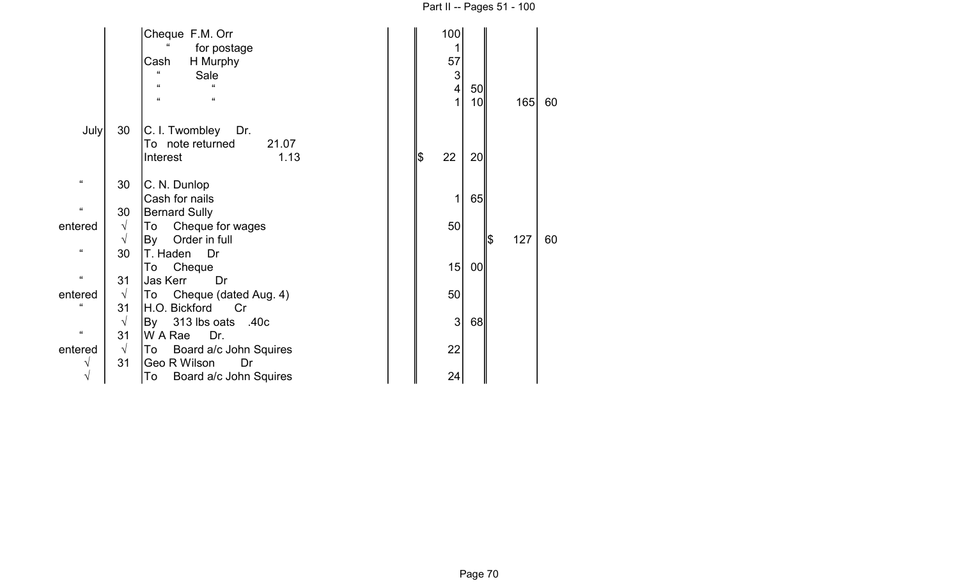| Part II -- Pages 51 - 100 |  |  |
|---------------------------|--|--|
|---------------------------|--|--|

|                            |           | Cheque F.M. Orr              |     | 100            |     |     |     |    |
|----------------------------|-----------|------------------------------|-----|----------------|-----|-----|-----|----|
|                            |           | for postage                  |     |                |     |     |     |    |
|                            |           | H Murphy<br>Cash             |     | 57             |     |     |     |    |
|                            |           | $\epsilon$<br>Sale           |     | 3              |     |     |     |    |
|                            |           | $\mathfrak{c}$               |     | 4              | 5이  |     |     |    |
|                            |           | $\epsilon$                   |     | 1              | 10∥ |     | 165 | 60 |
| July                       | 30        | C. I. Twombley<br>Dr.        |     |                |     |     |     |    |
|                            |           | To note returned<br>21.07    |     |                |     |     |     |    |
|                            |           | 1.13<br>Interest             | 1\$ | 22             | 20  |     |     |    |
|                            |           |                              |     |                |     |     |     |    |
| $\mathfrak{c}\mathfrak{c}$ | 30        | C. N. Dunlop                 |     |                |     |     |     |    |
|                            |           | Cash for nails               |     | 1              | 65  |     |     |    |
| $\mathbf{G}$               | 30        | <b>Bernard Sully</b>         |     |                |     |     |     |    |
| entered                    | $\sqrt{}$ | Cheque for wages<br>To       |     | 50             |     |     |     |    |
|                            | V         | Order in full<br>By          |     |                |     | 1\$ | 127 | 60 |
| $\mathbf{G}$               | 30        | T. Haden<br>Dr               |     |                |     |     |     |    |
|                            |           | Cheque<br>To                 |     | 15             | 00  |     |     |    |
| $\mathbf{G}$               | 31        | <b>Jas Kerr</b><br>Dr        |     |                |     |     |     |    |
| entered                    | $\sqrt{}$ | Cheque (dated Aug. 4)<br>To  |     | 50             |     |     |     |    |
| $\mathbf{G}$               | 31        | H.O. Bickford<br>Cr          |     |                |     |     |     |    |
|                            | $\sqrt{}$ | 313 lbs oats .40c<br>By      |     | $\overline{3}$ | 68  |     |     |    |
| $\mathbf{G}$               | 31        | W A Rae<br>Dr.               |     |                |     |     |     |    |
| entered                    | $\sqrt{}$ | Board a/c John Squires<br>To |     | 22             |     |     |     |    |
| V                          | 31        | Geo R Wilson<br>Dr           |     |                |     |     |     |    |
| V                          |           | To<br>Board a/c John Squires |     | 24             |     |     |     |    |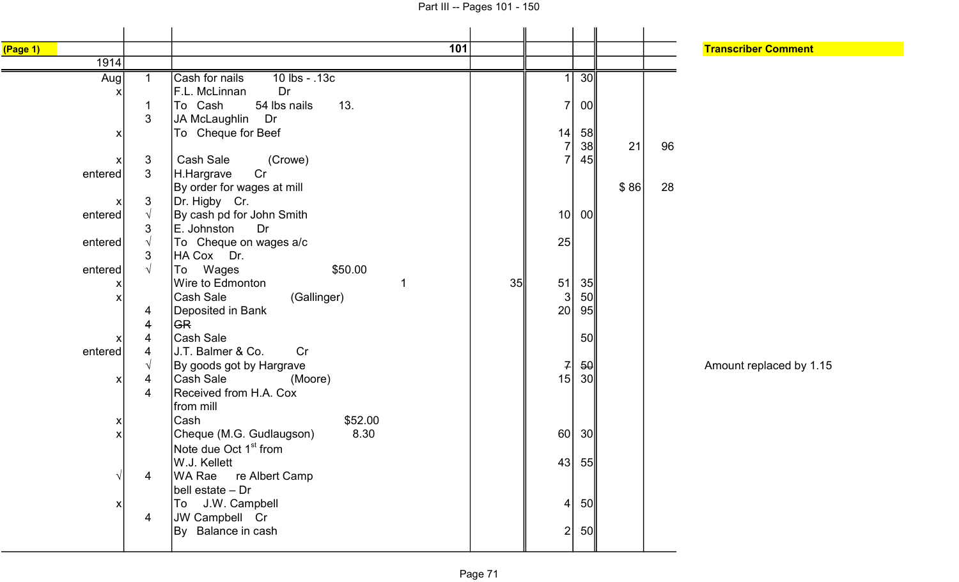Part III -- Pages 101 - 150

| (Page 1)                  |                         | 101                                         |    |                 |                 |      |    | <b>Transcriber Comment</b> |
|---------------------------|-------------------------|---------------------------------------------|----|-----------------|-----------------|------|----|----------------------------|
| 1914                      |                         |                                             |    |                 |                 |      |    |                            |
| Aug                       |                         | Cash for nails<br>10 lbs - .13c             |    |                 | 30              |      |    |                            |
| X                         |                         | F.L. McLinnan<br>Dr                         |    |                 |                 |      |    |                            |
|                           | 1                       | 54 lbs nails<br>13.<br>To Cash              |    | 7               | 00              |      |    |                            |
|                           | 3                       | JA McLaughlin Dr                            |    |                 |                 |      |    |                            |
| X                         |                         | To Cheque for Beef                          |    | 14              | 58              |      |    |                            |
|                           |                         |                                             |    |                 | 38              | 21   | 96 |                            |
| X                         | $\mathbf{3}$            | Cash Sale<br>(Crowe)                        |    |                 | 45              |      |    |                            |
| entered                   | $\mathbf{3}$            | Cr<br>H.Hargrave                            |    |                 |                 |      |    |                            |
|                           |                         | By order for wages at mill                  |    |                 |                 | \$86 | 28 |                            |
| $\vert X \vert$           | $\mathbf{3}$            | Dr. Higby Cr.                               |    |                 |                 |      |    |                            |
| entered                   | $\sqrt{ }$              | By cash pd for John Smith                   |    | 10 <sup>1</sup> | 00              |      |    |                            |
|                           | 3                       | $ E.$ Johnston Dr                           |    |                 |                 |      |    |                            |
| entered                   | $\sqrt{ }$              | To Cheque on wages a/c                      |    | 25              |                 |      |    |                            |
|                           | 3                       | HA Cox Dr.                                  |    |                 |                 |      |    |                            |
| entered                   | $\sqrt{ }$              | To Wages<br>\$50.00                         |    |                 |                 |      |    |                            |
|                           |                         | Wire to Edmonton                            | 35 | 51              | 35              |      |    |                            |
| $\boldsymbol{\mathsf{X}}$ |                         | Cash Sale<br>(Gallinger)                    |    | $\mathbf{3}$    | 50              |      |    |                            |
|                           | 4                       | Deposited in Bank                           |    | 20              | 95              |      |    |                            |
|                           | $\overline{\mathbf{4}}$ | <b>GR</b>                                   |    |                 |                 |      |    |                            |
| X                         | 4                       | Cash Sale                                   |    |                 | 50              |      |    |                            |
| entered                   | 4                       | Cr<br>J.T. Balmer & Co.                     |    |                 |                 |      |    |                            |
|                           |                         | By goods got by Hargrave                    |    | $\mathcal{I}$   | 50              |      |    | Amount replaced by 1.15    |
| X                         | 4                       | Cash Sale<br>(Moore)                        |    | 15              | 30 <sup>l</sup> |      |    |                            |
|                           | $\overline{4}$          | Received from H.A. Cox                      |    |                 |                 |      |    |                            |
|                           |                         | from mill<br><b>Cash</b>                    |    |                 |                 |      |    |                            |
| X                         |                         | \$52.00<br>Cheque (M.G. Gudlaugson)<br>8.30 |    | 60              | 30 <sup>l</sup> |      |    |                            |
| X                         |                         | Note due Oct 1 <sup>st</sup> from           |    |                 |                 |      |    |                            |
|                           |                         | W.J. Kellett                                |    | 43              | 55              |      |    |                            |
|                           |                         | WA Rae re Albert Camp                       |    |                 |                 |      |    |                            |
|                           | 4                       | bell estate - Dr                            |    |                 |                 |      |    |                            |
| $\mathsf{x}$              |                         | To J.W. Campbell                            |    | 4               | 50              |      |    |                            |
|                           | 4                       | JW Campbell Cr                              |    |                 |                 |      |    |                            |
|                           |                         | By Balance in cash                          |    | 2 <sup>1</sup>  | 50              |      |    |                            |
|                           |                         |                                             |    |                 |                 |      |    |                            |
|                           |                         |                                             |    |                 |                 |      |    |                            |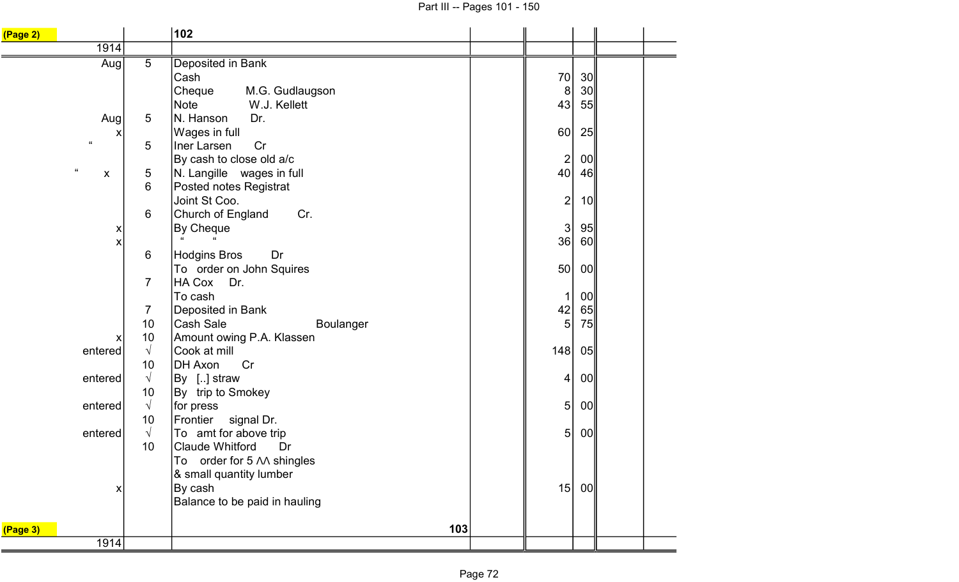| (Page 2)                                         |                 | 102                           |                 |    |  |
|--------------------------------------------------|-----------------|-------------------------------|-----------------|----|--|
| 1914                                             |                 |                               |                 |    |  |
| Aug                                              | $5\phantom{.0}$ | Deposited in Bank             |                 |    |  |
|                                                  |                 | Cash                          | 70              | 30 |  |
|                                                  |                 | Cheque<br>M.G. Gudlaugson     | $\,8\,$         | 30 |  |
|                                                  |                 | Note<br>W.J. Kellett          | 43              | 55 |  |
| Aug                                              | 5               | N. Hanson<br>Dr.              |                 |    |  |
| X                                                |                 | Wages in full                 | 60              | 25 |  |
| $\mathfrak{c}\mathfrak{c}$                       | $5\overline{)}$ | Cr<br>Iner Larsen             |                 |    |  |
|                                                  |                 | By cash to close old a/c      | $\vert$ 2       | 00 |  |
| $\mathfrak{c}\mathfrak{c}$<br>$\pmb{\mathsf{X}}$ | 5               | N. Langille wages in full     | 40              | 46 |  |
|                                                  | $6\phantom{1}$  | Posted notes Registrat        |                 |    |  |
|                                                  |                 | Joint St Coo.                 | $\overline{c}$  | 10 |  |
|                                                  | 6               | Church of England<br>Cr.      |                 |    |  |
| Χ                                                |                 | By Cheque                     | 3 <sup>1</sup>  | 95 |  |
| $\mathsf{x}$                                     |                 |                               | 36              | 60 |  |
|                                                  | 6               | <b>Hodgins Bros</b><br>Dr     |                 |    |  |
|                                                  |                 | To order on John Squires      | 50              | 00 |  |
|                                                  | $\overline{7}$  | HA Cox Dr.                    |                 |    |  |
|                                                  |                 | To cash                       | $\mathbf 1$     | 00 |  |
|                                                  | $\overline{7}$  | Deposited in Bank             | 42              | 65 |  |
|                                                  | 10              | Cash Sale<br><b>Boulanger</b> | 5               | 75 |  |
| X                                                | 10              | Amount owing P.A. Klassen     |                 |    |  |
| entered                                          | $\sqrt{ }$      | Cook at mill                  | 148             | 05 |  |
|                                                  | 10              | Cr<br>DH Axon                 |                 |    |  |
| entered                                          | $\sqrt{ }$      | By [] straw                   | $\vert 4 \vert$ | 00 |  |
|                                                  | 10              | By trip to Smokey             |                 |    |  |
| entered                                          | $\sqrt{ }$      | for press                     | 5 <sup>1</sup>  | 00 |  |
|                                                  | 10              | Frontier signal Dr.           |                 |    |  |
| entered                                          | $\sqrt{ }$      | To amt for above trip         | 5 <sup>1</sup>  | 00 |  |
|                                                  | 10              | <b>Claude Whitford</b><br>Dr  |                 |    |  |
|                                                  |                 | order for 5 ∧∧ shingles<br>To |                 |    |  |
|                                                  |                 | & small quantity lumber       |                 |    |  |
| x                                                |                 | By cash                       | 15              | 00 |  |
|                                                  |                 | Balance to be paid in hauling |                 |    |  |
|                                                  |                 |                               |                 |    |  |
| (Page 3)                                         |                 | 103                           |                 |    |  |
| 1914                                             |                 |                               |                 |    |  |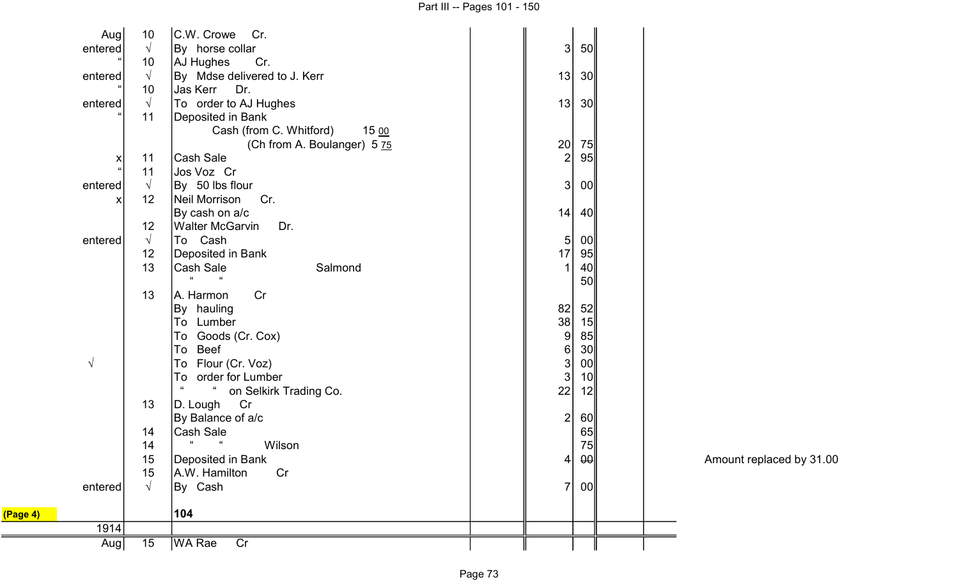| Aug             | 10 <sub>1</sub> | C.W. Crowe<br>Cr.               |                  |                 |
|-----------------|-----------------|---------------------------------|------------------|-----------------|
| entered         | $\sqrt{ }$      | By horse collar                 | 3 <sup>1</sup>   | 50              |
|                 | 10 <sup>°</sup> | AJ Hughes<br>Cr.                |                  |                 |
| entered         | $\sqrt{ }$      | By Mdse delivered to J. Kerr    | 13               | 30              |
|                 | 10              | Jas Kerr<br>Dr.                 |                  |                 |
| entered         | $\sqrt{ }$      | To order to AJ Hughes           | 13               | 30              |
|                 | 11              | Deposited in Bank               |                  |                 |
|                 |                 | Cash (from C. Whitford)<br>1500 |                  |                 |
|                 |                 | (Ch from A. Boulanger) 575      | 20               | 75              |
| Χ               | 11              | <b>Cash Sale</b>                | 2 <sub>1</sub>   | 95              |
|                 | 11              | Jos Voz Cr                      |                  |                 |
| entered         | $\sqrt{ }$      | By 50 lbs flour                 | 3 <sup>1</sup>   | 00              |
| х               | 12              | Neil Morrison<br>Cr.            |                  |                 |
|                 |                 | By cash on a/c                  | 14               | 40              |
|                 | 12              | Walter McGarvin<br>Dr.          |                  |                 |
| entered         | $\sqrt{}$       | To Cash                         | 5 <sub>l</sub>   | 00              |
|                 | 12              | Deposited in Bank               | 17               | 95              |
|                 | 13              | Salmond<br>Cash Sale            |                  | 40              |
|                 |                 | "                               |                  | 50              |
|                 | 13              | Cr<br>A. Harmon                 |                  |                 |
|                 |                 | By hauling                      | 82               | 52              |
|                 |                 | To Lumber                       | 38               | 15              |
|                 |                 | To Goods (Cr. Cox)              | $\boldsymbol{9}$ | 85              |
|                 |                 | To Beef                         | $\sqrt{6}$       | 30 <sup>1</sup> |
| $\sqrt{}$       |                 | Flour (Cr. Voz)<br>To           | $\frac{3}{3}$    | 00 <sup>1</sup> |
|                 |                 | order for Lumber<br>To          |                  | 10 <sub>l</sub> |
|                 |                 | "<br>on Selkirk Trading Co.     | 22               | 12              |
|                 | 13              | D. Lough<br>Cr                  |                  |                 |
|                 |                 | By Balance of a/c               | $2\vert$         | 60              |
|                 | 14              | <b>Cash Sale</b>                |                  | 65              |
|                 | 14              | $\epsilon$<br>"<br>Wilson       |                  | 75              |
|                 | 15              | Deposited in Bank               | 4                | $\Theta$        |
|                 | 15              | A.W. Hamilton<br>Cr             |                  |                 |
| entered         | $\sqrt{}$       | By Cash                         | $\overline{7}$   | 00              |
|                 |                 |                                 |                  |                 |
| $\overline{4)}$ |                 | 104                             |                  |                 |
| 1914            |                 |                                 |                  |                 |
| Aug             | 15              | WA Rae<br>Cr                    |                  |                 |

(Page

 $\overline{\phantom{a}}$ 

Amount replaced by 31.00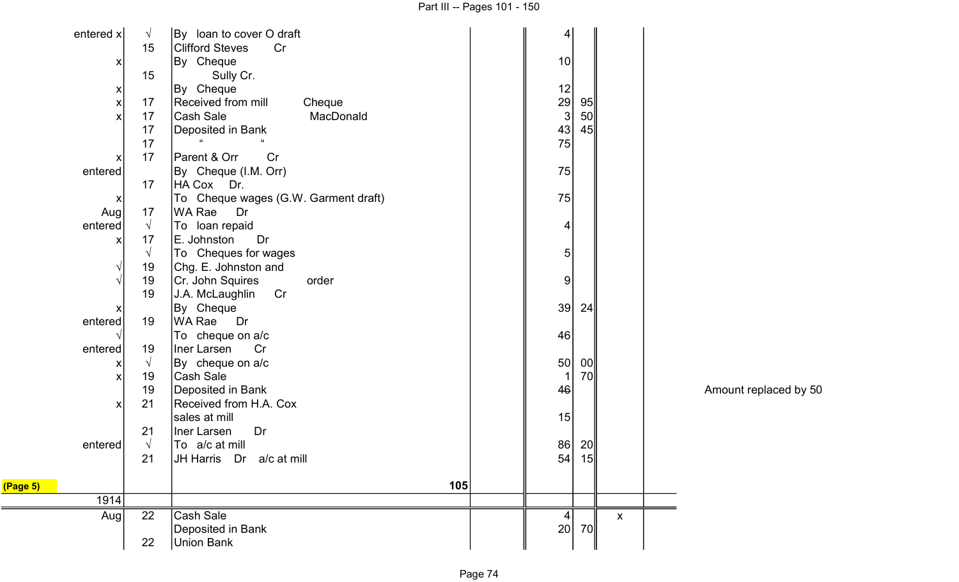| entered x                 | $\sqrt{ }$ | By loan to cover O draft             | 4            |    |                    |                       |
|---------------------------|------------|--------------------------------------|--------------|----|--------------------|-----------------------|
|                           | 15         | <b>Clifford Steves</b><br>Cr         |              |    |                    |                       |
| X                         |            | By Cheque                            | 10           |    |                    |                       |
|                           | 15         | Sully Cr.                            |              |    |                    |                       |
| X                         |            | By Cheque                            | 12           |    |                    |                       |
| X                         | 17         | Received from mill<br>Cheque         | 29           | 95 |                    |                       |
| $\boldsymbol{\mathsf{X}}$ | 17         | Cash Sale<br>MacDonald               | $\mathbf{3}$ | 50 |                    |                       |
|                           | 17         | Deposited in Bank                    | 43           | 45 |                    |                       |
|                           | 17         |                                      | 75           |    |                    |                       |
| X                         | 17         | Parent & Orr<br>Cr                   |              |    |                    |                       |
| entered                   |            | By Cheque (I.M. Orr)                 | 75           |    |                    |                       |
|                           | 17         | HA Cox Dr.                           |              |    |                    |                       |
| X                         |            | To Cheque wages (G.W. Garment draft) | 75           |    |                    |                       |
| Aug                       | 17         | WA Rae<br>Dr                         |              |    |                    |                       |
| entered                   | $\sqrt{ }$ | To loan repaid                       | 4            |    |                    |                       |
| Χ                         | 17         | E. Johnston<br>Dr                    |              |    |                    |                       |
|                           | $\sqrt{ }$ | To Cheques for wages                 | 5            |    |                    |                       |
|                           | 19         | Chg. E. Johnston and                 |              |    |                    |                       |
|                           | 19         | Cr. John Squires<br>order            | 9            |    |                    |                       |
|                           | 19         | Cr<br>J.A. McLaughlin                |              |    |                    |                       |
| Х                         |            | By Cheque                            | 39           | 24 |                    |                       |
| entered                   | 19         | WA Rae<br>Dr                         |              |    |                    |                       |
|                           |            | To cheque on a/c                     | 46           |    |                    |                       |
| entered                   | 19         | Iner Larsen<br>Cr                    |              |    |                    |                       |
| X                         | $\sqrt{ }$ | $ By$ cheque on a/c                  | 50           | 00 |                    |                       |
| Χ                         | 19         | Cash Sale                            |              | 70 |                    |                       |
|                           | 19         | Deposited in Bank                    | 46           |    |                    | Amount replaced by 50 |
| X                         | 21         | Received from H.A. Cox               |              |    |                    |                       |
|                           |            | sales at mill                        | 15           |    |                    |                       |
|                           | 21         | Iner Larsen<br>Dr                    |              |    |                    |                       |
| entered                   | $\sqrt{ }$ | To a/c at mill                       | 86           | 20 |                    |                       |
|                           | 21         | JH Harris<br>Dr a/c at mill          | 54           | 15 |                    |                       |
|                           |            |                                      |              |    |                    |                       |
| (Page 5)                  |            | 105                                  |              |    |                    |                       |
| 1914                      |            |                                      |              |    |                    |                       |
| Aug                       | 22         | Cash Sale                            | 4            |    | $\pmb{\mathsf{X}}$ |                       |
|                           |            | Deposited in Bank                    | 20           | 70 |                    |                       |
|                           | 22         | Union Bank                           |              |    |                    |                       |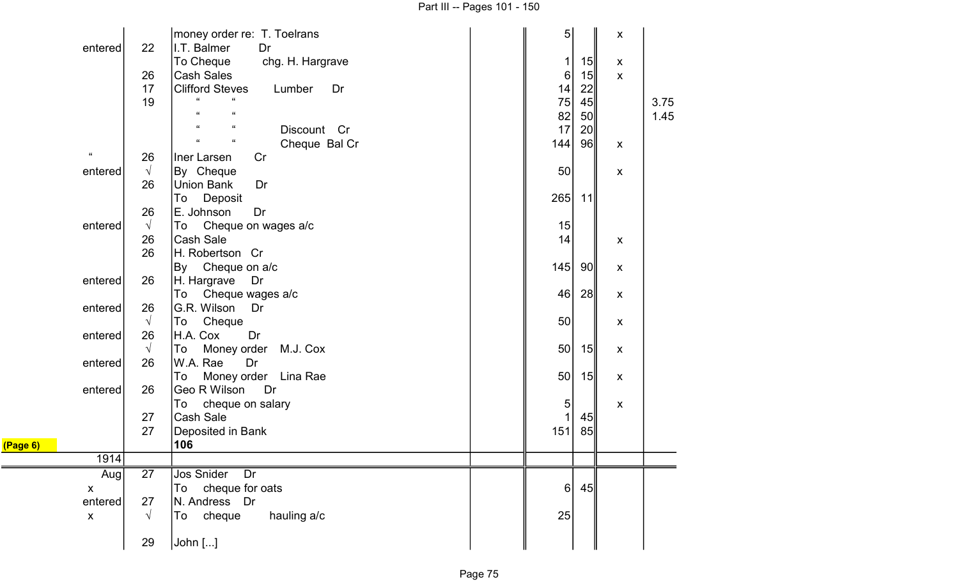|                            | 29               | $John$ []                                                                                |                |                 |                    |      |
|----------------------------|------------------|------------------------------------------------------------------------------------------|----------------|-----------------|--------------------|------|
| $\pmb{\mathsf{X}}$         | $\sqrt{}$        | hauling a/c<br>To cheque                                                                 | 25             |                 |                    |      |
| entered                    | 27               | N. Andress Dr                                                                            |                |                 |                    |      |
| $\pmb{\mathsf{X}}$         |                  | To cheque for oats                                                                       | 6              | 45              |                    |      |
|                            | 27<br>Aug        | Jos Snider Dr                                                                            |                |                 |                    |      |
| 1914                       |                  |                                                                                          |                |                 |                    |      |
| (Page 6)                   |                  | 106                                                                                      |                |                 |                    |      |
|                            | 27               | Deposited in Bank                                                                        | 151            | 85              |                    |      |
|                            | 27               | <b>Cash Sale</b>                                                                         |                | 45              |                    |      |
|                            |                  | cheque on salary<br>To                                                                   | 5              |                 | $\pmb{\mathsf{X}}$ |      |
| entered                    | 26               | Geo R Wilson<br>Dr                                                                       |                |                 |                    |      |
|                            |                  | Money order Lina Rae<br>To                                                               | 50             | 15              | X                  |      |
| entered                    |                  |                                                                                          |                |                 |                    |      |
|                            | $\sqrt{ }$<br>26 | Money order<br>M.J. Cox<br>To<br>W.A. Rae<br>Dr                                          | 50             | 15              | X                  |      |
| entered                    | 26               | H.A. Cox<br>Dr                                                                           |                |                 |                    |      |
|                            | $\sqrt{ }$       | Cheque<br>To                                                                             | 50             |                 | X                  |      |
| entered                    | 26               | G.R. Wilson<br>Dr                                                                        |                |                 |                    |      |
|                            |                  | Cheque wages a/c<br>To                                                                   | 46             | 28              | $\pmb{\mathsf{X}}$ |      |
| entered                    | 26               | H. Hargrave<br>Dr                                                                        |                |                 |                    |      |
|                            |                  | By Cheque on a/c                                                                         | 145            | 90 <sub>l</sub> | $\pmb{\mathsf{X}}$ |      |
|                            | 26               | H. Robertson Cr                                                                          |                |                 |                    |      |
|                            | 26               | <b>Cash Sale</b>                                                                         | 14             |                 | X                  |      |
| entered                    | $\sqrt{ }$       | To Cheque on wages a/c                                                                   | 15             |                 |                    |      |
|                            | 26               | E. Johnson<br>Dr                                                                         |                |                 |                    |      |
|                            |                  | Deposit<br>To                                                                            | 265            | 11              |                    |      |
|                            | 26               | <b>Union Bank</b><br>Dr                                                                  |                |                 |                    |      |
| entered                    | $\sqrt{}$        | By Cheque                                                                                | 50             |                 | X                  |      |
|                            | 26               | Cr<br>Iner Larsen                                                                        |                |                 |                    |      |
| $\mathfrak{c}\mathfrak{c}$ |                  | Cheque Bal Cr                                                                            | 144            | 96              | $\mathsf{X}$       |      |
|                            |                  | $\mathbf{G}$<br>$\epsilon$<br>Discount Cr<br>$\mathbf{G}$<br>$\boldsymbol{\mathfrak{c}}$ | 17             | 20              |                    |      |
|                            |                  | $\epsilon$<br>$\epsilon\epsilon$                                                         | 82             | 50              |                    | 1.45 |
|                            | 19               | $\epsilon$<br>$\epsilon$                                                                 | 75             | 45              |                    | 3.75 |
|                            | 17               | <b>Clifford Steves</b><br>Lumber<br>Dr                                                   | 14             | 22              |                    |      |
|                            | 26               | <b>Cash Sales</b>                                                                        | 6              | 15              | X                  |      |
|                            |                  | To Cheque<br>chg. H. Hargrave                                                            | 1              | 15              | X                  |      |
| entered                    | 22               | I.T. Balmer<br>Dr                                                                        |                |                 |                    |      |
|                            |                  | money order re: T. Toelrans                                                              | 5 <sup>1</sup> |                 | X                  |      |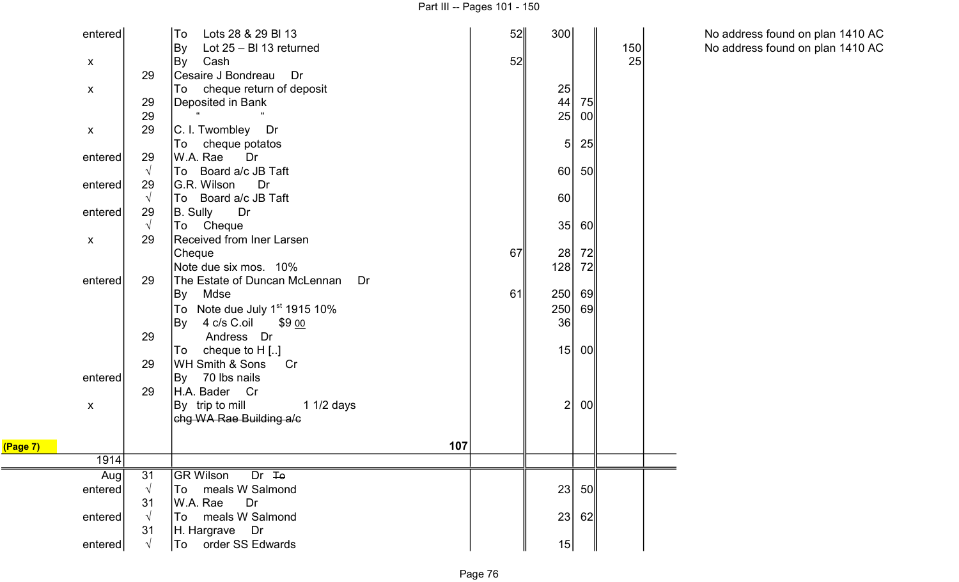| entered            |            | To<br>Lots 28 & 29 BI 13                     | 52 | 300            |    |     | No address found on plan 1410 AC |
|--------------------|------------|----------------------------------------------|----|----------------|----|-----|----------------------------------|
|                    |            | By <br>Lot 25 - BI 13 returned               |    |                |    | 150 | No address found on plan 1410 AC |
| X                  |            | By<br>Cash                                   | 52 |                |    | 25  |                                  |
|                    | 29         | Cesaire J Bondreau<br>Dr                     |    |                |    |     |                                  |
| $\pmb{\mathsf{X}}$ |            | cheque return of deposit<br>To               |    | 25             |    |     |                                  |
|                    | 29         | Deposited in Bank                            |    | 44             | 75 |     |                                  |
|                    | 29         |                                              |    | 25             | 00 |     |                                  |
| $\mathsf{X}$       | 29         | C. I. Twombley Dr                            |    |                |    |     |                                  |
|                    |            | cheque potatos<br> To                        |    | 5 <sub>5</sub> | 25 |     |                                  |
| entered            | 29         | W.A. Rae<br>Dr                               |    |                |    |     |                                  |
|                    | $\sqrt{ }$ | To Board a/c JB Taft                         |    | 60             | 50 |     |                                  |
| entered            | 29         | G.R. Wilson<br>Dr                            |    |                |    |     |                                  |
|                    | $\sqrt{ }$ | To Board a/c JB Taft                         |    | 60             |    |     |                                  |
| entered            | 29         | B. Sully<br>Dr                               |    |                |    |     |                                  |
|                    | $\sqrt{ }$ | To Cheque                                    |    | 35             | 60 |     |                                  |
| $\mathsf{X}$       | 29         | Received from Iner Larsen                    |    |                |    |     |                                  |
|                    |            | Cheque                                       | 67 | 28             | 72 |     |                                  |
|                    |            | Note due six mos. 10%                        |    | 128            | 72 |     |                                  |
| entered            | 29         | The Estate of Duncan McLennan<br>Dr          |    |                |    |     |                                  |
|                    |            | Mdse<br> By                                  | 61 | 250            | 69 |     |                                  |
|                    |            | Note due July 1 <sup>st</sup> 1915 10%<br>To |    | 250            | 69 |     |                                  |
|                    |            | 4 c/s C.oil<br>\$900<br> By                  |    | 36             |    |     |                                  |
|                    | 29         | Andress Dr                                   |    |                |    |     |                                  |
|                    |            | cheque to $H$ []<br> To                      |    | 15             | 00 |     |                                  |
|                    | 29         | WH Smith & Sons<br>Cr                        |    |                |    |     |                                  |
| entered            |            | By 70 lbs nails                              |    |                |    |     |                                  |
|                    | 29         | H.A. Bader Cr                                |    |                |    |     |                                  |
| $\pmb{\mathsf{X}}$ |            | By trip to mill<br>1 1/2 days                |    | $\overline{2}$ | 00 |     |                                  |
|                    |            | chg WA Rae Building a/c                      |    |                |    |     |                                  |
|                    |            |                                              |    |                |    |     |                                  |
| (Page 7)           |            | 107                                          |    |                |    |     |                                  |
| 1914               |            |                                              |    |                |    |     |                                  |
| Aug                | 31         | <b>GR Wilson</b><br>$Dr$ Te                  |    |                |    |     |                                  |
| entered            | $\sqrt{ }$ | To meals W Salmond                           |    | 23             | 50 |     |                                  |
|                    | 31         | $W.A.$ Rae Dr                                |    |                |    |     |                                  |
| entered            | $\sqrt{ }$ | To meals W Salmond                           |    | 23             | 62 |     |                                  |
|                    | 31         | $ H.$ Hargrave Dr                            |    |                |    |     |                                  |
| entered            |            | To order SS Edwards                          |    | 15             |    |     |                                  |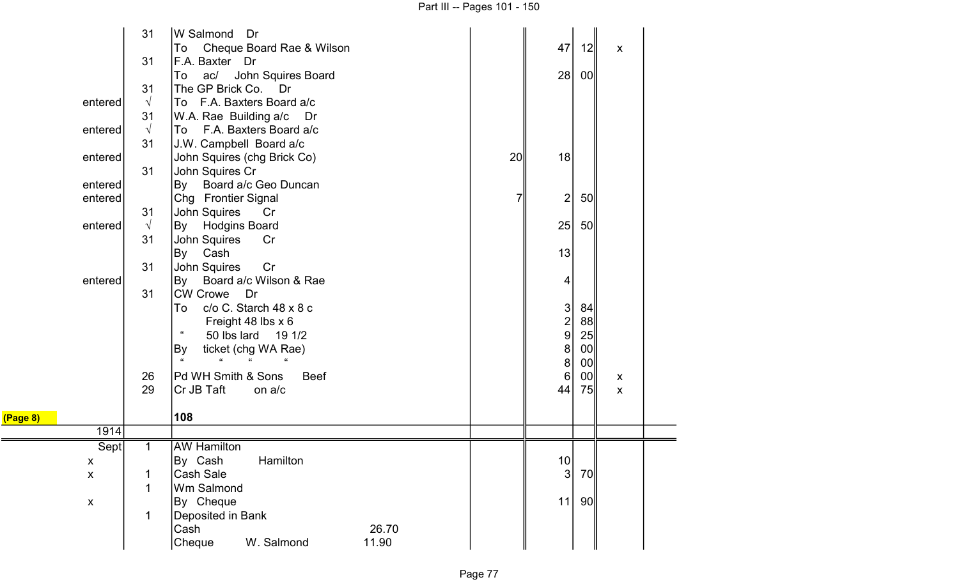|                    | 31           | W Salmond Dr                        |    |                                       |    |                    |  |
|--------------------|--------------|-------------------------------------|----|---------------------------------------|----|--------------------|--|
|                    |              | Cheque Board Rae & Wilson<br>To     |    | 47                                    | 12 | $\mathsf{x}$       |  |
|                    | 31           | F.A. Baxter Dr                      |    |                                       |    |                    |  |
|                    |              | ac/ John Squires Board<br>To        |    | 28                                    | 00 |                    |  |
|                    | 31           | The GP Brick Co. Dr                 |    |                                       |    |                    |  |
| entered            | $\sqrt{}$    | To F.A. Baxters Board a/c           |    |                                       |    |                    |  |
|                    | 31           | W.A. Rae Building a/c Dr            |    |                                       |    |                    |  |
| entered            | $\sqrt{ }$   | To F.A. Baxters Board a/c           |    |                                       |    |                    |  |
|                    | 31           | J.W. Campbell Board a/c             |    |                                       |    |                    |  |
| entered            |              | John Squires (chg Brick Co)         | 20 | 18                                    |    |                    |  |
|                    | 31           | John Squires Cr                     |    |                                       |    |                    |  |
| entered            |              | By Board a/c Geo Duncan             |    |                                       |    |                    |  |
| entered            |              | Chg Frontier Signal                 | 7  | $\overline{c}$                        | 50 |                    |  |
|                    | 31           | John Squires<br>Cr                  |    |                                       |    |                    |  |
| entered            | $\sqrt{}$    | <b>Hodgins Board</b><br>By          |    | 25                                    | 50 |                    |  |
|                    | 31           | John Squires<br>Cr                  |    |                                       |    |                    |  |
|                    |              | By Cash                             |    | 13                                    |    |                    |  |
|                    | 31           | John Squires<br>Cr                  |    |                                       |    |                    |  |
| entered            |              | Board a/c Wilson & Rae<br>By        |    | 4                                     |    |                    |  |
|                    | 31           | <b>CW Crowe</b><br>Dr               |    |                                       |    |                    |  |
|                    |              | c/o C. Starch 48 x 8 c<br>To        |    | $\mathfrak{S}$                        | 84 |                    |  |
|                    |              | Freight 48 lbs x 6                  |    | $\begin{array}{c} 2 \\ 9 \end{array}$ | 88 |                    |  |
|                    |              | $\epsilon$<br>50 lbs lard 19 1/2    |    |                                       | 25 |                    |  |
|                    |              | By<br>ticket (chg WA Rae)           |    | $\bf 8$                               | 00 |                    |  |
|                    |              | $\alpha$ and $\alpha$<br>$\epsilon$ |    | 8                                     | 00 |                    |  |
|                    | 26           | Pd WH Smith & Sons<br><b>Beef</b>   |    | $6\phantom{1}6$                       | 00 | $\pmb{\mathsf{X}}$ |  |
|                    | 29           | Cr JB Taft<br>on $a/c$              |    | 44                                    | 75 | X                  |  |
|                    |              |                                     |    |                                       |    |                    |  |
| 1914               |              | 108                                 |    |                                       |    |                    |  |
|                    | $\mathbf{1}$ |                                     |    |                                       |    |                    |  |
| Sept               |              | <b>AW</b> Hamilton<br>Hamilton      |    |                                       |    |                    |  |
| $\mathsf{X}$       |              | By Cash<br>Cash Sale                |    | 10<br>3 <sub>l</sub>                  |    |                    |  |
| $\pmb{\mathsf{X}}$ | 1<br>1       | Wm Salmond                          |    |                                       | 70 |                    |  |
|                    |              |                                     |    |                                       |    |                    |  |
| $\pmb{\mathsf{X}}$ |              | By Cheque                           |    | 11                                    | 90 |                    |  |
|                    | $\mathbf 1$  | Deposited in Bank<br>26.70          |    |                                       |    |                    |  |
|                    |              | Cash<br>W. Salmond                  |    |                                       |    |                    |  |
|                    |              | Cheque<br>11.90                     |    |                                       |    |                    |  |

(Page 8)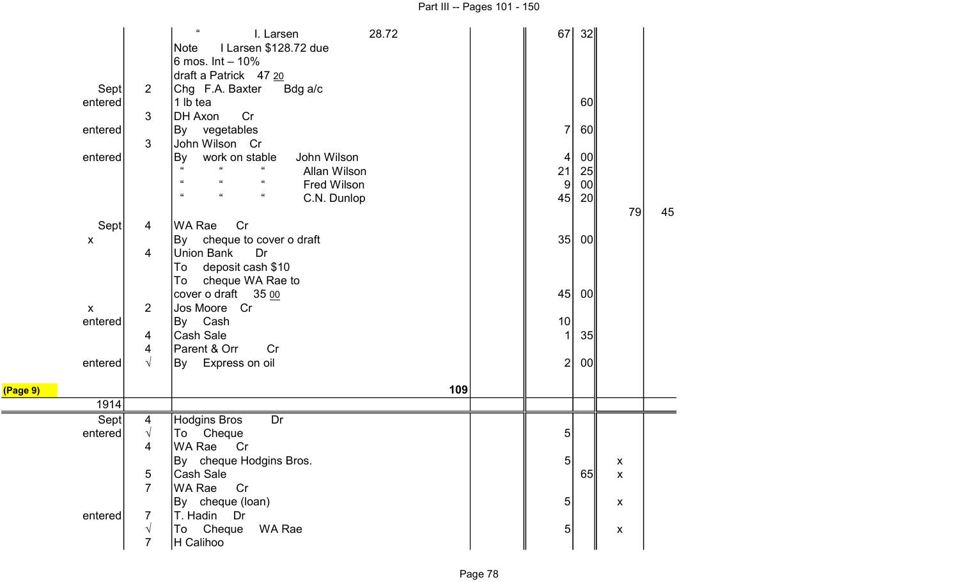| Sept<br>entered<br>entered | $\overline{2}$<br>3<br>$\mathbf{3}$ | $\boldsymbol{\mathfrak{c}}$<br>I. Larsen<br>I Larsen \$128.72 due<br>Note<br>6 mos. $Int - 10\%$<br>draft a Patrick 47 20<br>Bdg a/c<br>Chg F.A. Baxter<br>1 lb tea<br>DH Axon<br>Cr<br>By vegetables<br>John Wilson Cr                                      | 28.72 | 67<br>$\overline{7}$                         | 32<br>60<br>60          |                                    |    |
|----------------------------|-------------------------------------|--------------------------------------------------------------------------------------------------------------------------------------------------------------------------------------------------------------------------------------------------------------|-------|----------------------------------------------|-------------------------|------------------------------------|----|
| entered                    |                                     | John Wilson<br>work on stable<br>By<br>$\epsilon$<br>$\epsilon$<br>$\mathfrak{c}\mathfrak{c}$<br><b>Allan Wilson</b><br>$\mathbf{G}$<br>$\mathbf{G}$<br>$\mathbf{G}$<br><b>Fred Wilson</b><br>$\mathfrak{c}\mathfrak{c}$<br>$\mathbf{G}$<br>"<br>C.N. Dunlop |       | $\overline{4}$<br>21<br>$\overline{9}$<br>45 | 00 <br>25<br> 00 <br>20 | 79                                 | 45 |
| Sept<br>$\pmb{\mathsf{X}}$ | $\overline{4}$<br>4                 | Cr<br><b>WA Rae</b><br>By cheque to cover o draft<br><b>Union Bank</b><br>Dr<br>To deposit cash \$10<br>cheque WA Rae to<br>To<br>cover o draft 35 00                                                                                                        |       | 35<br>45                                     | 00 <br> 00              |                                    |    |
| $\mathsf{X}$<br>entered    | $\overline{2}$<br>4<br>4            | Jos Moore Cr<br>By Cash<br><b>Cash Sale</b><br>Parent & Orr<br>Cr                                                                                                                                                                                            |       | $10$<br>1                                    | 35                      |                                    |    |
| entered                    | $\sqrt{ }$                          | By Express on oil                                                                                                                                                                                                                                            |       | $\overline{2}$                               | 00                      |                                    |    |
| (Page 9)                   |                                     |                                                                                                                                                                                                                                                              | 109   |                                              |                         |                                    |    |
| 1914                       |                                     |                                                                                                                                                                                                                                                              |       |                                              |                         |                                    |    |
| Sept<br>entered            | 4<br>$\sqrt{}$<br>4                 | <b>Hodgins Bros</b><br>Dr<br>To Cheque<br>WA Rae<br>Cr                                                                                                                                                                                                       |       | 5 <sup>1</sup>                               |                         |                                    |    |
|                            | 5<br>$\overline{7}$                 | By cheque Hodgins Bros.<br><b>Cash Sale</b><br>Cr<br><b>WA Rae</b>                                                                                                                                                                                           |       | 5 <sup>1</sup>                               | 65                      | $\pmb{\mathsf{X}}$<br>X            |    |
| entered                    | 7<br>$\sqrt{}$<br>$\overline{7}$    | By cheque (loan)<br>T. Hadin Dr<br>To Cheque<br>WA Rae<br>H Calihoo                                                                                                                                                                                          |       | 5 <sup>1</sup><br>5                          |                         | $\mathsf{X}$<br>$\pmb{\mathsf{X}}$ |    |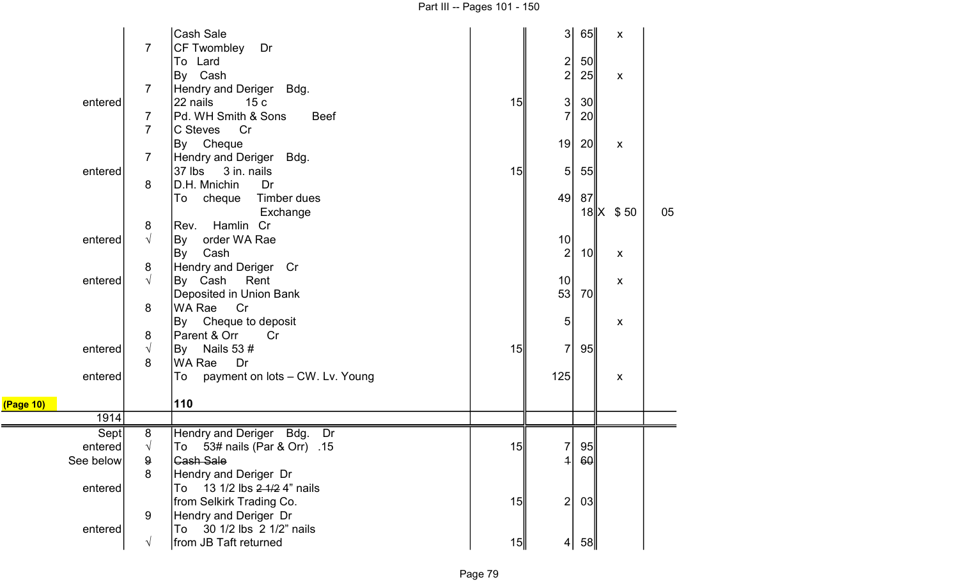| 3 <sup>1</sup><br>65<br><b>Cash Sale</b><br>$\pmb{\mathsf{X}}$<br>$\overline{7}$<br>CF Twombley<br>Dr<br>$\overline{2}$<br>50<br>To Lard<br>25<br>$\overline{2}$<br>By Cash<br>$\pmb{\mathsf{X}}$<br>$\overline{7}$<br>Hendry and Deriger Bdg.<br>$\mathfrak{S}$<br>15<br>30<br>entered<br>22 nails<br>15 с<br>Pd. WH Smith & Sons<br>20<br>7<br><b>Beef</b><br>$\overline{7}$<br>C Steves<br>Cr<br>20<br>19<br>By Cheque<br>$\pmb{\mathsf{X}}$<br>Hendry and Deriger Bdg.<br>$\overline{7}$<br>37 lbs 3 in. nails<br>15<br>5<br>entered<br>55<br>D.H. Mnichin<br>8<br>Dr<br>49<br>87<br>Timber dues<br>cheque<br>To<br>$18$ X \$ 50<br>05<br>Exchange<br>Rev. Hamlin Cr<br>8<br>$\sqrt{}$<br>10<br>entered<br>By<br>order WA Rae<br>$\overline{2}$<br>10<br>Cash<br>By<br>$\mathsf{X}$<br>Hendry and Deriger Cr<br>8<br>$\sqrt{ }$<br>By Cash Rent<br>10<br>entered<br>$\mathsf{X}$ |
|--------------------------------------------------------------------------------------------------------------------------------------------------------------------------------------------------------------------------------------------------------------------------------------------------------------------------------------------------------------------------------------------------------------------------------------------------------------------------------------------------------------------------------------------------------------------------------------------------------------------------------------------------------------------------------------------------------------------------------------------------------------------------------------------------------------------------------------------------------------------------------------|
|                                                                                                                                                                                                                                                                                                                                                                                                                                                                                                                                                                                                                                                                                                                                                                                                                                                                                      |
|                                                                                                                                                                                                                                                                                                                                                                                                                                                                                                                                                                                                                                                                                                                                                                                                                                                                                      |
|                                                                                                                                                                                                                                                                                                                                                                                                                                                                                                                                                                                                                                                                                                                                                                                                                                                                                      |
|                                                                                                                                                                                                                                                                                                                                                                                                                                                                                                                                                                                                                                                                                                                                                                                                                                                                                      |
|                                                                                                                                                                                                                                                                                                                                                                                                                                                                                                                                                                                                                                                                                                                                                                                                                                                                                      |
|                                                                                                                                                                                                                                                                                                                                                                                                                                                                                                                                                                                                                                                                                                                                                                                                                                                                                      |
|                                                                                                                                                                                                                                                                                                                                                                                                                                                                                                                                                                                                                                                                                                                                                                                                                                                                                      |
|                                                                                                                                                                                                                                                                                                                                                                                                                                                                                                                                                                                                                                                                                                                                                                                                                                                                                      |
|                                                                                                                                                                                                                                                                                                                                                                                                                                                                                                                                                                                                                                                                                                                                                                                                                                                                                      |
|                                                                                                                                                                                                                                                                                                                                                                                                                                                                                                                                                                                                                                                                                                                                                                                                                                                                                      |
|                                                                                                                                                                                                                                                                                                                                                                                                                                                                                                                                                                                                                                                                                                                                                                                                                                                                                      |
|                                                                                                                                                                                                                                                                                                                                                                                                                                                                                                                                                                                                                                                                                                                                                                                                                                                                                      |
|                                                                                                                                                                                                                                                                                                                                                                                                                                                                                                                                                                                                                                                                                                                                                                                                                                                                                      |
|                                                                                                                                                                                                                                                                                                                                                                                                                                                                                                                                                                                                                                                                                                                                                                                                                                                                                      |
|                                                                                                                                                                                                                                                                                                                                                                                                                                                                                                                                                                                                                                                                                                                                                                                                                                                                                      |
|                                                                                                                                                                                                                                                                                                                                                                                                                                                                                                                                                                                                                                                                                                                                                                                                                                                                                      |
|                                                                                                                                                                                                                                                                                                                                                                                                                                                                                                                                                                                                                                                                                                                                                                                                                                                                                      |
|                                                                                                                                                                                                                                                                                                                                                                                                                                                                                                                                                                                                                                                                                                                                                                                                                                                                                      |
|                                                                                                                                                                                                                                                                                                                                                                                                                                                                                                                                                                                                                                                                                                                                                                                                                                                                                      |
| 53<br>70∥<br>Deposited in Union Bank                                                                                                                                                                                                                                                                                                                                                                                                                                                                                                                                                                                                                                                                                                                                                                                                                                                 |
| WA Rae<br>8<br>Cr                                                                                                                                                                                                                                                                                                                                                                                                                                                                                                                                                                                                                                                                                                                                                                                                                                                                    |
| By Cheque to deposit<br>5<br>$\mathsf{X}$                                                                                                                                                                                                                                                                                                                                                                                                                                                                                                                                                                                                                                                                                                                                                                                                                                            |
| Parent & Orr<br>8<br>Cr                                                                                                                                                                                                                                                                                                                                                                                                                                                                                                                                                                                                                                                                                                                                                                                                                                                              |
| $\sqrt{}$<br>15<br>95<br>By Nails 53 #<br>$\overline{7}$<br>entered                                                                                                                                                                                                                                                                                                                                                                                                                                                                                                                                                                                                                                                                                                                                                                                                                  |
| 8<br><b>WA Rae</b><br>Dr                                                                                                                                                                                                                                                                                                                                                                                                                                                                                                                                                                                                                                                                                                                                                                                                                                                             |
| payment on lots - CW. Lv. Young<br>125<br>entered<br>To<br>$\pmb{\mathsf{X}}$                                                                                                                                                                                                                                                                                                                                                                                                                                                                                                                                                                                                                                                                                                                                                                                                        |
|                                                                                                                                                                                                                                                                                                                                                                                                                                                                                                                                                                                                                                                                                                                                                                                                                                                                                      |
| 110<br>(Page 10)                                                                                                                                                                                                                                                                                                                                                                                                                                                                                                                                                                                                                                                                                                                                                                                                                                                                     |
| 1914                                                                                                                                                                                                                                                                                                                                                                                                                                                                                                                                                                                                                                                                                                                                                                                                                                                                                 |
| Sept<br>8<br>Hendry and Deriger Bdg. Dr                                                                                                                                                                                                                                                                                                                                                                                                                                                                                                                                                                                                                                                                                                                                                                                                                                              |
| $\sqrt{ }$<br>7 <sup>1</sup><br>95<br>15<br>.To<br>53# nails (Par & Orr) .15<br>entered                                                                                                                                                                                                                                                                                                                                                                                                                                                                                                                                                                                                                                                                                                                                                                                              |
| 60<br>See below<br><b>Cash Sale</b><br>$\left  \right $<br>9                                                                                                                                                                                                                                                                                                                                                                                                                                                                                                                                                                                                                                                                                                                                                                                                                         |
| 8<br>Hendry and Deriger Dr                                                                                                                                                                                                                                                                                                                                                                                                                                                                                                                                                                                                                                                                                                                                                                                                                                                           |
| 13 1/2 lbs <del>2 1/2</del> 4" nails<br>entered<br>To                                                                                                                                                                                                                                                                                                                                                                                                                                                                                                                                                                                                                                                                                                                                                                                                                                |
| $\overline{2}$<br>15<br>from Selkirk Trading Co.<br> 03                                                                                                                                                                                                                                                                                                                                                                                                                                                                                                                                                                                                                                                                                                                                                                                                                              |
| 9<br>Hendry and Deriger Dr                                                                                                                                                                                                                                                                                                                                                                                                                                                                                                                                                                                                                                                                                                                                                                                                                                                           |
| 30 1/2 lbs 2 1/2" nails<br>entered<br>To                                                                                                                                                                                                                                                                                                                                                                                                                                                                                                                                                                                                                                                                                                                                                                                                                                             |
| from JB Taft returned<br>15<br>58<br>4 <br>V                                                                                                                                                                                                                                                                                                                                                                                                                                                                                                                                                                                                                                                                                                                                                                                                                                         |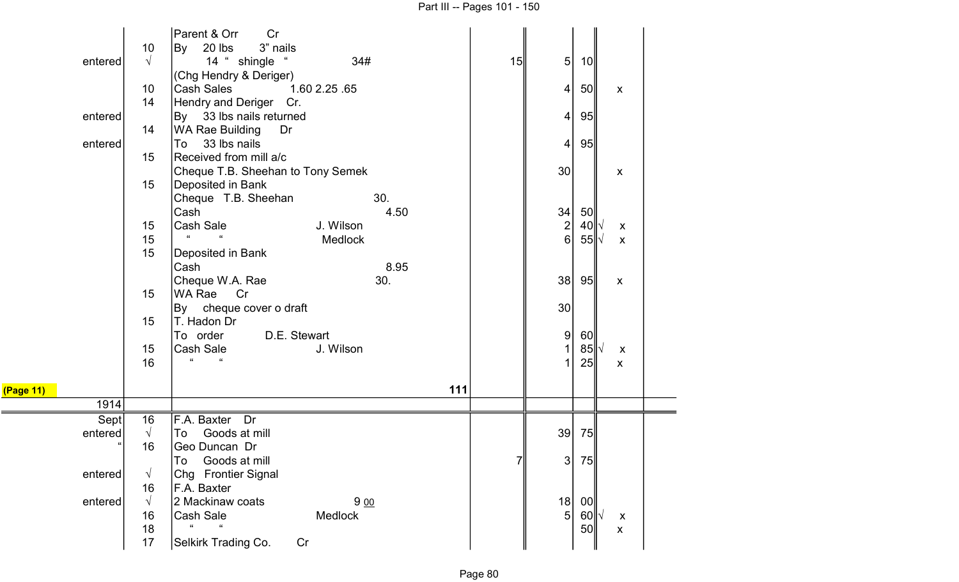| entered   | 10<br>$\sqrt{ }$<br>10           | Parent & Orr<br>Cr<br>By 20 lbs<br>3" nails<br>14 " shingle "<br>34#<br>(Chg Hendry & Deriger)<br><b>Cash Sales</b><br>1.60 2.25 .65 | 15 | 5 <sup>1</sup><br>4 <sup>1</sup> | 10 <sup>1</sup><br>50              | $\pmb{\mathsf{X}}$        |  |
|-----------|----------------------------------|--------------------------------------------------------------------------------------------------------------------------------------|----|----------------------------------|------------------------------------|---------------------------|--|
| entered   | 14                               | Hendry and Deriger Cr.<br>By 33 lbs nails returned                                                                                   |    | $\vert 4 \vert$                  | 95                                 |                           |  |
| entered   | 14                               | <b>WA Rae Building</b><br>Dr<br>33 lbs nails<br>To                                                                                   |    | $\overline{\mathcal{A}}$         | 95                                 |                           |  |
|           | 15                               | Received from mill a/c                                                                                                               |    |                                  |                                    |                           |  |
|           |                                  | Cheque T.B. Sheehan to Tony Semek                                                                                                    |    | 30                               |                                    | $\mathsf{X}$              |  |
|           | 15                               | Deposited in Bank                                                                                                                    |    |                                  |                                    |                           |  |
|           |                                  | Cheque T.B. Sheehan<br>30.<br>Cash<br>4.50                                                                                           |    | 34                               | 50                                 |                           |  |
|           | 15                               | Cash Sale<br>J. Wilson                                                                                                               |    | $\overline{2}$                   | 40 $\parallel$ √                   | $\mathsf{X}$              |  |
|           | 15                               | $\epsilon$<br>$\epsilon$<br><b>Medlock</b>                                                                                           |    | 6                                | 55                                 | $\mathsf{X}$              |  |
|           | 15                               | Deposited in Bank                                                                                                                    |    |                                  |                                    |                           |  |
|           |                                  | Cash<br>8.95                                                                                                                         |    |                                  |                                    |                           |  |
|           |                                  | Cheque W.A. Rae<br>30.                                                                                                               |    | 38                               | 95                                 | $\boldsymbol{\mathsf{X}}$ |  |
|           | 15                               | WA Rae<br><b>Cr</b><br>By cheque cover o draft                                                                                       |    | 30                               |                                    |                           |  |
|           | 15                               | T. Hadon Dr                                                                                                                          |    |                                  |                                    |                           |  |
|           |                                  | To order D.E. Stewart                                                                                                                |    | 9                                | 60                                 |                           |  |
|           | 15                               | Cash Sale<br>J. Wilson                                                                                                               |    |                                  | $85$ <sup><math>\sqrt</math></sup> | $\mathsf{X}$              |  |
|           | 16                               | $\epsilon$                                                                                                                           |    |                                  | 25                                 | $\pmb{\mathsf{X}}$        |  |
| (Page 11) |                                  | 111                                                                                                                                  |    |                                  |                                    |                           |  |
|           | 1914                             |                                                                                                                                      |    |                                  |                                    |                           |  |
|           | Sept<br>16                       | F.A. Baxter Dr                                                                                                                       |    |                                  |                                    |                           |  |
| entered   | $\sqrt{ }$                       | Goods at mill<br>To                                                                                                                  |    | 39                               | 75                                 |                           |  |
|           | $\mathfrak{c}\mathfrak{c}$<br>16 | Geo Duncan Dr                                                                                                                        |    |                                  |                                    |                           |  |
|           |                                  | Goods at mill<br>To                                                                                                                  | 7  | 3                                | 75                                 |                           |  |
| entered   | $\sqrt{ }$<br>16                 | Chg Frontier Signal                                                                                                                  |    |                                  |                                    |                           |  |
| entered   | $\sqrt{ }$                       | F.A. Baxter<br>2 Mackinaw coats<br>900                                                                                               |    | 18                               | 00                                 |                           |  |
|           | 16                               | <b>Medlock</b><br>Cash Sale                                                                                                          |    | 5                                | 60                                 | $\pmb{\mathsf{X}}$        |  |
|           | 18                               | $\boldsymbol{\mathfrak{u}}$                                                                                                          |    |                                  | 50                                 | $\pmb{\mathsf{X}}$        |  |
|           | 17                               | Selkirk Trading Co.<br>Cr                                                                                                            |    |                                  |                                    |                           |  |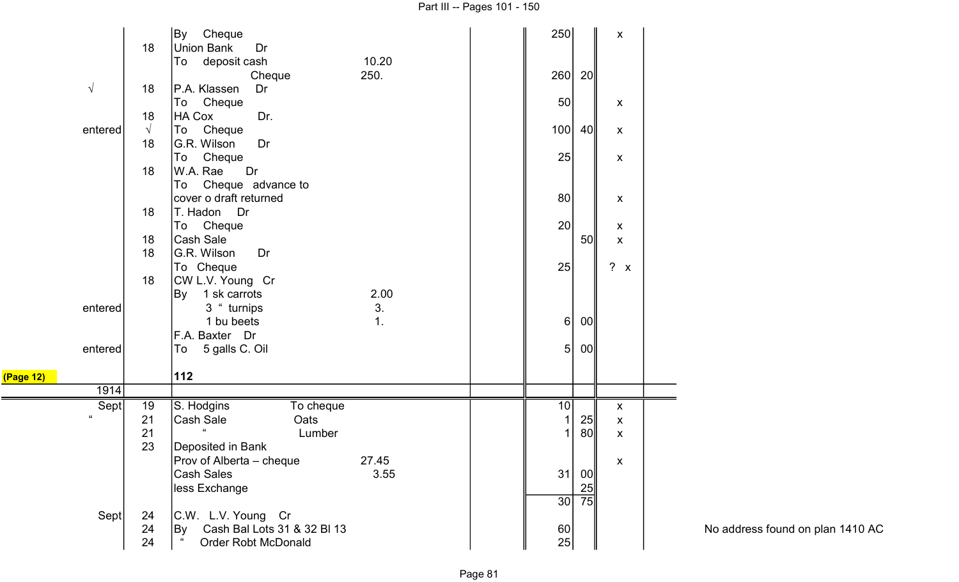|           |                      |           | <b>By</b><br>Cheque                | 250             |                 | $\pmb{\mathsf{X}}$                                    |  |
|-----------|----------------------|-----------|------------------------------------|-----------------|-----------------|-------------------------------------------------------|--|
|           |                      | 18        | <b>Union Bank</b><br>Dr            |                 |                 |                                                       |  |
|           |                      |           | deposit cash<br>10.20<br>To        |                 |                 |                                                       |  |
|           |                      |           | 250.<br>Cheque                     | 260             | 20              |                                                       |  |
|           | $\sqrt{ }$           | 18        | P.A. Klassen<br>Dr                 |                 |                 |                                                       |  |
|           |                      |           | Cheque<br>To                       | 50              |                 | $\pmb{\mathsf{X}}$                                    |  |
|           |                      | 18        | HA Cox<br>Dr.                      |                 |                 |                                                       |  |
|           | entered              | $\sqrt{}$ | Cheque<br>To                       | 100             | 40              | $\pmb{\mathsf{X}}$                                    |  |
|           |                      | 18        | G.R. Wilson<br>Dr                  |                 |                 |                                                       |  |
|           |                      |           | Cheque<br>To                       | 25              |                 | $\pmb{\mathsf{X}}$                                    |  |
|           |                      | 18        | W.A. Rae<br>Dr                     |                 |                 |                                                       |  |
|           |                      |           | To Cheque advance to               |                 |                 |                                                       |  |
|           |                      |           | cover o draft returned             | 80              |                 | $\pmb{\mathsf{X}}$                                    |  |
|           |                      | 18        | T. Hadon Dr                        |                 |                 |                                                       |  |
|           |                      |           | To Cheque                          | $20\,$          |                 |                                                       |  |
|           |                      | 18        | <b>Cash Sale</b>                   |                 | 50              | $\pmb{\mathsf{X}}$<br>$\pmb{\mathsf{X}}$              |  |
|           |                      | 18        | G.R. Wilson<br>Dr                  |                 |                 |                                                       |  |
|           |                      |           | To Cheque                          | 25              |                 | $\overline{\phantom{a}}$<br>$\boldsymbol{\mathsf{X}}$ |  |
|           |                      | 18        | CW L.V. Young Cr                   |                 |                 |                                                       |  |
|           |                      |           | 2.00<br>1 sk carrots<br>By         |                 |                 |                                                       |  |
|           | entered              |           | 3 " turnips<br>3.                  |                 |                 |                                                       |  |
|           |                      |           | 1 bu beets<br>1.                   | 6               | 00              |                                                       |  |
|           |                      |           | F.A. Baxter Dr                     |                 |                 |                                                       |  |
|           | entered              |           | 5 galls C. Oil<br>To               | 5               | 00              |                                                       |  |
|           |                      |           |                                    |                 |                 |                                                       |  |
| (Page 12) |                      |           | 112                                |                 |                 |                                                       |  |
|           | 1914                 |           |                                    |                 |                 |                                                       |  |
|           | Sept                 | 19        | S. Hodgins<br>To cheque            | 10              |                 | $\pmb{\mathsf{X}}$                                    |  |
|           | $\pmb{\mathfrak{c}}$ | 21        | Cash Sale<br>Oats                  |                 | 25              | $\pmb{\mathsf{X}}$                                    |  |
|           |                      | 21        | Lumber                             |                 | 80              | $\mathsf{X}$                                          |  |
|           |                      | 23        | Deposited in Bank                  |                 |                 |                                                       |  |
|           |                      |           | Prov of Alberta - cheque<br>27.45  |                 |                 | $\pmb{\mathsf{X}}$                                    |  |
|           |                      |           | 3.55<br><b>Cash Sales</b>          | 31              | 00 <sup>1</sup> |                                                       |  |
|           |                      |           | less Exchange                      |                 | 25              |                                                       |  |
|           |                      |           |                                    | 30 <sup>°</sup> | <b>75</b>       |                                                       |  |
|           | Sept                 | 24        | C.W. L.V. Young Cr                 |                 |                 |                                                       |  |
|           |                      | 24        | Cash Bal Lots 31 & 32 Bl 13<br> By | 60              |                 |                                                       |  |
|           |                      | 24        | <b>Order Robt McDonald</b>         | 25              |                 |                                                       |  |
|           |                      |           |                                    |                 |                 |                                                       |  |

No address found on plan 1410 AC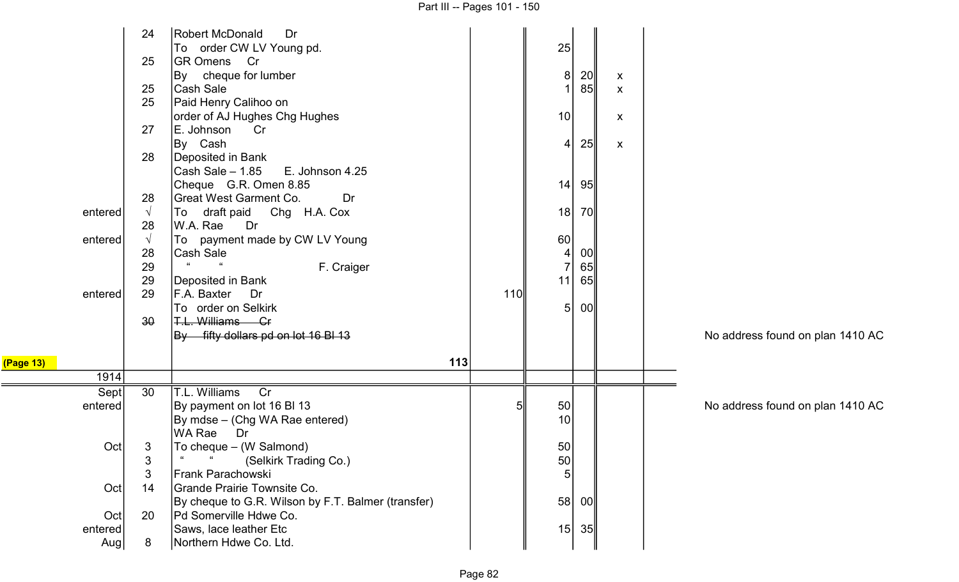|           | 24              | <b>Robert McDonald</b><br>Dr<br>To order CW LV Young pd. |     | 25              |    |                  |                                  |  |
|-----------|-----------------|----------------------------------------------------------|-----|-----------------|----|------------------|----------------------------------|--|
|           | 25              | GR Omens Cr                                              |     |                 |    |                  |                                  |  |
|           |                 | By<br>cheque for lumber                                  |     | 8               | 20 | $\boldsymbol{X}$ |                                  |  |
|           | 25              | Cash Sale                                                |     |                 | 85 | X                |                                  |  |
|           | 25              | Paid Henry Calihoo on                                    |     |                 |    |                  |                                  |  |
|           |                 | order of AJ Hughes Chg Hughes                            |     | 10              |    | $\mathsf{X}$     |                                  |  |
|           | 27              | E. Johnson<br>Cr                                         |     |                 |    |                  |                                  |  |
|           |                 | By Cash                                                  |     | 4               | 25 | $\boldsymbol{X}$ |                                  |  |
|           | 28              | Deposited in Bank                                        |     |                 |    |                  |                                  |  |
|           |                 | Cash Sale - 1.85<br>E. Johnson 4.25                      |     |                 |    |                  |                                  |  |
|           |                 | Cheque G.R. Omen 8.85                                    |     | 14              | 95 |                  |                                  |  |
|           | 28              | Dr<br>Great West Garment Co.                             |     |                 |    |                  |                                  |  |
| entered   | $\sqrt{ }$      | To draft paid Chg H.A. Cox                               |     | 18              | 70 |                  |                                  |  |
|           | 28              | ∣W.A. Rae<br>Dr                                          |     |                 |    |                  |                                  |  |
| entered   | $\sqrt{ }$      | To payment made by CW LV Young                           |     | 60              |    |                  |                                  |  |
|           | 28              | Cash Sale                                                |     | 4               | 00 |                  |                                  |  |
|           | 29              | $\epsilon$<br>F. Craiger                                 |     |                 | 65 |                  |                                  |  |
|           | 29              | Deposited in Bank                                        |     | 11              | 65 |                  |                                  |  |
| entered   | 29              | F.A. Baxter Dr                                           | 110 |                 |    |                  |                                  |  |
|           |                 | To order on Selkirk                                      |     | 5 <sup>1</sup>  | 00 |                  |                                  |  |
|           | 30              | <b>T.L. Williams Gr</b>                                  |     |                 |    |                  |                                  |  |
|           |                 | By fifty dollars pd on lot 16 BI 13                      |     |                 |    |                  | No address found on plan 1410 AC |  |
|           |                 |                                                          |     |                 |    |                  |                                  |  |
| (Page 13) |                 | 113                                                      |     |                 |    |                  |                                  |  |
| 1914      |                 |                                                          |     |                 |    |                  |                                  |  |
| Sept      | $\overline{30}$ | T.L. Williams<br>$\overline{Cr}$                         |     |                 |    |                  |                                  |  |
| entered   |                 | By payment on lot 16 BI 13                               |     | 50              |    |                  | No address found on plan 1410 AC |  |
|           |                 | By mdse – (Chg WA Rae entered)                           |     | 10              |    |                  |                                  |  |
|           |                 | WA Rae<br>Dr                                             |     |                 |    |                  |                                  |  |
| Octl      | 3               | To cheque – (W Salmond)                                  |     | 50 <sub>l</sub> |    |                  |                                  |  |
|           | 3               | (Selkirk Trading Co.)                                    |     | 50              |    |                  |                                  |  |
|           | 3               | Frank Parachowski                                        |     |                 |    |                  |                                  |  |
| Oct       | 14              | Grande Prairie Townsite Co.                              |     |                 |    |                  |                                  |  |
|           |                 | By cheque to G.R. Wilson by F.T. Balmer (transfer)       |     | 58              | 00 |                  |                                  |  |
| Oct       | 20              | Pd Somerville Hdwe Co.                                   |     |                 |    |                  |                                  |  |
| entered   |                 | Saws, lace leather Etc                                   |     | 15              | 35 |                  |                                  |  |
| Aug       | 8               | Northern Hdwe Co. Ltd.                                   |     |                 |    |                  |                                  |  |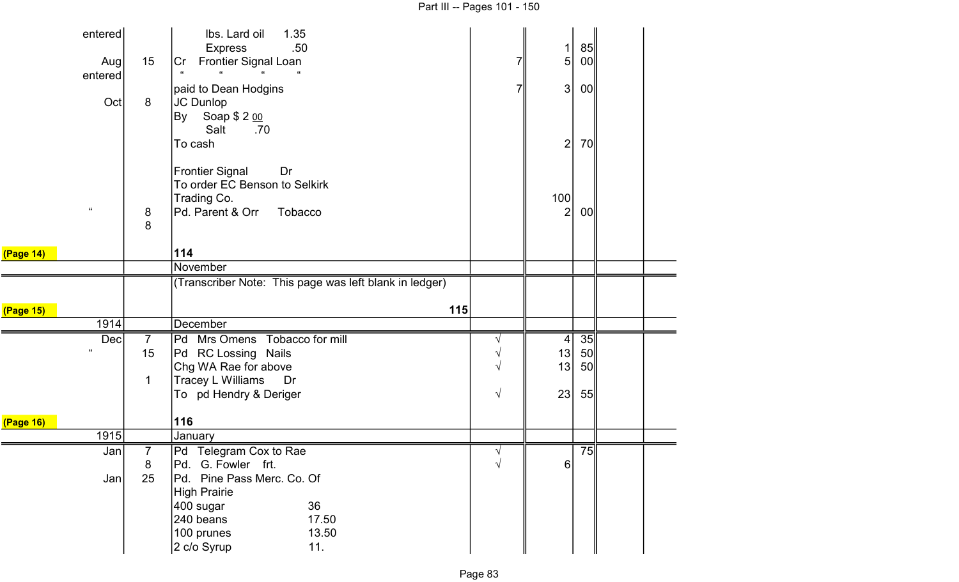| entered    |                | Ibs. Lard oil<br>1.35                                  |                 |   |                |                 |  |
|------------|----------------|--------------------------------------------------------|-----------------|---|----------------|-----------------|--|
|            |                | .50<br><b>Express</b>                                  |                 |   | 1              | 85              |  |
| Aug        | 15             | Frontier Signal Loan<br>Cr                             |                 | 7 | 5              | 00 <sup>1</sup> |  |
| entered    |                |                                                        |                 |   |                |                 |  |
|            |                | paid to Dean Hodgins                                   |                 | 7 | 3              | 00              |  |
| Oct        | 8              | JC Dunlop                                              |                 |   |                |                 |  |
|            |                | By Soap \$200                                          |                 |   |                |                 |  |
|            |                | Salt<br>.70                                            |                 |   |                |                 |  |
|            |                | To cash                                                |                 |   | $\overline{2}$ | 70              |  |
|            |                | <b>Frontier Signal</b><br>Dr                           |                 |   |                |                 |  |
|            |                | To order EC Benson to Selkirk                          |                 |   |                |                 |  |
|            |                | Trading Co.                                            |                 |   | 100            |                 |  |
| $\epsilon$ | 8              | Pd. Parent & Orr<br>Tobacco                            |                 |   |                | 00              |  |
|            | 8              |                                                        |                 |   |                |                 |  |
|            |                |                                                        |                 |   |                |                 |  |
| (Page 14)  |                | 114                                                    |                 |   |                |                 |  |
|            |                | November                                               |                 |   |                |                 |  |
|            |                | (Transcriber Note: This page was left blank in ledger) |                 |   |                |                 |  |
| (Page 15)  |                | 115                                                    |                 |   |                |                 |  |
| 1914       |                | December                                               |                 |   |                |                 |  |
| Dec        | $\overline{7}$ | Pd Mrs Omens Tobacco for mill                          | $\sqrt{}$       |   |                | 35              |  |
| $\epsilon$ | 15             | Pd RC Lossing Nails                                    |                 |   | 4<br>13        | 50              |  |
|            |                | Chg WA Rae for above                                   | V<br>$\sqrt{ }$ |   | 13             | 50              |  |
|            | 1              | <b>Tracey L Williams</b><br>Dr                         |                 |   |                |                 |  |
|            |                | To pd Hendry & Deriger                                 | $\sqrt{ }$      |   | 23             | 55              |  |
|            |                |                                                        |                 |   |                |                 |  |
| (Page 16)  |                | 116                                                    |                 |   |                |                 |  |
| 1915       |                | <b>January</b>                                         |                 |   |                |                 |  |
| Jan        | $\overline{7}$ | Pd Telegram Cox to Rae                                 | $\sqrt{ }$      |   |                | 75              |  |
|            | 8              | Pd. G. Fowler frt.                                     | $\sqrt{ }$      |   | 6              |                 |  |
| Jan        | 25             | Pd. Pine Pass Merc. Co. Of                             |                 |   |                |                 |  |
|            |                | <b>High Prairie</b>                                    |                 |   |                |                 |  |
|            |                | 36<br>400 sugar                                        |                 |   |                |                 |  |
|            |                | 240 beans<br>17.50                                     |                 |   |                |                 |  |
|            |                | 100 prunes<br>13.50                                    |                 |   |                |                 |  |
|            |                | 11.<br>2 c/o Syrup                                     |                 |   |                |                 |  |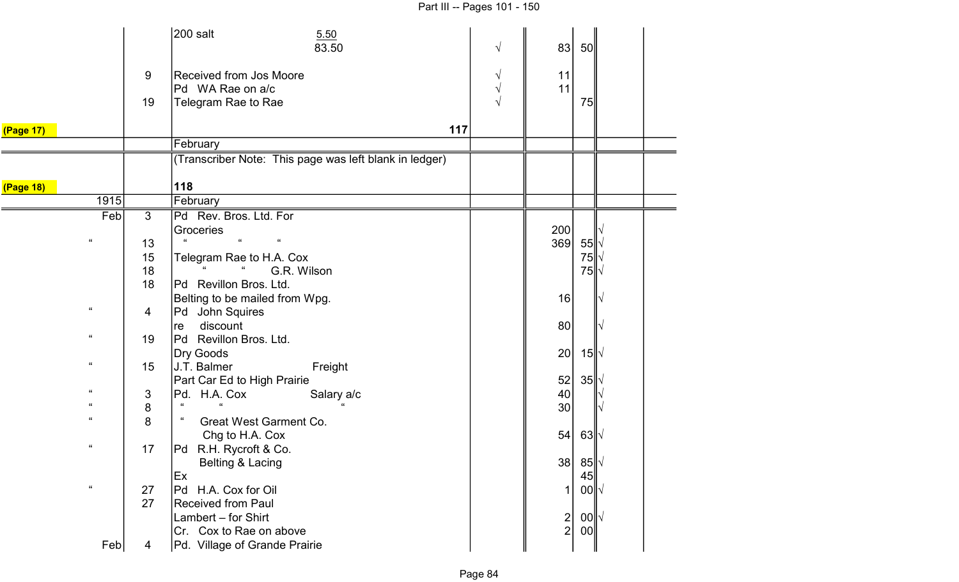|           |                             |                | 200 salt<br>5.50                                         |            |               |                |  |
|-----------|-----------------------------|----------------|----------------------------------------------------------|------------|---------------|----------------|--|
|           |                             |                | 83.50                                                    | $\sqrt{}$  | 83            | 50             |  |
|           |                             | 9              | Received from Jos Moore                                  | V          | 11            |                |  |
|           |                             |                | Pd WA Rae on a/c                                         | $\sqrt{}$  | 11            |                |  |
|           |                             | 19             | Telegram Rae to Rae                                      | $\sqrt{ }$ |               | 75             |  |
| (Page 17) |                             |                | 117                                                      |            |               |                |  |
|           |                             |                | February                                                 |            |               |                |  |
|           |                             |                | (Transcriber Note: This page was left blank in ledger)   |            |               |                |  |
| (Page 18) |                             |                | 118                                                      |            |               |                |  |
|           | 1915                        |                | February                                                 |            |               |                |  |
|           | Feb                         | $\overline{3}$ | Pd Rev. Bros. Ltd. For                                   |            |               |                |  |
|           |                             |                | Groceries                                                |            | 200           |                |  |
|           | $\epsilon$                  | 13             | $\boldsymbol{\mathfrak{c}}$<br>$\mathbf{u}$              |            | 369           | 55             |  |
|           |                             | 15             | Telegram Rae to H.A. Cox<br>$\alpha$                     |            |               | 75∥√           |  |
|           |                             | 18             | $\epsilon\epsilon$<br>G.R. Wilson                        |            |               | $75\ \sqrt{ }$ |  |
|           |                             | 18             | Pd Revillon Bros. Ltd.                                   |            |               |                |  |
|           | $\mathbf{G}$                |                | Belting to be mailed from Wpg.                           |            | 16            |                |  |
|           |                             | $\overline{4}$ | Pd John Squires                                          |            |               |                |  |
|           |                             |                | discount<br>re                                           |            | 80            |                |  |
|           | $\mathbf{G}$                | 19             | Pd Revillon Bros. Ltd.                                   |            |               |                |  |
|           | $\mathbf{G}$                |                | Dry Goods                                                |            | 20            | 15∥√           |  |
|           |                             | 15             | J.T. Balmer<br>Freight                                   |            |               |                |  |
|           | $\mathbf{G}$                |                | Part Car Ed to High Prairie                              |            | 52            | 35             |  |
|           | 66                          | 3              | Pd. H.A. Cox<br>Salary a/c<br>$\epsilon$<br>$\mathbf{u}$ |            | 40            |                |  |
|           | 66                          | 8              |                                                          |            | 30            |                |  |
|           |                             | 8              | <b>Great West Garment Co.</b>                            |            |               |                |  |
|           | $\epsilon$                  |                | Chg to H.A. Cox                                          |            | 54            | 63∥√           |  |
|           |                             | 17             | Pd R.H. Rycroft & Co.                                    |            |               |                |  |
|           |                             |                | <b>Belting &amp; Lacing</b>                              |            | 38            | 85∥√           |  |
|           | $\boldsymbol{\mathfrak{c}}$ |                | Ex                                                       |            |               | 45             |  |
|           |                             | 27             | Pd H.A. Cox for Oil                                      |            |               | 00             |  |
|           |                             | 27             | <b>Received from Paul</b>                                |            |               |                |  |
|           |                             |                | Lambert - for Shirt                                      |            | $\frac{2}{2}$ | 00             |  |
|           |                             |                | Cr. Cox to Rae on above                                  |            |               | 00             |  |
|           | Feb                         | 4              | Pd. Village of Grande Prairie                            |            |               |                |  |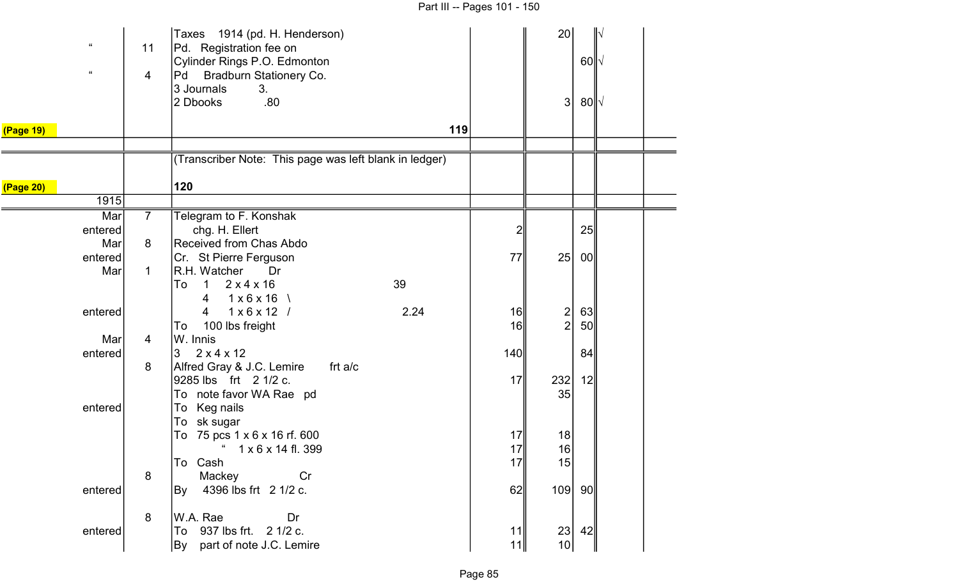|           |                            |                | Taxes 1914 (pd. H. Henderson)                          |           |     | 20                      |      |  |  |
|-----------|----------------------------|----------------|--------------------------------------------------------|-----------|-----|-------------------------|------|--|--|
|           | $\mathfrak{c}\mathfrak{c}$ | 11             | Pd. Registration fee on                                |           |     |                         |      |  |  |
|           |                            |                | Cylinder Rings P.O. Edmonton                           |           |     |                         | 60   |  |  |
|           | $\epsilon$                 | 4              | <b>Bradburn Stationery Co.</b><br> Pd                  |           |     |                         |      |  |  |
|           |                            |                | 3 Journals<br>3.                                       |           |     |                         |      |  |  |
|           |                            |                | .80<br>2 Dbooks                                        |           |     | 3 <sup>1</sup>          | 80∥√ |  |  |
| (Page 19) |                            |                |                                                        |           | 119 |                         |      |  |  |
|           |                            |                |                                                        |           |     |                         |      |  |  |
|           |                            |                | (Transcriber Note: This page was left blank in ledger) |           |     |                         |      |  |  |
| (Page 20) |                            |                | 120                                                    |           |     |                         |      |  |  |
|           | 1915                       |                |                                                        |           |     |                         |      |  |  |
|           | Mar                        | $7\phantom{.}$ | Telegram to F. Konshak                                 |           |     |                         |      |  |  |
|           | entered                    |                | chg. H. Ellert                                         |           |     |                         | 25   |  |  |
|           | Mar                        | 8              | <b>Received from Chas Abdo</b>                         |           |     |                         |      |  |  |
|           | entered                    |                | Cr. St Pierre Ferguson                                 |           | 77  | 25                      | 00   |  |  |
|           | Mar                        | $\mathbf 1$    | R.H. Watcher<br>Dr                                     |           |     |                         |      |  |  |
|           |                            |                | $2 \times 4 \times 16$<br>$\overline{1}$<br>To         | 39        |     |                         |      |  |  |
|           |                            |                | $1 \times 6 \times 16$<br>4                            |           |     |                         |      |  |  |
|           | entered                    |                | $1 \times 6 \times 12$ /<br>$\overline{4}$             | 2.24      | 16  | $\overline{\mathbf{c}}$ | 63   |  |  |
|           |                            |                | 100 lbs freight<br>To                                  |           | 16  | $\overline{2}$          | 50   |  |  |
|           | Mar                        | 4              | W. Innis                                               |           |     |                         |      |  |  |
|           | entered                    |                | $2 \times 4 \times 12$<br>3.                           |           | 140 |                         | 84   |  |  |
|           |                            | 8              | Alfred Gray & J.C. Lemire                              | frt $a/c$ |     |                         |      |  |  |
|           |                            |                | 9285 lbs frt 2 1/2 c.                                  |           | 17  | 232                     | 12   |  |  |
|           |                            |                | To note favor WA Rae pd                                |           |     | 35                      |      |  |  |
|           | entered                    |                | Keg nails<br>To                                        |           |     |                         |      |  |  |
|           |                            |                | To sk sugar<br>To                                      |           | 17  | 18                      |      |  |  |
|           |                            |                | 75 pcs 1 x 6 x 16 rf. 600                              |           | 17  | 16                      |      |  |  |
|           |                            |                | $1 \times 6 \times 14$ fl. 399<br>To Cash              |           | 17  | 15                      |      |  |  |
|           |                            | 8              | Mackey<br>Cr                                           |           |     |                         |      |  |  |
|           | entered                    |                | By 4396 lbs frt 2 1/2 c.                               |           | 62  | 109                     | 90   |  |  |
|           |                            |                |                                                        |           |     |                         |      |  |  |
|           |                            | 8              | W.A. Rae<br>Dr                                         |           |     |                         |      |  |  |
|           | entered                    |                | To 937 lbs frt. 2 1/2 c.                               |           | 11  | 23                      | 42   |  |  |
|           |                            |                | By part of note J.C. Lemire                            |           |     | 10                      |      |  |  |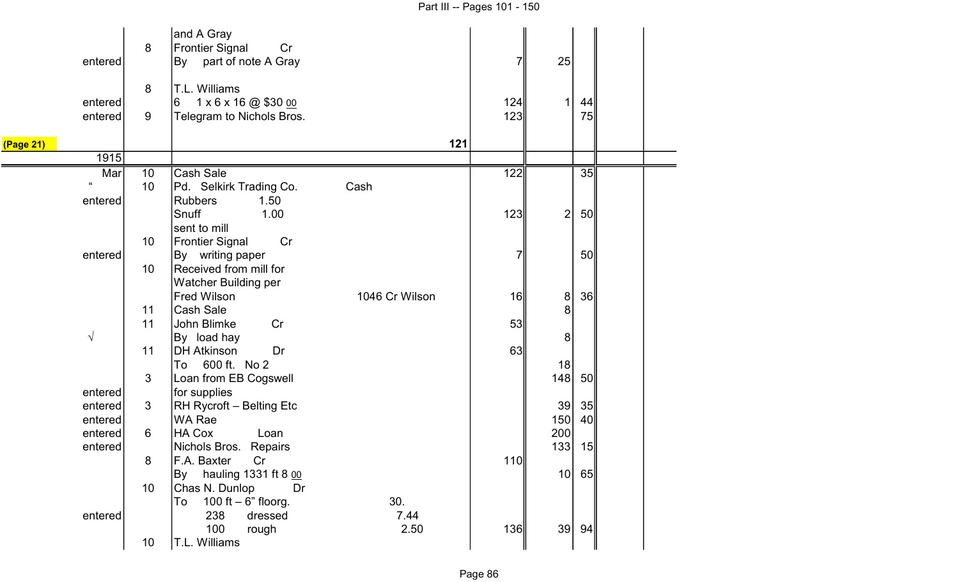| entered    | 8               | and A Gray<br><b>Frontier Signal</b><br>Cr<br>part of note A Gray<br>By |                | 7   | 25             |    |  |
|------------|-----------------|-------------------------------------------------------------------------|----------------|-----|----------------|----|--|
|            | 8               | T.L. Williams                                                           |                |     |                |    |  |
| entered    |                 | 1 x 6 x 16 @ \$30 00<br>6                                               |                | 124 | 1              | 44 |  |
| entered    | 9               | Telegram to Nichols Bros.                                               |                | 123 |                | 75 |  |
| (Page 21)  |                 |                                                                         | 121            |     |                |    |  |
| 1915       |                 |                                                                         |                |     |                |    |  |
| Mar        | 10              | Cash Sale                                                               |                | 122 |                | 35 |  |
| $\epsilon$ | 10              | Pd. Selkirk Trading Co.                                                 | Cash           |     |                |    |  |
| entered    |                 | <b>Rubbers</b><br>1.50                                                  |                |     |                |    |  |
|            |                 | 1.00<br>Snuff                                                           |                | 123 | $\overline{2}$ | 50 |  |
|            |                 | sent to mill                                                            |                |     |                |    |  |
|            | 10 <sup>°</sup> | <b>Frontier Signal</b><br>Cr                                            |                |     |                |    |  |
| entered    |                 | By writing paper                                                        |                |     |                | 50 |  |
|            | 10 <sup>°</sup> | Received from mill for                                                  |                |     |                |    |  |
|            |                 | Watcher Building per                                                    |                |     |                |    |  |
|            |                 | <b>Fred Wilson</b>                                                      | 1046 Cr Wilson | 16  | 8              | 36 |  |
|            | 11              | <b>Cash Sale</b>                                                        |                |     | 8              |    |  |
| $\sqrt{ }$ | 11              | Cr<br>John Blimke                                                       |                | 53  |                |    |  |
|            | 11              | By load hay<br><b>DH Atkinson</b>                                       |                |     | 8              |    |  |
|            |                 | Dr<br>600 ft. No 2                                                      |                | 63  |                |    |  |
|            | $\mathfrak{S}$  | To<br>Loan from EB Cogswell                                             |                |     | 18<br>148      | 50 |  |
| entered    |                 | for supplies                                                            |                |     |                |    |  |
| entered    | 3               | <b>RH Rycroft - Belting Etc</b>                                         |                |     | 39             | 35 |  |
| entered    |                 | <b>WA Rae</b>                                                           |                |     | 150            | 40 |  |
| entered    | 6               | <b>HA Cox</b><br>Loan                                                   |                |     | 200            |    |  |
| entered    |                 | Nichols Bros. Repairs                                                   |                |     | 133            | 15 |  |
|            | 8               | F.A. Baxter<br>Cr                                                       |                | 110 |                |    |  |
|            |                 | hauling 1331 ft 8 00<br>By                                              |                |     | 10             | 65 |  |
|            | 10 <sup>1</sup> | Chas N. Dunlop<br>Dr                                                    |                |     |                |    |  |
|            |                 | 100 ft $-6$ " floorg.<br>To                                             | 30.            |     |                |    |  |
| entered    |                 | 238<br>dressed                                                          | 7.44           |     |                |    |  |
|            |                 | 100<br>rough                                                            | 2.50           | 136 | 39             | 94 |  |
|            | 10              | T.L. Williams                                                           |                |     |                |    |  |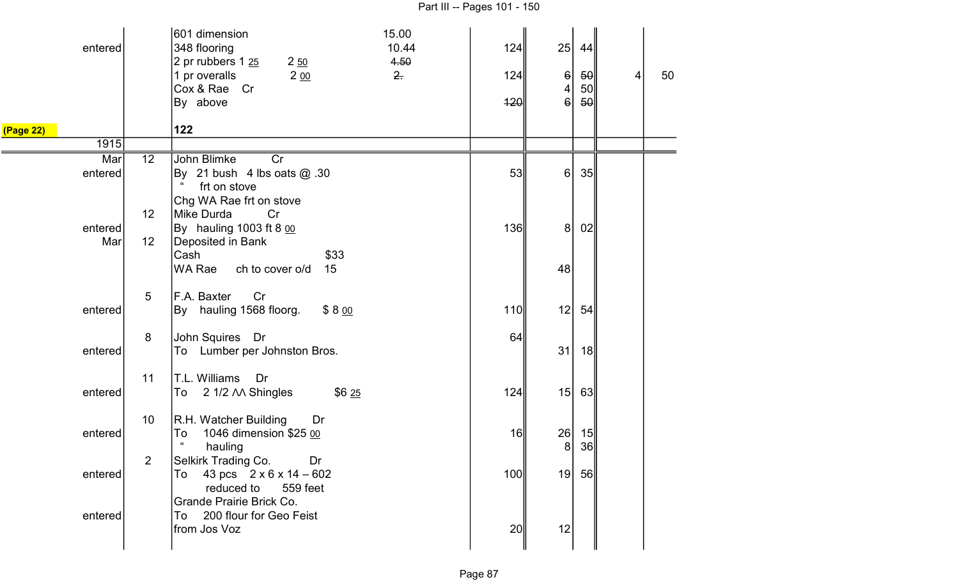| entered        |                       | 601 dimension<br>15.00<br>10.44<br>348 flooring<br>2 pr rubbers $125$<br>250<br>4.50<br>2.<br>1 pr overalls<br>200<br>Cox & Rae Cr<br>By above | 124<br>124<br>120 | 25<br>6<br>4<br>$\boldsymbol{6}$ | 44<br>50<br>50<br>50 | $\vert 4 \vert$ | 50 |
|----------------|-----------------------|------------------------------------------------------------------------------------------------------------------------------------------------|-------------------|----------------------------------|----------------------|-----------------|----|
| (Page 22)      |                       | 122                                                                                                                                            |                   |                                  |                      |                 |    |
| 1915           |                       |                                                                                                                                                |                   |                                  |                      |                 |    |
| Mar<br>entered | 12 <sup>°</sup>       | John Blimke<br>Cr<br>By 21 bush 4 lbs oats $@.30$<br>frt on stove                                                                              | 53                | 6 <sup>1</sup>                   | 35                   |                 |    |
| entered<br>Mar | 12<br>12 <sup>°</sup> | Chg WA Rae frt on stove<br>Mike Durda<br>Cr<br>By hauling 1003 ft 8 00<br>Deposited in Bank                                                    | 136               | 8                                | 02                   |                 |    |
|                |                       | Cash<br>\$33<br>WA Rae<br>ch to cover o/d<br>15                                                                                                |                   | 48                               |                      |                 |    |
| entered        | 5                     | F.A. Baxter<br>Cr<br>By hauling 1568 floorg.<br>\$800                                                                                          | 110               | 12                               | 54                   |                 |    |
| entered        | 8                     | John Squires Dr<br>To Lumber per Johnston Bros.                                                                                                | 64                | 31                               | 18                   |                 |    |
| entered        | 11                    | T.L. Williams<br>Dr<br>2 1/2 / Shingles<br>\$625<br>To                                                                                         | 124               | 15                               | 63                   |                 |    |
| entered        | 10                    | R.H. Watcher Building<br>Dr<br>1046 dimension \$25 00<br>To<br>$\mathbf{f}$<br>hauling                                                         | 16                | 26<br>8 <sup>1</sup>             | 15∥<br>36            |                 |    |
| entered        | 2                     | Selkirk Trading Co.<br>Dr<br>To $43 \text{ pcs}$ $2 \times 6 \times 14 - 602$<br>reduced to<br>559 feet                                        | 100               | 19                               | 56                   |                 |    |
| entered        |                       | Grande Prairie Brick Co.<br>To 200 flour for Geo Feist<br>from Jos Voz                                                                         | 20                | 12                               |                      |                 |    |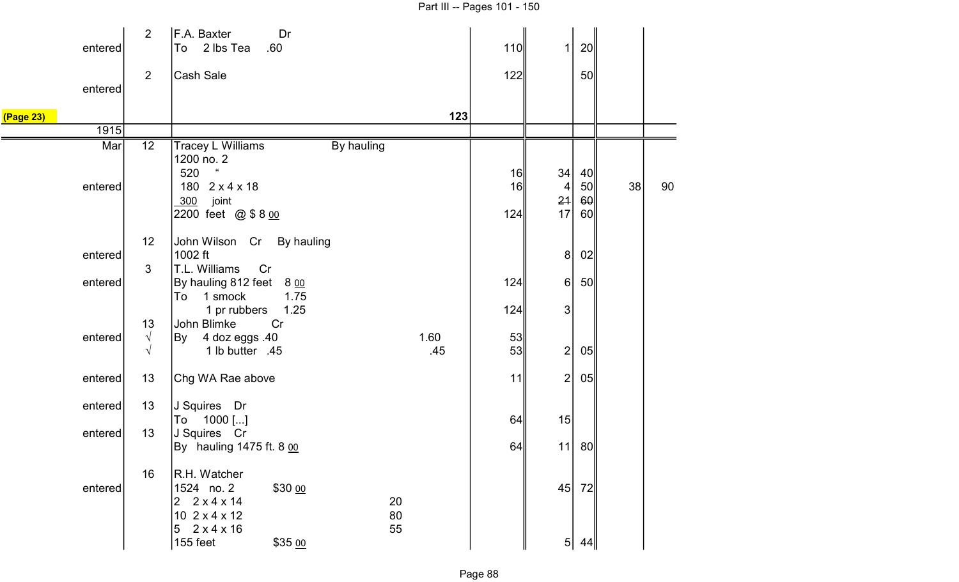| entered   | $\overline{2}$  | F.A. Baxter<br>Dr<br>To 2 lbs Tea<br>.60                                                                                                                   | 110 | $\mathbf 1$    | 20              |    |    |
|-----------|-----------------|------------------------------------------------------------------------------------------------------------------------------------------------------------|-----|----------------|-----------------|----|----|
| entered   | $\overline{2}$  | Cash Sale                                                                                                                                                  | 122 |                | 50              |    |    |
| (Page 23) |                 | 123                                                                                                                                                        |     |                |                 |    |    |
| 1915      |                 |                                                                                                                                                            |     |                |                 |    |    |
| Mar       | $\overline{12}$ | By hauling<br><b>Tracey L Williams</b><br>1200 no. 2<br>520                                                                                                | 16  | 34             | 40              |    |    |
| entered   |                 | 180<br>$2 \times 4 \times 18$                                                                                                                              | 16  | $\overline{4}$ | 50 <sub>l</sub> | 38 | 90 |
|           |                 | 300<br>joint                                                                                                                                               |     | 24             | 60              |    |    |
|           |                 | 2200 feet @ \$ 8 00                                                                                                                                        | 124 | 17             | 60              |    |    |
| entered   | 12              | John Wilson Cr By hauling<br>1002 ft                                                                                                                       |     | 8              | 02              |    |    |
|           | 3               | T.L. Williams<br>Cr                                                                                                                                        |     |                |                 |    |    |
| entered   |                 | By hauling 812 feet 8 00<br>1 smock<br>1.75<br>To                                                                                                          | 124 | 6              | 50 <sub>l</sub> |    |    |
|           | 13              | 1.25<br>1 pr rubbers<br>John Blimke<br>Cr                                                                                                                  | 124 | 3              |                 |    |    |
| entered   | $\sqrt{}$       | 1.60<br>4 doz eggs .40<br>By                                                                                                                               | 53  |                |                 |    |    |
|           | $\sqrt{}$       | 1 lb butter .45<br>.45                                                                                                                                     | 53  | $\overline{c}$ | 05              |    |    |
| entered   | 13              | Chg WA Rae above                                                                                                                                           | 11  | $\overline{2}$ | 05              |    |    |
| entered   | 13              | J Squires Dr                                                                                                                                               |     |                |                 |    |    |
|           |                 | To 1000 []                                                                                                                                                 | 64  | 15             |                 |    |    |
| entered   | 13              | J Squires Cr<br>By hauling 1475 ft. 8 00                                                                                                                   | 64  | 11             | 80 <sup>1</sup> |    |    |
| entered   | 16              | R.H. Watcher<br>\$30 00<br>1524 no. 2<br>$2 \quad 2 \times 4 \times 14$<br>20<br>80<br>$10 \t2 \times 4 \times 12$<br>$5 \quad 2 \times 4 \times 16$<br>55 |     | 45             | 72              |    |    |
|           |                 | 155 feet<br>\$35 00                                                                                                                                        |     | $5\vert$       | 44              |    |    |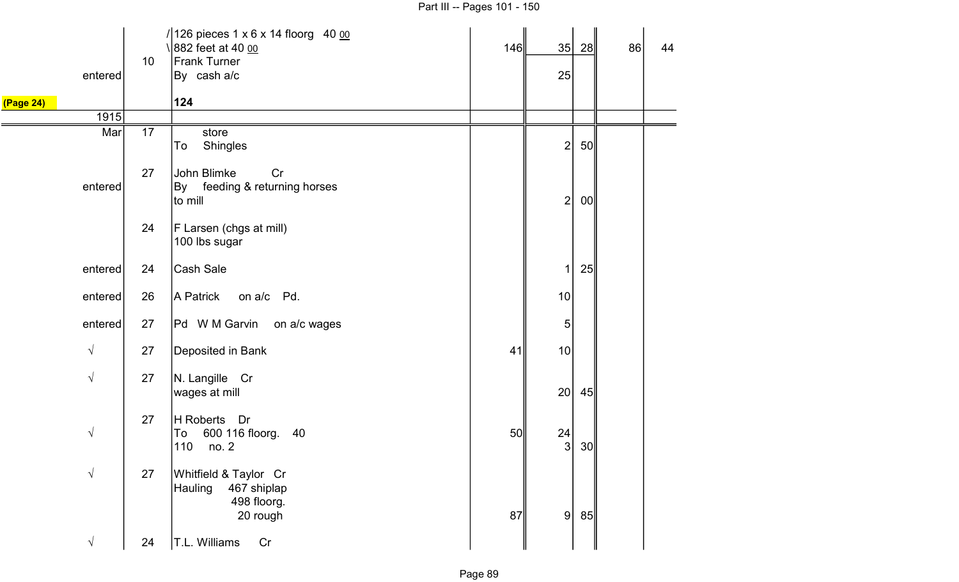| entered    | 10 | /126 pieces 1 x 6 x 14 floorg 40 00<br>882 feet at 40 <u>00</u><br><b>Frank Turner</b><br>By cash a/c | 146 | 35<br>25       | 28 | 86 | 44 |
|------------|----|-------------------------------------------------------------------------------------------------------|-----|----------------|----|----|----|
| (Page 24)  |    | 124                                                                                                   |     |                |    |    |    |
| 1915       |    |                                                                                                       |     |                |    |    |    |
| Mar        | 17 | store<br><b>Shingles</b><br>To                                                                        |     | $\mathbf{2}$   | 50 |    |    |
| entered    | 27 | John Blimke<br>Cr<br>By feeding & returning horses<br>to mill                                         |     | $\overline{2}$ | 00 |    |    |
|            | 24 | F Larsen (chgs at mill)<br>100 lbs sugar                                                              |     |                |    |    |    |
| entered    | 24 | <b>Cash Sale</b>                                                                                      |     | 1              | 25 |    |    |
| entered    | 26 | A Patrick<br>on a/c Pd.                                                                               |     | 10             |    |    |    |
| entered    | 27 | Pd W M Garvin<br>on a/c wages                                                                         |     | 5              |    |    |    |
| $\sqrt{ }$ | 27 | Deposited in Bank                                                                                     | 41  | 10             |    |    |    |
| $\sqrt{ }$ | 27 | N. Langille Cr<br>wages at mill                                                                       |     | 20             | 45 |    |    |
| $\sqrt{ }$ | 27 | H Roberts Dr<br>600 116 floorg.<br>To<br>40<br>110 no. 2                                              | 50  | 24<br>3        | 30 |    |    |
| $\sqrt{ }$ | 27 | Whitfield & Taylor Cr<br>467 shiplap<br>Hauling<br>498 floorg.<br>20 rough                            | 87  | 9 <sup>1</sup> | 85 |    |    |
| $\sqrt{ }$ | 24 | T.L. Williams<br>Cr                                                                                   |     |                |    |    |    |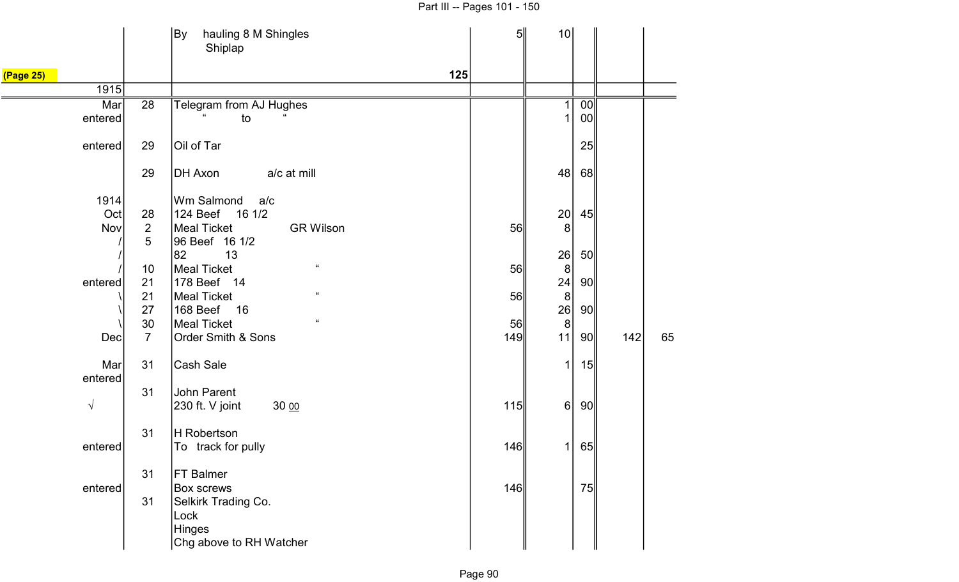|                |                | By<br>hauling 8 M Shingles<br>Shiplap    | 5   | 10                     |    |     |    |
|----------------|----------------|------------------------------------------|-----|------------------------|----|-----|----|
| (Page 25)      |                | 125                                      |     |                        |    |     |    |
| 1915           |                |                                          |     |                        |    |     |    |
| Mar            | 28             | <b>Telegram from AJ Hughes</b>           |     |                        | 00 |     |    |
| entered        |                | to                                       |     | 1                      | 00 |     |    |
| entered        | 29             | Oil of Tar                               |     |                        | 25 |     |    |
|                | 29             | DH Axon<br>a/c at mill                   |     | 48                     | 68 |     |    |
| 1914           |                | Wm Salmond<br>a/c                        |     |                        |    |     |    |
| Oct            | 28             | 161/2<br>124 Beef                        |     | 20                     | 45 |     |    |
| <b>Nov</b>     | $\overline{2}$ | Meal Ticket<br><b>GR Wilson</b>          | 56  | 8                      |    |     |    |
|                | 5              | 96 Beef 16 1/2<br>82<br>13               |     |                        | 50 |     |    |
|                | 10             | $\epsilon$<br>Meal Ticket                | 56  | 26<br>$\boldsymbol{8}$ |    |     |    |
| entered        | 21             | 178 Beef 14                              |     | 24                     | 90 |     |    |
|                | 21             | $\epsilon\epsilon$<br>Meal Ticket        | 56  | $\boldsymbol{8}$       |    |     |    |
|                | 27             | 168 Beef<br>16                           |     | 26                     | 90 |     |    |
|                | 30             | $\boldsymbol{\mu}$<br><b>Meal Ticket</b> | 56  | 8                      |    |     |    |
| Dec            | $\overline{7}$ | Order Smith & Sons                       | 149 | 11                     | 90 | 142 | 65 |
| Mar<br>entered | 31             | Cash Sale                                |     | 1                      | 15 |     |    |
|                | 31             | John Parent                              |     |                        |    |     |    |
| $\sqrt{ }$     |                | 230 ft. V joint<br>30 00                 | 115 | 6                      | 90 |     |    |
|                | 31             | <b>H</b> Robertson                       |     |                        |    |     |    |
| entered        |                | To track for pully                       | 146 | 1                      | 65 |     |    |
|                | 31             | <b>FT Balmer</b>                         |     |                        |    |     |    |
| entered        |                | Box screws                               | 146 |                        | 75 |     |    |
|                | 31             | Selkirk Trading Co.                      |     |                        |    |     |    |
|                |                | Lock                                     |     |                        |    |     |    |
|                |                | <b>Hinges</b>                            |     |                        |    |     |    |
|                |                | Chg above to RH Watcher                  |     |                        |    |     |    |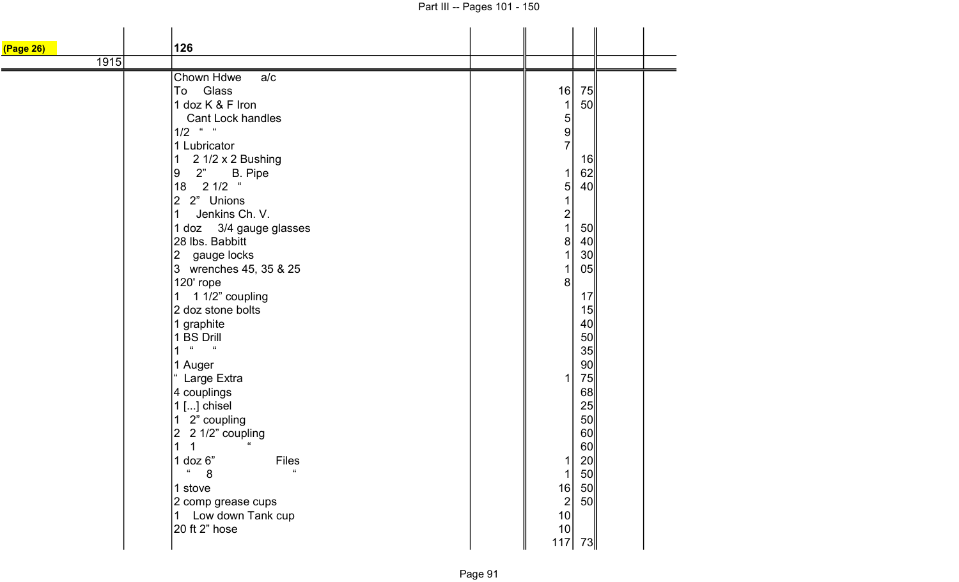| (Page 26) | 126                                                            |                |    |  |
|-----------|----------------------------------------------------------------|----------------|----|--|
| 1915      |                                                                |                |    |  |
|           | <b>Chown Hdwe</b><br>a/c                                       |                |    |  |
|           | To<br>Glass                                                    | 16             | 75 |  |
|           | 1 doz K & F Iron                                               | $\mathbf{1}$   | 50 |  |
|           | <b>Cant Lock handles</b>                                       | 5              |    |  |
|           | $1/2$ " "                                                      | 9              |    |  |
|           | 1 Lubricator                                                   | $\overline{7}$ |    |  |
|           | 2 1/2 x 2 Bushing<br>1                                         |                | 16 |  |
|           | 2"<br>9<br>B. Pipe                                             | 1              | 62 |  |
|           | 18<br>$\pmb{\mathfrak{c}}\pmb{\mathfrak{c}}$<br>21/2           | 5              | 40 |  |
|           | 2" Unions<br>2 <sup>1</sup>                                    |                |    |  |
|           | $\mathbf 1$<br>Jenkins Ch. V.                                  | 2              |    |  |
|           | 1 doz 3/4 gauge glasses                                        | 1              | 50 |  |
|           | 28 lbs. Babbitt                                                | $\bf 8$        | 40 |  |
|           | 2<br>gauge locks                                               | $\mathbf 1$    | 30 |  |
|           | 3 wrenches 45, 35 & 25                                         | 1              | 05 |  |
|           | 120' rope                                                      | 8              |    |  |
|           | 1 1/2" coupling<br>1                                           |                | 17 |  |
|           | 2 doz stone bolts                                              |                | 15 |  |
|           | 1 graphite                                                     |                | 40 |  |
|           | 1 BS Drill                                                     |                | 50 |  |
|           | $\boldsymbol{\mathfrak{c}}$<br>$\mathfrak{c}\mathfrak{c}$<br>1 |                | 35 |  |
|           | 1 Auger                                                        |                | 90 |  |
|           | " Large Extra                                                  | 1              | 75 |  |
|           | 4 couplings                                                    |                | 68 |  |
|           | 1 [] chisel                                                    |                | 25 |  |
|           | 2" coupling<br>1                                               |                | 50 |  |
|           | 2 2 1/2" coupling                                              |                | 60 |  |
|           | $\mathbf{1}$<br>$\mathbf{G}$<br>$1 \quad \blacksquare$         |                | 60 |  |
|           | 1 doz 6"<br>Files                                              |                | 20 |  |
|           | $\epsilon$<br>$\mathbf{G}$<br>8                                |                | 50 |  |
|           | 1 stove                                                        | 16             | 50 |  |
|           | 2 comp grease cups                                             | $\overline{c}$ | 50 |  |
|           | 1 Low down Tank cup                                            | 10             |    |  |
|           | 20 ft 2" hose                                                  | 10             |    |  |
|           |                                                                | 117            | 73 |  |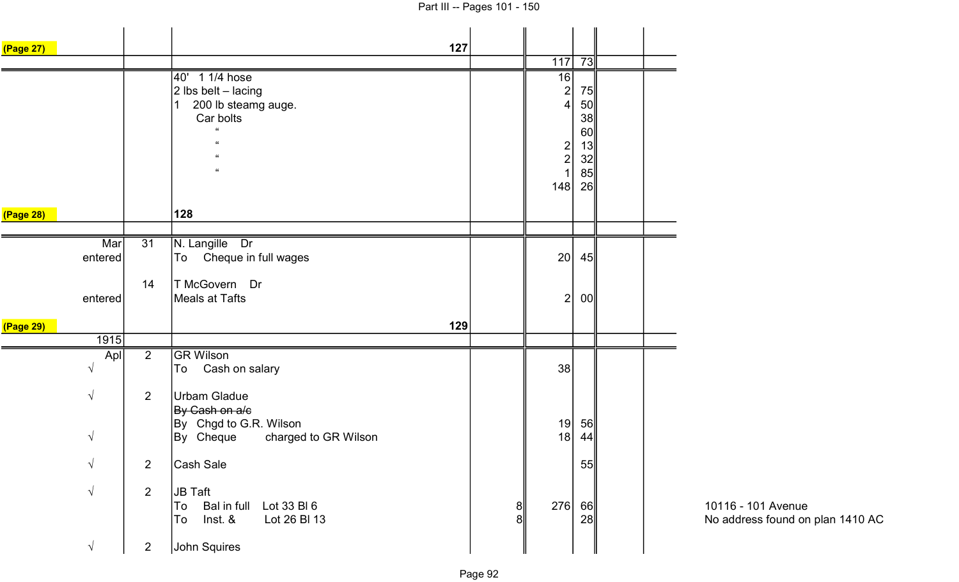| (Page 27)  |                 | 127                               |                |                |    |  |
|------------|-----------------|-----------------------------------|----------------|----------------|----|--|
|            |                 |                                   |                | 117            | 73 |  |
|            |                 | 40' 1 1/4 hose                    |                | 16             |    |  |
|            |                 | 2 lbs belt - lacing               |                | $\mathbf 2$    | 75 |  |
|            |                 | 200 lb steamg auge.<br>1          |                | $\overline{4}$ | 50 |  |
|            |                 | Car bolts                         |                |                | 38 |  |
|            |                 | $\epsilon$                        |                |                | 60 |  |
|            |                 |                                   |                | $\overline{2}$ | 13 |  |
|            |                 |                                   |                | $\overline{2}$ | 32 |  |
|            |                 | $\mathbf{G}$                      |                |                | 85 |  |
|            |                 |                                   |                | 148            | 26 |  |
|            |                 |                                   |                |                |    |  |
| (Page 28)  |                 | 128                               |                |                |    |  |
|            |                 |                                   |                |                |    |  |
| Mar        | $\overline{31}$ | N. Langille Dr                    |                |                |    |  |
| entered    |                 | To Cheque in full wages           |                | 20             | 45 |  |
|            |                 |                                   |                |                |    |  |
|            | 14              | T McGovern Dr                     |                |                |    |  |
| entered    |                 | <b>Meals at Tafts</b>             |                | $\overline{2}$ | 00 |  |
|            |                 |                                   |                |                |    |  |
| (Page 29)  |                 | 129                               |                |                |    |  |
| 1915       |                 |                                   |                |                |    |  |
| ApI        | $\overline{2}$  | <b>GR Wilson</b>                  |                |                |    |  |
| $\sqrt{}$  |                 | Cash on salary<br>To              |                | 38             |    |  |
|            |                 |                                   |                |                |    |  |
| $\sqrt{}$  | 2               | <b>Urbam Gladue</b>               |                |                |    |  |
|            |                 | By Cash on a/c                    |                |                |    |  |
|            |                 | By Chgd to G.R. Wilson            |                | 19             | 56 |  |
| $\sqrt{}$  |                 | By Cheque<br>charged to GR Wilson |                | 18             | 44 |  |
|            |                 |                                   |                |                |    |  |
| $\sqrt{ }$ | $\overline{2}$  | Cash Sale                         |                |                | 55 |  |
|            |                 |                                   |                |                |    |  |
| $\sqrt{ }$ | 2               |                                   |                |                |    |  |
|            |                 | <b>JB Taft</b>                    |                |                |    |  |
|            |                 | To<br>Bal in full<br>Lot 33 BI 6  | 8              | 276            | 66 |  |
|            |                 | $Inst.$ &<br>Lot 26 BI 13<br>To   | 8 <sup>1</sup> |                | 28 |  |
|            |                 |                                   |                |                |    |  |
| $\sqrt{ }$ | $\overline{2}$  | John Squires                      |                |                |    |  |

10116 - 101 Avenue No address found on plan 1410 AC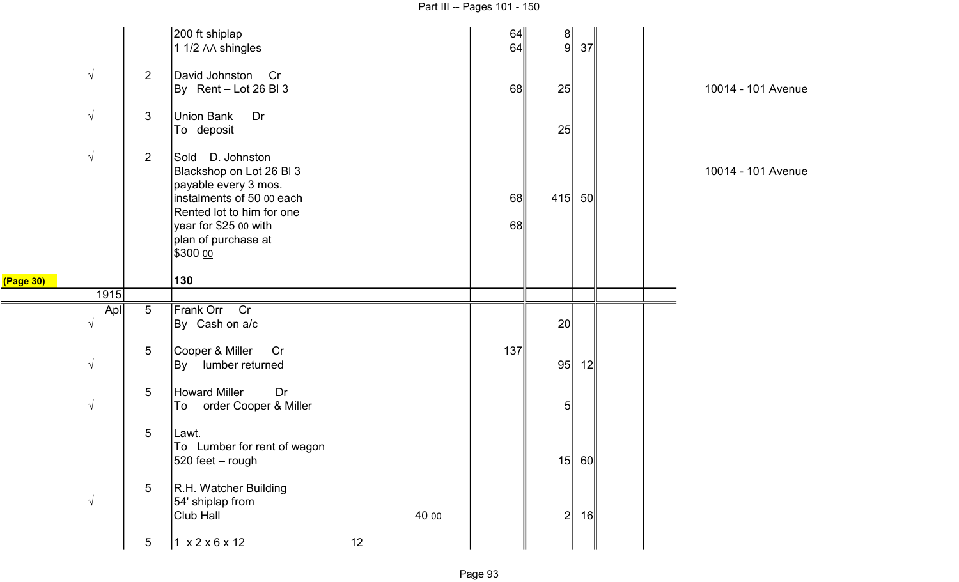|           |                  |                 | 200 ft shiplap<br>1 1/2 AA shingles                                                                                                                                                        |       | 64<br>64 | 8 <sup>1</sup><br> 9 | 37 |                    |  |
|-----------|------------------|-----------------|--------------------------------------------------------------------------------------------------------------------------------------------------------------------------------------------|-------|----------|----------------------|----|--------------------|--|
|           | $\sqrt{ }$       | $\overline{2}$  | David Johnston Cr<br>By Rent - Lot 26 BI 3                                                                                                                                                 |       | 68       | 25                   |    | 10014 - 101 Avenue |  |
|           | $\sqrt{ }$       | 3               | Dr<br>Union Bank<br>To deposit                                                                                                                                                             |       |          | 25                   |    |                    |  |
|           | $\sqrt{ }$       | $\overline{2}$  | Sold D. Johnston<br>Blackshop on Lot 26 Bl 3<br>payable every 3 mos.<br>instalments of 50 00 each<br>Rented lot to him for one<br>year for \$25 00 with<br>plan of purchase at<br>\$300 00 |       | 68<br>68 | 415                  | 50 | 10014 - 101 Avenue |  |
| (Page 30) |                  |                 | 130                                                                                                                                                                                        |       |          |                      |    |                    |  |
|           | 1915             |                 |                                                                                                                                                                                            |       |          |                      |    |                    |  |
|           | Apl<br>$\sqrt{}$ | $\overline{5}$  | Frank Orr Cr<br>By Cash on a/c                                                                                                                                                             |       |          | 20                   |    |                    |  |
|           | $\sqrt{ }$       | $\sqrt{5}$      | Cooper & Miller<br>Cr<br>lumber returned<br> By                                                                                                                                            |       | 137      | 95                   | 12 |                    |  |
|           | $\sqrt{ }$       | 5               | Dr<br>Howard Miller<br>order Cooper & Miller<br>To                                                                                                                                         |       |          | 5 <sup>1</sup>       |    |                    |  |
|           |                  | $\sqrt{5}$      | Lawt.<br>To Lumber for rent of wagon<br>520 feet – rough                                                                                                                                   |       |          | 15                   | 60 |                    |  |
|           | $\sqrt{ }$       | $5\phantom{.0}$ | R.H. Watcher Building<br>54' shiplap from<br><b>Club Hall</b>                                                                                                                              | 40 00 |          | $2\vert$             | 16 |                    |  |
|           |                  |                 |                                                                                                                                                                                            |       |          |                      |    |                    |  |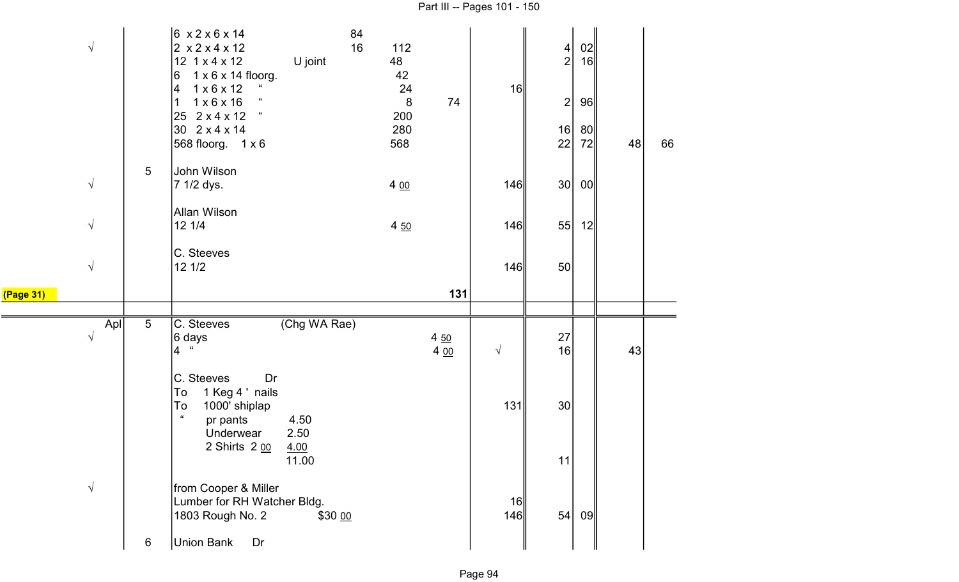|           | $\sqrt{ }$        |                | $6 \times 2 \times 6 \times 14$<br>2 x 2 x 4 x 12<br>$12$ 1 x 4 x 12<br>$1 \times 6 \times 14$ floorg.<br> 6<br>4<br>$1 \times 6 \times 12$<br>$1 \times 6 \times 16$<br>1<br>$25$ 2 x 4 x 12<br>"<br>30 2 x 4 x 14<br>568 floorg. 1 x 6 | U joint                       | 84<br>16<br>112<br>48<br>42<br>24<br>8<br>200<br>280<br>568 | 74         | 16         | $\overline{\mathbf{4}}$<br>$\overline{2}$<br>$\overline{2}$<br>16<br>22 | 02 <br>16<br>96<br>80<br>72 | 48 | 66 |
|-----------|-------------------|----------------|------------------------------------------------------------------------------------------------------------------------------------------------------------------------------------------------------------------------------------------|-------------------------------|-------------------------------------------------------------|------------|------------|-------------------------------------------------------------------------|-----------------------------|----|----|
|           | $\sqrt{ }$        | 5              | John Wilson<br>7 1/2 dys.                                                                                                                                                                                                                |                               | 400                                                         |            | 146        | 30                                                                      | 00                          |    |    |
|           | $\sqrt{ }$        |                | Allan Wilson<br>12 1/4                                                                                                                                                                                                                   |                               | 450                                                         |            | 146        | 55                                                                      | 12                          |    |    |
|           | $\sqrt{ }$        |                | C. Steeves<br>12 1/2                                                                                                                                                                                                                     |                               |                                                             |            | 146        | 50                                                                      |                             |    |    |
| (Page 31) |                   |                |                                                                                                                                                                                                                                          |                               |                                                             | 131        |            |                                                                         |                             |    |    |
|           | Apl<br>$\sqrt{ }$ | $\overline{5}$ | C. Steeves<br>6 days<br>$\epsilon\epsilon$<br>4                                                                                                                                                                                          | (Chg WA Rae)                  |                                                             | 450<br>400 | $\sqrt{ }$ | 27<br>16                                                                |                             | 43 |    |
|           |                   |                | C. Steeves<br>Dr<br>To<br>1 Keg 4 ' nails<br>1000' shiplap<br>To<br>$\mathfrak{c}\mathfrak{c}$<br>pr pants<br>Underwear<br>2 Shirts 2 00                                                                                                 | 4.50<br>2.50<br>4.00<br>11.00 |                                                             |            | 131        | 30<br>11                                                                |                             |    |    |
|           | $\sqrt{ }$        |                | from Cooper & Miller<br>Lumber for RH Watcher Bldg.<br>1803 Rough No. 2                                                                                                                                                                  | \$3000                        |                                                             |            | 16<br>146  | 54                                                                      | 09                          |    |    |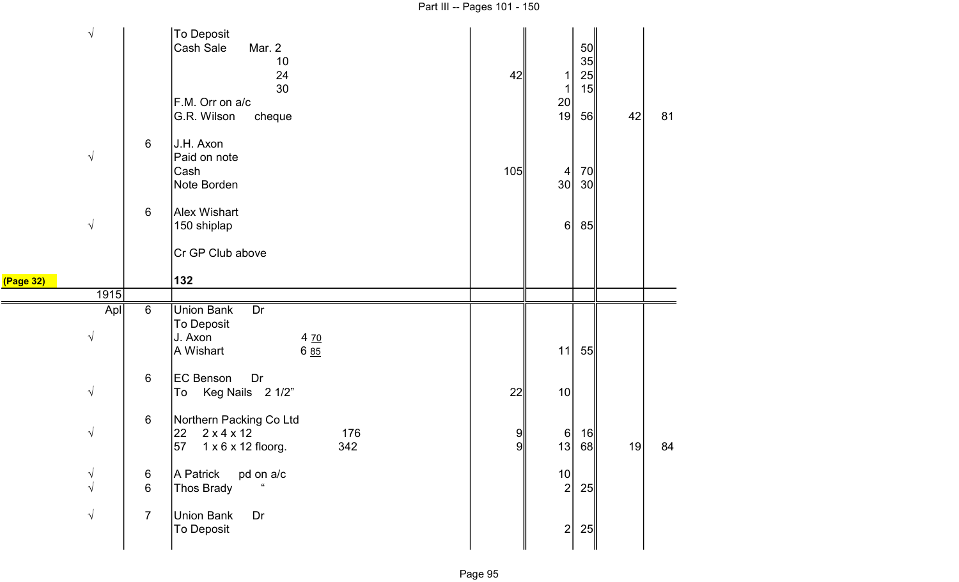|           | $\sqrt{2}$               |                    | <b>To Deposit</b><br>Cash Sale<br>Mar. 2<br>10<br>24<br>30<br>F.M. Orr on a/c<br>G.R. Wilson<br>cheque        | 42     | $\mathbf{1}$<br>1<br>20<br>19 | 50<br>35<br>25<br>15<br>56 | 42 | 81 |
|-----------|--------------------------|--------------------|---------------------------------------------------------------------------------------------------------------|--------|-------------------------------|----------------------------|----|----|
|           | $\sqrt{ }$               | $6\phantom{.}6$    | J.H. Axon<br>Paid on note<br>Cash<br>Note Borden                                                              | 105    | $\vert$<br>30                 | 70<br>30                   |    |    |
|           | $\sqrt{ }$               | $\,6\,$            | <b>Alex Wishart</b><br>150 shiplap<br>Cr GP Club above                                                        |        | $6 \mid$                      | 85                         |    |    |
| (Page 32) |                          |                    | 132                                                                                                           |        |                               |                            |    |    |
|           | 1915                     |                    |                                                                                                               |        |                               |                            |    |    |
|           | Apl<br>$\sqrt{ }$        | 6                  | <b>Union Bank</b><br>Dr<br><b>To Deposit</b><br>J. Axon<br>470<br>A Wishart<br>6 85                           |        | 11                            | 55                         |    |    |
|           | $\sqrt{ }$               | $6\phantom{1}$     | Dr<br><b>EC Benson</b><br>To Keg Nails 2 1/2"                                                                 | 22     | 10                            |                            |    |    |
|           | $\sqrt{ }$               | $\,6\,$            | Northern Packing Co Ltd<br>$2 \times 4 \times 12$<br>176<br>22<br>57<br>342<br>$1 \times 6 \times 12$ floorg. | 9<br>9 | 6<br>13                       | 16<br>68                   | 19 | 84 |
|           | $\sqrt{ }$<br>$\sqrt{ }$ | $\,6\,$<br>$\,6\,$ | pd on a/c<br>A Patrick<br><b>Thos Brady</b>                                                                   |        | 10<br>2 <sub>l</sub>          | 25                         |    |    |
|           | $\sqrt{ }$               | $\overline{7}$     | <b>Union Bank</b><br>Dr<br>To Deposit                                                                         |        | $\mathbf{2}$                  | 25                         |    |    |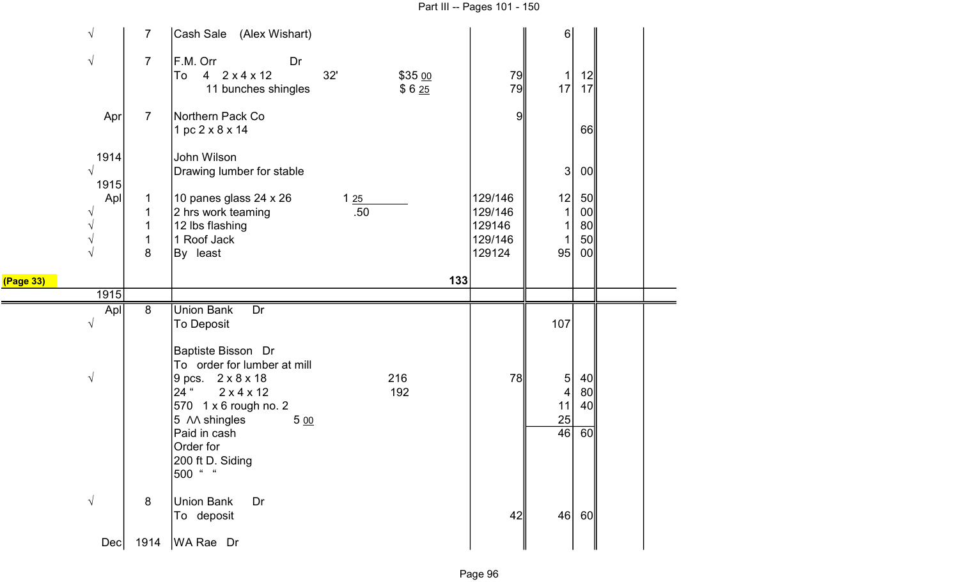| $\sqrt{ }$                | $\overline{7}$ | Cash Sale (Alex Wishart)                                                                                                                                          |            |                 |                                                   | 6                                      |                                           |  |
|---------------------------|----------------|-------------------------------------------------------------------------------------------------------------------------------------------------------------------|------------|-----------------|---------------------------------------------------|----------------------------------------|-------------------------------------------|--|
| $\sqrt{ }$                | $\overline{7}$ | F.M. Orr<br>Dr<br>42x4x12<br>To<br>11 bunches shingles                                                                                                            | 32'        | \$3500<br>\$625 | 79<br>79                                          | $\mathbf 1$<br>17                      | 12<br>17                                  |  |
| Apr                       | $\overline{7}$ | Northern Pack Co<br>1 pc 2 x 8 x 14                                                                                                                               |            |                 | 9                                                 |                                        | 66                                        |  |
| 1914<br>$\sqrt{}$<br>1915 |                | John Wilson<br>Drawing lumber for stable                                                                                                                          |            |                 |                                                   | $\mathbf{3}$                           | 00                                        |  |
| Apl<br>V                  | 1<br>1<br>8    | 10 panes glass 24 x 26<br>2 hrs work teaming<br>12 lbs flashing<br>1 Roof Jack<br>By least                                                                        | 125<br>.50 |                 | 129/146<br>129/146<br>129146<br>129/146<br>129124 | 12<br>95                               | 50<br> 00 <br>80<br>50<br>00 <sup>1</sup> |  |
| (Page 33)                 |                |                                                                                                                                                                   |            | 133             |                                                   |                                        |                                           |  |
| 1915                      |                |                                                                                                                                                                   |            |                 |                                                   |                                        |                                           |  |
| Apl<br>$\sqrt{ }$         | 8              | <b>Union Bank</b><br>Dr<br><b>To Deposit</b><br>Baptiste Bisson Dr<br>To order for lumber at mill                                                                 |            |                 |                                                   | 107                                    |                                           |  |
| $\sqrt{ }$                |                | 9 pcs. 2 x 8 x 18<br>$24$ "<br>$2 \times 4 \times 12$<br>570 1 x 6 rough no. 2<br>5 M shingles<br>500<br>Paid in cash<br>Order for<br>200 ft D. Siding<br>500 " " |            | 216<br>192      | 78                                                | $5\overline{)}$<br>4<br>11<br>25<br>46 | 40<br>80<br>40<br>60                      |  |
| $\sqrt{ }$<br>Dec         | 8<br>1914      | Dr<br><b>Union Bank</b><br>To deposit<br>WA Rae Dr                                                                                                                |            |                 | 42                                                | 46                                     | 60                                        |  |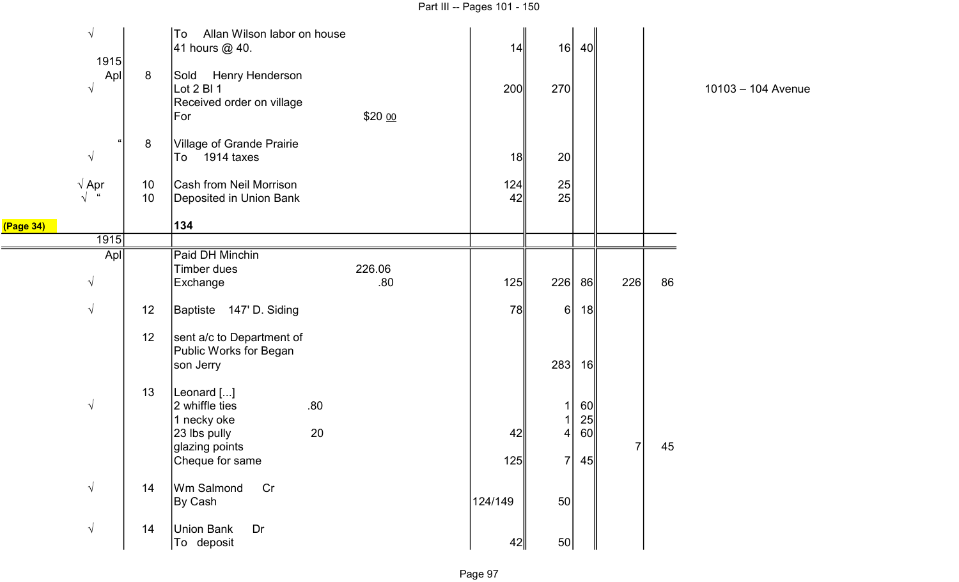|           | $\sqrt{ }$<br>1915<br>ApI<br>$\sqrt{ }$ | 8                     | Allan Wilson labor on house<br>To<br>$ 41$ hours $@$ 40.<br>Sold Henry Henderson<br>Lot 2 BI 1<br>Received order on village<br> For | \$20 00       | 14<br>200 | 16<br>270      | 40∥                  |                |    | 10103 - 104 Avenue |
|-----------|-----------------------------------------|-----------------------|-------------------------------------------------------------------------------------------------------------------------------------|---------------|-----------|----------------|----------------------|----------------|----|--------------------|
|           | $\epsilon$<br>$\sqrt{ }$                | 8                     | Village of Grande Prairie<br>1914 taxes<br>To                                                                                       |               | 18        | 20             |                      |                |    |                    |
|           | $\sqrt{Apr}$<br>$\epsilon$              | 10 <sup>°</sup><br>10 | Cash from Neil Morrison<br>Deposited in Union Bank                                                                                  |               | 124<br>42 | 25<br>25       |                      |                |    |                    |
| (Page 34) |                                         |                       | 134                                                                                                                                 |               |           |                |                      |                |    |                    |
|           | 1915                                    |                       |                                                                                                                                     |               |           |                |                      |                |    |                    |
|           | Apl                                     |                       | Paid DH Minchin                                                                                                                     |               |           |                |                      |                |    |                    |
|           | $\sqrt{ }$                              |                       | <b>Timber dues</b><br>Exchange                                                                                                      | 226.06<br>.80 | 125       | 226            | 86                   | 226            | 86 |                    |
|           | $\sqrt{ }$                              | 12                    | Baptiste 147' D. Siding                                                                                                             |               | 78        | 6              | 18                   |                |    |                    |
|           |                                         | 12                    | sent a/c to Department of<br>Public Works for Began<br>son Jerry                                                                    |               |           | 283            | 16∥                  |                |    |                    |
|           | $\sqrt{}$                               | 13                    | Leonard []<br>2 whiffle ties<br>.80<br>1 necky oke<br>23 lbs pully<br>20<br>glazing points<br>Cheque for same                       |               | 42<br>125 | $\overline{7}$ | 60<br>25<br>60<br>45 | $\overline{7}$ | 45 |                    |
|           | $\sqrt{ }$                              | 14                    | Wm Salmond<br>Cr<br>By Cash                                                                                                         |               | 124/149   | 50             |                      |                |    |                    |
|           | $\sqrt{ }$                              | 14                    | Dr<br><b>Union Bank</b><br>To deposit                                                                                               |               | 42        | 50             |                      |                |    |                    |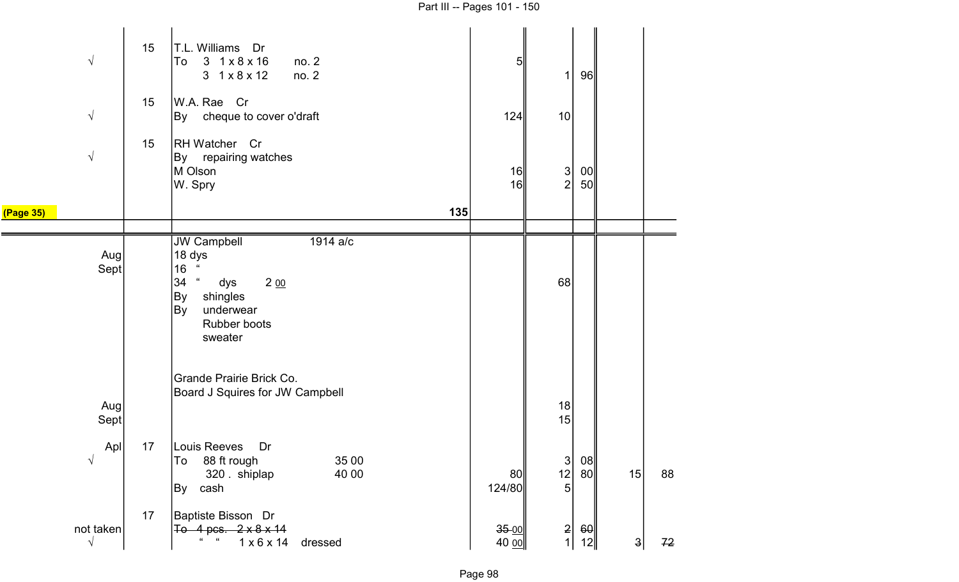| Part III -- Pages 101 - 150 |  |  |  |
|-----------------------------|--|--|--|
|-----------------------------|--|--|--|

| $\sqrt{ }$<br>$\sqrt{ }$ | 15<br>15 | T.L. Williams Dr<br>$3 \quad 1 \times 8 \times 16$<br>no. 2<br>To<br>$3 \quad 1 \times 8 \times 12$<br>no. 2<br>W.A. Rae Cr<br>By cheque to cover o'draft                        | 5 <sup>1</sup><br>124 | 1<br>10                                | 96        |                         |    |
|--------------------------|----------|----------------------------------------------------------------------------------------------------------------------------------------------------------------------------------|-----------------------|----------------------------------------|-----------|-------------------------|----|
| $\sqrt{ }$<br>(Page 35)  | 15       | RH Watcher Cr<br>By repairing watches<br>M Olson<br>W. Spry<br>135                                                                                                               | 16<br>16              | $\mathbf{3}$<br>$\overline{2}$         | 00 <br>50 |                         |    |
|                          |          |                                                                                                                                                                                  |                       |                                        |           |                         |    |
| Aug<br>Sept              |          | 1914 a/c<br><b>JW Campbell</b><br>18 dys<br>16<br>$\epsilon$<br>$\alpha_{\parallel}$<br>34<br>200<br>dys<br>By<br>shingles<br> By<br>underwear<br><b>Rubber boots</b><br>sweater |                       | 68                                     |           |                         |    |
| Aug<br>Sept              |          | Grande Prairie Brick Co.<br>Board J Squires for JW Campbell                                                                                                                      |                       | 18<br>15                               |           |                         |    |
| Apl<br>$\sqrt{ }$        | 17       | Louis Reeves<br>Dr<br>35 00<br>88 ft rough<br>To<br>40 00<br>320 . shiplap<br>By cash                                                                                            | 80<br>124/80          | 3 <sup>1</sup><br>12<br>5 <sup>1</sup> | 08 <br>80 | 15                      | 88 |
| not taken<br>$\sqrt{ }$  | 17       | Baptiste Bisson Dr<br>To 4 pcs. 2 x 8 x 14<br>$\alpha = \alpha$<br>$1 \times 6 \times 14$<br>dressed                                                                             | 35-00<br>40 00        | $\begin{array}{c} 2 \\ 1 \end{array}$  | 60 <br>12 | $\overline{\mathbf{3}}$ | 72 |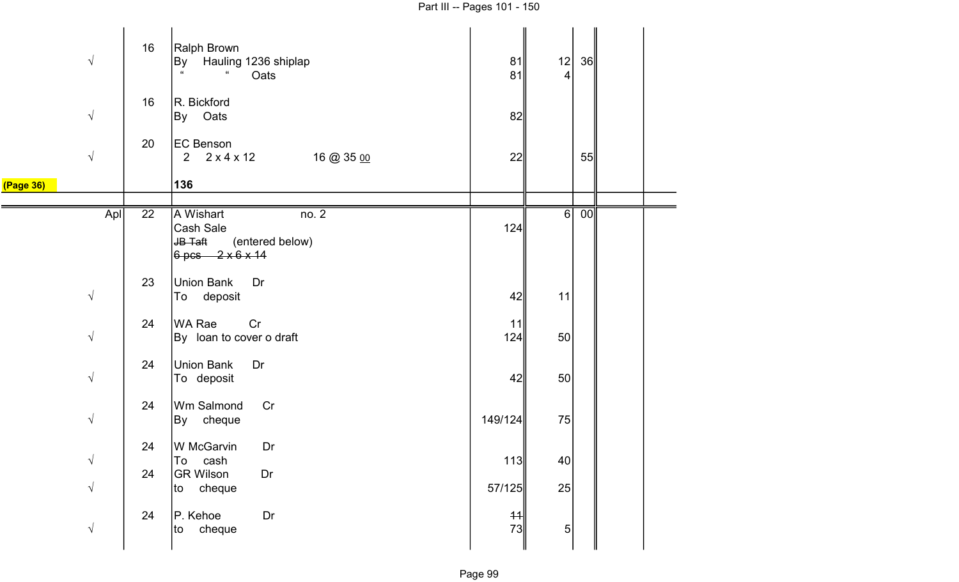| $\sqrt{ }$ | 16              | <b>Ralph Brown</b><br>By Hauling 1236 shiplap<br>$\epsilon$<br>"<br>Oats                                   | 81<br>81  | 12<br>$\overline{4}$ | 36 |  |
|------------|-----------------|------------------------------------------------------------------------------------------------------------|-----------|----------------------|----|--|
| $\sqrt{ }$ | 16              | R. Bickford<br>By Oats                                                                                     | 82        |                      |    |  |
| $\sqrt{ }$ | 20              | <b>EC Benson</b><br>$2 \times 4 \times 12$<br>16 @ 35 00                                                   | 22        |                      | 55 |  |
| (Page 36)  |                 | 136                                                                                                        |           |                      |    |  |
| Apl        | $\overline{22}$ | A Wishart<br>no. 2<br>Cash Sale<br>(entered below)<br><del>JB Taft</del><br>$6$ pcs $2 \times 6 \times 14$ | 124       | $\overline{6}$       | 00 |  |
| $\sqrt{ }$ | 23              | <b>Union Bank</b><br>Dr<br>To deposit                                                                      | 42        | 11                   |    |  |
| $\sqrt{ }$ | 24              | Cr<br>WA Rae<br>By loan to cover o draft                                                                   | 11<br>124 | 50                   |    |  |
| $\sqrt{ }$ | 24              | <b>Union Bank</b><br>Dr<br>To deposit                                                                      | 42        | 50                   |    |  |
| $\sqrt{ }$ | 24              | Wm Salmond<br>Cr<br>By cheque                                                                              | 149/124   | 75                   |    |  |
| $\sqrt{}$  | 24<br>24        | W McGarvin<br>Dr<br>To<br>cash                                                                             | 113       | 40                   |    |  |
| $\sqrt{ }$ |                 | <b>GR Wilson</b><br>Dr<br>to cheque                                                                        | 57/125    | 25                   |    |  |
| $\sqrt{ }$ | 24              | P. Kehoe<br>Dr<br>cheque<br> to                                                                            | 44 <br>73 | 5                    |    |  |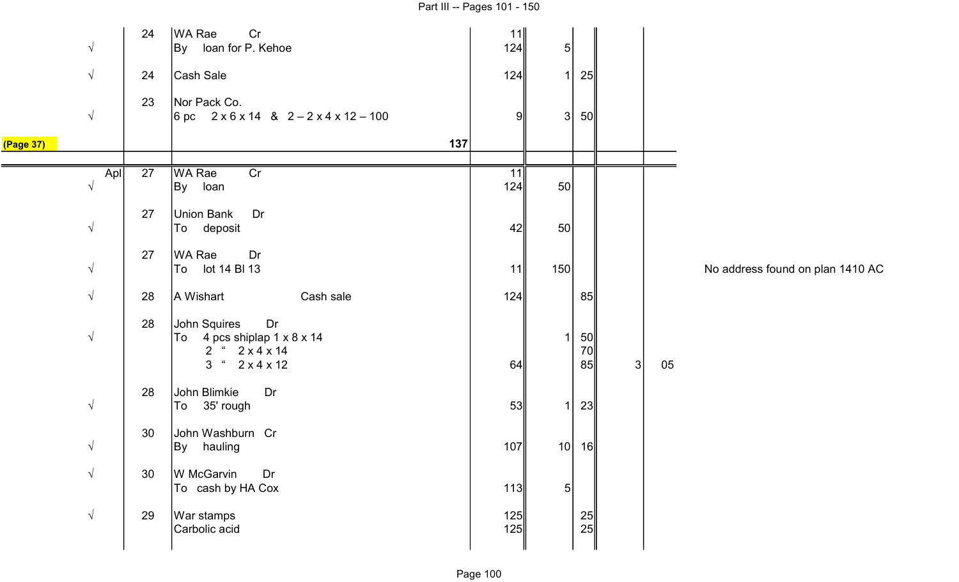| $\sqrt{}$        | 24 | WA Rae<br>Cr<br>By loan for P. Kehoe                                                                                          | 11<br>124  | 5            |                 |                |    |           |
|------------------|----|-------------------------------------------------------------------------------------------------------------------------------|------------|--------------|-----------------|----------------|----|-----------|
| $\sqrt{ }$       | 24 | Cash Sale                                                                                                                     | 124        | $\mathbf{1}$ | 25              |                |    |           |
| $\sqrt{ }$       | 23 | Nor Pack Co.                                                                                                                  | 9          | 3            | 50 <sub>l</sub> |                |    |           |
| (Page 37)        |    | 137                                                                                                                           |            |              |                 |                |    |           |
| Apl<br>$\sqrt{}$ | 27 | <b>WA Rae</b><br>Cr<br>By<br>loan                                                                                             | 11<br>124  | 50           |                 |                |    |           |
| $\sqrt{}$        | 27 | Union Bank<br>Dr<br>To deposit                                                                                                | 42         | 50           |                 |                |    |           |
| $\sqrt{}$        | 27 | WA Rae<br>Dr<br>To lot 14 BI 13                                                                                               | 11         | 150          |                 |                |    | No addres |
| $\sqrt{ }$       | 28 | Cash sale<br>A Wishart                                                                                                        | 124        |              | 85              |                |    |           |
| $\sqrt{ }$       | 28 | John Squires<br>Dr<br>To $4$ pcs shiplap $1 \times 8 \times 14$<br>2 " $2 \times 4 \times 14$<br>$3$ " $2 \times 4 \times 12$ | 64         | $\mathbf{1}$ | 50<br>70<br>85  | 3 <sup>1</sup> | 05 |           |
| $\sqrt{ }$       | 28 | John Blimkie<br>Dr<br>To 35' rough                                                                                            | 53         | 1            | 23              |                |    |           |
| $\sqrt{}$        | 30 | John Washburn Cr<br>By hauling                                                                                                | 107        |              | $10$ 16         |                |    |           |
| $\sqrt{}$        | 30 | W McGarvin<br>Dr<br>To cash by HA Cox                                                                                         | 113        | $\mathbf 5$  |                 |                |    |           |
| $\sqrt{ }$       | 29 | War stamps<br>Carbolic acid                                                                                                   | 125<br>125 |              | 25<br>25        |                |    |           |

 $\,$  ss found on plan 1410 AC  $\,$ 

Page 100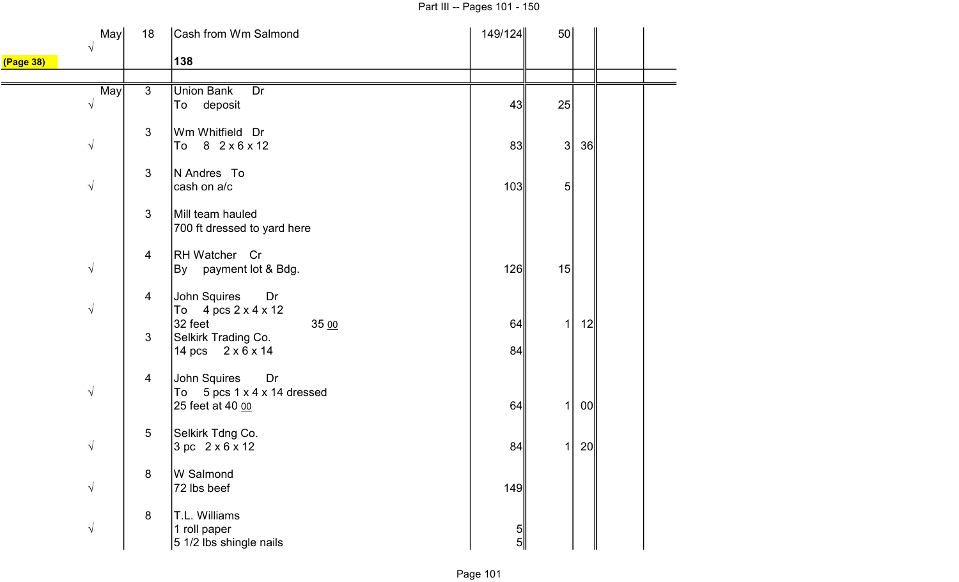Part III -- Pages 101 - 150

| May        | 18             | Cash from Wm Salmond                                                                                        | 149/124       | 50             |    |  |
|------------|----------------|-------------------------------------------------------------------------------------------------------------|---------------|----------------|----|--|
| (Page 38)  |                | 138                                                                                                         |               |                |    |  |
| May        | $\overline{3}$ | <b>Union Bank</b><br>Dr<br>To deposit                                                                       | 43            | 25             |    |  |
| $\sqrt{ }$ | 3              | Wm Whitfield Dr<br>To 8 2 x 6 x 12                                                                          | 83            | 3 <sup>1</sup> | 36 |  |
| $\sqrt{ }$ | 3              | N Andres To<br>cash on a/c                                                                                  | 103           | 5 <sup>1</sup> |    |  |
|            | $\mathfrak{S}$ | Mill team hauled<br>700 ft dressed to yard here                                                             |               |                |    |  |
| $\sqrt{ }$ | $\overline{4}$ | RH Watcher Cr<br>By payment lot & Bdg.                                                                      | 126           | 15             |    |  |
| $\sqrt{ }$ | 4<br>3         | John Squires<br>Dr<br>To $4 pcs 2 x 4 x 12$<br>32 feet<br>35 00<br>Selkirk Trading Co.<br>14 pcs 2 x 6 x 14 | 64<br>84      | $\mathbf{1}$   | 12 |  |
| $\sqrt{ }$ | $\overline{4}$ | John Squires<br>Dr<br>To $5$ pcs $1 \times 4 \times 14$ dressed<br>25 feet at 40 00                         | 64            | $\mathbf{1}$   | 00 |  |
| $\sqrt{}$  | 5              | Selkirk Tdng Co.<br>3 pc 2 x 6 x 12                                                                         | 84            | 1              | 20 |  |
| $\sqrt{ }$ | 8              | W Salmond<br>72 lbs beef                                                                                    | 149           |                |    |  |
| $\sqrt{ }$ | 8              | T.L. Williams<br>1 roll paper<br>5 1/2 lbs shingle nails                                                    | $\frac{5}{5}$ |                |    |  |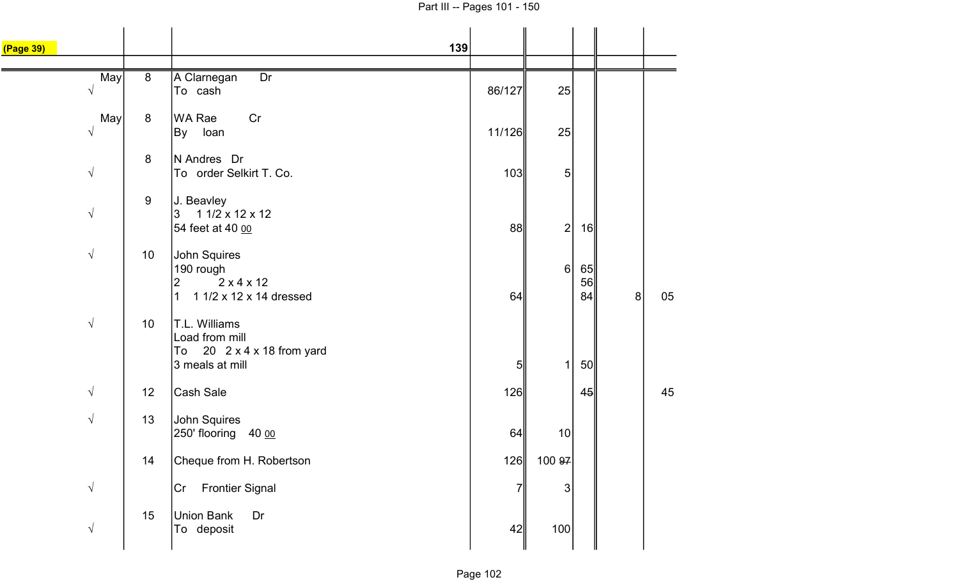| (Page 39)        |                | 139                                                                                            |        |                |                |                  |    |
|------------------|----------------|------------------------------------------------------------------------------------------------|--------|----------------|----------------|------------------|----|
|                  |                |                                                                                                |        |                |                |                  |    |
| May<br>$\sqrt{}$ | $\overline{8}$ | Dr<br>A Clarnegan<br>To cash                                                                   | 86/127 | 25             |                |                  |    |
| May<br>$\sqrt{}$ | $\bf 8$        | WA Rae<br>Cr<br>By loan                                                                        | 11/126 | 25             |                |                  |    |
| $\sqrt{}$        | 8              | N Andres Dr<br>To order Selkirt T. Co.                                                         | 103    | 5              |                |                  |    |
| $\sqrt{}$        | $9\,$          | J. Beavley<br>$11/2 \times 12 \times 12$<br>$\mathbf{3}$<br>54 feet at 40 00                   | 88     | $\overline{2}$ | 16             |                  |    |
| $\sqrt{}$        | 10             | John Squires<br>190 rough<br>$2 \times 4 \times 12$<br>2<br>1 1/2 x 12 x 14 dressed<br>1       | 64     | $\,6$          | 65<br>56<br>84 | $\boldsymbol{8}$ | 05 |
| $\sqrt{}$        | 10             | T.L. Williams<br>Load from mill<br>To $20 \t2 \times 4 \times 18$ from yard<br>3 meals at mill | 5      | $\overline{1}$ | 50             |                  |    |
| $\sqrt{ }$       | 12             | Cash Sale                                                                                      | 126    |                | 45             |                  | 45 |
| $\sqrt{}$        | 13             | John Squires<br>250' flooring 40 00                                                            | 64     | 10             |                |                  |    |
|                  | 14             | Cheque from H. Robertson                                                                       | 126    | 10097          |                |                  |    |
| $\sqrt{}$        |                | <b>Frontier Signal</b><br>Cr                                                                   |        | 3              |                |                  |    |
| $\sqrt{ }$       | 15             | <b>Union Bank</b><br>Dr<br>To deposit                                                          | 42     | 100            |                |                  |    |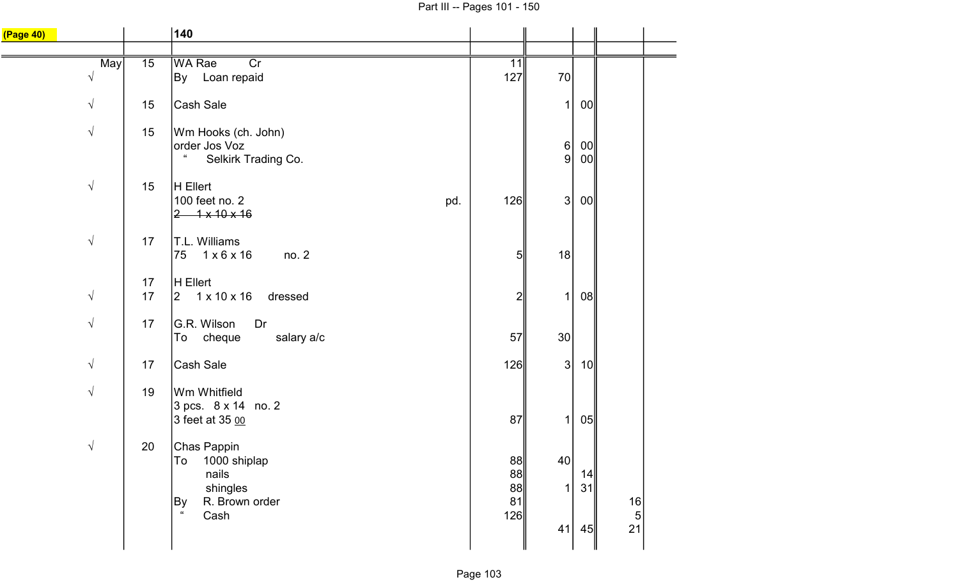| (Page 40)         |          | 140                                                                                          |                      |                             |            |                  |
|-------------------|----------|----------------------------------------------------------------------------------------------|----------------------|-----------------------------|------------|------------------|
|                   |          |                                                                                              |                      |                             |            |                  |
| May<br>$\sqrt{ }$ | 15       | <b>WA Rae</b><br>Cr<br>By Loan repaid                                                        | 11<br>127            | 70                          |            |                  |
| $\sqrt{ }$        | 15       | Cash Sale                                                                                    |                      | $\mathbf 1$                 | 00         |                  |
| $\sqrt{ }$        | 15       | Wm Hooks (ch. John)<br>order Jos Voz<br>$\epsilon$<br>Selkirk Trading Co.                    |                      | $\,6\,$<br>$\boldsymbol{9}$ | 00 <br> 00 |                  |
| $\sqrt{ }$        | 15       | <b>H</b> Ellert<br>100 feet no. 2<br>pd.<br>$2 - 1 \times 10 \times 16$                      | 126                  | 3 <sup>1</sup>              | 00         |                  |
| $\sqrt{ }$        | 17       | T.L. Williams<br>75 1 x 6 x 16<br>no. 2                                                      | $5\overline{)}$      | 18                          |            |                  |
| $\sqrt{ }$        | 17<br>17 | H Ellert<br>2 <sup>1</sup><br>$1 \times 10 \times 16$<br>dressed                             | $\overline{2}$       | 1                           | 08         |                  |
| $\sqrt{ }$        | 17       | G.R. Wilson<br>Dr<br>salary a/c<br>To cheque                                                 | 57                   | 30                          |            |                  |
| $\sqrt{ }$        | 17       | Cash Sale                                                                                    | 126                  | 3 <sup>1</sup>              | 10         |                  |
| $\sqrt{ }$        | 19       | Wm Whitfield<br>3 pcs. 8 x 14 no. 2<br>3 feet at 35 00                                       | 87                   | $\mathbf{1}$                | 05         |                  |
| $\sqrt{ }$        | 20       | Chas Pappin<br>1000 shiplap<br>To<br>nails<br>shingles<br>R. Brown order<br>By<br>$\epsilon$ | 88<br>88<br>88<br>81 | 40<br>1                     | 14<br>31   | 16               |
|                   |          | Cash                                                                                         | 126                  | 41                          | 45         | $\sqrt{5}$<br>21 |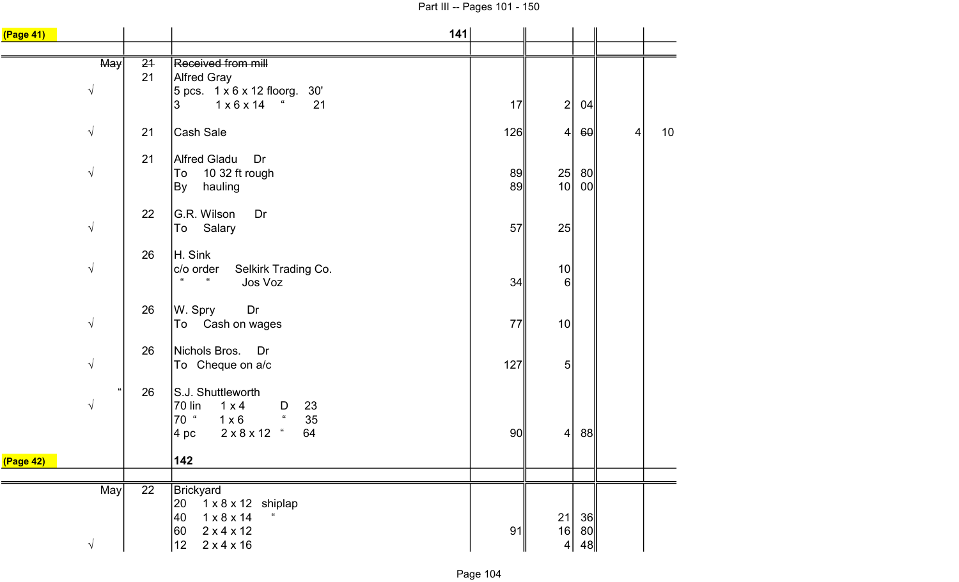Part III -- Pages 101 - 150

| (Page 41)         |          | 141                                                                                                                                                                                     |          |                             |                  |         |                 |
|-------------------|----------|-----------------------------------------------------------------------------------------------------------------------------------------------------------------------------------------|----------|-----------------------------|------------------|---------|-----------------|
|                   |          |                                                                                                                                                                                         |          |                             |                  |         |                 |
| May<br>$\sqrt{ }$ | 24<br>21 | Received from mill<br>Alfred Gray<br>5 pcs. 1 x 6 x 12 floorg. 30'<br>$\overline{\mathbf{a}}$                                                                                           |          |                             |                  |         |                 |
|                   |          | $1 \times 6 \times 14$<br>3<br>21                                                                                                                                                       | 17       | $2\vert$                    | 04               |         |                 |
| $\sqrt{ }$        | 21       | Cash Sale                                                                                                                                                                               | 126      | $\vert 4 \vert$             | 60               | $\vert$ | 10 <sup>°</sup> |
| $\sqrt{ }$        | 21       | Alfred Gladu<br>Dr<br>10 32 ft rough<br>To<br>By<br>hauling                                                                                                                             | 89<br>89 | 25<br>10                    | 80∥<br> 00       |         |                 |
| $\sqrt{ }$        | 22       | G.R. Wilson<br>Dr<br>Salary<br>To                                                                                                                                                       | 57       | 25                          |                  |         |                 |
| $\sqrt{ }$        | 26       | H. Sink<br>c/o order<br>Selkirk Trading Co.<br>$\epsilon$<br>$\epsilon\epsilon$<br>Jos Voz                                                                                              | 34       | $10$<br>6                   |                  |         |                 |
| $\sqrt{ }$        | 26       | W. Spry<br>Dr<br>To Cash on wages                                                                                                                                                       | 77       | 10                          |                  |         |                 |
| $\sqrt{ }$        | 26       | Nichols Bros. Dr<br>To Cheque on a/c                                                                                                                                                    | 127      | 5                           |                  |         |                 |
| $\sqrt{ }$        | 26       | S.J. Shuttleworth<br><b>70 lin</b><br>D<br>23<br>$1 \times 4$<br>70 "<br>$\mathfrak{c}\mathfrak{c}$<br>35<br>$1 \times 6$<br>64<br>$2 \times 8 \times 12$<br>$\boldsymbol{\mu}$<br>4 pc | 90       | $\vert 4 \vert$             | 88               |         |                 |
| (Page 42)         |          | 142                                                                                                                                                                                     |          |                             |                  |         |                 |
| May<br>$\sqrt{ }$ | 22       | <b>Brickyard</b><br>20<br>$1 \times 8 \times 12$ shiplap<br>40<br>$1 \times 8 \times 14$<br> 60<br>$2 \times 4 \times 12$<br>12<br>2x4x16                                               | 91       | 21<br>16<br>$\vert 4 \vert$ | 36<br> 80 <br>48 |         |                 |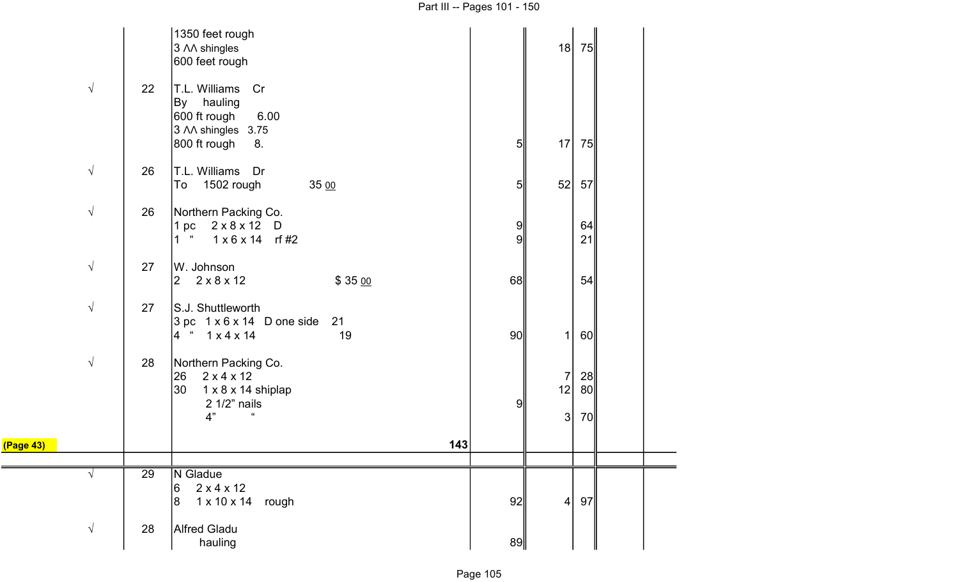| $\sqrt{ }$               | 28       | $4$ " $1 \times 4 \times 14$<br>19<br>Northern Packing Co.<br>$2 \times 4 \times 12$<br>26                                         | 90       | 1<br>$\overline{7}$ | 60<br>28 |  |
|--------------------------|----------|------------------------------------------------------------------------------------------------------------------------------------|----------|---------------------|----------|--|
| $\sqrt{ }$               | 27       | $\overline{2}$<br>$2 \times 8 \times 12$<br>\$3500<br>S.J. Shuttleworth<br>3 pc 1 x 6 x 14 D one side<br>21                        | 68       |                     | 54       |  |
| $\sqrt{ }$<br>$\sqrt{ }$ | 26<br>27 | Northern Packing Co.<br>$2 \times 8 \times 12$ D<br>1pc<br>$\epsilon$<br>$1 \times 6 \times 14$ rf#2<br>$\mathbf{1}$<br>W. Johnson | 9<br> 9  |                     | 64<br>21 |  |
| $\sqrt{ }$               | 26       | T.L. Williams Dr<br>1502 rough<br>To<br>35 00                                                                                      | $5 \mid$ | 52                  | 57       |  |
| $\sqrt{ }$               | 22       | T.L. Williams<br>Cr<br>By hauling<br>600 ft rough<br>6.00<br>3 AA shingles 3.75<br>800 ft rough<br>8.                              | $5 \mid$ | 17                  | 75       |  |
|                          |          | 1350 feet rough<br>3 AA shingles<br>600 feet rough                                                                                 |          | 18                  | 75       |  |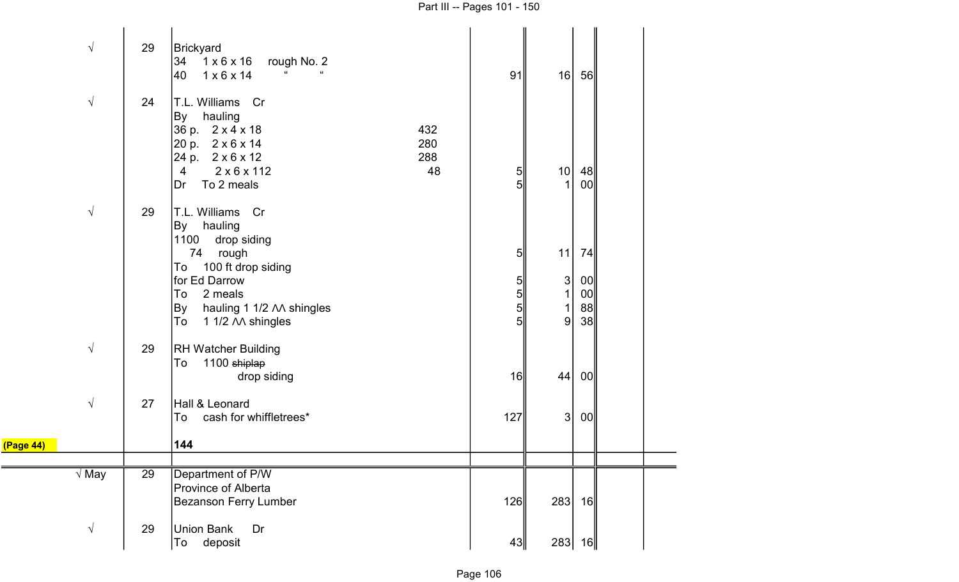|           | $\sqrt{ }$ | 29 | <b>Brickyard</b><br>$1 \times 6 \times 16$<br>rough No. 2<br>34<br>40<br>$1 \times 6 \times 14$                                                                                                    |    | 91                                                                | 16                                                         | 56                           |  |
|-----------|------------|----|----------------------------------------------------------------------------------------------------------------------------------------------------------------------------------------------------|----|-------------------------------------------------------------------|------------------------------------------------------------|------------------------------|--|
|           | $\sqrt{ }$ | 24 | T.L. Williams<br>Cr<br>hauling<br>By<br>36 p. 2 x 4 x 18<br>432<br>20 p. 2 x 6 x 14<br>280<br>24 p. 2 x 6 x 12<br>288<br>$2 \times 6 \times 112$<br>$\overline{4}$<br>To 2 meals<br>Dr             | 48 | 5<br>51                                                           | 10<br>$\mathbf{1}$                                         | 48∥<br> 00                   |  |
|           | $\sqrt{ }$ | 29 | T.L. Williams Cr<br>hauling<br>By<br>1100<br>drop siding<br>74<br>rough<br>100 ft drop siding<br>To<br>for Ed Darrow<br>To<br>2 meals<br>hauling 1 1/2 / Ashingles<br>By<br>1 1/2 / shingles<br>To |    | 5<br>$\begin{array}{c} 5 \\ 5 \\ 5 \end{array}$<br>5 <sup>1</sup> | 11<br>3<br>$\mathbf{1}$<br>$\mathbf 1$<br>$\boldsymbol{9}$ | 74<br>00<br> 00 <br>88<br>38 |  |
|           | $\sqrt{ }$ | 29 | <b>RH Watcher Building</b><br>1100 shiplap<br>To<br>drop siding                                                                                                                                    |    | 16                                                                | 44                                                         | 00                           |  |
|           | $\sqrt{ }$ | 27 | Hall & Leonard<br>cash for whiffletrees*<br>To                                                                                                                                                     |    | 127                                                               | 3                                                          | 00                           |  |
| (Page 44) |            |    | 144                                                                                                                                                                                                |    |                                                                   |                                                            |                              |  |
|           | √ May      | 29 | Department of P/W<br>Province of Alberta<br><b>Bezanson Ferry Lumber</b>                                                                                                                           |    | 126                                                               | 283                                                        | 16                           |  |
|           | $\sqrt{ }$ | 29 | Union Bank<br>Dr<br>deposit<br>To                                                                                                                                                                  |    | 43                                                                | 283                                                        | 16                           |  |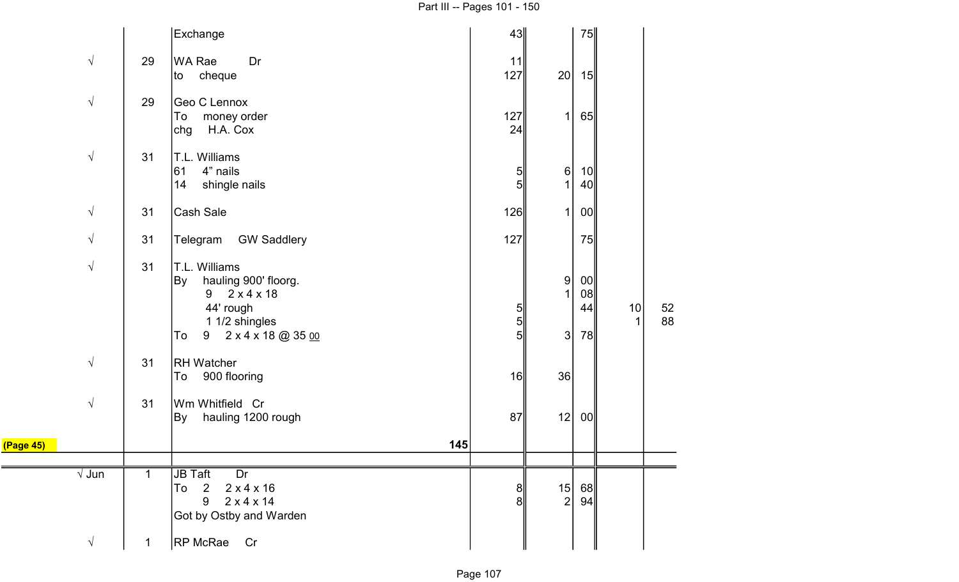|               |    | Exchange                                                                                                                                            | 43                                         |                                  | 75                       |                      |          |
|---------------|----|-----------------------------------------------------------------------------------------------------------------------------------------------------|--------------------------------------------|----------------------------------|--------------------------|----------------------|----------|
| $\sqrt{}$     | 29 | WA Rae<br>Dr<br>cheque<br>to                                                                                                                        | 11<br>127                                  | 20                               | 15                       |                      |          |
| $\sqrt{ }$    | 29 | Geo C Lennox<br>money order<br>To<br>H.A. Cox<br>chg                                                                                                | 127<br>24                                  | $\mathbf{1}$                     | 65                       |                      |          |
| $\sqrt{}$     | 31 | T.L. Williams<br>4" nails<br>61<br>shingle nails<br>14                                                                                              | $\frac{5}{5}$                              | $\sqrt{6}$                       | 10 <sup>1</sup><br>40    |                      |          |
| $\sqrt{ }$    | 31 | Cash Sale                                                                                                                                           | 126                                        | $\mathbf{1}$                     | 00                       |                      |          |
| $\sqrt{}$     | 31 | Telegram<br><b>GW Saddlery</b>                                                                                                                      | 127                                        |                                  | 75                       |                      |          |
| $\sqrt{}$     | 31 | T.L. Williams<br>hauling 900' floorg.<br>By<br>$2 \times 4 \times 18$<br>9<br>44' rough<br>1 1/2 shingles<br>9 $2 \times 4 \times 18$ @ 35 00<br>To | $\begin{array}{c} 5 \\ 5 \\ 5 \end{array}$ | $\boldsymbol{9}$<br>$\mathbf{3}$ | 00 <br> 08 <br>44<br>78∥ | $10$<br>$\mathbf{1}$ | 52<br>88 |
| $\sqrt{ }$    | 31 | <b>RH</b> Watcher<br>900 flooring<br>To                                                                                                             | 16                                         | 36                               |                          |                      |          |
| $\sqrt{}$     | 31 | Wm Whitfield Cr<br>By<br>hauling 1200 rough                                                                                                         | 87                                         | 12                               | 00                       |                      |          |
| (Page 45)     |    | 145                                                                                                                                                 |                                            |                                  |                          |                      |          |
| $\sqrt{}$ Jun |    | <b>JB Taft</b><br>Dr<br>$\overline{2}$<br>$2 \times 4 \times 16$<br>To<br>$2 \times 4 \times 14$<br>9<br>Got by Ostby and Warden                    | 8<br>8                                     | 15<br>$\overline{2}$             | 68<br>94                 |                      |          |
| $\sqrt{ }$    |    | RP McRae Cr                                                                                                                                         |                                            |                                  |                          |                      |          |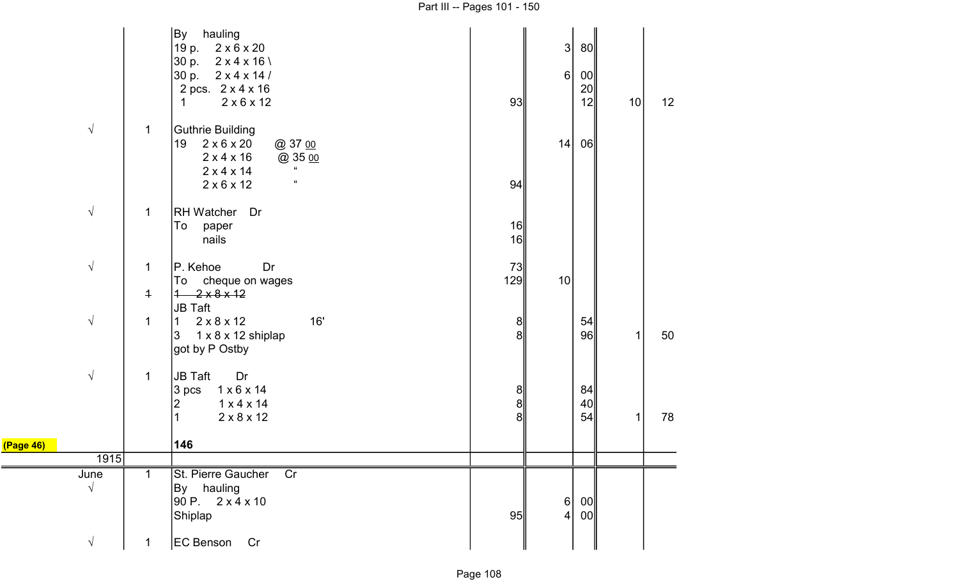|                   |                               | By<br>hauling<br>19 p.<br>$2 \times 6 \times 20$<br>30 p.<br>$2 \times 4 \times 16$<br>30 p. 2 x 4 x 14 /<br>2 pcs. 2 x 4 x 16<br>$2 \times 6 \times 12$<br>$\mathbf 1$                 | 93                                  | 3<br>$\,6\,$         | 80 <sup>°</sup><br> 00 <br>20<br>12 | 10           | 12 |
|-------------------|-------------------------------|-----------------------------------------------------------------------------------------------------------------------------------------------------------------------------------------|-------------------------------------|----------------------|-------------------------------------|--------------|----|
| $\sqrt{ }$        | 1                             | <b>Guthrie Building</b><br>$2 \times 6 \times 20$<br>19<br>@ 37 00<br>$2 \times 4 \times 16$<br>@ 35 00<br>$\epsilon$<br>$2 \times 4 \times 14$<br>$\epsilon$<br>$2 \times 6 \times 12$ | 94                                  | 14                   | 06                                  |              |    |
| $\sqrt{ }$        | $\mathbf 1$                   | <b>RH Watcher</b><br>Dr<br>To<br>paper<br>nails                                                                                                                                         | 16<br>16                            |                      |                                     |              |    |
| $\sqrt{ }$        | $\mathbf 1$<br>$\overline{+}$ | Dr<br>P. Kehoe<br>cheque on wages<br>To<br>2x8x12<br>4<br><b>JB Taft</b>                                                                                                                | 73<br>129                           | 10                   |                                     |              |    |
| $\sqrt{ }$        | $\mathbf{1}$                  | 16'<br>$2 \times 8 \times 12$<br>1<br>1 x 8 x 12 shiplap<br>3<br>got by P Ostby                                                                                                         | $\frac{8}{8}$                       |                      | 54<br>96                            | 1            | 50 |
| $\sqrt{ }$        | $\mathbf 1$                   | <b>JB Taft</b><br>Dr<br>3 pcs<br>$1 \times 6 \times 14$<br>$1 \times 4 \times 14$<br>2<br>$2 \times 8 \times 12$                                                                        | 8<br>$\frac{8}{3}$<br>$\frac{8}{3}$ |                      | 84<br>40<br>54                      | $\mathbf{1}$ | 78 |
| (Page 46)<br>1915 |                               | 146                                                                                                                                                                                     |                                     |                      |                                     |              |    |
| June              | 1                             | St. Pierre Gaucher<br>Cr                                                                                                                                                                |                                     |                      |                                     |              |    |
| $\sqrt{}$         |                               | By hauling<br>90 P. 2 x 4 x 10<br>Shiplap                                                                                                                                               | 95                                  | $6\phantom{1}6$<br>4 | 00 <br>00 <sup>1</sup>              |              |    |
| $\sqrt{ }$        |                               | EC Benson<br>Cr                                                                                                                                                                         |                                     |                      |                                     |              |    |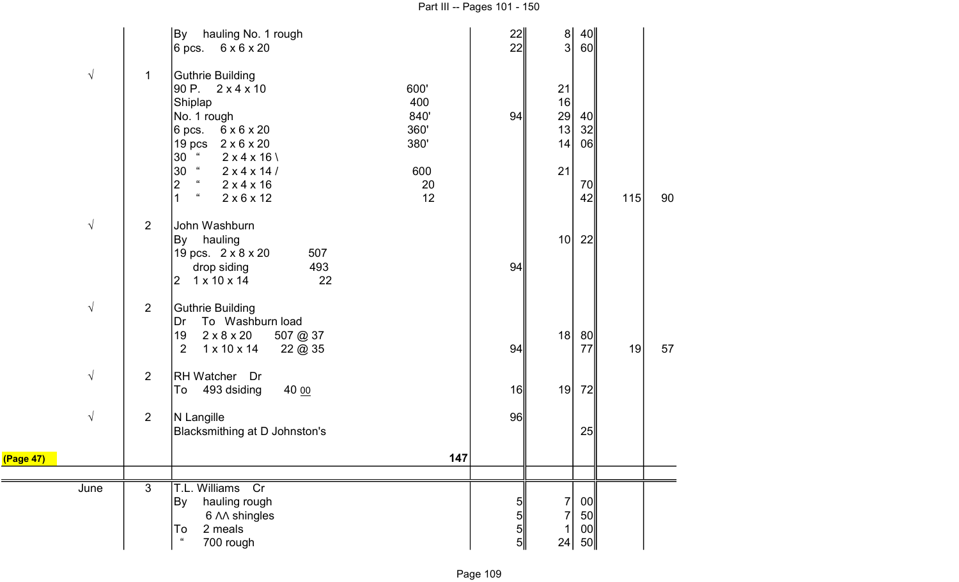|           |            |                | By<br>hauling No. 1 rough<br>$6 \times 6 \times 20$<br>$6$ pcs.                                                                                                                                                                                                                                                                                                                |                                                        | 22<br>22                                   | $\begin{array}{c} 8 \\ 3 \end{array}$ | 40<br>60                   |     |    |  |
|-----------|------------|----------------|--------------------------------------------------------------------------------------------------------------------------------------------------------------------------------------------------------------------------------------------------------------------------------------------------------------------------------------------------------------------------------|--------------------------------------------------------|--------------------------------------------|---------------------------------------|----------------------------|-----|----|--|
|           | $\sqrt{ }$ | $\mathbf 1$    | <b>Guthrie Building</b><br>90 P. 2 x 4 x 10<br>Shiplap<br>No. 1 rough<br>6 pcs.<br>$6 \times 6 \times 20$<br>19 pcs 2 x 6 x 20<br>$\boldsymbol{\mu}$<br>30<br>$2 \times 4 \times 16$<br>30<br>$\boldsymbol{\mu}$<br>$2 \times 4 \times 14$<br>$\overline{\mathbf{c}}$<br>"<br>$2 \times 4 \times 16$<br>$\overline{1}$<br>$\mathfrak{c}\mathfrak{c}$<br>$2 \times 6 \times 12$ | 600'<br>400<br>840'<br>360'<br>380'<br>600<br>20<br>12 | 94                                         | 21<br>16<br>29<br>13<br>14<br>21      | 40<br>32<br>06<br>70<br>42 | 115 | 90 |  |
|           | $\sqrt{ }$ | 2              | John Washburn<br>By hauling<br>19 pcs. 2 x 8 x 20<br>507<br>493<br>drop siding<br>22<br>$1 \times 10 \times 14$<br>$\overline{2}$                                                                                                                                                                                                                                              |                                                        | 94                                         | 10                                    | 22                         |     |    |  |
|           | $\sqrt{ }$ | 2              | <b>Guthrie Building</b><br>Dr<br>To Washburn load<br>19<br>$2 \times 8 \times 20$<br>507 @ 37<br>$\overline{2}$<br>$1 \times 10 \times 14$<br>22 @ 35                                                                                                                                                                                                                          |                                                        | 94                                         | 18                                    | 80<br>77                   | 19  | 57 |  |
|           | $\sqrt{ }$ | 2              | RH Watcher Dr<br>493 dsiding<br>40 00<br>To                                                                                                                                                                                                                                                                                                                                    |                                                        | 16                                         | 19                                    | 72                         |     |    |  |
|           | $\sqrt{ }$ | $\overline{2}$ | N Langille<br>Blacksmithing at D Johnston's                                                                                                                                                                                                                                                                                                                                    |                                                        | 96                                         |                                       | 25                         |     |    |  |
| (Page 47) |            |                |                                                                                                                                                                                                                                                                                                                                                                                | 147                                                    |                                            |                                       |                            |     |    |  |
|           | June       | $\overline{3}$ | T.L. Williams Cr<br><b>By</b><br>hauling rough<br>6 AA shingles<br>2 meals<br>To<br>$\epsilon$<br>700 rough                                                                                                                                                                                                                                                                    |                                                        | 5 <br>5<br>$\overline{5}$<br>$\frac{5}{3}$ | 7<br>$\overline{7}$<br>1<br>24        | 00 <br>50<br> 00 <br>50    |     |    |  |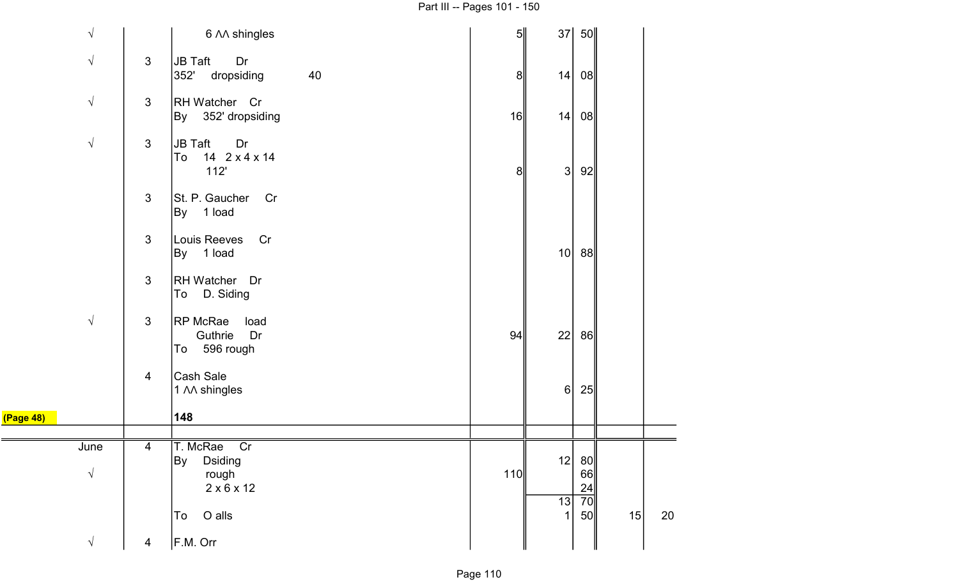|           | $\sqrt{ }$ |                | 6 AA shingles                                           | 5              | 37                              | 50                    |    |    |
|-----------|------------|----------------|---------------------------------------------------------|----------------|---------------------------------|-----------------------|----|----|
|           | $\sqrt{ }$ | $\mathfrak{S}$ | <b>JB Taft</b><br>Dr<br>352' dropsiding<br>40           | 8 <sup>0</sup> | 14                              | 08                    |    |    |
|           | $\sqrt{ }$ | $\mathfrak{S}$ | RH Watcher Cr<br>By 352' dropsiding                     | 16             | 14                              | 08                    |    |    |
|           | $\sqrt{ }$ | $\mathfrak{S}$ | <b>JB Taft</b><br>Dr<br>$14$ 2 x 4 x 14<br>To<br>$112'$ | 8              | $\mathbf{3}$                    | 92                    |    |    |
|           |            | 3              | St. P. Gaucher<br>Cr<br>By 1 load                       |                |                                 |                       |    |    |
|           |            | $\mathbf{3}$   | Louis Reeves<br>Cr<br>1 load<br> By                     |                | 10                              | 88                    |    |    |
|           |            | $\mathbf{3}$   | RH Watcher Dr<br>D. Siding<br>To                        |                |                                 |                       |    |    |
|           | $\sqrt{ }$ | $\mathbf{3}$   | RP McRae<br>load<br>Guthrie<br>Dr<br>To 596 rough       | 94             | 22                              | 86                    |    |    |
|           |            | $\overline{4}$ | Cash Sale<br>1 / shingles                               |                | $\sqrt{6}$                      | 25                    |    |    |
| (Page 48) |            |                | 148                                                     |                |                                 |                       |    |    |
|           | June       | $\overline{4}$ | T. McRae<br>Cr                                          |                |                                 |                       |    |    |
|           | $\sqrt{ }$ |                | By<br><b>Dsiding</b><br>rough<br>$2 \times 6 \times 12$ | 110            | 12                              | 80 <br>66<br>24       |    |    |
|           |            |                | $O$ alls<br>To                                          |                | $\overline{13}$<br>$\mathbf{1}$ | $\overline{70}$<br>50 | 15 | 20 |
|           | $\sqrt{ }$ | $\overline{4}$ | F.M. Orr                                                |                |                                 |                       |    |    |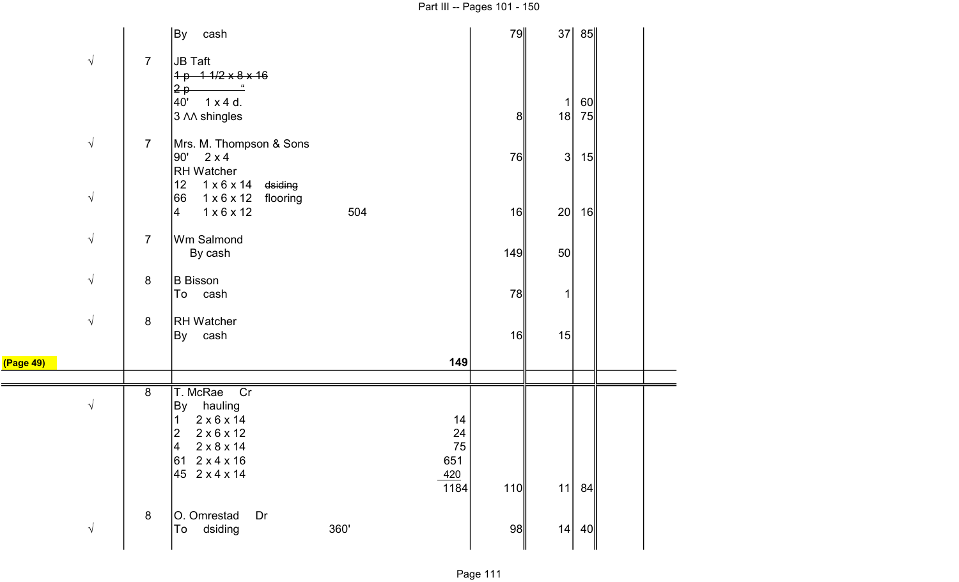|            |                | By cash                                                                                                                                                                                                                                | 79             | 37          | 85 |  |
|------------|----------------|----------------------------------------------------------------------------------------------------------------------------------------------------------------------------------------------------------------------------------------|----------------|-------------|----|--|
| $\sqrt{ }$ | $\overline{7}$ | <b>JB Taft</b><br>$1p$ $11/2 x8 x16$<br>$2-p$<br>40' 1 x 4 d.                                                                                                                                                                          |                | $\mathbf 1$ | 60 |  |
|            |                | 3 AA shingles                                                                                                                                                                                                                          | 8 <sup>1</sup> | 18          | 75 |  |
| $\sqrt{ }$ | $\overline{7}$ | Mrs. M. Thompson & Sons<br>90' 2 x 4<br><b>RH</b> Watcher                                                                                                                                                                              | 76             | 3           | 15 |  |
| $\sqrt{ }$ |                | 12<br>1 x 6 x 14 <del>dsiding</del><br>$1 \times 6 \times 12$<br>66<br>flooring<br>$1 \times 6 \times 12$<br>$\overline{4}$<br>504                                                                                                     | 16             | 20          | 16 |  |
| $\sqrt{ }$ | $\overline{7}$ | Wm Salmond<br>By cash                                                                                                                                                                                                                  | 149            | 50          |    |  |
| $\sqrt{ }$ | 8              | <b>B</b> Bisson<br>To cash                                                                                                                                                                                                             | 78             | $\mathbf 1$ |    |  |
| $\sqrt{ }$ | $\bf 8$        | <b>RH</b> Watcher<br>cash<br>By                                                                                                                                                                                                        | 16             | 15          |    |  |
| (Page 49)  |                | 149                                                                                                                                                                                                                                    |                |             |    |  |
| $\sqrt{ }$ | $\overline{8}$ | T. McRae Cr<br>hauling<br>By<br>$2 \times 6 \times 14$<br>14<br>1<br>24<br>$2 \times 6 \times 12$<br>$\overline{c}$<br>$\overline{\mathbf{4}}$<br>75<br>$2 \times 8 \times 14$<br>651<br>61 2 x 4 x 16<br>45 2 x 4 x 14<br>420<br>1184 | 110            | 11          | 84 |  |
| $\sqrt{ }$ | 8              | O. Omrestad<br>Dr<br>dsiding<br>360'<br>To                                                                                                                                                                                             | 98             | 14          | 40 |  |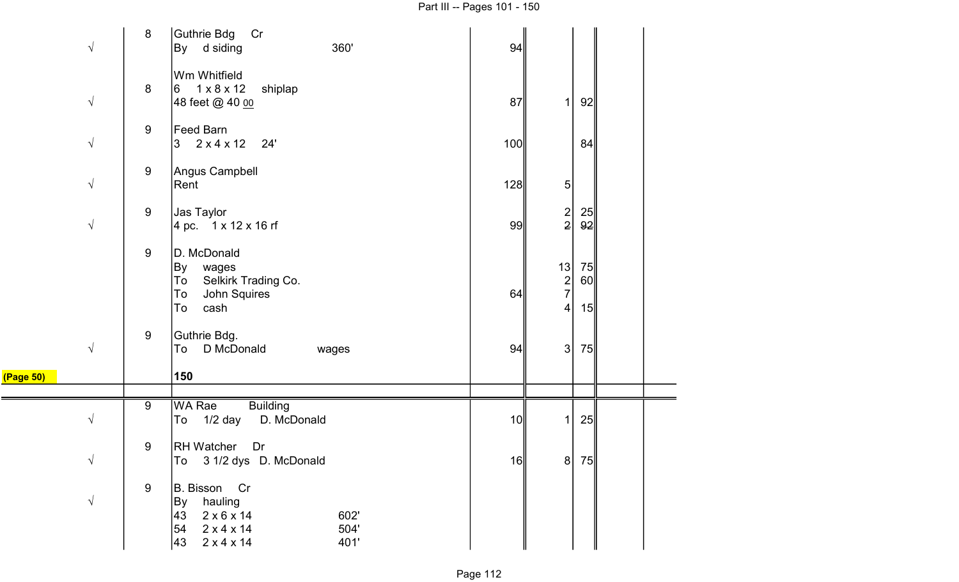| $\sqrt{ }$ | 8              | Guthrie Bdg<br><b>Cr</b><br>By d siding<br>360'                                                                                                         | 94  |                                                   |                 |  |
|------------|----------------|---------------------------------------------------------------------------------------------------------------------------------------------------------|-----|---------------------------------------------------|-----------------|--|
| $\sqrt{ }$ | 8              | Wm Whitfield<br>$\begin{vmatrix} 6 & 1 \times 8 \times 12 \end{vmatrix}$<br>shiplap<br>48 feet @ 40 00                                                  | 87  | 1                                                 | 92              |  |
| $\sqrt{ }$ | $9\,$          | Feed Barn<br>$2 \times 4 \times 12$ 24'<br>3                                                                                                            | 100 |                                                   | 84              |  |
| $\sqrt{ }$ | 9              | Angus Campbell<br>Rent                                                                                                                                  | 128 | 5                                                 |                 |  |
| $\sqrt{ }$ | $9\,$          | Jas Taylor<br>$4 pc.$ 1 x 12 x 16 rf                                                                                                                    | 99  | $\frac{2}{2}$                                     | 25<br>92        |  |
|            | 9              | D. McDonald<br>By<br>wages<br>To<br>Selkirk Trading Co.<br>John Squires<br>To<br>cash<br>To                                                             | 64  | $\begin{bmatrix} 13 \\ 2 \\ 7 \end{bmatrix}$<br>4 | 75<br>60<br>15∥ |  |
| $\sqrt{ }$ | 9              | Guthrie Bdg.<br>D McDonald<br>To<br>wages                                                                                                               | 94  | 3                                                 | 75              |  |
| (Page 50)  |                | 150                                                                                                                                                     |     |                                                   |                 |  |
| $\sqrt{}$  | $\overline{9}$ | <b>WA Rae</b><br><b>Building</b><br>To $1/2$ day<br>D. McDonald                                                                                         | 10  | $\mathbf 1$                                       | 25              |  |
| $\sqrt{ }$ | 9              | <b>RH Watcher</b><br>Dr<br>To 3 1/2 dys D. McDonald                                                                                                     | 16  |                                                   | 8 75            |  |
| $\sqrt{ }$ | 9              | B. Bisson Cr<br>hauling<br> By<br>$2 \times 6 \times 14$<br>602'<br> 43<br>504'<br>54<br>$2 \times 4 \times 14$<br>43<br>$2 \times 4 \times 14$<br>401' |     |                                                   |                 |  |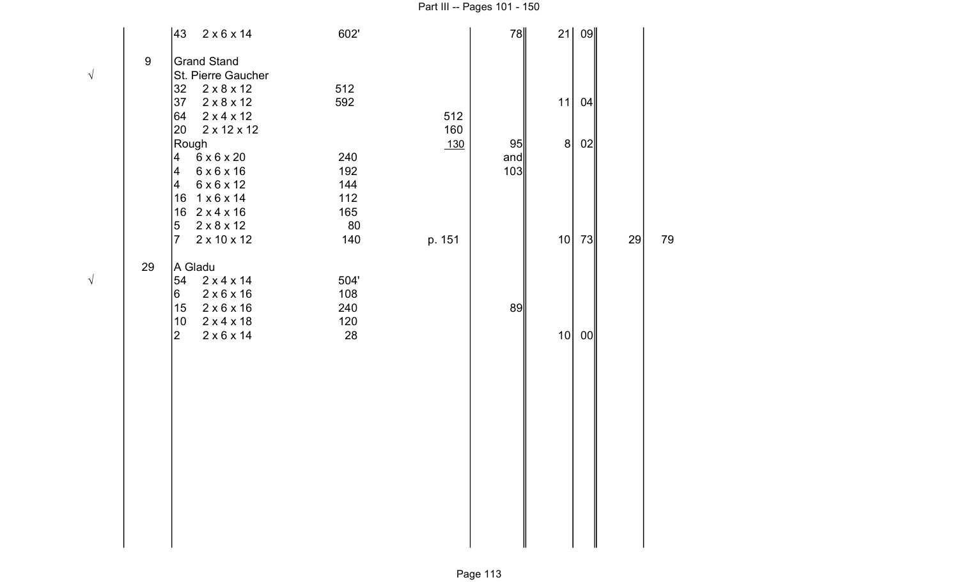| 9<br><b>Grand Stand</b>                                                                                                     |                       |    |    |
|-----------------------------------------------------------------------------------------------------------------------------|-----------------------|----|----|
| $\sqrt{2}$<br>St. Pierre Gaucher<br>$2 \times 8 \times 12$<br>512<br>32 <sub>2</sub><br>592<br>37<br>$2 \times 8 \times 12$ | 11<br> 04             |    |    |
| 512<br>$2 \times 4 \times 12$<br>64<br>20<br>$2 \times 12 \times 12$<br>160                                                 |                       |    |    |
| 95<br>Rough<br>130<br>$6 \times 6 \times 20$<br>240<br>and<br>4                                                             | 8 <sup>1</sup><br> 02 |    |    |
| 103<br>$6 \times 6 \times 16$<br>192<br>$\overline{4}$<br>144<br>$6 \times 6 \times 12$<br>4                                |                       |    |    |
| 112<br>16 1 x 6 x 14                                                                                                        |                       |    |    |
| 165<br>$16$ 2 x 4 x 16<br>80<br>$\overline{5}$<br>$2 \times 8 \times 12$                                                    |                       |    |    |
| $2 \times 10 \times 12$<br>140<br>p. 151<br>$\overline{7}$                                                                  | 10<br>73∥             | 29 | 79 |
| 29<br>A Gladu<br>$\sqrt{2}$<br>$2 \times 4 \times 14$<br>504'<br>54                                                         |                       |    |    |
| $2 \times 6 \times 16$<br>108<br>6 <sup>1</sup><br>89<br>15<br>$2 \times 6 \times 16$<br>240                                |                       |    |    |
| 120<br>10<br>$2 \times 4 \times 18$<br>$2 \times 6 \times 14$<br>28<br>$\overline{2}$                                       | 10<br> 00             |    |    |
|                                                                                                                             |                       |    |    |
|                                                                                                                             |                       |    |    |
|                                                                                                                             |                       |    |    |
|                                                                                                                             |                       |    |    |
|                                                                                                                             |                       |    |    |
|                                                                                                                             |                       |    |    |
|                                                                                                                             |                       |    |    |
|                                                                                                                             |                       |    |    |

Page 113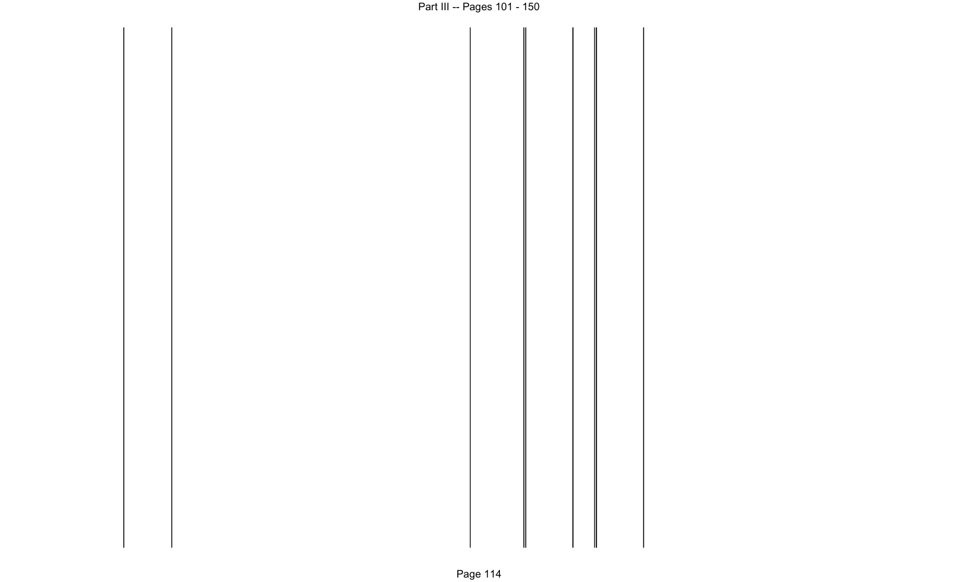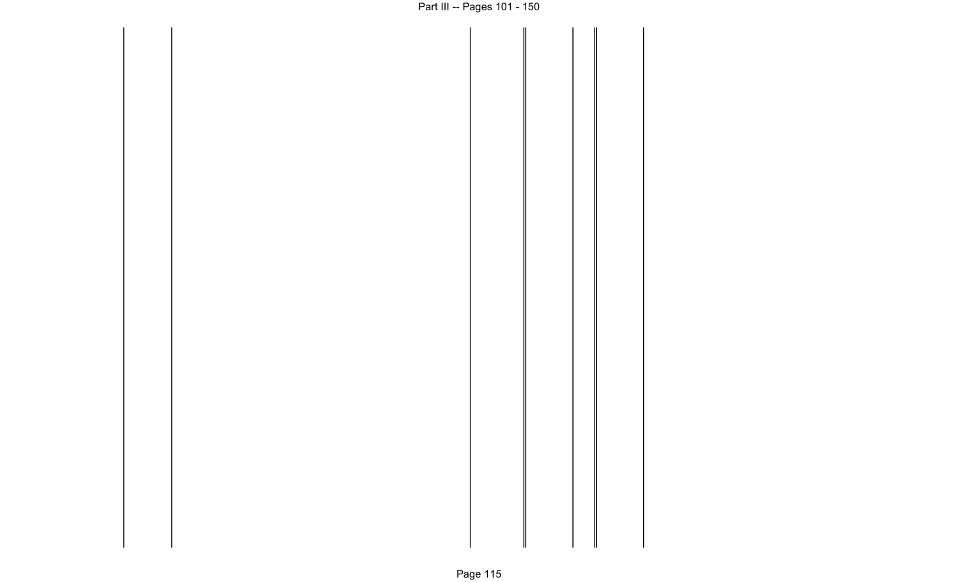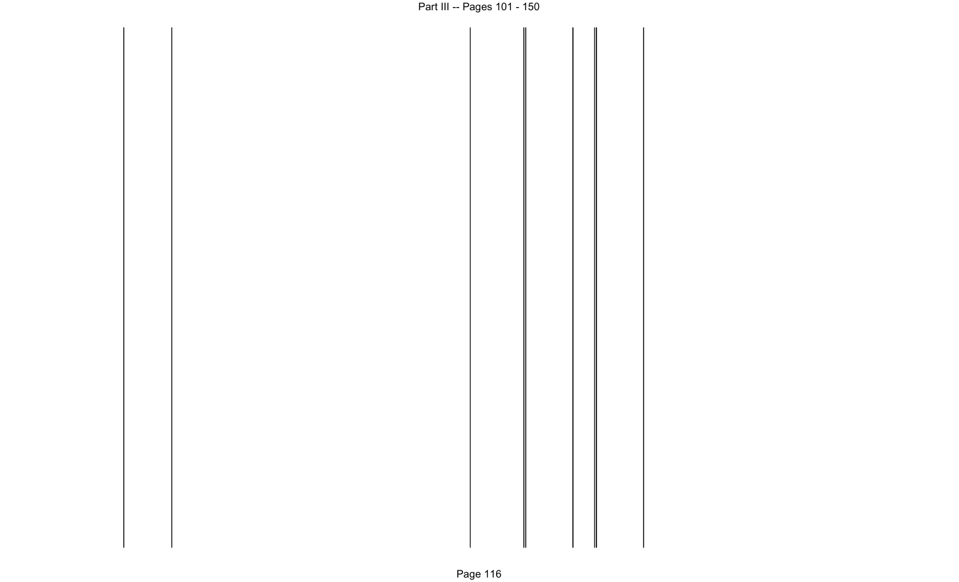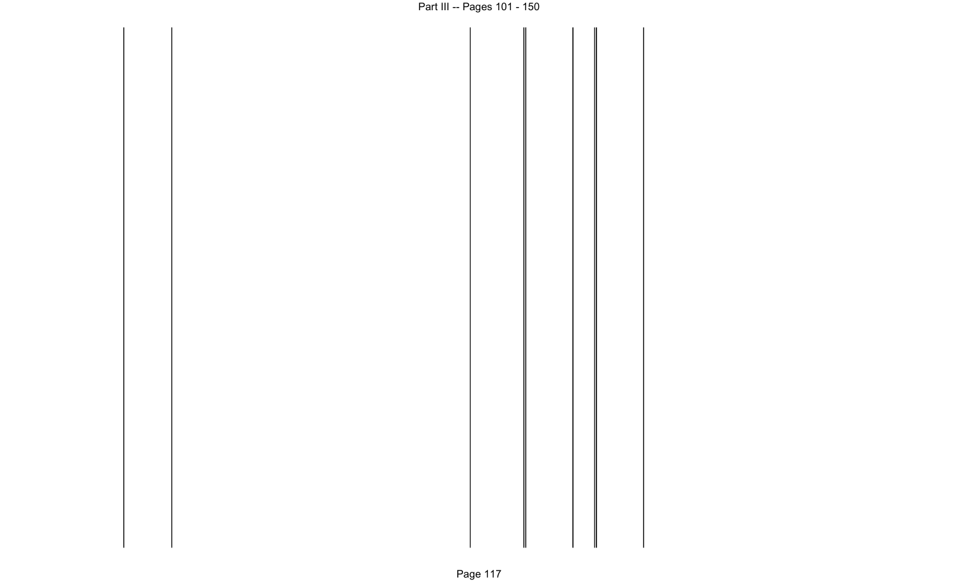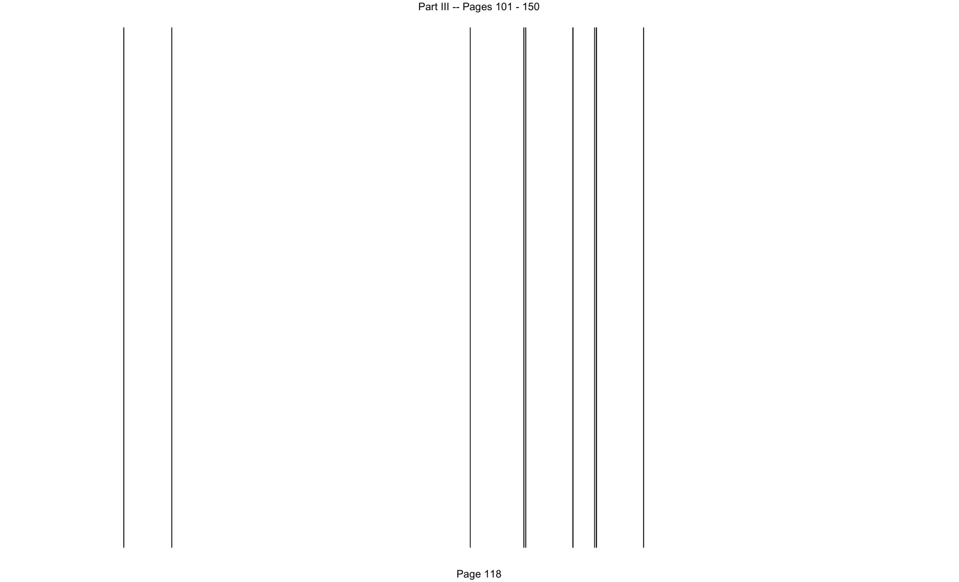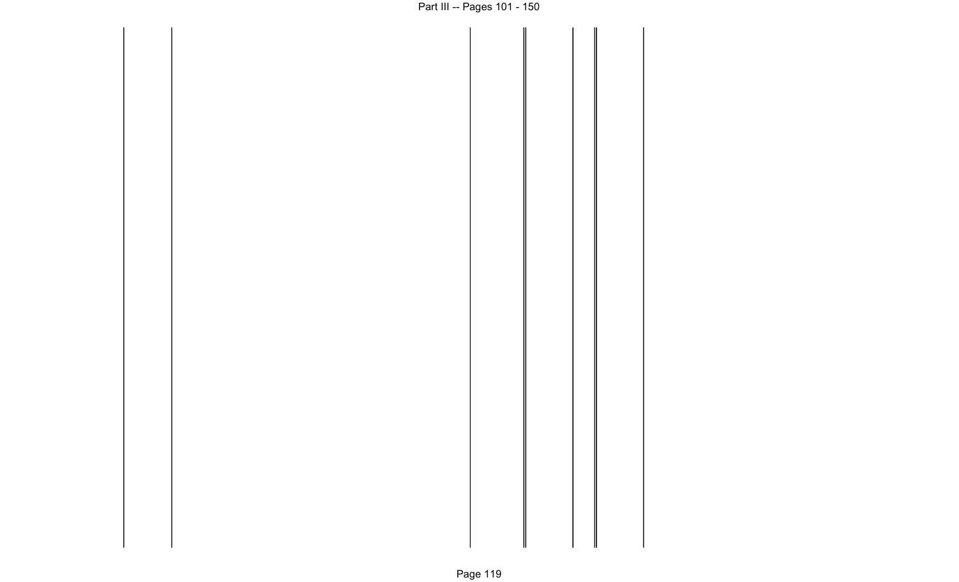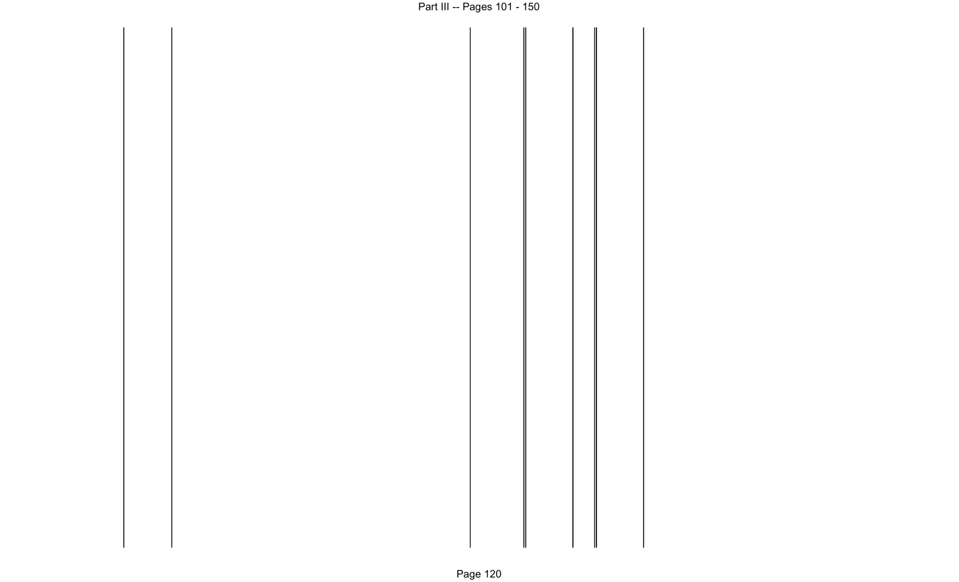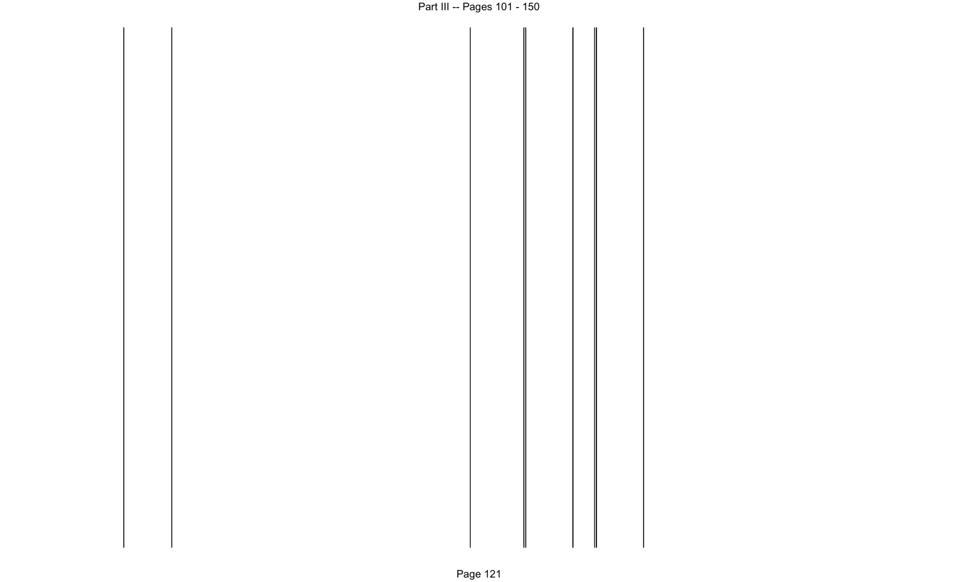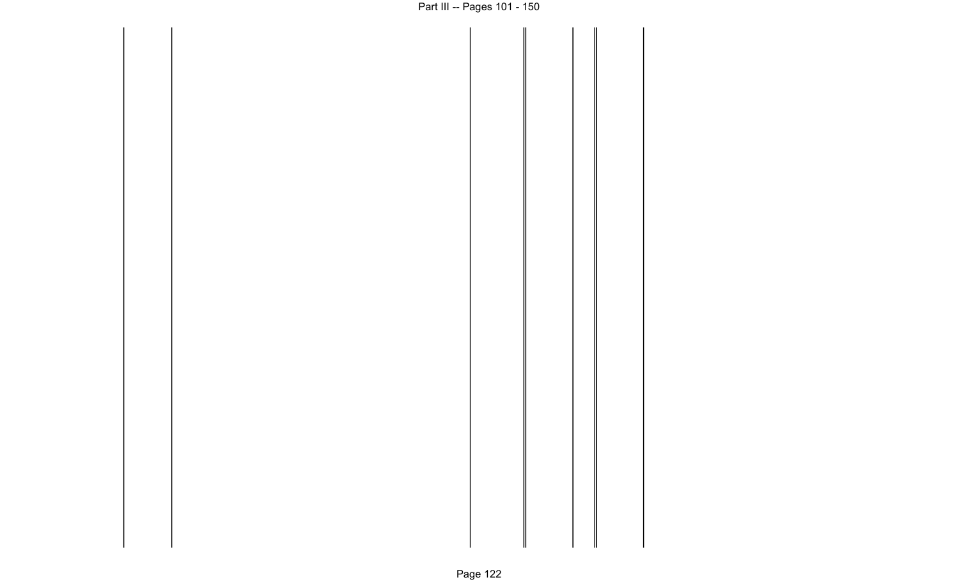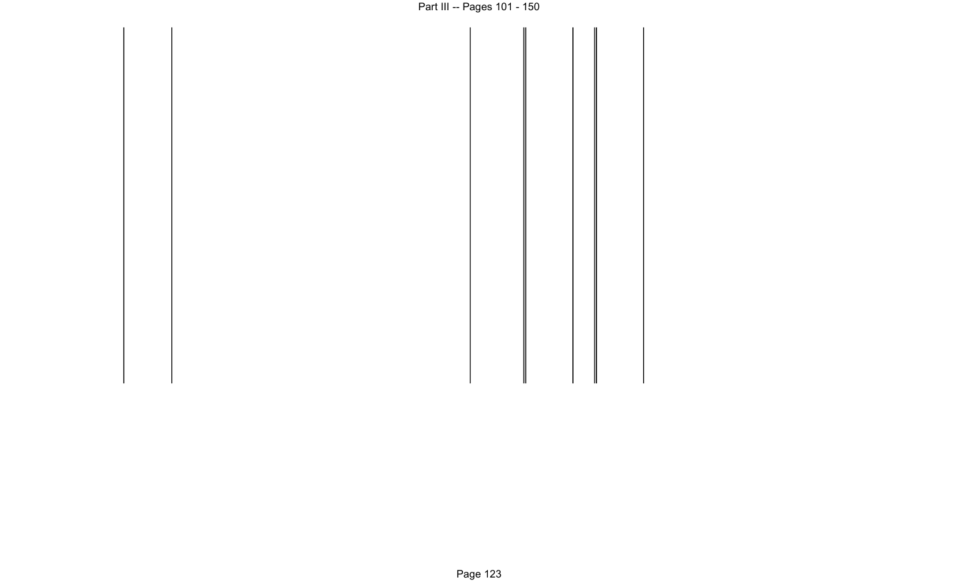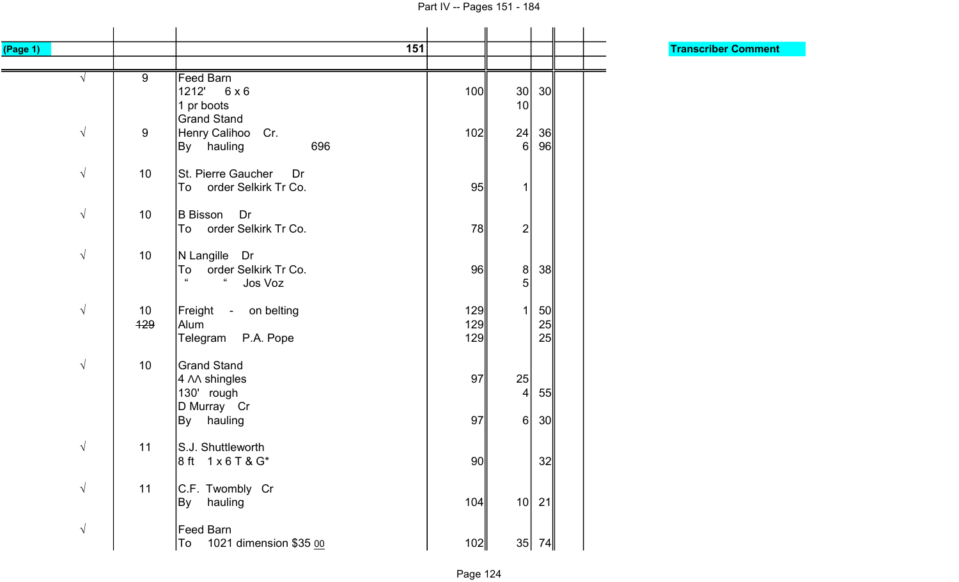| (Page 1)   |                | 151                                                                                      |                   |                           |                | <b>Transcriber Comment</b> |
|------------|----------------|------------------------------------------------------------------------------------------|-------------------|---------------------------|----------------|----------------------------|
|            |                |                                                                                          |                   |                           |                |                            |
| $\sqrt{ }$ | $\overline{9}$ | <b>Feed Barn</b><br>$1212'$ 6 x 6<br>1 pr boots<br><b>Grand Stand</b>                    | 100               | 30<br>10                  | 30             |                            |
| $\sqrt{ }$ | 9              | Henry Calihoo Cr.<br>696<br>By hauling                                                   | 102               | 24<br>6                   | 36<br>96       |                            |
| $\sqrt{ }$ | 10             | St. Pierre Gaucher<br>Dr<br>order Selkirk Tr Co.<br>To                                   | 95                | $\mathbf 1$               |                |                            |
| $\sqrt{ }$ | 10             | B Bisson Dr<br>To order Selkirk Tr Co.                                                   | 78                | $\mathbf{2}$              |                |                            |
| $\sqrt{ }$ | 10             | N Langille Dr<br>order Selkirk Tr Co.<br>To<br>$\alpha$<br>$\mathbf{G}$<br>Jos Voz       | 96                | 8 <br>5 <sup>1</sup>      | 38             |                            |
| $\sqrt{ }$ | 10<br>129      | Freight<br>- on belting<br>Alum<br>P.A. Pope<br>Telegram                                 | 129<br>129<br>129 | 1 <sup>1</sup>            | 50<br>25<br>25 |                            |
| $\sqrt{ }$ | 10             | <b>Grand Stand</b><br>$4 \land\land$ shingles<br>130' rough<br>D Murray Cr<br>By hauling | 97<br>97          | 25<br>4 <sup>1</sup><br>6 | 55<br>30       |                            |
| $\sqrt{ }$ | 11             | S.J. Shuttleworth<br>$8 ft 1 x 6 T & G*$                                                 | 90 <sub>o</sub>   |                           | 32             |                            |
| $\sqrt{ }$ | 11             | C.F. Twombly Cr<br>hauling<br> By                                                        | 104               | 10                        | 21             |                            |
| $\sqrt{ }$ |                | Feed Barn<br>1021 dimension \$35 00<br>To                                                | 102               |                           | $35$ 74        |                            |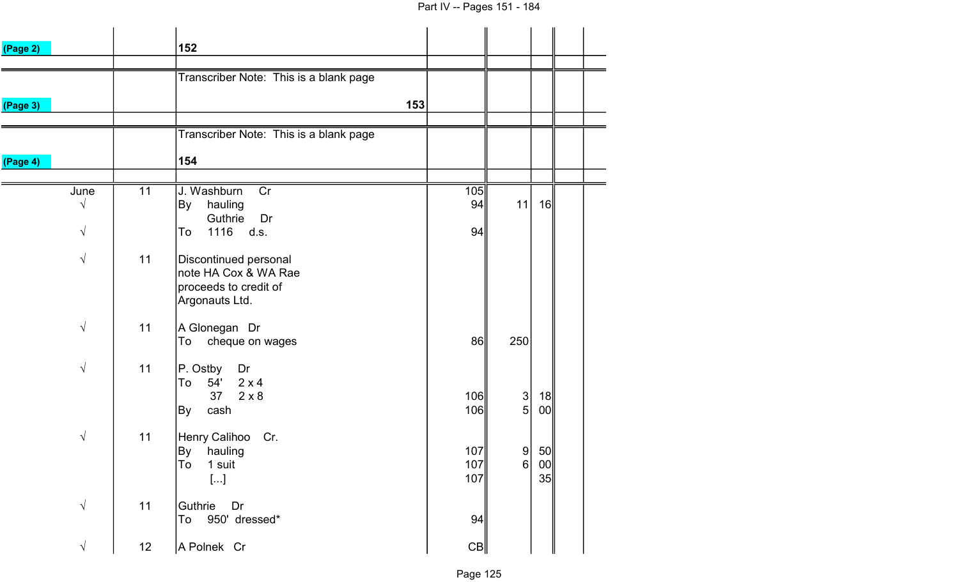| (Page 2)          |    | 152                                                                                      |                   |                      |                  |  |
|-------------------|----|------------------------------------------------------------------------------------------|-------------------|----------------------|------------------|--|
|                   |    | Transcriber Note: This is a blank page                                                   |                   |                      |                  |  |
| (Page 3)          |    | 153                                                                                      |                   |                      |                  |  |
|                   |    | Transcriber Note: This is a blank page                                                   |                   |                      |                  |  |
| (Page 4)          |    | 154                                                                                      |                   |                      |                  |  |
|                   |    |                                                                                          |                   |                      |                  |  |
| June<br>$\sqrt{}$ | 11 | J. Washburn<br>Cr<br>By<br>hauling<br>Guthrie<br>Dr                                      | 105<br>94         | 11                   | 16               |  |
| V                 |    | 1116 d.s.<br>To                                                                          | 94                |                      |                  |  |
| $\sqrt{}$         | 11 | Discontinued personal<br>note HA Cox & WA Rae<br>proceeds to credit of<br>Argonauts Ltd. |                   |                      |                  |  |
| $\sqrt{}$         | 11 | A Glonegan Dr<br>cheque on wages<br>To                                                   | 86                | 250                  |                  |  |
| $\sqrt{}$         | 11 | Dr<br>P. Ostby<br>To<br>54'<br>$2 \times 4$<br>37<br>$2 \times 8$<br>By<br>cash          | 106<br>106        | 3<br>5 <sup>1</sup>  | 18<br> 00        |  |
| V                 | 11 | Henry Calihoo Cr.<br>By<br>hauling<br>To<br>1 suit<br>$[\ldots]$                         | 107<br>107<br>107 | 9 <br>6 <sup>1</sup> | 50<br> 00 <br>35 |  |
| $\sqrt{}$         | 11 | Guthrie<br>Dr<br>950' dressed*<br>To                                                     | 94                |                      |                  |  |
| $\sqrt{ }$        | 12 | A Polnek Cr                                                                              | CB                |                      |                  |  |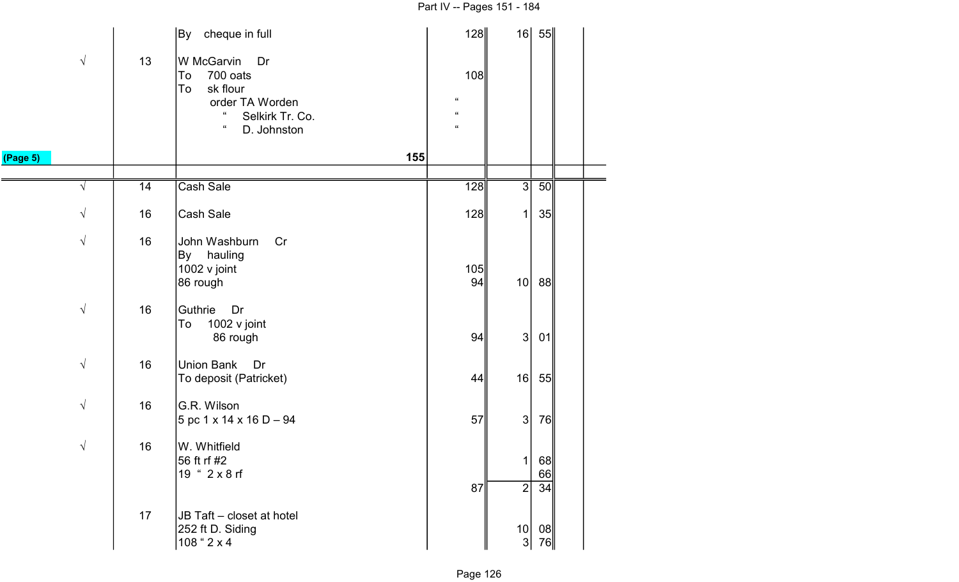|          |            |    | By cheque in full                                                                                                            | 128                                               | 16                   | 55             |  |
|----------|------------|----|------------------------------------------------------------------------------------------------------------------------------|---------------------------------------------------|----------------------|----------------|--|
|          | $\sqrt{ }$ | 13 | W McGarvin<br>Dr<br>700 oats<br>To<br>sk flour<br>To<br>order TA Worden<br>"<br>Selkirk Tr. Co.<br>$\epsilon$<br>D. Johnston | 108<br>$\mathbf{G}$<br>$\mathbf{G}$<br>$\epsilon$ |                      |                |  |
| (Page 5) |            |    | 155                                                                                                                          |                                                   |                      |                |  |
|          |            |    |                                                                                                                              |                                                   |                      |                |  |
|          | V          | 14 | Cash Sale                                                                                                                    | $\overline{128}$                                  | $\overline{3}$       | 50             |  |
|          | $\sqrt{}$  | 16 | <b>Cash Sale</b>                                                                                                             | 128                                               | 1                    | 35             |  |
|          | $\sqrt{ }$ | 16 | John Washburn<br>Cr<br>hauling<br>By<br>1002 v joint<br>86 rough                                                             | 105<br>94                                         | 10                   | 88             |  |
|          | $\sqrt{ }$ | 16 | Dr<br>Guthrie<br>To<br>1002 v joint<br>86 rough                                                                              | 94                                                | 3 <sup>1</sup>       | 01             |  |
|          | $\sqrt{ }$ | 16 | <b>Union Bank</b><br>Dr<br>To deposit (Patricket)                                                                            | 44                                                | 16                   | 55             |  |
|          | $\sqrt{ }$ | 16 | G.R. Wilson<br>5 pc 1 x 14 x 16 D - 94                                                                                       | 57                                                | 3 <sup>l</sup>       | 76             |  |
|          | $\sqrt{ }$ | 16 | W. Whitfield<br>56 ft rf #2<br>19 " 2 x 8 rf                                                                                 | 87                                                | 1<br>$\overline{2}$  | 68<br>66<br>34 |  |
|          |            | 17 | JB Taft - closet at hotel<br>252 ft D. Siding<br>108 " 2 x 4                                                                 |                                                   | 10<br>3 <sup>1</sup> | 08 <br>76      |  |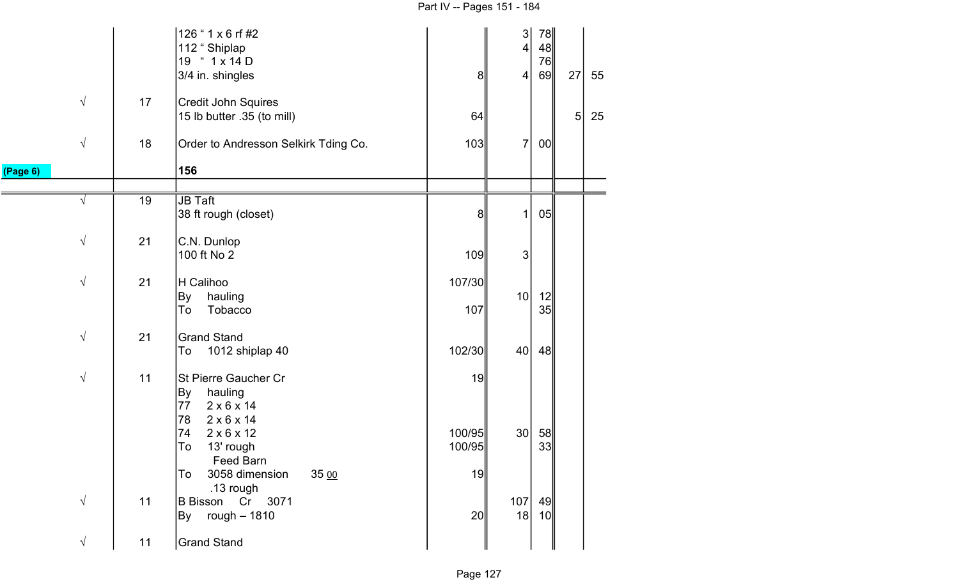|          |           |    | 126 " 1 x 6 rf #2<br>112 "Shiplap<br>19 " 1 x 14 D<br>3/4 in. shingles                                | 8 <sup>1</sup>   | 3<br>$\vert 4 \vert$<br>$\vert$ | 78∥<br>48<br>76∥<br>69 | 27       | 55 |
|----------|-----------|----|-------------------------------------------------------------------------------------------------------|------------------|---------------------------------|------------------------|----------|----|
|          | $\sqrt{}$ | 17 | <b>Credit John Squires</b><br>15 lb butter .35 (to mill)                                              | 64               |                                 |                        | $5\vert$ | 25 |
|          | $\sqrt{}$ | 18 | Order to Andresson Selkirk Tding Co.                                                                  | 103              | $\overline{7}$                  | 00                     |          |    |
| (Page 6) |           |    | 156                                                                                                   |                  |                                 |                        |          |    |
|          |           |    | <b>JB Taft</b>                                                                                        |                  |                                 |                        |          |    |
|          |           | 19 | 38 ft rough (closet)                                                                                  | 8                | $\mathbf{1}$                    | 05                     |          |    |
|          | $\sqrt{}$ | 21 | C.N. Dunlop<br>100 ft No 2                                                                            | 109              | 3                               |                        |          |    |
|          | $\sqrt{}$ | 21 | H Calihoo<br>By<br>hauling<br>Tobacco<br>To                                                           | 107/30<br>107    | 10                              | 12<br>35               |          |    |
|          | $\sqrt{}$ | 21 | <b>Grand Stand</b><br>1012 shiplap 40<br>To                                                           | 102/30           | 40                              | 48                     |          |    |
|          | $\sqrt{}$ | 11 | St Pierre Gaucher Cr<br>By<br>hauling<br>$2 \times 6 \times 14$<br>77<br>78<br>$2 \times 6 \times 14$ | 19               |                                 |                        |          |    |
|          |           |    | 74<br>$2 \times 6 \times 12$<br>To<br>13' rough<br>Feed Barn                                          | 100/95<br>100/95 | 30                              | 58<br>33               |          |    |
|          |           |    | 3058 dimension<br>35 00<br>To<br>.13 rough                                                            | 19               |                                 |                        |          |    |
|          | $\sqrt{}$ | 11 | B Bisson Cr 3071<br>By $rough - 1810$                                                                 | 20               | 107<br>18                       | 49<br>10               |          |    |
|          | $\sqrt{}$ | 11 | <b>Grand Stand</b>                                                                                    |                  |                                 |                        |          |    |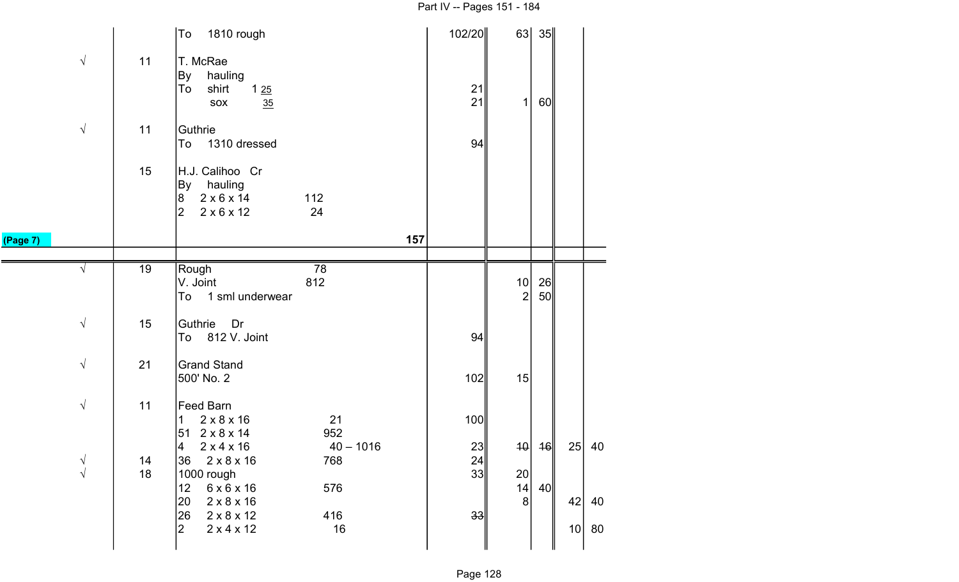|                |    | To<br>1810 rough                                                                                                         |                    |     | 102/20   | 63                                      | 35            |    |         |
|----------------|----|--------------------------------------------------------------------------------------------------------------------------|--------------------|-----|----------|-----------------------------------------|---------------|----|---------|
| $\sqrt{}$      | 11 | T. McRae<br>By<br>hauling<br>shirt<br>$125$<br>To<br>SOX<br>35                                                           |                    |     | 21<br>21 | 1                                       | 60            |    |         |
| $\sqrt{ }$     | 11 | Guthrie<br>1310 dressed<br>To                                                                                            |                    |     | 94       |                                         |               |    |         |
|                | 15 | H.J. Calihoo Cr<br>By<br>hauling<br>$2 \times 6 \times 14$<br>$\overline{8}$<br>$\overline{2}$<br>$2 \times 6 \times 12$ | 112<br>24          |     |          |                                         |               |    |         |
| (Page 7)       |    |                                                                                                                          |                    | 157 |          |                                         |               |    |         |
|                |    |                                                                                                                          |                    |     |          |                                         |               |    |         |
|                | 19 | Rough<br>V. Joint<br>1 sml underwear<br>To                                                                               | 78<br>812          |     |          | $\begin{bmatrix} 10 \\ 2 \end{bmatrix}$ | 26<br>50      |    |         |
| $\sqrt{ }$     | 15 | Guthrie<br>Dr<br>812 V. Joint<br>To                                                                                      |                    |     | 94       |                                         |               |    |         |
| $\sqrt{ }$     | 21 | <b>Grand Stand</b><br>500' No. 2                                                                                         |                    |     | 102      | 15                                      |               |    |         |
| $\sqrt{ }$     | 11 | <b>Feed Barn</b><br>$2 \times 8 \times 16$<br>1<br>51<br>$2 \times 8 \times 14$                                          | 21<br>952          |     | 100      |                                         |               |    |         |
|                | 14 | 4<br>2x4x16<br>36<br>$2 \times 8 \times 16$                                                                              | $40 - 1016$<br>768 |     | 23<br>24 |                                         | $ 40 $ $ 46 $ |    | $25$ 40 |
| V<br>$\sqrt{}$ | 18 | 1000 rough<br>12<br>$6 \times 6 \times 16$                                                                               | 576                |     | 33       | 20<br>14                                | 40            |    |         |
|                |    | 20<br>$2 \times 8 \times 16$                                                                                             |                    |     |          | $\bf{8}$                                |               | 42 | 40      |
|                |    | 26<br>$2 \times 8 \times 12$<br>$\overline{2}$<br>$2 \times 4 \times 12$                                                 | 416<br>16          |     | 33       |                                         |               | 10 | 80      |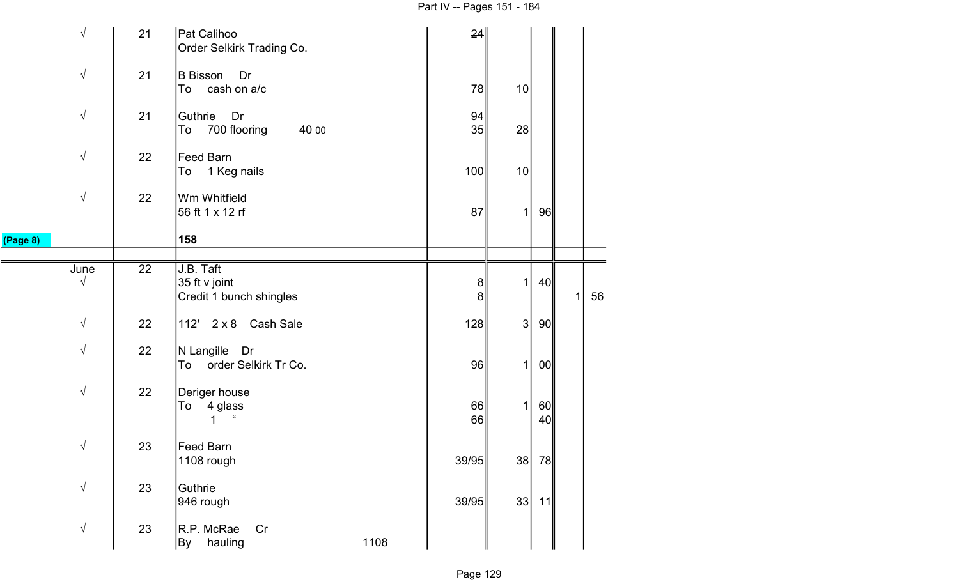|          | $\sqrt{ }$        | 21 | Pat Calihoo<br>Order Selkirk Trading Co.              | 24       |                |          |              |    |
|----------|-------------------|----|-------------------------------------------------------|----------|----------------|----------|--------------|----|
|          | $\sqrt{}$         | 21 | <b>B</b> Bisson<br>Dr<br>cash on a/c<br>To            | 78       | $10$           |          |              |    |
|          | $\sqrt{}$         | 21 | Dr<br>Guthrie<br>700 flooring<br>40 00<br>To          | 94<br>35 | 28             |          |              |    |
|          | $\sqrt{}$         | 22 | <b>Feed Barn</b><br>1 Keg nails<br>To                 | 100      | 10             |          |              |    |
|          | $\sqrt{}$         | 22 | Wm Whitfield<br>56 ft 1 x 12 rf                       | 87       | $\mathbf{1}$   | 96       |              |    |
| (Page 8) |                   |    | 158                                                   |          |                |          |              |    |
|          |                   |    |                                                       |          |                |          |              |    |
|          | June<br>$\sqrt{}$ | 22 | J.B. Taft<br>35 ft v joint<br>Credit 1 bunch shingles | 8<br>8   | $\mathbf{1}$   | 40       | $\mathbf{1}$ | 56 |
|          | $\sqrt{}$         | 22 | 112' 2 x 8 Cash Sale                                  | 128      | $\overline{3}$ | 90       |              |    |
|          | $\sqrt{}$         | 22 | N Langille Dr<br>order Selkirk Tr Co.<br>To           | 96       | 1              | 00       |              |    |
|          | $\sqrt{}$         | 22 | Deriger house<br>4 glass<br>To                        | 66<br>66 | $\mathbf{1}$   | 60<br>40 |              |    |
|          | $\sqrt{}$         | 23 | <b>Feed Barn</b><br>1108 rough                        | 39/95    | 38             | 78       |              |    |
|          | $\sqrt{}$         | 23 | Guthrie<br>946 rough                                  | 39/95    | 33             | 11       |              |    |
|          | $\sqrt{ }$        | 23 | R.P. McRae<br>Cr<br>1108<br>hauling<br> By            |          |                |          |              |    |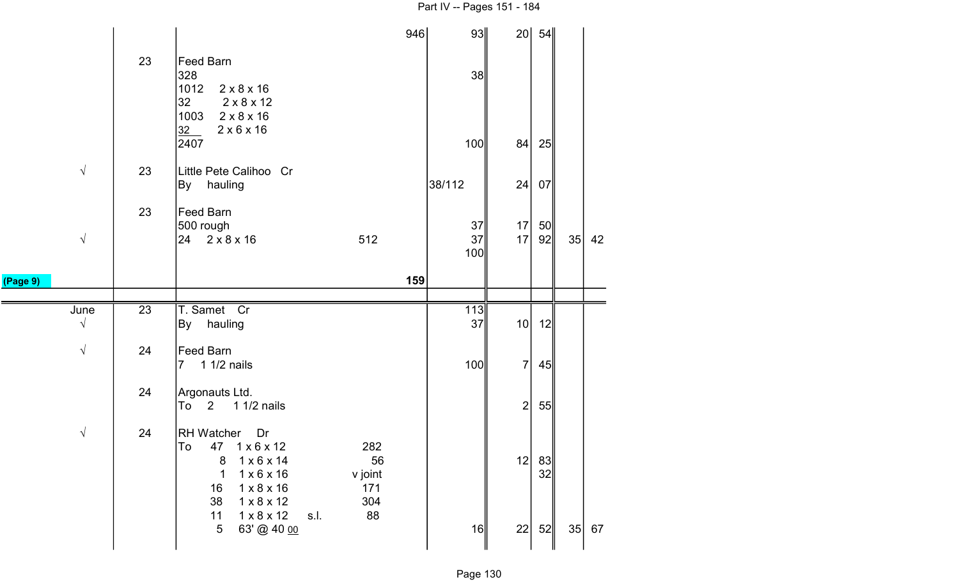|          |                   |    |                                                                                                                                                                                                           | 946                                              | 93              | 20             | 54       |    |    |
|----------|-------------------|----|-----------------------------------------------------------------------------------------------------------------------------------------------------------------------------------------------------------|--------------------------------------------------|-----------------|----------------|----------|----|----|
|          |                   | 23 | <b>Feed Barn</b><br>328<br>1012<br>$2 \times 8 \times 16$<br>32<br>$2 \times 8 \times 12$<br>$2 \times 8 \times 16$<br>1003<br>$2 \times 6 \times 16$<br>$\frac{32}{2}$<br>2407                           |                                                  | 38<br>100       | 84             | 25       |    |    |
|          | $\sqrt{}$         | 23 | Little Pete Calihoo Cr<br>hauling<br>By                                                                                                                                                                   |                                                  | 38/112          | 24             | $07$     |    |    |
|          | $\sqrt{}$         | 23 | <b>Feed Barn</b><br>500 rough<br>24 2 x 8 x 16                                                                                                                                                            | 512                                              | 37<br>37<br>100 | 17<br>17       | 50<br>92 | 35 | 42 |
| (Page 9) |                   |    |                                                                                                                                                                                                           | 159                                              |                 |                |          |    |    |
|          |                   |    |                                                                                                                                                                                                           |                                                  |                 |                |          |    |    |
|          | June<br>$\sqrt{}$ | 23 | T. Samet Cr<br>hauling<br>By                                                                                                                                                                              |                                                  | 113<br>37       | 10             | 12       |    |    |
|          | $\sqrt{ }$        | 24 | <b>Feed Barn</b><br>$11/2$ nails<br>$\overline{7}$                                                                                                                                                        |                                                  | 100             | $\overline{7}$ | 45       |    |    |
|          |                   | 24 | Argonauts Ltd.<br>To 2 1 1/2 nails                                                                                                                                                                        |                                                  |                 | $\overline{2}$ | 55       |    |    |
|          | $\sqrt{}$         | 24 | RH Watcher Dr<br>To 47 1 x 6 x 12<br>$1 \times 6 \times 14$<br>8<br>$\mathbf 1$<br>$1 \times 6 \times 16$<br>16<br>$1 \times 8 \times 16$<br>38<br>$1 \times 8 \times 12$<br>11<br>$1 \times 8 \times 12$ | 282<br>56<br>v joint<br>171<br>304<br>88<br>s.l. |                 | 12             | 83<br>32 |    |    |
|          |                   |    | $\overline{5}$<br>63' @ 40 00                                                                                                                                                                             |                                                  | 16              | 22             | 52       | 35 | 67 |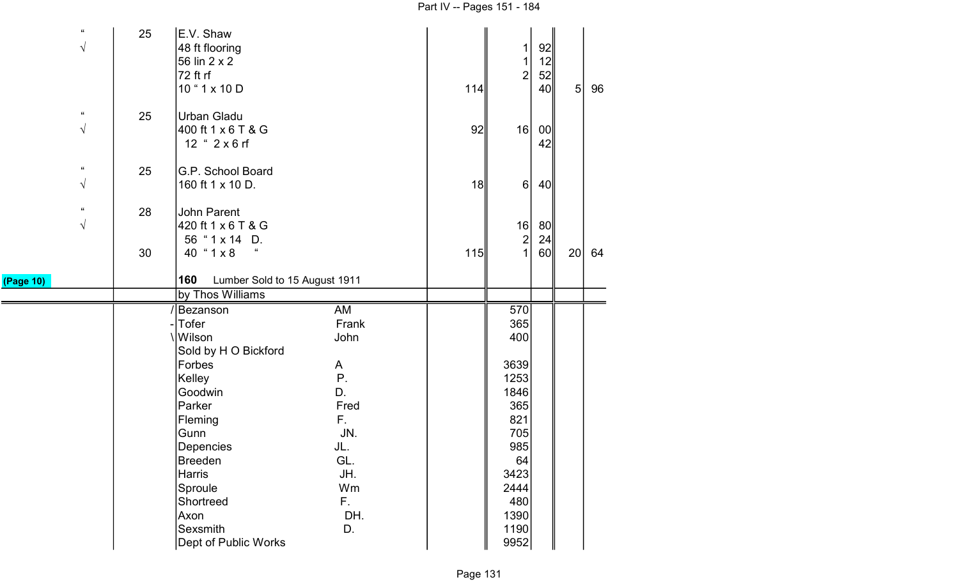| $\mathbf{G}$<br>$\sqrt{ }$ | 25       | E.V. Shaw<br>48 ft flooring<br>56 lin 2 x 2<br>72 ft rf<br>10 " 1 x 10 D                                                                                                                                                     |                                                                                                          | 114 | $\mathbf{1}$<br>$\mathbf 1$<br>$\overline{2}$                                                                              | 92<br>12<br>52<br>40 | 5 <sup>2</sup> | 96 |
|----------------------------|----------|------------------------------------------------------------------------------------------------------------------------------------------------------------------------------------------------------------------------------|----------------------------------------------------------------------------------------------------------|-----|----------------------------------------------------------------------------------------------------------------------------|----------------------|----------------|----|
| $\epsilon$<br>$\sqrt{ }$   | 25       | <b>Urban Gladu</b><br>400 ft 1 x 6 T & G<br>12 " 2 x 6 rf                                                                                                                                                                    |                                                                                                          | 92  | 16                                                                                                                         | 00 <br>42            |                |    |
| $\epsilon$<br>$\sqrt{}$    | 25       | G.P. School Board<br>160 ft 1 x 10 D.                                                                                                                                                                                        |                                                                                                          | 18  | 6 <sup>1</sup>                                                                                                             | 40I                  |                |    |
| $\mathbf{G}$<br>$\sqrt{ }$ | 28<br>30 | John Parent<br>420 ft 1 x 6 T & G<br>56 "1 x 14 D.<br>40 "1 x 8<br>"                                                                                                                                                         |                                                                                                          | 115 | 16<br>$\overline{2}$<br>$\mathbf{1}$                                                                                       | 80<br>24<br>60       | 20             | 64 |
| (Page 10)                  |          | 160<br>Lumber Sold to 15 August 1911<br>by Thos Williams                                                                                                                                                                     |                                                                                                          |     |                                                                                                                            |                      |                |    |
|                            |          | Bezanson<br><b>Tofer</b><br>Wilson<br>Sold by H O Bickford<br>Forbes<br>Kelley<br>Goodwin<br>Parker<br>Fleming<br>Gunn<br>Depencies<br>Breeden<br>Harris<br>Sproule<br>Shortreed<br>Axon<br>Sexsmith<br>Dept of Public Works | AM<br>Frank<br>John<br>A<br>Ρ.<br>D.<br>Fred<br>F.,<br>JN.<br>JL.<br>GL.<br>JH.<br>Wm<br>F.<br>DH.<br>D. |     | 570<br>365<br>400<br>3639<br>1253<br>1846<br>365<br>821<br>705<br>985<br>64<br>3423<br>2444<br>480<br>1390<br>1190<br>9952 |                      |                |    |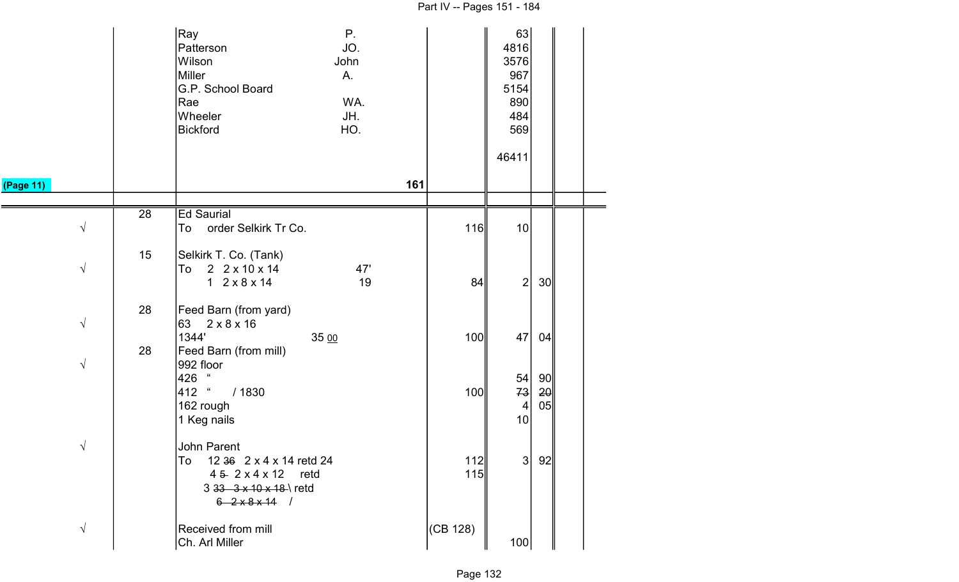|            |    | Ray<br>$P_{\cdot}$<br>JO.<br>Patterson<br>Wilson<br>John<br>Miller<br>Α.<br>G.P. School Board<br>WA.<br>Rae<br>Wheeler<br>JH.<br><b>Bickford</b><br>HO. |     |              | 63<br>4816<br>3576<br>967<br>5154<br>890<br>484<br>569<br>46411 |           |  |
|------------|----|---------------------------------------------------------------------------------------------------------------------------------------------------------|-----|--------------|-----------------------------------------------------------------|-----------|--|
| (Page 11)  |    |                                                                                                                                                         | 161 |              |                                                                 |           |  |
|            |    |                                                                                                                                                         |     |              |                                                                 |           |  |
| $\sqrt{}$  | 28 | <b>Ed Saurial</b><br>order Selkirk Tr Co.<br>To                                                                                                         |     | 116          | 10                                                              |           |  |
| $\sqrt{}$  | 15 | Selkirk T. Co. (Tank)<br>$2 \times 10 \times 14$<br>47'<br>To<br>19<br>12x8x14                                                                          |     | 84           | $\overline{2}$                                                  | 30        |  |
| $\sqrt{}$  | 28 | Feed Barn (from yard)<br>$2 \times 8 \times 16$<br>63<br>1344'<br>35 00                                                                                 |     | 100          | 47                                                              | 04        |  |
| $\sqrt{}$  | 28 | Feed Barn (from mill)<br>992 floor<br>426<br>$\epsilon$                                                                                                 |     |              | 54                                                              | 90        |  |
|            |    | 412 "<br>/ 1830<br>162 rough<br>1 Keg nails                                                                                                             |     | 100          | 73<br>$\vert 4 \vert$<br>10                                     | 20<br> 05 |  |
| $\sqrt{ }$ |    | John Parent<br>12 36 2 x 4 x 14 retd 24<br>To<br>$45.2 \times 4 \times 12$ retd<br>3 33 3 x 10 x 18 \ retd<br>$6 - 2 \times 8 \times 14$ /              |     | $112$<br>115 | 3 <sup>1</sup>                                                  | 92        |  |
| $\sqrt{}$  |    | <b>Received from mill</b><br>Ch. Arl Miller                                                                                                             |     | (CB 128)     | 100                                                             |           |  |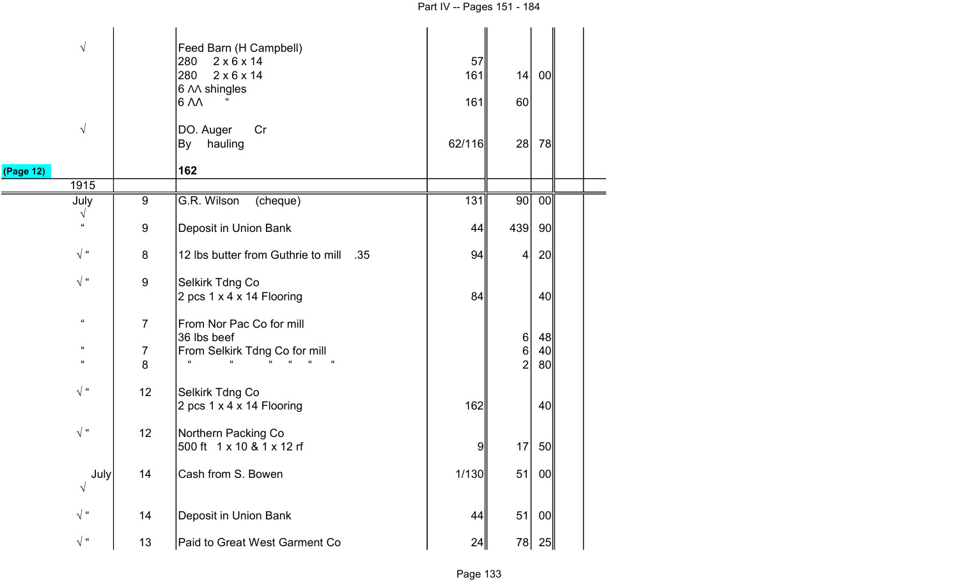| $\sqrt{}$<br>$\sqrt{}$ |                | Feed Barn (H Campbell)<br>280<br>$2 \times 6 \times 14$<br>$2 \times 6 \times 14$<br>280<br>6 AA shingles<br>6 A A | 57<br>161<br>161 | 14<br>60        | 00 |  |
|------------------------|----------------|--------------------------------------------------------------------------------------------------------------------|------------------|-----------------|----|--|
|                        |                | Cr<br>DO. Auger<br>By<br>hauling                                                                                   | 62/116           | 28              | 78 |  |
| (Page 12)              |                | 162                                                                                                                |                  |                 |    |  |
| 1915                   |                |                                                                                                                    |                  |                 |    |  |
| July                   | 9              | G.R. Wilson<br>(cheque)                                                                                            | 131              | 90              | 00 |  |
| $\epsilon$             | 9              | Deposit in Union Bank                                                                                              | 44               | 439             | 90 |  |
| $\sqrt{u}$             | 8              | 12 lbs butter from Guthrie to mill<br>.35                                                                          | 94               | $\vert 4 \vert$ | 20 |  |
| $\sqrt{u}$             | 9              | Selkirk Tdng Co<br>2 pcs 1 x 4 x 14 Flooring                                                                       | 84               |                 | 40 |  |
| $\epsilon$             | $\overline{7}$ | From Nor Pac Co for mill<br>36 lbs beef                                                                            |                  | 6               | 48 |  |
| "                      | $\overline{7}$ | From Selkirk Tdng Co for mill                                                                                      |                  | $6\,$           | 40 |  |
| "                      | 8              |                                                                                                                    |                  | $\overline{2}$  | 80 |  |
| $\sqrt{u}$             | 12             | Selkirk Tdng Co<br>2 pcs 1 x 4 x 14 Flooring                                                                       | 162              |                 | 40 |  |
| $\sqrt{u}$             | 12             | Northern Packing Co<br>500 ft 1 x 10 & 1 x 12 rf                                                                   | 9                | 17              | 50 |  |
| July<br>$\sqrt{ }$     | 14             | Cash from S. Bowen                                                                                                 | 1/130            | 51              | 00 |  |
| $\sqrt{u}$             | 14             | Deposit in Union Bank                                                                                              | 44               | 51              | 00 |  |
| $\sqrt{u}$             | 13             | Paid to Great West Garment Co                                                                                      | 24               | 78              | 25 |  |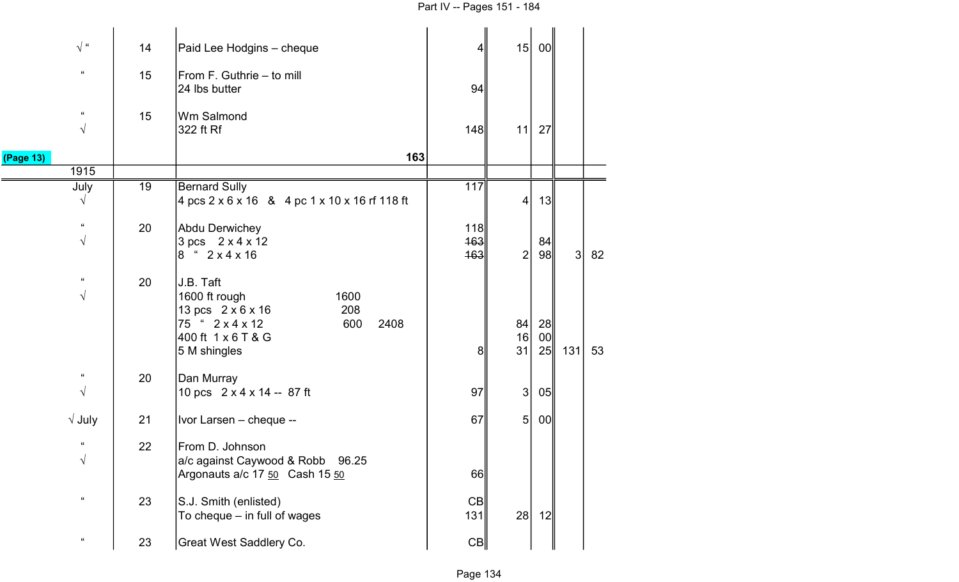|           | $\sqrt{u}$                 | 14 | Paid Lee Hodgins - cheque                                                                                                              | 4                 | 15             | 00       |                |    |
|-----------|----------------------------|----|----------------------------------------------------------------------------------------------------------------------------------------|-------------------|----------------|----------|----------------|----|
|           | $\epsilon$                 | 15 | From F. Guthrie - to mill<br>24 lbs butter                                                                                             | 94                |                |          |                |    |
|           | $\epsilon$<br>$\sqrt{}$    | 15 | Wm Salmond<br>322 ft Rf                                                                                                                | 148               | 11             | 27       |                |    |
| (Page 13) |                            |    | 163                                                                                                                                    |                   |                |          |                |    |
|           | 1915                       |    |                                                                                                                                        |                   |                |          |                |    |
|           | July<br>V                  | 19 | <b>Bernard Sully</b><br>4 pcs 2 x 6 x 16 & 4 pc 1 x 10 x 16 rf 118 ft                                                                  | 117               | $\overline{4}$ | 13       |                |    |
|           | $\epsilon$<br>$\sqrt{}$    | 20 | Abdu Derwichey<br>3 pcs 2 x 4 x 12<br>8 " 2 x 4 x 16                                                                                   | 118<br>163<br>163 | $\overline{2}$ | 84<br>98 | $\overline{3}$ | 82 |
|           | $\epsilon$<br>$\sqrt{}$    | 20 | J.B. Taft<br>1600 ft rough<br>1600<br>13 pcs 2 x 6 x 16<br>208<br>75 " 2 x 4 x 12<br>600<br>2408<br>400 ft 1 x 6 T & G<br>5 M shingles | 8 <sup>1</sup>    | 84<br>16<br>31 | 28<br>00 | 25 131         | 53 |
|           | $\epsilon$<br>$\sqrt{}$    | 20 | Dan Murray<br>10 pcs 2 x 4 x 14 -- 87 ft                                                                                               | 97                | 3 <sup>1</sup> | 05       |                |    |
|           | $\sqrt{}$ July             | 21 | Ivor Larsen - cheque --                                                                                                                | 67                | 5 <sup>1</sup> | 00       |                |    |
|           | $\epsilon$<br>$\sqrt{}$    | 22 | From D. Johnson<br>a/c against Caywood & Robb<br>96.25<br>Argonauts a/c 17 50 Cash 15 50                                               | 66                |                |          |                |    |
|           | $\epsilon$                 | 23 | S.J. Smith (enlisted)<br>To cheque $-$ in full of wages                                                                                | CB<br>131         | 28             | 12       |                |    |
|           | $\mathfrak{c}\mathfrak{c}$ | 23 | <b>Great West Saddlery Co.</b>                                                                                                         | CB                |                |          |                |    |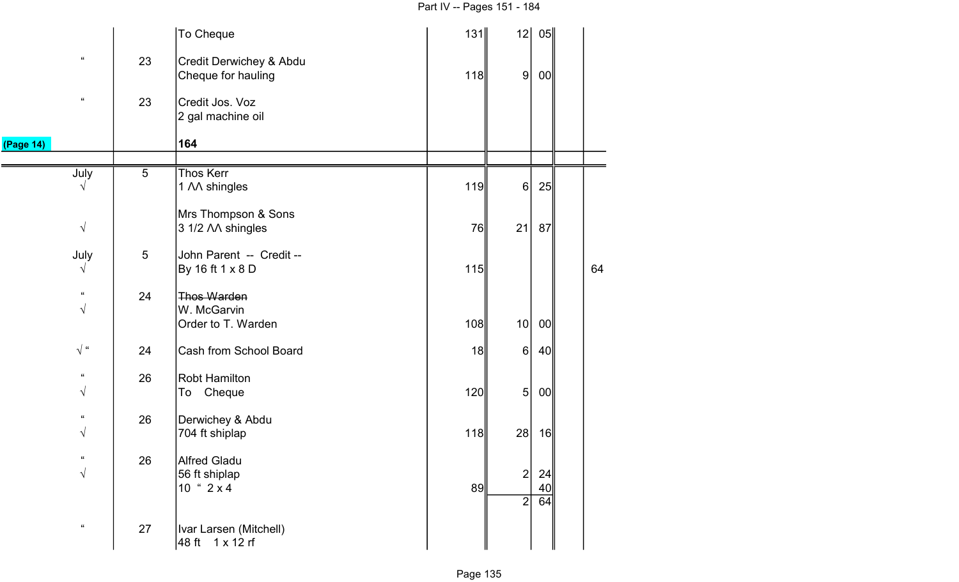|           |                         |                 | To Cheque                                                   | 131   | 12                               | 05             |    |
|-----------|-------------------------|-----------------|-------------------------------------------------------------|-------|----------------------------------|----------------|----|
|           | $\epsilon$              | 23              | <b>Credit Derwichey &amp; Abdu</b><br>Cheque for hauling    | 118   | $9\,$                            | 00             |    |
|           | $\epsilon$              | 23              | Credit Jos. Voz<br>2 gal machine oil                        |       |                                  |                |    |
| (Page 14) |                         |                 | 164                                                         |       |                                  |                |    |
|           |                         |                 |                                                             |       |                                  |                |    |
|           | July<br>V               | $\overline{5}$  | <b>Thos Kerr</b><br>1 / A shingles                          | 119   | $\,6\,$                          | 25             |    |
|           | $\sqrt{ }$              |                 | Mrs Thompson & Sons<br>3 1/2 / Shingles                     | 76    | 21                               | 87             |    |
|           | July<br>√               | $5\phantom{.0}$ | John Parent -- Credit --<br>By 16 ft 1 x 8 D                | $115$ |                                  |                | 64 |
|           | $\epsilon$<br>$\sqrt{}$ | 24              | <b>Thos Warden</b><br>W. McGarvin<br>Order to T. Warden     | 108   | 10 <sup>1</sup>                  | 00             |    |
|           | $\sqrt{\mu}$            | 24              | Cash from School Board                                      | 18    | $6\phantom{a}$                   | 40             |    |
|           | $\epsilon$<br>$\sqrt{}$ | 26              | <b>Robt Hamilton</b><br>Cheque<br>To                        | 120   | 5                                | 00             |    |
|           | $\epsilon$<br>$\sqrt{}$ | 26              | Derwichey & Abdu<br>704 ft shiplap                          | 118   | 28                               | 16             |    |
|           | $\epsilon$<br>$\sqrt{}$ | 26              | <b>Alfred Gladu</b><br>56 ft shiplap<br>$10$ " $2 \times 4$ | 89    | $\overline{2}$<br>$\overline{2}$ | 24<br>40<br>64 |    |
|           | $\epsilon\epsilon$      | 27              | Ivar Larsen (Mitchell)<br>48 ft 1 x 12 rf                   |       |                                  |                |    |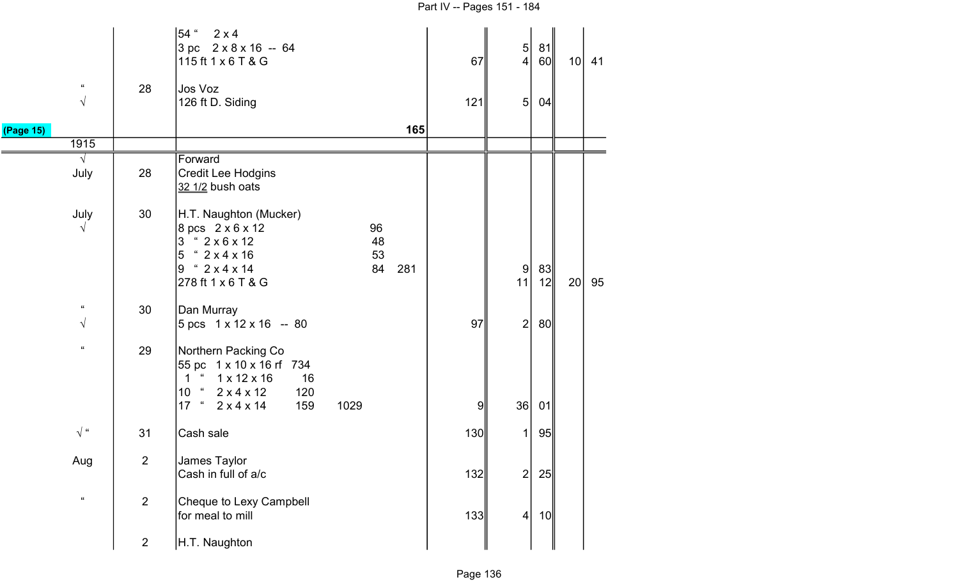| Part IV -- Pages 151 - 184 |  |  |  |
|----------------------------|--|--|--|
|----------------------------|--|--|--|

|           | $\epsilon$                              | 28             | 54 "<br>$2 \times 4$<br>$3 pc$ $2 \times 8 \times 16 - 64$<br>115 ft 1 x 6 T & G<br>Jos Voz                                                                                                                                                        |      |                      |     | 67  | $\overline{5}$<br>$\overline{\mathbf{4}}$ | 81<br>60        | 10 <sup>1</sup> | 41 |
|-----------|-----------------------------------------|----------------|----------------------------------------------------------------------------------------------------------------------------------------------------------------------------------------------------------------------------------------------------|------|----------------------|-----|-----|-------------------------------------------|-----------------|-----------------|----|
|           | $\sqrt{}$                               |                | 126 ft D. Siding                                                                                                                                                                                                                                   |      |                      |     | 121 | $\sqrt{5}$                                | 04              |                 |    |
| (Page 15) |                                         |                |                                                                                                                                                                                                                                                    |      |                      | 165 |     |                                           |                 |                 |    |
|           | 1915                                    |                |                                                                                                                                                                                                                                                    |      |                      |     |     |                                           |                 |                 |    |
|           | $\sqrt{ }$<br>July                      | 28             | Forward<br><b>Credit Lee Hodgins</b><br>32 1/2 bush oats                                                                                                                                                                                           |      |                      |     |     |                                           |                 |                 |    |
|           | July<br>$\sqrt{}$                       | 30             | H.T. Naughton (Mucker)<br>8 pcs 2 x 6 x 12<br>$3$ " $2 \times 6 \times 12$<br>$5$ " $2 \times 4 \times 16$<br>$ 9 * 2 \times 4 \times 14$<br>278 ft 1 x 6 T & G                                                                                    |      | 96<br>48<br>53<br>84 | 281 |     | $9\,$<br>11                               | 83<br>12        | 20              | 95 |
|           | $\mathfrak{c}\mathfrak{c}$<br>$\sqrt{}$ | 30             | Dan Murray<br>$5 pcs$ 1 x 12 x 16 -- 80                                                                                                                                                                                                            |      |                      |     | 97  | $\overline{2}$                            | 80 <sup>°</sup> |                 |    |
|           | $\epsilon$                              | 29             | Northern Packing Co<br>55 pc 1 x 10 x 16 rf 734<br>$\boldsymbol{\mu}$<br>$1 \times 12 \times 16$<br>$\overline{1}$<br>16<br>$\overline{\mathbf{u}}$<br>$2 \times 4 \times 12$<br>120<br>10 <sup>°</sup><br>$17$ "<br>159<br>$2 \times 4 \times 14$ | 1029 |                      |     | 9   | 36                                        | 01              |                 |    |
|           | $\sqrt{u}$                              | 31             | Cash sale                                                                                                                                                                                                                                          |      |                      |     | 130 | 1                                         | 95              |                 |    |
|           | Aug                                     | $\overline{2}$ | James Taylor<br>Cash in full of a/c                                                                                                                                                                                                                |      |                      |     | 132 | $\overline{2}$                            | 25              |                 |    |
|           | $\mathfrak{c}\mathfrak{c}$              | $\overline{2}$ | Cheque to Lexy Campbell<br>for meal to mill                                                                                                                                                                                                        |      |                      |     | 133 | $\overline{4}$                            | 10 <sup>1</sup> |                 |    |
|           |                                         | $\overline{2}$ | H.T. Naughton                                                                                                                                                                                                                                      |      |                      |     |     |                                           |                 |                 |    |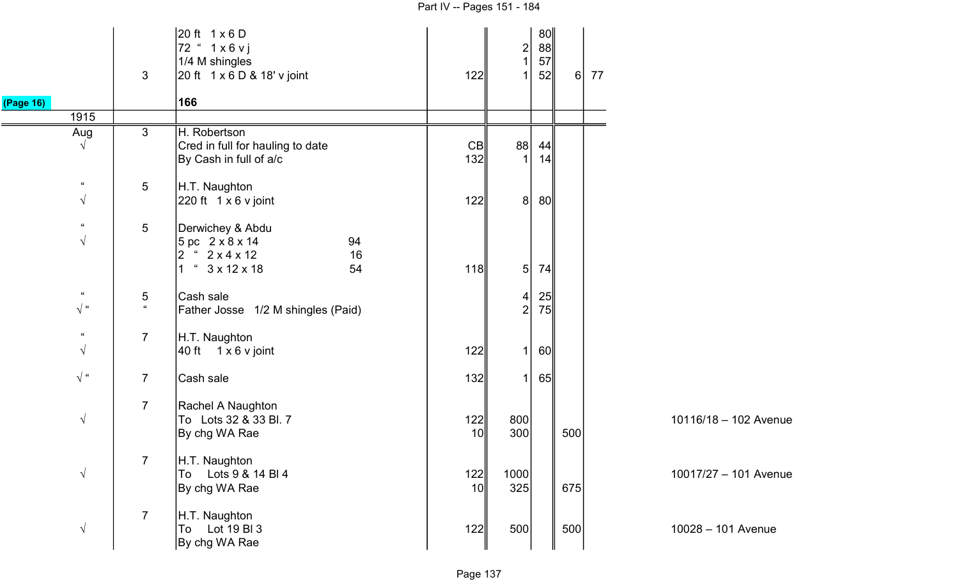| (Page 16)                                 | $\mathfrak{S}$           | 20 ft 1 x 6 D<br>72 " 1 x 6 v j<br>1/4 M shingles<br>20 ft 1 x 6 D & 18' v joint<br>166                                                     | 122       | $\overline{2}$<br>1<br>1 | 80<br>88<br>57<br>52 | 6   | 77 |
|-------------------------------------------|--------------------------|---------------------------------------------------------------------------------------------------------------------------------------------|-----------|--------------------------|----------------------|-----|----|
| 1915                                      |                          |                                                                                                                                             |           |                          |                      |     |    |
| Aug<br>$\sqrt{}$                          | 3                        | H. Robertson<br>Cred in full for hauling to date<br>By Cash in full of a/c                                                                  | CB<br>132 | 88<br>$\mathbf 1$        | 44∥<br>14            |     |    |
| $\mathbf{G}$<br>$\sqrt{ }$                | $5\phantom{.0}$          | H.T. Naughton<br>220 ft $1 \times 6$ v joint                                                                                                | 122       | $\mathbf{8}$             | 80                   |     |    |
| $\mathbf{G}$<br>$\sqrt{ }$                | $5\phantom{.0}$          | Derwichey & Abdu<br>5 pc 2 x 8 x 14<br>94<br>$\epsilon$<br>16<br>$2 \times 4 \times 12$<br>$\epsilon$<br>$3 \times 12 \times 18$<br>1<br>54 | 118       | 5 <sup>1</sup>           | 74                   |     |    |
| $\boldsymbol{\mathfrak{c}}$<br>$\sqrt{u}$ | $\sqrt{5}$<br>$\epsilon$ | Cash sale<br>Father Josse 1/2 M shingles (Paid)                                                                                             |           | 4<br>$\overline{2}$      | 25<br>75             |     |    |
| $\epsilon$<br>$\sqrt{ }$                  | $\overline{7}$           | H.T. Naughton<br>$40$ ft $1 \times 6$ v joint                                                                                               | 122       | $\mathbf{1}$             | 60                   |     |    |
| $\sqrt{u}$                                | $\overline{7}$           | Cash sale                                                                                                                                   | 132       | $\mathbf{1}$             | 65                   |     |    |
| $\sqrt{2}$                                | $\overline{7}$           | Rachel A Naughton<br>To Lots 32 & 33 Bl. 7<br>By chg WA Rae                                                                                 | 122<br>10 | 800<br>300               |                      | 500 |    |
| $\sqrt{2}$                                | $\overline{7}$           | H.T. Naughton<br>Lots 9 & 14 Bl 4<br>To<br>By chg WA Rae                                                                                    | 122<br>10 | 1000<br>325              |                      | 675 |    |
| $\sqrt{ }$                                | $\overline{7}$           | H.T. Naughton<br>Lot 19 BI 3<br>To<br>By chg WA Rae                                                                                         | 122       | 500                      |                      | 500 |    |

10116/18 - 102 Avenue

10017/27 – 101 Avenue

10028 - 101 Avenue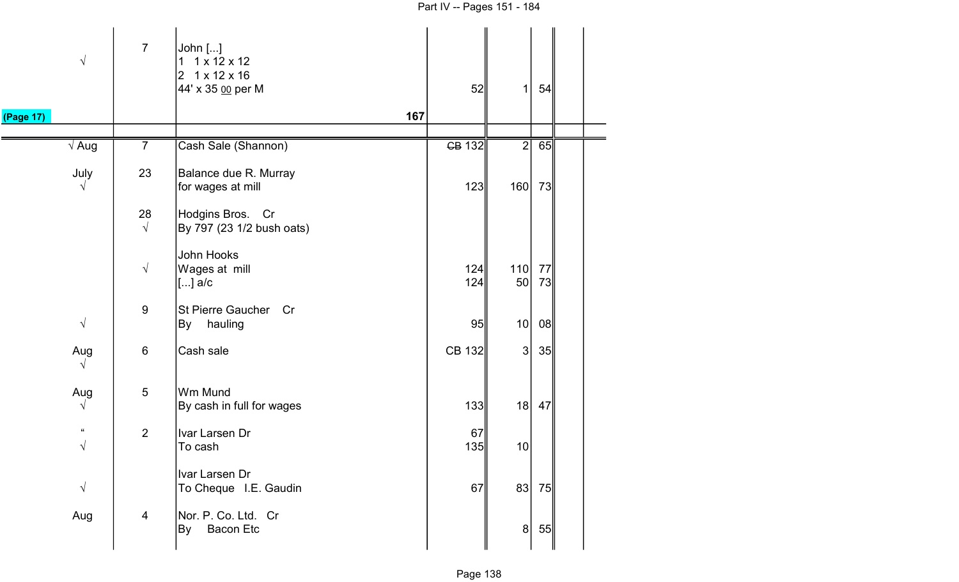| $\sqrt{2}$<br>(Page 17)   | $\overline{7}$   | John $[]$<br>$1 \t1 \t1 \t12 \t12$<br>$1 \times 12 \times 16$<br>2<br>44' x 35 00 per M<br>167 | 52         | 1               | 54        |  |
|---------------------------|------------------|------------------------------------------------------------------------------------------------|------------|-----------------|-----------|--|
| $\sqrt{$ Aug              | $\overline{7}$   | Cash Sale (Shannon)                                                                            | GB 132     | $\overline{2}$  | 65        |  |
| July<br>$\sqrt{}$         | 23               | Balance due R. Murray<br>for wages at mill                                                     | 123        | 160             | 73∥       |  |
|                           | 28<br>$\sqrt{ }$ | Hodgins Bros. Cr<br>By 797 (23 1/2 bush oats)                                                  |            |                 |           |  |
|                           | $\sqrt{ }$       | John Hooks<br>Wages at mill<br>[] a/c                                                          | 124<br>124 | 110<br>50       | 77<br>73∥ |  |
| $\sqrt{2}$                | $9\,$            | St Pierre Gaucher Cr<br>By<br>hauling                                                          | 95         | 10 <sup>1</sup> | 08        |  |
| Aug<br>$\sqrt{ }$         | $6\phantom{1}$   | Cash sale                                                                                      | CB 132     | 3               | 35        |  |
| Aug<br>$\sqrt{ }$         | $5\phantom{.0}$  | Wm Mund<br>By cash in full for wages                                                           | 133        | 18              | 47        |  |
| $\mathbf{G}$<br>$\sqrt{}$ | $\overline{2}$   | Ivar Larsen Dr<br>To cash                                                                      | 67<br>135  | 10              |           |  |
| $\sqrt{ }$                |                  | Ivar Larsen Dr<br>To Cheque I.E. Gaudin                                                        | 67         | 83              | 75        |  |
| Aug                       | $\overline{4}$   | Nor. P. Co. Ltd. Cr<br><b>Bacon Etc</b><br> By                                                 |            | 8 <sup>1</sup>  | 55        |  |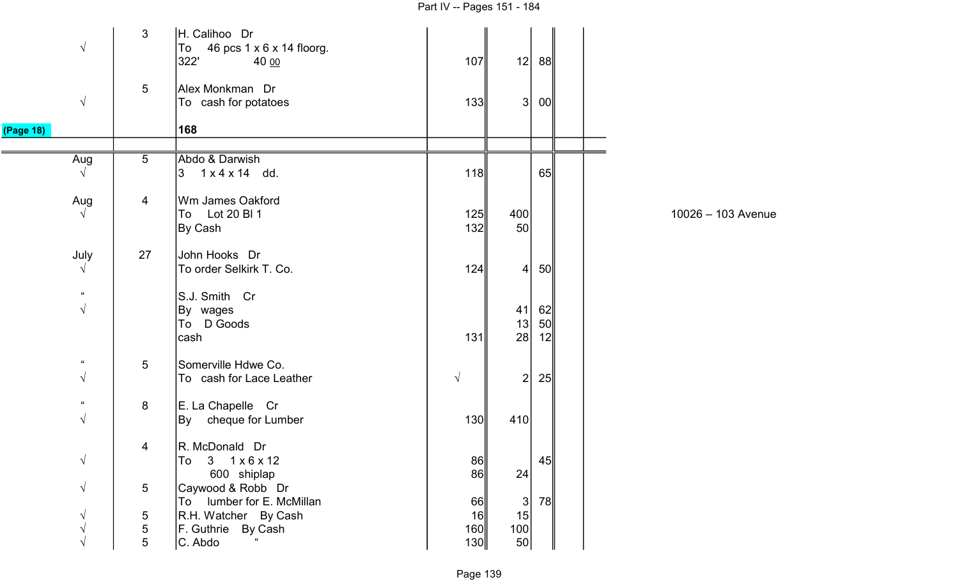|           |                            | $\mathbf{3}$    | H. Calihoo Dr                                     |           |                 |     |  |
|-----------|----------------------------|-----------------|---------------------------------------------------|-----------|-----------------|-----|--|
|           | $\sqrt{ }$                 |                 | 46 pcs 1 x 6 x 14 floorg.<br>To                   |           |                 |     |  |
|           |                            |                 | 322'<br>40 00                                     | 107       | 12              | 88  |  |
|           |                            | 5               | Alex Monkman Dr                                   |           |                 |     |  |
|           | $\sqrt{}$                  |                 |                                                   | 133       | $\mathfrak{S}$  | 00  |  |
|           |                            |                 | To cash for potatoes                              |           |                 |     |  |
| (Page 18) |                            |                 | 168                                               |           |                 |     |  |
|           |                            |                 |                                                   |           |                 |     |  |
|           | Aug                        | $5\overline{)}$ | Abdo & Darwish                                    |           |                 |     |  |
|           | $\sqrt{}$                  |                 | $1 \times 4 \times 14$ dd.<br>3                   | 118       |                 | 65  |  |
|           | Aug                        | 4               | Wm James Oakford                                  |           |                 |     |  |
|           |                            |                 | Lot 20 BI 1<br>To                                 | 125       | 400             |     |  |
|           |                            |                 | By Cash                                           | 132       | 50              |     |  |
|           |                            |                 |                                                   |           |                 |     |  |
|           | July                       | 27              | John Hooks Dr                                     |           |                 |     |  |
|           | V                          |                 | To order Selkirk T. Co.                           | 124       | $\vert 4 \vert$ | 50  |  |
|           | $\mathfrak{c}\mathfrak{c}$ |                 |                                                   |           |                 |     |  |
|           |                            |                 | S.J. Smith Cr                                     |           |                 |     |  |
|           | $\sqrt{}$                  |                 | By wages                                          |           | 41              | 62  |  |
|           |                            |                 | To D Goods                                        |           | 13              | 50  |  |
|           |                            |                 | cash                                              | 131       | 28              | 12  |  |
|           | $\epsilon$                 | 5               | Somerville Hdwe Co.                               |           |                 |     |  |
|           | $\sqrt{}$                  |                 | To cash for Lace Leather                          | $\sqrt{}$ | $\overline{2}$  | 25  |  |
|           |                            |                 |                                                   |           |                 |     |  |
|           | $\epsilon$                 | 8               | E. La Chapelle Cr                                 |           |                 |     |  |
|           | $\sqrt{}$                  |                 | By cheque for Lumber                              | 130       | 410             |     |  |
|           |                            |                 | R. McDonald Dr                                    |           |                 |     |  |
|           |                            | 4               | To<br>$1 \times 6 \times 12$<br>3 <sup>7</sup>    | 86        |                 | 45  |  |
|           |                            |                 |                                                   | 86        |                 |     |  |
|           | $\sqrt{}$                  | 5               | 600 shiplap                                       |           | 24              |     |  |
|           |                            |                 | Caywood & Robb Dr<br>lumber for E. McMillan<br>To | 66        | $\mathfrak{S}$  | 78∥ |  |
|           |                            | 5               |                                                   | 16        | 15              |     |  |
|           |                            | 5               | R.H. Watcher By Cash<br>F. Guthrie By Cash        | 160       | 100             |     |  |
|           | $\sqrt{}$                  | 5               | C. Abdo                                           |           |                 |     |  |
|           |                            |                 |                                                   | 130       | 50              |     |  |

10026 – 103 Avenue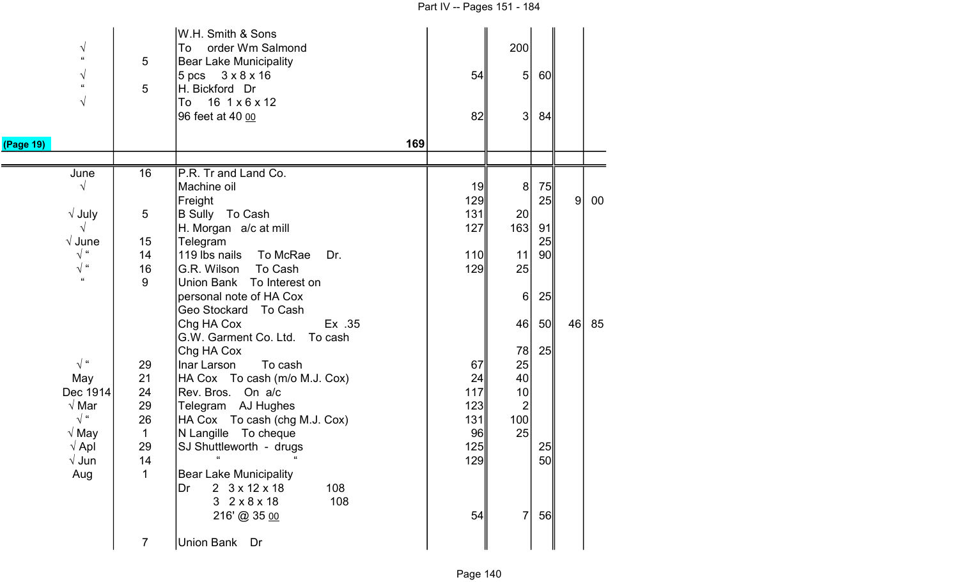|           | $\sqrt{}$<br>$\epsilon$<br>$\sqrt{}$<br>$\mathbf{u}$<br>V | 5<br>5         | W.H. Smith & Sons<br>order Wm Salmond<br>To<br><b>Bear Lake Municipality</b><br>$5 pcs$ $3 \times 8 \times 16$<br>H. Bickford Dr<br>16 1 x 6 x 12<br>To<br>96 feet at 40 00 | 54<br>82 | 200<br>5 <sup>1</sup><br>3 <sup>1</sup> | 60<br>84        |    |        |
|-----------|-----------------------------------------------------------|----------------|-----------------------------------------------------------------------------------------------------------------------------------------------------------------------------|----------|-----------------------------------------|-----------------|----|--------|
| (Page 19) |                                                           |                | 169                                                                                                                                                                         |          |                                         |                 |    |        |
|           | June                                                      | 16             | P.R. Tr and Land Co.                                                                                                                                                        |          |                                         |                 |    |        |
|           | $\sqrt{}$                                                 |                | Machine oil                                                                                                                                                                 | 19       | 8 <sup>1</sup>                          | 75              |    |        |
|           |                                                           |                | Freight                                                                                                                                                                     | 129      |                                         | 25              | 9  | $00\,$ |
|           | $\sqrt{}$ July                                            | 5              | B Sully To Cash                                                                                                                                                             | 131      | 20                                      |                 |    |        |
|           | V                                                         |                | H. Morgan a/c at mill                                                                                                                                                       | 127      | 163                                     | 91              |    |        |
|           | $\sqrt{}$ June                                            | 15             | Telegram                                                                                                                                                                    |          |                                         | 25              |    |        |
|           | $\sqrt{u}$                                                | 14             | 119 lbs nails To McRae<br>Dr.                                                                                                                                               | 110      | 11                                      | 90              |    |        |
|           | $\sqrt{u}$                                                | 16             | G.R. Wilson<br>To Cash                                                                                                                                                      | 129      | 25                                      |                 |    |        |
|           |                                                           | 9              | Union Bank To Interest on                                                                                                                                                   |          |                                         |                 |    |        |
|           |                                                           |                | personal note of HA Cox                                                                                                                                                     |          | 6 <sup>1</sup>                          | 25              |    |        |
|           |                                                           |                | Geo Stockard To Cash<br>Chg HA Cox<br>Ex .35                                                                                                                                |          | 46                                      | 50 <sup>1</sup> | 46 | 85     |
|           |                                                           |                | G.W. Garment Co. Ltd. To cash                                                                                                                                               |          |                                         |                 |    |        |
|           |                                                           |                | Chg HA Cox                                                                                                                                                                  |          | 78                                      | 25              |    |        |
|           | $\sqrt{u}$                                                | 29             | Inar Larson<br>To cash                                                                                                                                                      | 67       | 25                                      |                 |    |        |
|           | May                                                       | 21             | HA Cox To cash (m/o M.J. Cox)                                                                                                                                               | 24       | 40                                      |                 |    |        |
|           | Dec 1914                                                  | 24             | Rev. Bros.<br>On $a/c$                                                                                                                                                      | 117      | 10                                      |                 |    |        |
|           | $\sqrt{Mar}$                                              | 29             | Telegram AJ Hughes                                                                                                                                                          | 123      | $\overline{2}$                          |                 |    |        |
|           | $\sqrt{u}$                                                | 26             | HA Cox To cash (chg M.J. Cox)                                                                                                                                               | 131      | 100                                     |                 |    |        |
|           | √ May                                                     | $\mathbf{1}$   | N Langille To cheque                                                                                                                                                        | 96       | 25                                      |                 |    |        |
|           | $\sqrt{A}$ pl                                             | 29             | SJ Shuttleworth - drugs                                                                                                                                                     | 125      |                                         | 25              |    |        |
|           | $\sqrt{}$ Jun                                             | 14             | $\mathfrak{c}\mathfrak{c}$<br>$\epsilon$                                                                                                                                    | 129      |                                         | 50              |    |        |
|           | Aug                                                       | $\mathbf{1}$   | <b>Bear Lake Municipality</b>                                                                                                                                               |          |                                         |                 |    |        |
|           |                                                           |                | $2 \times 3 \times 12 \times 18$<br>108<br>Dr                                                                                                                               |          |                                         |                 |    |        |
|           |                                                           |                | 32x8x18<br>108                                                                                                                                                              |          |                                         |                 |    |        |
|           |                                                           |                | 216' @ 35 00                                                                                                                                                                | 54       | $\overline{7}$                          | 56              |    |        |
|           |                                                           | $\overline{7}$ | <b>Union Bank</b><br>Dr                                                                                                                                                     |          |                                         |                 |    |        |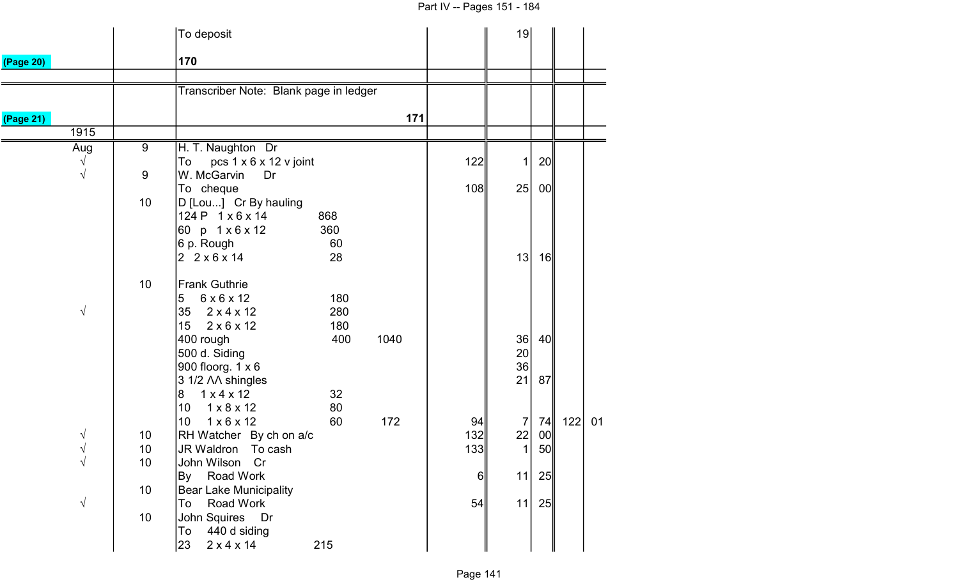|                  |                 | To deposit                                                    |     | 19             |    |     |    |
|------------------|-----------------|---------------------------------------------------------------|-----|----------------|----|-----|----|
| (Page 20)        |                 | 170                                                           |     |                |    |     |    |
|                  |                 |                                                               |     |                |    |     |    |
|                  |                 | Transcriber Note: Blank page in ledger                        |     |                |    |     |    |
| (Page 21)        |                 | 171                                                           |     |                |    |     |    |
| 1915             |                 |                                                               |     |                |    |     |    |
| Aug<br>$\sqrt{}$ | $9\,$           | H. T. Naughton Dr<br>pcs $1 \times 6 \times 12$ v joint<br>To | 122 | 1              | 20 |     |    |
| $\sqrt{}$        | $9\,$           | W. McGarvin<br>Dr                                             |     |                |    |     |    |
|                  |                 | To cheque                                                     | 108 | 25             | 00 |     |    |
|                  | 10              | D [Lou] Cr By hauling                                         |     |                |    |     |    |
|                  |                 | 124 P 1 x 6 x 14<br>868<br>60 p 1 x 6 x 12<br>360             |     |                |    |     |    |
|                  |                 | 6 p. Rough<br>60                                              |     |                |    |     |    |
|                  |                 | $2 \times 6 \times 14$<br>28                                  |     | 13             | 16 |     |    |
|                  | 10              | <b>Frank Guthrie</b>                                          |     |                |    |     |    |
|                  |                 | $6 \times 6 \times 12$<br>180<br>5                            |     |                |    |     |    |
| $\sqrt{}$        |                 | $35$ $2 \times 4 \times 12$<br>280                            |     |                |    |     |    |
|                  |                 | 15 <sub>1</sub><br>$2 \times 6 \times 12$<br>180              |     |                |    |     |    |
|                  |                 | 400 rough<br>1040<br>400                                      |     | 36             | 40 |     |    |
|                  |                 | 500 d. Siding                                                 |     | 20             |    |     |    |
|                  |                 | 900 floorg. 1 x 6                                             |     | 36             |    |     |    |
|                  |                 | 3 1/2 AA shingles                                             |     | 21             | 87 |     |    |
|                  |                 | $1 \times 4 \times 12$<br>32<br>8                             |     |                |    |     |    |
|                  |                 | 10<br>$1 \times 8 \times 12$<br>80                            |     |                |    |     |    |
|                  |                 | 10<br>$1 \times 6 \times 12$<br>60<br>172                     | 94  | $\overline{7}$ | 74 | 122 | 01 |
| V                | 10              | RH Watcher By ch on a/c                                       | 132 | 22             | 00 |     |    |
| $\sqrt{ }$       | 10 <sup>1</sup> | JR Waldron To cash                                            | 133 | 1              | 50 |     |    |
|                  | 10              | John Wilson<br>Cr                                             |     | 11             |    |     |    |
|                  | 10              | By Road Work                                                  | 6   |                | 25 |     |    |
| $\sqrt{}$        |                 | <b>Bear Lake Municipality</b><br>Road Work<br>To              | 54  | 11             | 25 |     |    |
|                  | 10 <sup>1</sup> | John Squires<br>Dr                                            |     |                |    |     |    |
|                  |                 | To<br>440 d siding                                            |     |                |    |     |    |
|                  |                 | 23<br>$2 \times 4 \times 14$<br>215                           |     |                |    |     |    |
|                  |                 |                                                               |     |                |    |     |    |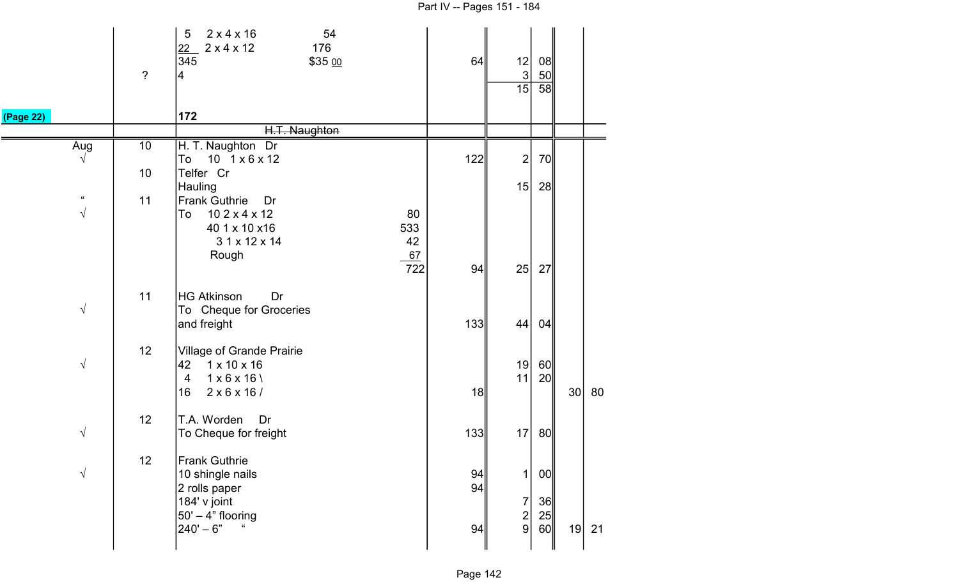| (Page 22)               | $\overline{?}$ | $2 \times 4 \times 16$<br>54<br>$5\phantom{.0}$<br>176<br>$2 \times 4 \times 12$<br>22<br>345<br>\$35 00<br>$\overline{4}$<br>172             | 64       | 12<br>$\mathfrak{S}$<br>$\overline{15}$ | 08<br>50<br>58 |    |    |
|-------------------------|----------------|-----------------------------------------------------------------------------------------------------------------------------------------------|----------|-----------------------------------------|----------------|----|----|
|                         |                | H.T. Naughton                                                                                                                                 |          |                                         |                |    |    |
| Aug<br>$\sqrt{}$        | 10<br>10       | H. T. Naughton Dr<br>10 1 x 6 x 12<br>To<br>Telfer Cr                                                                                         | 122      | $\overline{2}$                          | 70             |    |    |
| $\epsilon$<br>$\sqrt{}$ | 11             | Hauling<br><b>Frank Guthrie</b><br>Dr<br>To<br>10 2 x 4 x 12<br>80<br>40 1 x 10 x 16<br>533<br>3 1 x 12 x 14<br>42<br>Rough<br>67<br>722      | 94       | 15<br>25                                | 28<br>27       |    |    |
| $\sqrt{ }$              | 11             | Dr<br><b>HG Atkinson</b><br>To Cheque for Groceries<br>and freight                                                                            | 133      | 44                                      | 04             |    |    |
| $\sqrt{ }$              | 12             | <b>Village of Grande Prairie</b><br>42<br>$1 \times 10 \times 16$<br>$1 \times 6 \times 16$<br>$\overline{4}$<br>16<br>$2 \times 6 \times 16$ | 18       | 19<br>11                                | 60<br>20       | 30 | 80 |
| $\sqrt{ }$              | 12             | T.A. Worden<br>Dr<br>To Cheque for freight                                                                                                    | 133      | 17                                      | 80             |    |    |
| $\sqrt{ }$              | 12             | <b>Frank Guthrie</b><br>10 shingle nails<br>2 rolls paper<br>184' v joint                                                                     | 94<br>94 | 1<br>7                                  | 00<br>36       |    |    |
|                         |                | $50' - 4"$ flooring<br>$240' - 6"$                                                                                                            | 94       | $\boldsymbol{2}$<br>$\boldsymbol{9}$    | 25<br>60       | 19 | 21 |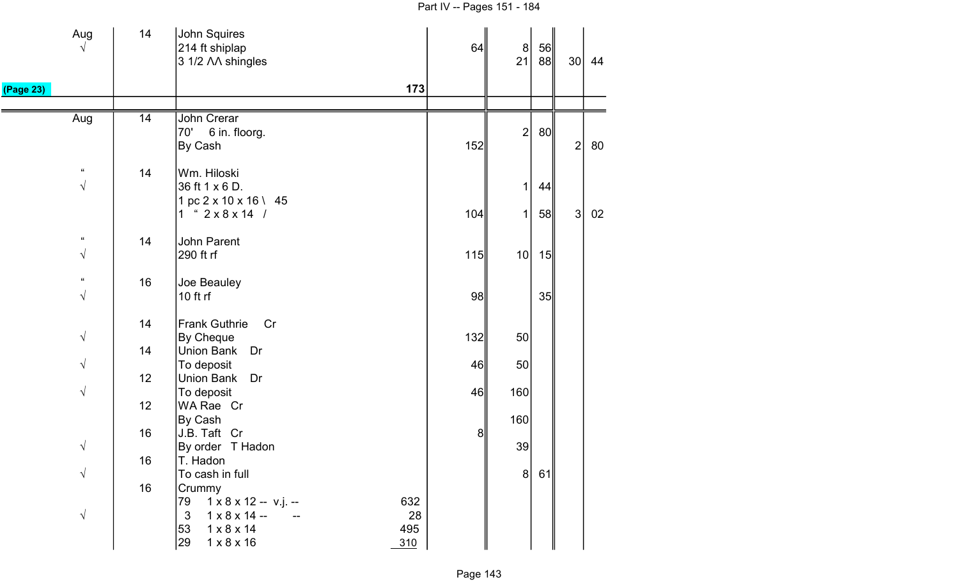| Aug<br>$\sqrt{}$                          | 14       | <b>John Squires</b><br>214 ft shiplap<br>3 1/2 / Shingles                                                                    | 64            | $\boldsymbol{8}$<br>21 | 56<br>88 | 30             | 44 |
|-------------------------------------------|----------|------------------------------------------------------------------------------------------------------------------------------|---------------|------------------------|----------|----------------|----|
| (Page 23)                                 |          | 173                                                                                                                          |               |                        |          |                |    |
|                                           |          |                                                                                                                              |               |                        |          |                |    |
| Aug                                       | 14       | John Crerar<br>70'<br>6 in. floorg.<br>By Cash                                                                               | 152           | $\overline{2}$         | 80       | 2              | 80 |
| $\boldsymbol{\mathfrak{c}}$<br>$\sqrt{ }$ | 14       | Wm. Hiloski<br>36 ft 1 x 6 D.<br>1 pc 2 x 10 x 16 \ 45                                                                       |               | $\mathbf{1}$           | 44       |                |    |
|                                           |          | $1$ " $2 \times 8 \times 14$ /                                                                                               | 104           | $\mathbf{1}$           | 58       | 3 <sup>1</sup> | 02 |
| $\mathfrak{c}\mathfrak{c}$<br>$\sqrt{}$   | 14       | John Parent<br>290 ft rf                                                                                                     | 115           | 10                     | 15       |                |    |
| $\mathbf{G}$<br>$\sqrt{}$                 | 16       | Joe Beauley<br>$10$ ft rf                                                                                                    | 98            |                        | 35       |                |    |
| $\sqrt{ }$                                | 14       | <b>Frank Guthrie</b><br>Cr<br>By Cheque                                                                                      | 132           | 50                     |          |                |    |
| $\sqrt{ }$                                | 14       | <b>Union Bank</b><br>Dr<br>To deposit                                                                                        | 46            | 50                     |          |                |    |
| $\sqrt{ }$                                | 12<br>12 | <b>Union Bank</b><br>Dr<br>To deposit<br>WA Rae Cr                                                                           | 46            | 160                    |          |                |    |
|                                           | 16       | By Cash<br>J.B. Taft Cr                                                                                                      | $\frac{8}{3}$ | 160                    |          |                |    |
| $\sqrt{}$                                 | 16       | By order T Hadon<br>T. Hadon                                                                                                 |               | 39                     |          |                |    |
| $\sqrt{ }$                                | 16       | To cash in full<br>Crummy<br>$1 \times 8 \times 12 - v$ .j. --<br>632<br>79                                                  |               | $\boldsymbol{8}$       | 61       |                |    |
| $\sqrt{}$                                 |          | $\mathbf{3}$<br>$1 \times 8 \times 14 -$<br>28<br>495<br>53<br>$1 \times 8 \times 14$<br>29<br>$1 \times 8 \times 16$<br>310 |               |                        |          |                |    |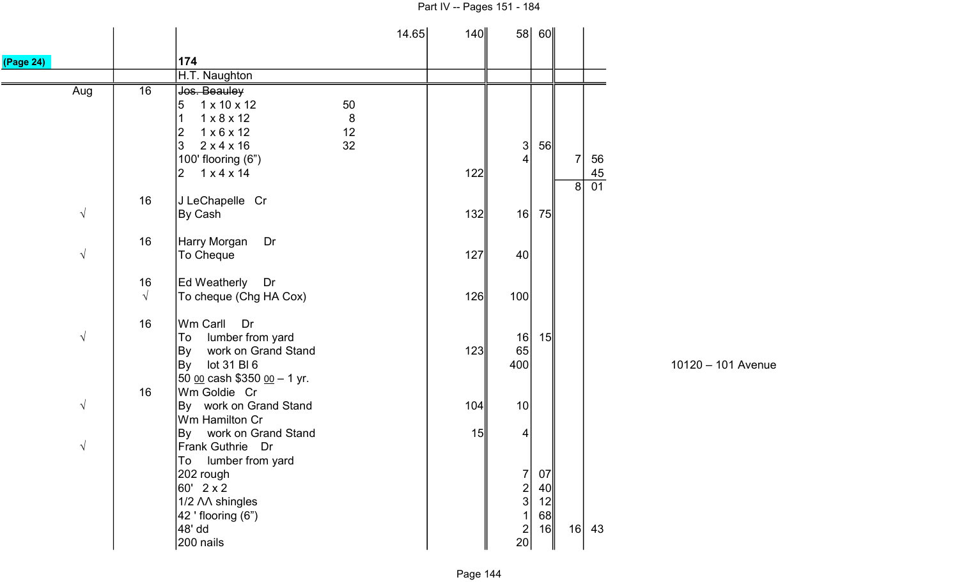|           |           |                                                            |          | 14.65 | 140 | 58                      | 60 |                |                      |
|-----------|-----------|------------------------------------------------------------|----------|-------|-----|-------------------------|----|----------------|----------------------|
|           |           |                                                            |          |       |     |                         |    |                |                      |
| (Page 24) |           | 174                                                        |          |       |     |                         |    |                |                      |
|           |           | H.T. Naughton                                              |          |       |     |                         |    |                |                      |
| Aug       | 16        | Jos. Beauley                                               |          |       |     |                         |    |                |                      |
|           |           | $1 \times 10 \times 12$<br>5                               | 50       |       |     |                         |    |                |                      |
|           |           | $1 \times 8 \times 12$<br>1                                | 8        |       |     |                         |    |                |                      |
|           |           | $1 \times 6 \times 12$<br>2<br>3<br>$2 \times 4 \times 16$ | 12<br>32 |       |     | 3                       | 56 |                |                      |
|           |           |                                                            |          |       |     | 4                       |    | 7              | 56                   |
|           |           | 100' flooring (6")<br>$1 \times 4 \times 14$<br>2          |          |       | 122 |                         |    |                |                      |
|           |           |                                                            |          |       |     |                         |    | $\overline{8}$ | $\frac{45}{5}$<br>01 |
|           | 16        | J LeChapelle Cr                                            |          |       |     |                         |    |                |                      |
| $\sqrt{}$ |           | By Cash                                                    |          |       | 132 | 16                      | 75 |                |                      |
|           |           |                                                            |          |       |     |                         |    |                |                      |
|           | 16        | Harry Morgan<br>Dr                                         |          |       |     |                         |    |                |                      |
| $\sqrt{}$ |           | To Cheque                                                  |          |       | 127 | 40                      |    |                |                      |
|           |           |                                                            |          |       |     |                         |    |                |                      |
|           | 16        | <b>Ed Weatherly</b><br>Dr                                  |          |       |     |                         |    |                |                      |
|           | $\sqrt{}$ | To cheque (Chg HA Cox)                                     |          |       | 126 | 100                     |    |                |                      |
|           |           |                                                            |          |       |     |                         |    |                |                      |
|           | 16        | Dr<br>Wm Carll                                             |          |       |     |                         |    |                |                      |
| $\sqrt{}$ |           | lumber from yard<br>To                                     |          |       |     | 16                      | 15 |                |                      |
|           |           | work on Grand Stand<br>By                                  |          |       | 123 | 65                      |    |                |                      |
|           |           | lot 31 BI 6<br>By                                          |          |       |     | 400                     |    |                |                      |
|           |           | 50 00 cash \$350 00 - 1 yr.                                |          |       |     |                         |    |                |                      |
|           | 16        | Wm Goldie Cr                                               |          |       |     |                         |    |                |                      |
| $\sqrt{}$ |           | By work on Grand Stand                                     |          |       | 104 | 10                      |    |                |                      |
|           |           | Wm Hamilton Cr                                             |          |       |     |                         |    |                |                      |
|           |           | work on Grand Stand<br>By                                  |          |       | 15  | 4                       |    |                |                      |
| $\sqrt{}$ |           | <b>Frank Guthrie</b><br>Dr                                 |          |       |     |                         |    |                |                      |
|           |           | lumber from yard<br>To                                     |          |       |     |                         | 07 |                |                      |
|           |           | 202 rough<br>60' 2 x 2                                     |          |       |     | 7                       | 40 |                |                      |
|           |           | 1/2 / shingles                                             |          |       |     | $\frac{2}{3}$           | 12 |                |                      |
|           |           | $42$ ' flooring $(6")$                                     |          |       |     | $\mathbf{1}$            | 68 |                |                      |
|           |           | 48' dd                                                     |          |       |     | $\overline{\mathbf{c}}$ | 16 | 16             | 43                   |
|           |           | 200 nails                                                  |          |       |     | 20                      |    |                |                      |

10120 – 101 Avenue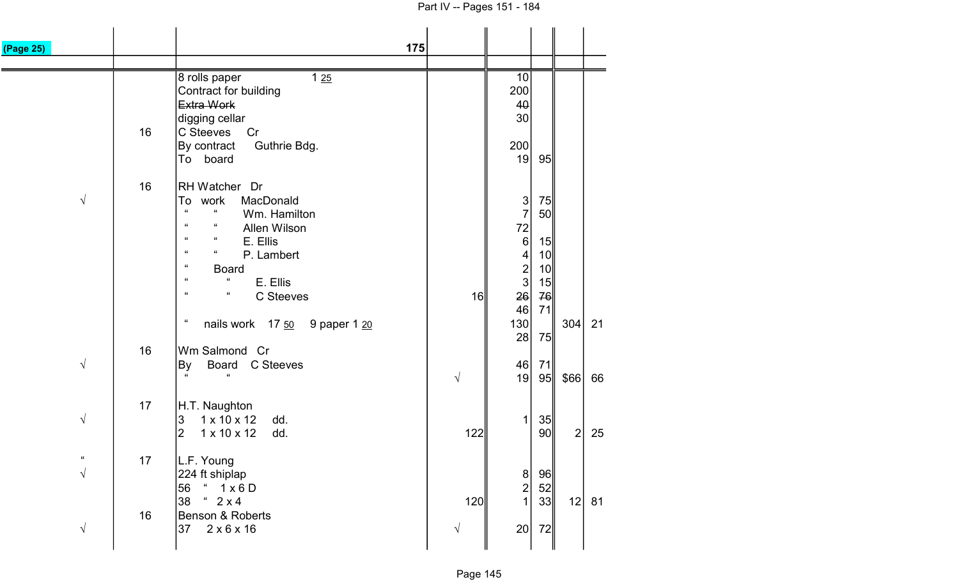Part IV -- Pages 151 - 184

| (Page 25)                 |    | 175                                                                                                                                                                                                                                                                                                                                                                                 |           |                                                                                                       |                                              |                |    |
|---------------------------|----|-------------------------------------------------------------------------------------------------------------------------------------------------------------------------------------------------------------------------------------------------------------------------------------------------------------------------------------------------------------------------------------|-----------|-------------------------------------------------------------------------------------------------------|----------------------------------------------|----------------|----|
|                           |    |                                                                                                                                                                                                                                                                                                                                                                                     |           |                                                                                                       |                                              |                |    |
|                           | 16 | 8 rolls paper<br>125<br>Contract for building<br><b>Extra Work</b><br>digging cellar<br>C Steeves<br>Cr<br>By contract<br>Guthrie Bdg.<br>board<br>To                                                                                                                                                                                                                               |           | 10<br>200<br>40<br>30<br>200<br>19                                                                    | 95                                           |                |    |
| $\sqrt{ }$                | 16 | RH Watcher Dr<br>work<br>MacDonald<br>To<br>$\alpha$<br>$\mathbf{G}$<br>Wm. Hamilton<br>$\mathbf{G}$<br>"<br>Allen Wilson<br>$\mathbf{G}$<br>$\epsilon$<br>E. Ellis<br>$\mathbf{G}$<br>"<br>P. Lambert<br>$\epsilon$<br><b>Board</b><br>$\boldsymbol{\mu}$<br>$\mathbf{G}$<br>E. Ellis<br>$\epsilon$<br>$\mathbf{G}$<br>C Steeves<br>$\epsilon$<br>nails work 17 50<br>9 paper 1 20 | 16        | $\ensuremath{\mathsf{3}}$<br>$\overline{7}$<br>72<br>$\,6\,$<br>4<br>$\frac{2}{3}$<br>26<br>46<br>130 | 75<br>50<br>15<br>10<br>10<br>15<br>76<br>71 | 304            | 21 |
| $\sqrt{ }$                | 16 | Wm Salmond Cr<br>By<br>Board<br><b>C</b> Steeves<br>$\epsilon$<br>$\mathbf{G}$                                                                                                                                                                                                                                                                                                      | $\sqrt{}$ | 28<br>46<br>19                                                                                        | 75<br>71<br>95                               | \$66           | 66 |
| $\sqrt{ }$                | 17 | H.T. Naughton<br>$ 3\rangle$<br>1 x 10 x 12<br>dd.<br>$ 2\rangle$<br>$1 \times 10 \times 12$<br>dd.                                                                                                                                                                                                                                                                                 | 122       | 1                                                                                                     | 35<br>90                                     | $\overline{2}$ | 25 |
| $\mathbf{f}$<br>$\sqrt{}$ | 17 | L.F. Young<br>224 ft shiplap<br>$4 \times 6$ D<br>56<br>" $2 \times 4$<br>38                                                                                                                                                                                                                                                                                                        | 120       | $\begin{array}{c} 8 \\ 2 \end{array}$                                                                 | 96<br>52<br>33                               | 12             | 81 |
| $\sqrt{ }$                | 16 | Benson & Roberts<br>37<br>$2 \times 6 \times 16$                                                                                                                                                                                                                                                                                                                                    | $\sqrt{}$ | 20                                                                                                    | 72                                           |                |    |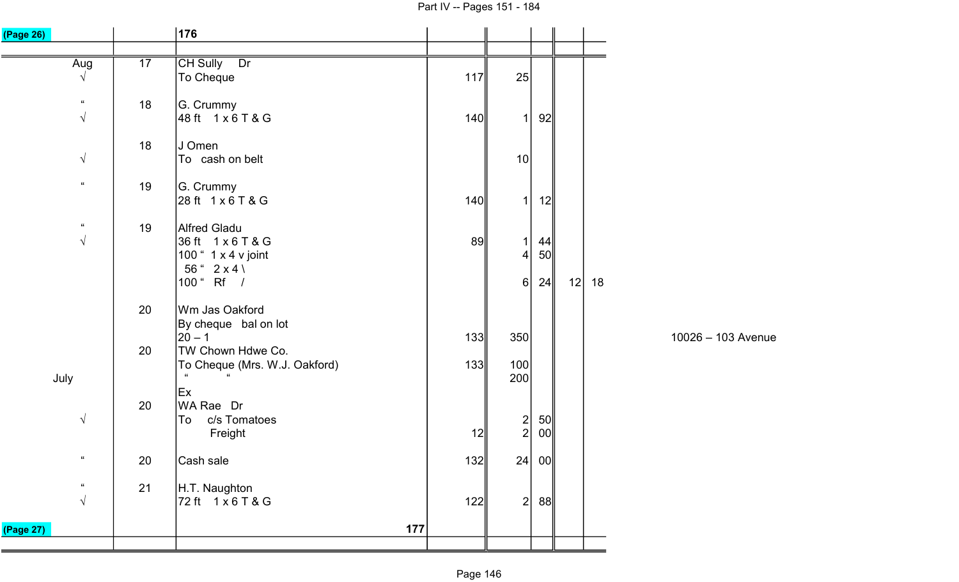| 17<br>CH Sully Dr<br>Aug<br>117<br>25<br>To Cheque<br>$\sqrt{}$<br>$\epsilon\epsilon$<br>18<br>G. Crummy<br>$\sqrt{2}$<br>48 ft 1 x 6 T & G<br>140<br>92<br>1<br>18<br>J Omen<br>$\sqrt{ }$<br>10<br>To cash on belt<br>$\mathbf{G}$<br>19<br>G. Crummy<br>28 ft 1 x 6 T & G<br>140<br>1<br>12<br>$\epsilon$<br>19<br><b>Alfred Gladu</b><br>$\sqrt{}$<br>89<br>36 ft 1 x 6 T & G<br>44<br>$\mathbf{1}$<br>50<br>100 " 1 x 4 v joint<br>$\vert 4 \vert$<br>56 " $2 x 4 \$<br>100 " Rf /<br>$6 \mid$<br>12<br>24<br>18<br>20<br>Wm Jas Oakford<br>By cheque bal on lot<br>$ 20 - 1 $<br>133<br>350<br>20<br>TW Chown Hdwe Co.<br>133<br>100<br>To Cheque (Mrs. W.J. Oakford)<br>$\alpha$<br>200<br>July<br>Ex<br>20<br>WA Rae Dr<br>$\sqrt{2}$<br>$\mathbf{2}$<br>50<br>c/s Tomatoes<br>To<br>$\overline{2}$<br> 00 <br>Freight<br>12<br>24<br>$\mathbf{G}$<br> 00 <br>20<br>132<br>Cash sale<br>$\mathbf{G}$<br>21<br>H.T. Naughton<br>$\sqrt{ }$<br>72 ft 1 x 6 T & G<br>122<br>$2\vert$<br>88<br>177<br>(Page 27) | (Page 26) | 176 |  |  |  |
|---------------------------------------------------------------------------------------------------------------------------------------------------------------------------------------------------------------------------------------------------------------------------------------------------------------------------------------------------------------------------------------------------------------------------------------------------------------------------------------------------------------------------------------------------------------------------------------------------------------------------------------------------------------------------------------------------------------------------------------------------------------------------------------------------------------------------------------------------------------------------------------------------------------------------------------------------------------------------------------------------------------------|-----------|-----|--|--|--|
|                                                                                                                                                                                                                                                                                                                                                                                                                                                                                                                                                                                                                                                                                                                                                                                                                                                                                                                                                                                                                     |           |     |  |  |  |
|                                                                                                                                                                                                                                                                                                                                                                                                                                                                                                                                                                                                                                                                                                                                                                                                                                                                                                                                                                                                                     |           |     |  |  |  |
|                                                                                                                                                                                                                                                                                                                                                                                                                                                                                                                                                                                                                                                                                                                                                                                                                                                                                                                                                                                                                     |           |     |  |  |  |
|                                                                                                                                                                                                                                                                                                                                                                                                                                                                                                                                                                                                                                                                                                                                                                                                                                                                                                                                                                                                                     |           |     |  |  |  |
|                                                                                                                                                                                                                                                                                                                                                                                                                                                                                                                                                                                                                                                                                                                                                                                                                                                                                                                                                                                                                     |           |     |  |  |  |
|                                                                                                                                                                                                                                                                                                                                                                                                                                                                                                                                                                                                                                                                                                                                                                                                                                                                                                                                                                                                                     |           |     |  |  |  |
|                                                                                                                                                                                                                                                                                                                                                                                                                                                                                                                                                                                                                                                                                                                                                                                                                                                                                                                                                                                                                     |           |     |  |  |  |
|                                                                                                                                                                                                                                                                                                                                                                                                                                                                                                                                                                                                                                                                                                                                                                                                                                                                                                                                                                                                                     |           |     |  |  |  |
|                                                                                                                                                                                                                                                                                                                                                                                                                                                                                                                                                                                                                                                                                                                                                                                                                                                                                                                                                                                                                     |           |     |  |  |  |
|                                                                                                                                                                                                                                                                                                                                                                                                                                                                                                                                                                                                                                                                                                                                                                                                                                                                                                                                                                                                                     |           |     |  |  |  |
|                                                                                                                                                                                                                                                                                                                                                                                                                                                                                                                                                                                                                                                                                                                                                                                                                                                                                                                                                                                                                     |           |     |  |  |  |
|                                                                                                                                                                                                                                                                                                                                                                                                                                                                                                                                                                                                                                                                                                                                                                                                                                                                                                                                                                                                                     |           |     |  |  |  |

10026 – 103 Avenue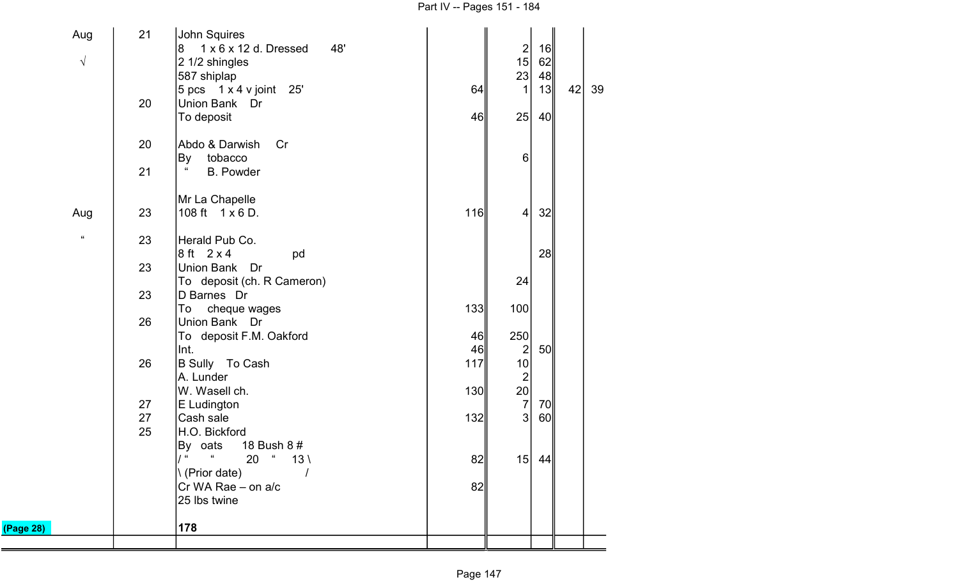Part IV -- Pages 151 - 184

| Aug<br>$\sqrt{}$ | 21       | John Squires<br>1 x 6 x 12 d. Dressed<br>48'<br>8<br>2 1/2 shingles<br>587 shiplap<br>$5 pcs$ $1 x 4 v$ joint $25'$ | 64       | $\begin{array}{c} 2 \\ 15 \end{array}$<br>23<br>1 | 16<br>62<br>48∥<br>13 | 42 | 39 |
|------------------|----------|---------------------------------------------------------------------------------------------------------------------|----------|---------------------------------------------------|-----------------------|----|----|
|                  | 20       | Union Bank Dr<br>To deposit                                                                                         | 46       | 25                                                | 40                    |    |    |
|                  | 20       | Abdo & Darwish<br>Cr<br>tobacco<br>By                                                                               |          | 6                                                 |                       |    |    |
|                  | 21       | <b>B.</b> Powder                                                                                                    |          |                                                   |                       |    |    |
| Aug              | 23       | Mr La Chapelle<br>108 ft 1 x 6 D.                                                                                   | 116      | $\vert 4 \vert$                                   | 32                    |    |    |
| $\epsilon$       | 23       | Herald Pub Co.<br>8 ft 2 x 4<br>pd                                                                                  |          |                                                   | 28                    |    |    |
|                  | 23       | Union Bank Dr<br>To deposit (ch. R Cameron)                                                                         |          | 24                                                |                       |    |    |
|                  | 23       | D Barnes Dr<br>cheque wages<br>To                                                                                   | 133      | 100                                               |                       |    |    |
|                  | 26       | Union Bank Dr<br>To deposit F.M. Oakford<br>Int.                                                                    | 46<br>46 | 250<br>$\overline{2}$                             | 50                    |    |    |
|                  | 26       | B Sully To Cash<br>A. Lunder                                                                                        | 117      | 10<br>$\mathbf 2$                                 |                       |    |    |
|                  |          | W. Wasell ch.                                                                                                       | 130      | 20                                                |                       |    |    |
|                  | 27<br>27 | E Ludington<br>Cash sale                                                                                            |          | $\overline{7}$<br>$\overline{3}$                  | 70<br>60              |    |    |
|                  | 25       | H.O. Bickford                                                                                                       | 132      |                                                   |                       |    |    |
|                  |          | 18 Bush 8 #<br>By oats                                                                                              |          |                                                   |                       |    |    |
|                  |          | $\epsilon$<br>$\epsilon$<br>$\alpha$<br>20<br>$13 \mid$                                                             | 82       | 15                                                | 44                    |    |    |
|                  |          | \(Prior date)                                                                                                       |          |                                                   |                       |    |    |
|                  |          | Cr WA Rae - on a/c<br>25 lbs twine                                                                                  | 82       |                                                   |                       |    |    |
|                  |          |                                                                                                                     |          |                                                   |                       |    |    |
|                  |          | 178                                                                                                                 |          |                                                   |                       |    |    |
|                  |          |                                                                                                                     |          |                                                   |                       |    |    |

(Page 28)

Page 147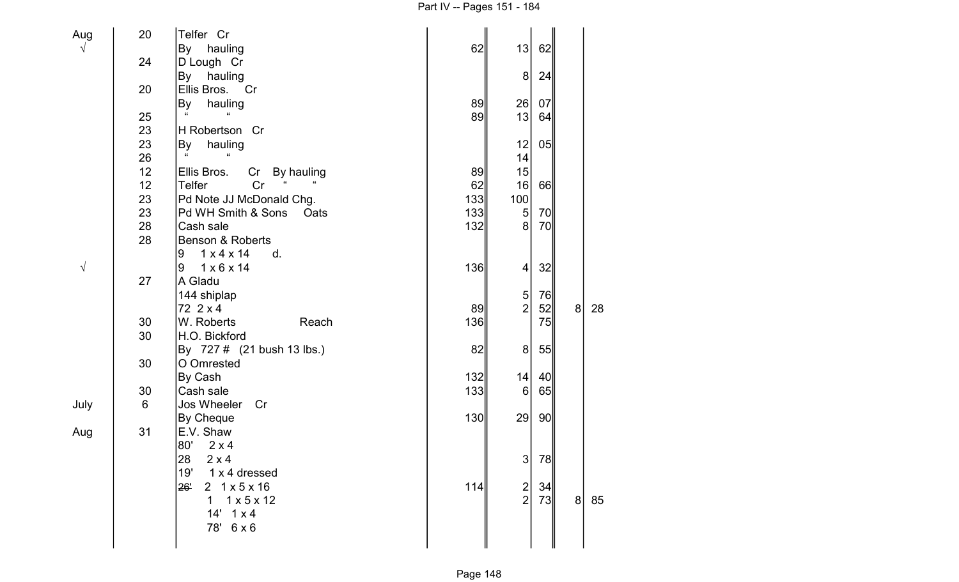Aug | 20 | Telfer Cr √ By hauling 62 13 62 24 |D Lough Cr By hauling 8 24 20 **Ellis Bros.** Cr<br>By hauling By hauling 89 26 07 25 " " 89 13 64 23 H Robertson Cr | 23 |By hauling | | | 12 05|| | 26 " " 14 12 Ellis Bros. Cr By hauling 12 89 15 89 16 66 | 12 | Telfer Cr " " | 62|| 16 66|| | 23  $\begin{array}{|l|l|}\n\hline\n 23 & \text{Pd Note JJ McDonald Chg.} \\
\hline\n 23 & \text{Pd WH Smith & Sons & Oats}\n\hline\n\end{array}$  133  $\begin{array}{|l|l|}\n\hline\n\end{array}$  133  $\begin{array}{|l|l|}\n\hline\n\end{array}$  100  $\begin{array}{|l|l|}\n\hline\n\end{array}$  133  $\begin{array}{|l|l|}\n\hline\n\end{array}$  100  $\begin{array}{|l|l|}\n\hline\n\end{array}$  133  $\begin{array}{$ 23 Pd WH Smith & Sons Oats 133 133 5 70<br>28 Cash sale 132 3 132 8 70 28 Cash sale 132 8 70 28 | Benson & Roberts  $9 \t 1 \times 4 \times 14 \t d.$  $\sqrt{27}$  9 1 x 6 x 14 136 136 4 32 | 27 A Gladu | | | 144 shiplap 5 76  $|72 \t2 \times 4$  89 2 52 8 28 30 W. Roberts Reach 136 75 30 H.O. Bickford By 727 # (21 bush 13 lbs.) 82 8 55 O Omrested<br>By Cash By Cash 132 14 40  $\begin{vmatrix} 30 & \text{Cash sale} \\ 30 & \text{Cash sale} \end{vmatrix}$  133 6 65  $\begin{vmatrix} 65 \end{vmatrix}$ July 6 Jos Wheeler Cr  $\begin{array}{|c|c|c|c|c|c|c|c|}\n\hline\n31 & \text{E.V. Shaw} \\
\hline\n\end{array}$  130  $\begin{array}{|c|c|c|c|c|c|c|c|}\n\hline\n\end{array}$ Aug  $\begin{vmatrix} 31 & \text{E.V. Shaw} \end{vmatrix}$  80' 2 x 4 28 2 x 4 3 78 28 2 x 4<br>19' 1 x 4 dressed  $\begin{vmatrix} 26 & 2 & 1 \times 5 \times 16 \\ 1 & 1 \times 5 \times 12 \end{vmatrix}$  114 2 34 1  $1 \times 5 \times 12$   $||$   $||$   $2|73||$  8 85 14' 1 x 4 78' 6 x 6

## Part IV -- Pages 151 - 184

Page 148